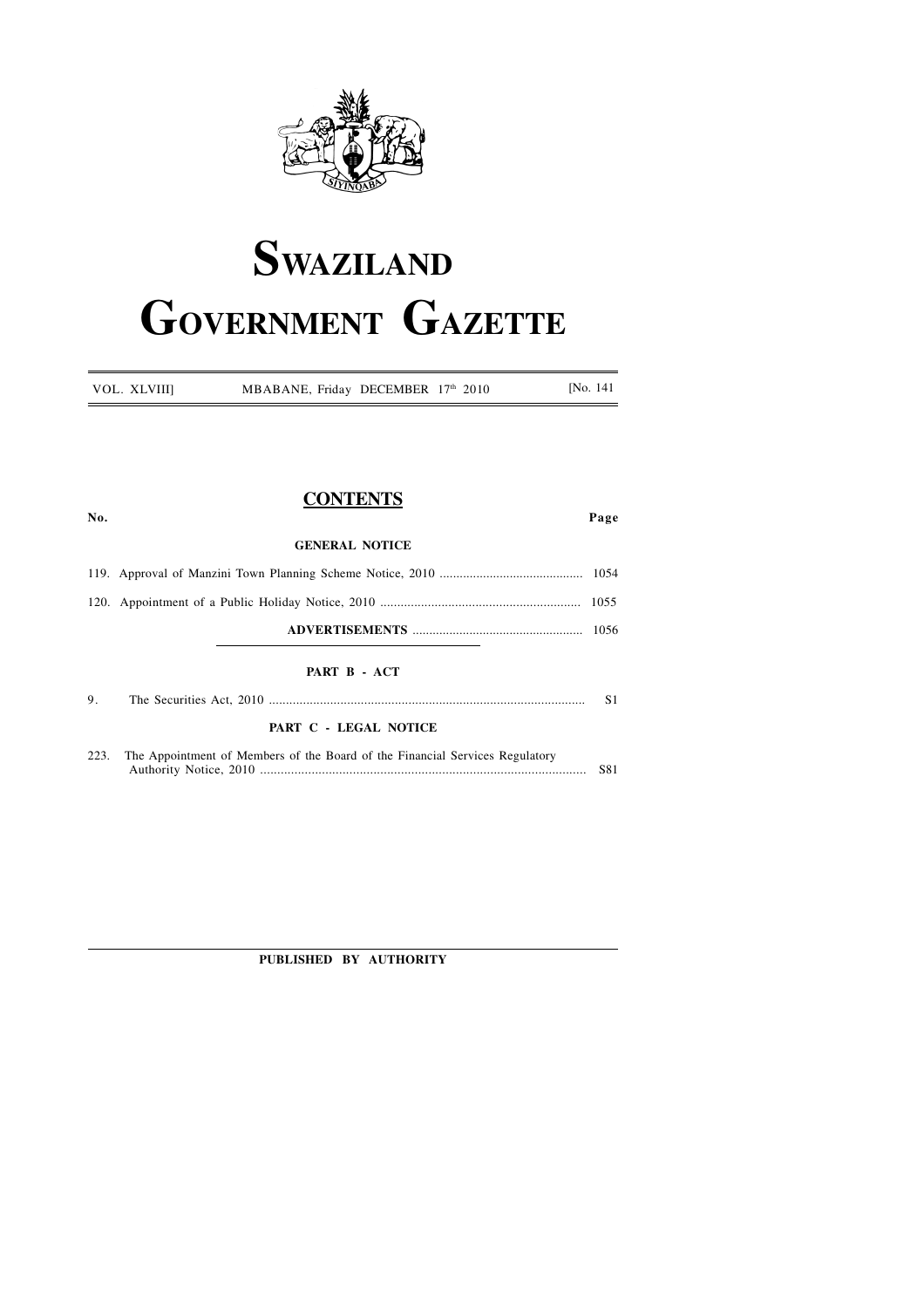

# **SWAZILAND GOVERNMENT GAZETTE**

| VOL. XLVIII] | MBABANE, Friday DECEMBER 17th 2010 |  | [No. 141] |
|--------------|------------------------------------|--|-----------|
|              |                                    |  |           |

### **CONTENTS**

| No.  |                                                                              | Page           |
|------|------------------------------------------------------------------------------|----------------|
|      | <b>GENERAL NOTICE</b>                                                        |                |
|      |                                                                              |                |
|      |                                                                              |                |
|      |                                                                              |                |
|      | PART B - ACT                                                                 |                |
| 9.   |                                                                              | S <sub>1</sub> |
|      | PART C - LEGAL NOTICE                                                        |                |
| 223. | The Appointment of Members of the Board of the Financial Services Regulatory | S81            |

**PUBLISHED BY AUTHORITY**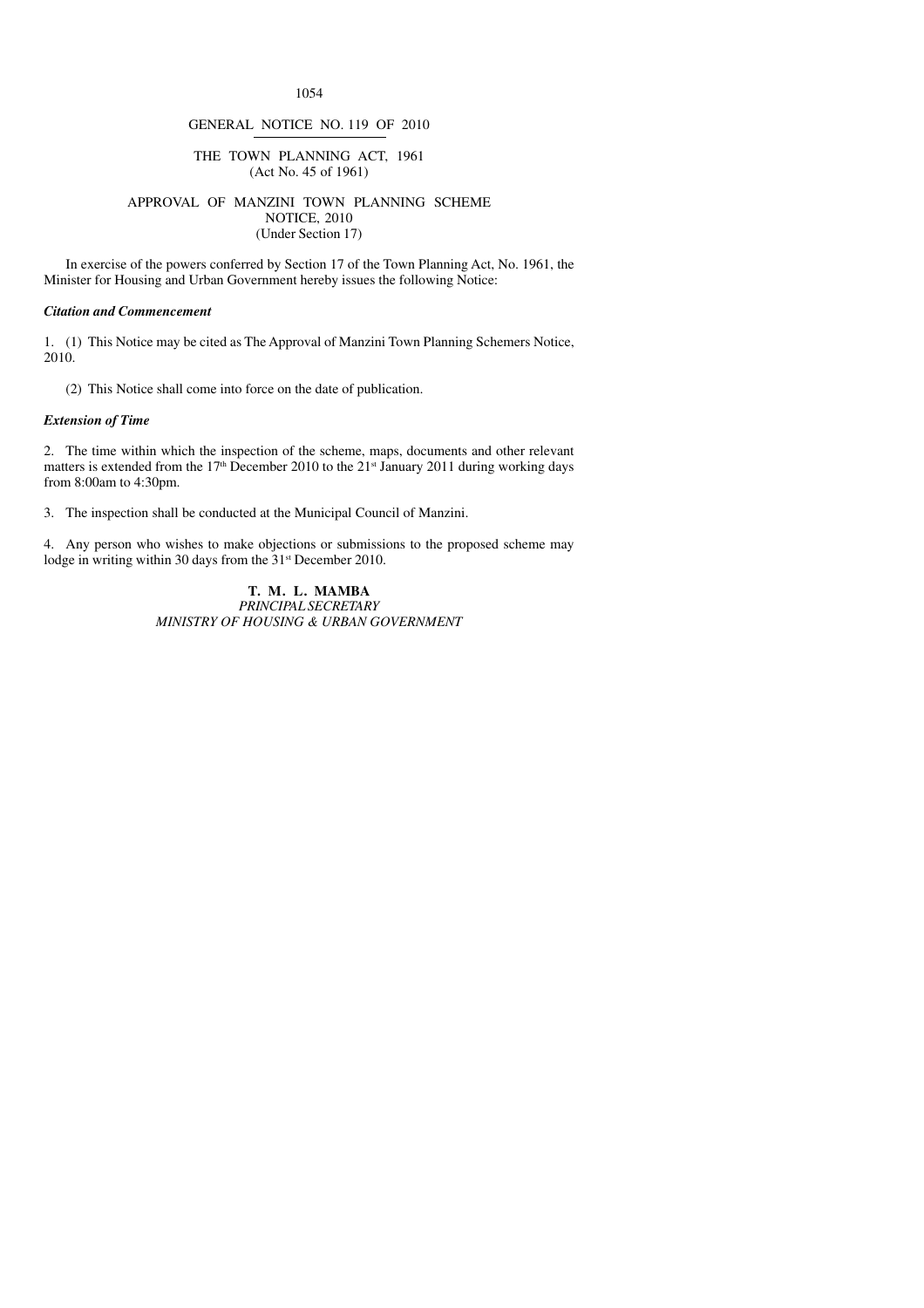1054

#### GENERAL NOTICE NO. 119 OF 2010

#### THE TOWN PLANNING ACT, 1961 (Act No. 45 of 1961)

#### APPROVAL OF MANZINI TOWN PLANNING SCHEME NOTICE, 2010 (Under Section 17)

In exercise of the powers conferred by Section 17 of the Town Planning Act, No. 1961, the Minister for Housing and Urban Government hereby issues the following Notice:

#### *Citation and Commencement*

1. (1) This Notice may be cited as The Approval of Manzini Town Planning Schemers Notice, 2010.

(2) This Notice shall come into force on the date of publication.

#### *Extension of Time*

2. The time within which the inspection of the scheme, maps, documents and other relevant matters is extended from the 17<sup>th</sup> December 2010 to the 21<sup>st</sup> January 2011 during working days from 8:00am to 4:30pm.

3. The inspection shall be conducted at the Municipal Council of Manzini.

4. Any person who wishes to make objections or submissions to the proposed scheme may lodge in writing within 30 days from the 31<sup>st</sup> December 2010.

> **T. M. L. MAMBA** *PRINCIPAL SECRETARY MINISTRY OF HOUSING & URBAN GOVERNMENT*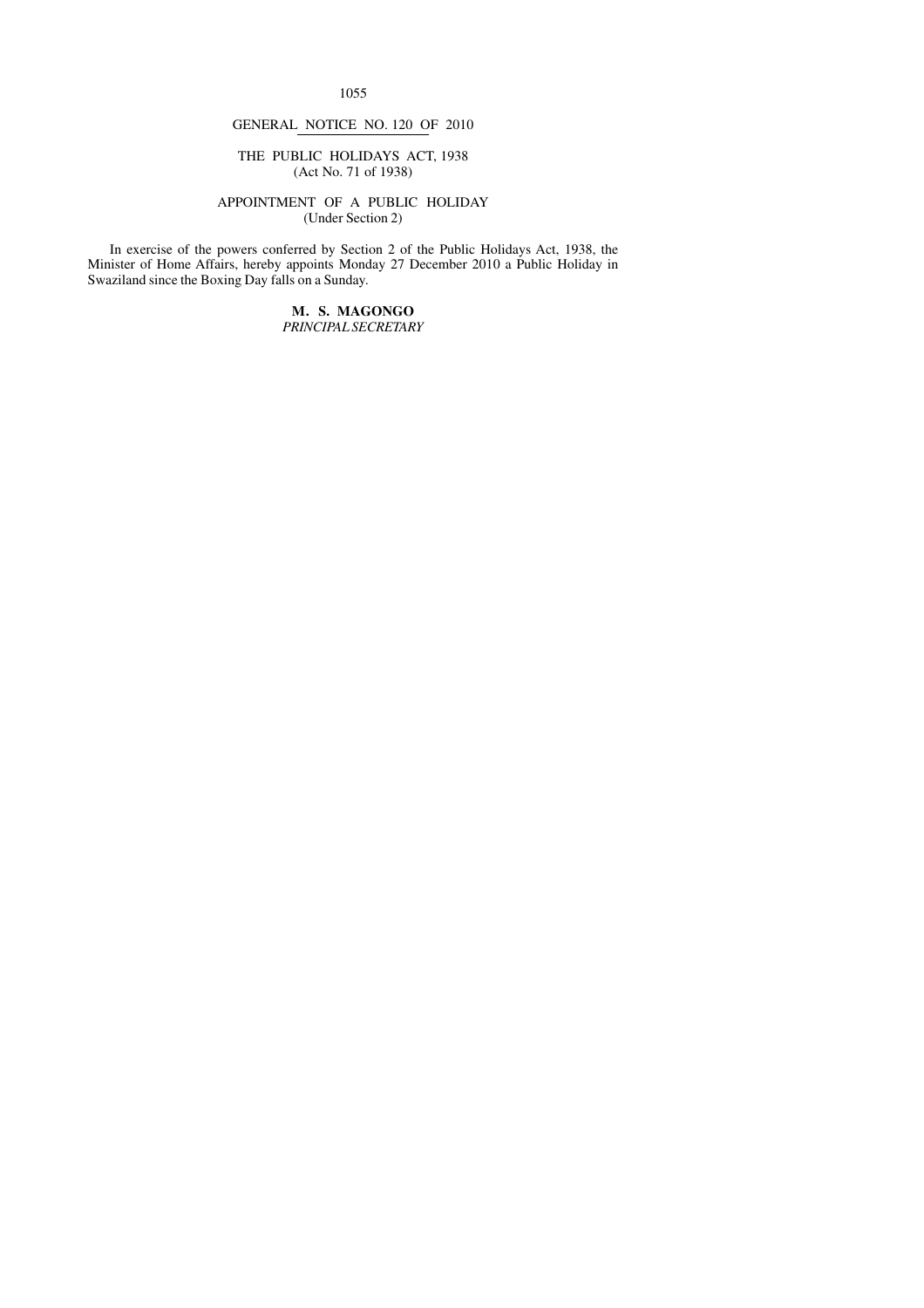1055

#### GENERAL NOTICE NO. 120 OF 2010

#### THE PUBLIC HOLIDAYS ACT, 1938 (Act No. 71 of 1938)

#### APPOINTMENT OF A PUBLIC HOLIDAY (Under Section 2)

In exercise of the powers conferred by Section 2 of the Public Holidays Act, 1938, the Minister of Home Affairs, hereby appoints Monday 27 December 2010 a Public Holiday in Swaziland since the Boxing Day falls on a Sunday.

> **M. S. MAGONGO** *PRINCIPAL SECRETARY*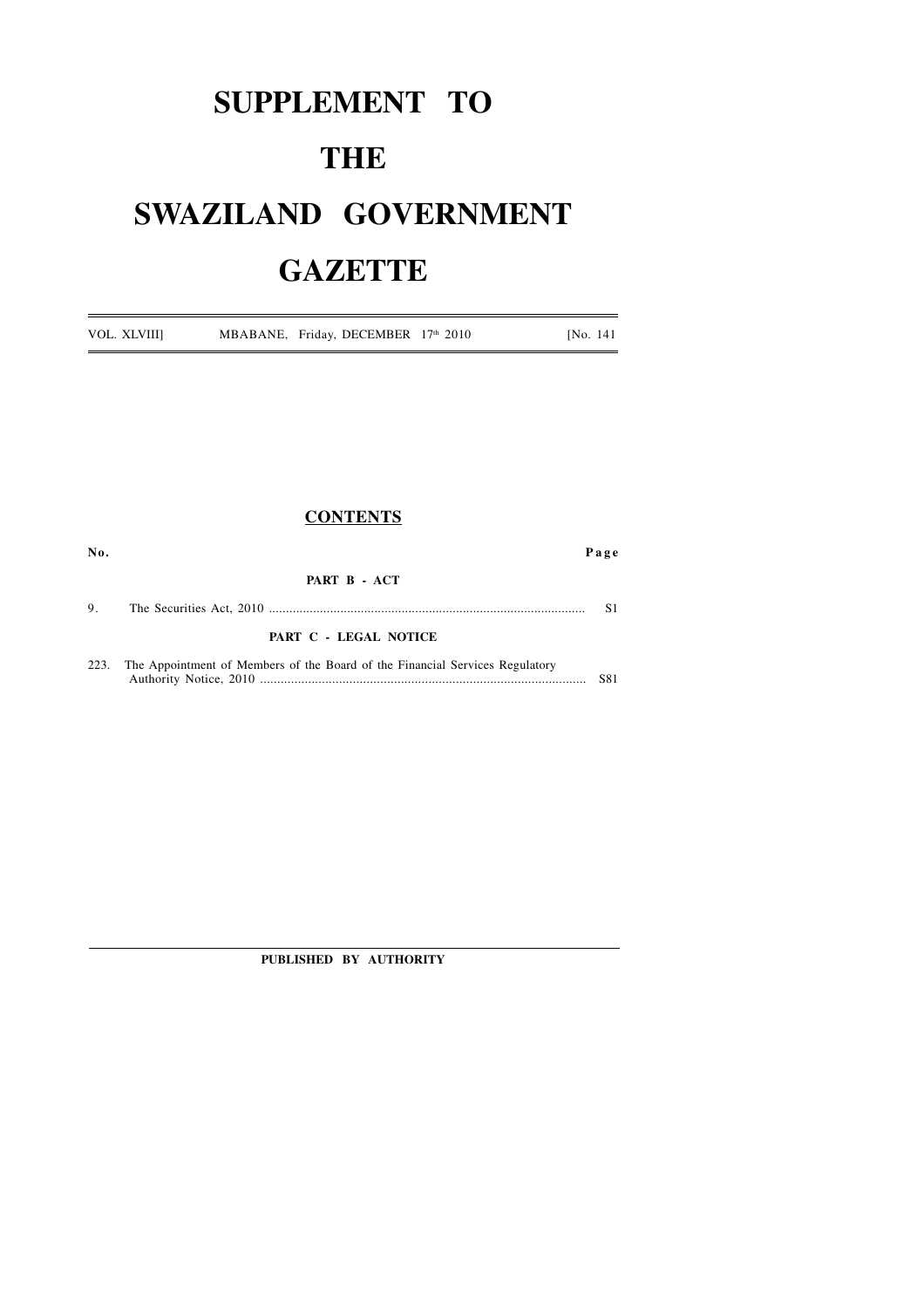## **SUPPLEMENT TO THE SWAZILAND GOVERNMENT GAZETTE**

VOL. XLVIII] MBABANE, Friday, DECEMBER 17<sup>th</sup> 2010 [No. 141]

|      | <b>CONTENTS</b>                                                              |                |
|------|------------------------------------------------------------------------------|----------------|
| No.  |                                                                              | Page           |
|      | PART B - ACT                                                                 |                |
| 9.   |                                                                              | S <sub>1</sub> |
|      | PART C - LEGAL NOTICE                                                        |                |
| 223. | The Appointment of Members of the Board of the Financial Services Regulatory | S81            |

**PUBLISHED BY AUTHORITY**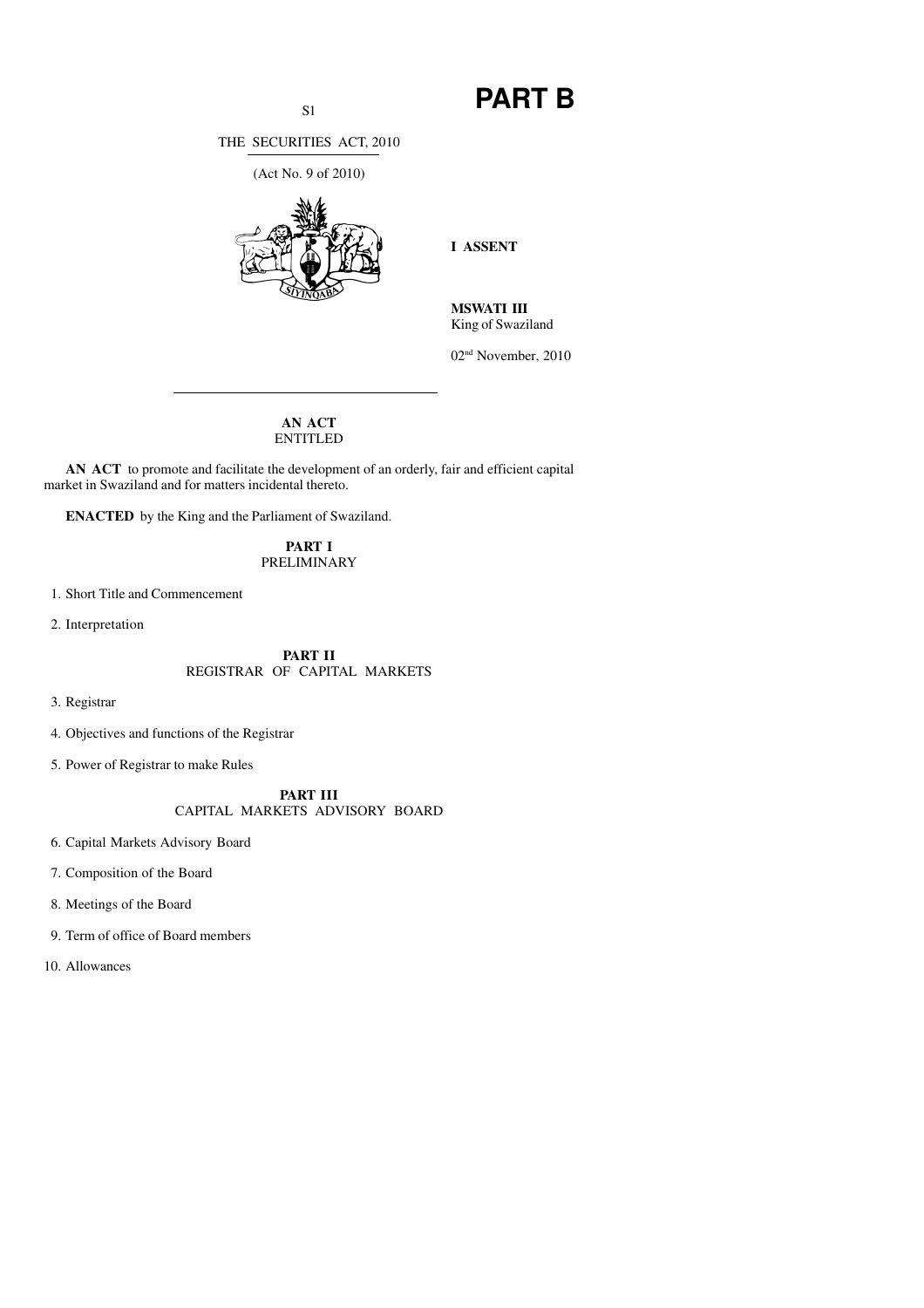### S1 **PART B**

THE SECURITIES ACT, 2010

(Act No. 9 of 2010)



**I ASSENT**

**MSWATI III** King of Swaziland

02nd November, 2010

#### **AN ACT** ENTITLED

**AN ACT** to promote and facilitate the development of an orderly, fair and efficient capital market in Swaziland and for matters incidental thereto.

**ENACTED** by the King and the Parliament of Swaziland.

**PART I** PRELIMINARY

1. Short Title and Commencement

2. Interpretation

#### **PART II** REGISTRAR OF CAPITAL MARKETS

3. Registrar

4. Objectives and functions of the Registrar

5. Power of Registrar to make Rules

**PART III** CAPITAL MARKETS ADVISORY BOARD

6. Capital Markets Advisory Board

7. Composition of the Board

8. Meetings of the Board

9. Term of office of Board members

10. Allowances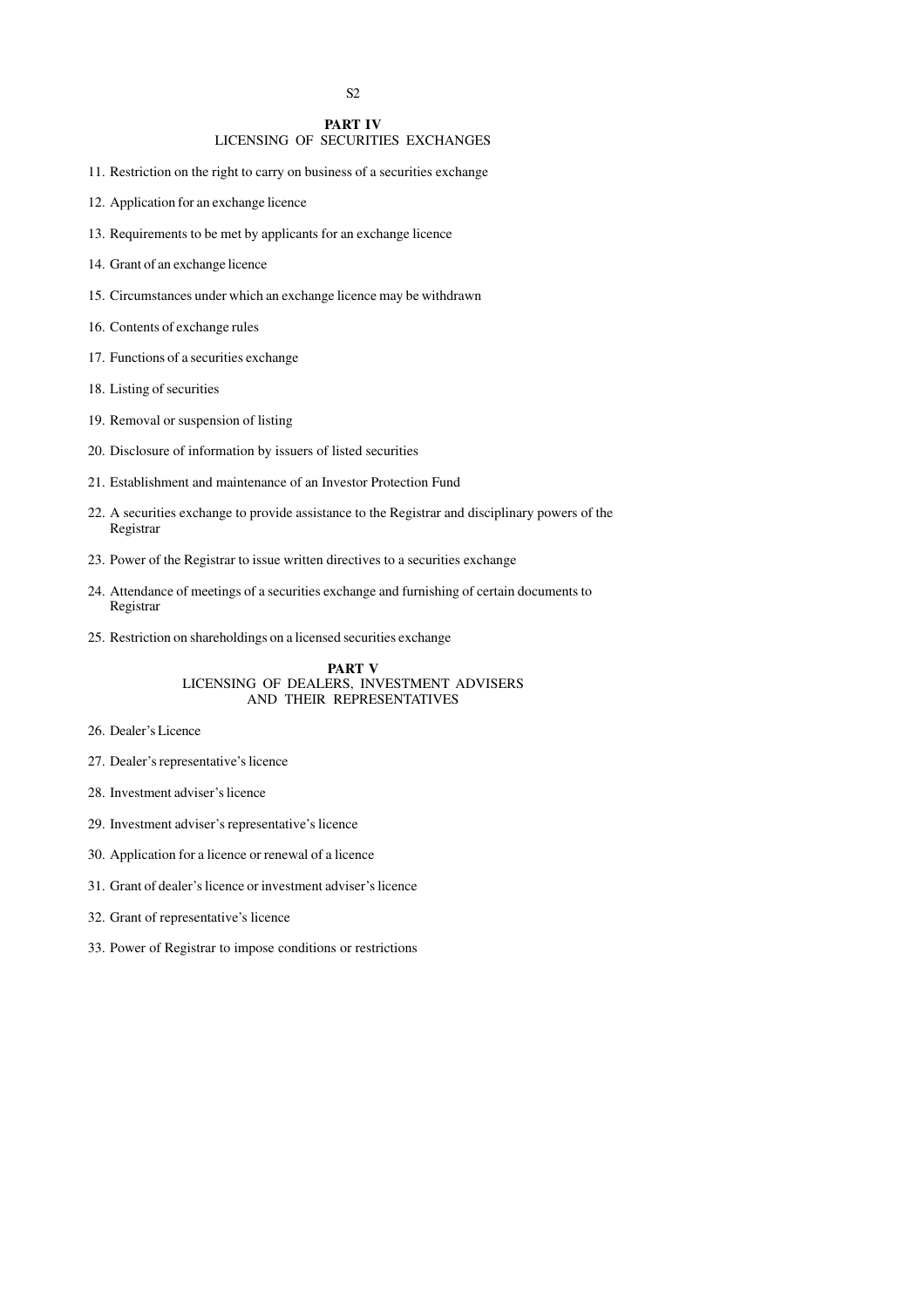#### **PART IV**

#### LICENSING OF SECURITIES EXCHANGES

11. Restriction on the right to carry on business of a securities exchange

- 12. Application for an exchange licence
- 13. Requirements to be met by applicants for an exchange licence
- 14. Grant of an exchange licence
- 15. Circumstances under which an exchange licence may be withdrawn

16. Contents of exchange rules

- 17. Functions of a securities exchange
- 18. Listing of securities
- 19. Removal or suspension of listing
- 20. Disclosure of information by issuers of listed securities
- 21. Establishment and maintenance of an Investor Protection Fund
- 22. A securities exchange to provide assistance to the Registrar and disciplinary powers of the Registrar
- 23. Power of the Registrar to issue written directives to a securities exchange
- 24. Attendance of meetings of a securities exchange and furnishing of certain documents to Registrar
- 25. Restriction on shareholdings on a licensed securities exchange

#### **PART V** LICENSING OF DEALERS, INVESTMENT ADVISERS AND THEIR REPRESENTATIVES

#### 26. Dealer's Licence

- 27. Dealer's representative's licence
- 28. Investment adviser's licence
- 29. Investment adviser's representative's licence
- 30. Application for a licence or renewal of a licence
- 31. Grant of dealer's licence or investment adviser's licence
- 32. Grant of representative's licence
- 33. Power of Registrar to impose conditions or restrictions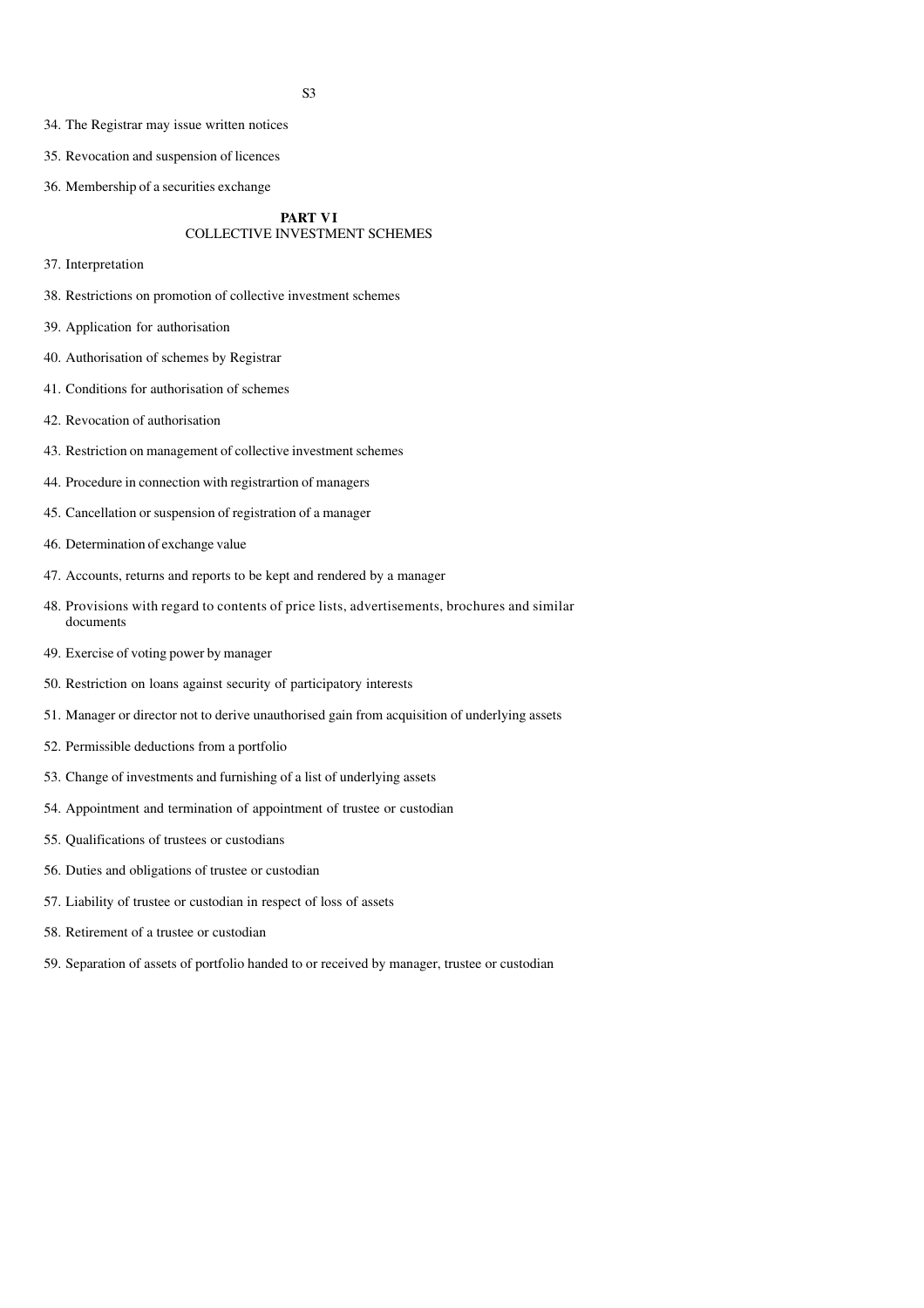- 34. The Registrar may issue written notices
- 35. Revocation and suspension of licences
- 36. Membership of a securities exchange

#### **PART VI** COLLECTIVE INVESTMENT SCHEMES

- 37. Interpretation
- 38. Restrictions on promotion of collective investment schemes
- 39. Application for authorisation
- 40. Authorisation of schemes by Registrar
- 41. Conditions for authorisation of schemes
- 42. Revocation of authorisation
- 43. Restriction on management of collective investment schemes
- 44. Procedure in connection with registrartion of managers
- 45. Cancellation or suspension of registration of a manager
- 46. Determination of exchange value
- 47. Accounts, returns and reports to be kept and rendered by a manager
- 48. Provisions with regard to contents of price lists, advertisements, brochures and similar documents
- 49. Exercise of voting power by manager
- 50. Restriction on loans against security of participatory interests
- 51. Manager or director not to derive unauthorised gain from acquisition of underlying assets
- 52. Permissible deductions from a portfolio
- 53. Change of investments and furnishing of a list of underlying assets
- 54. Appointment and termination of appointment of trustee or custodian
- 55. Qualifications of trustees or custodians
- 56. Duties and obligations of trustee or custodian
- 57. Liability of trustee or custodian in respect of loss of assets
- 58. Retirement of a trustee or custodian
- 59. Separation of assets of portfolio handed to or received by manager, trustee or custodian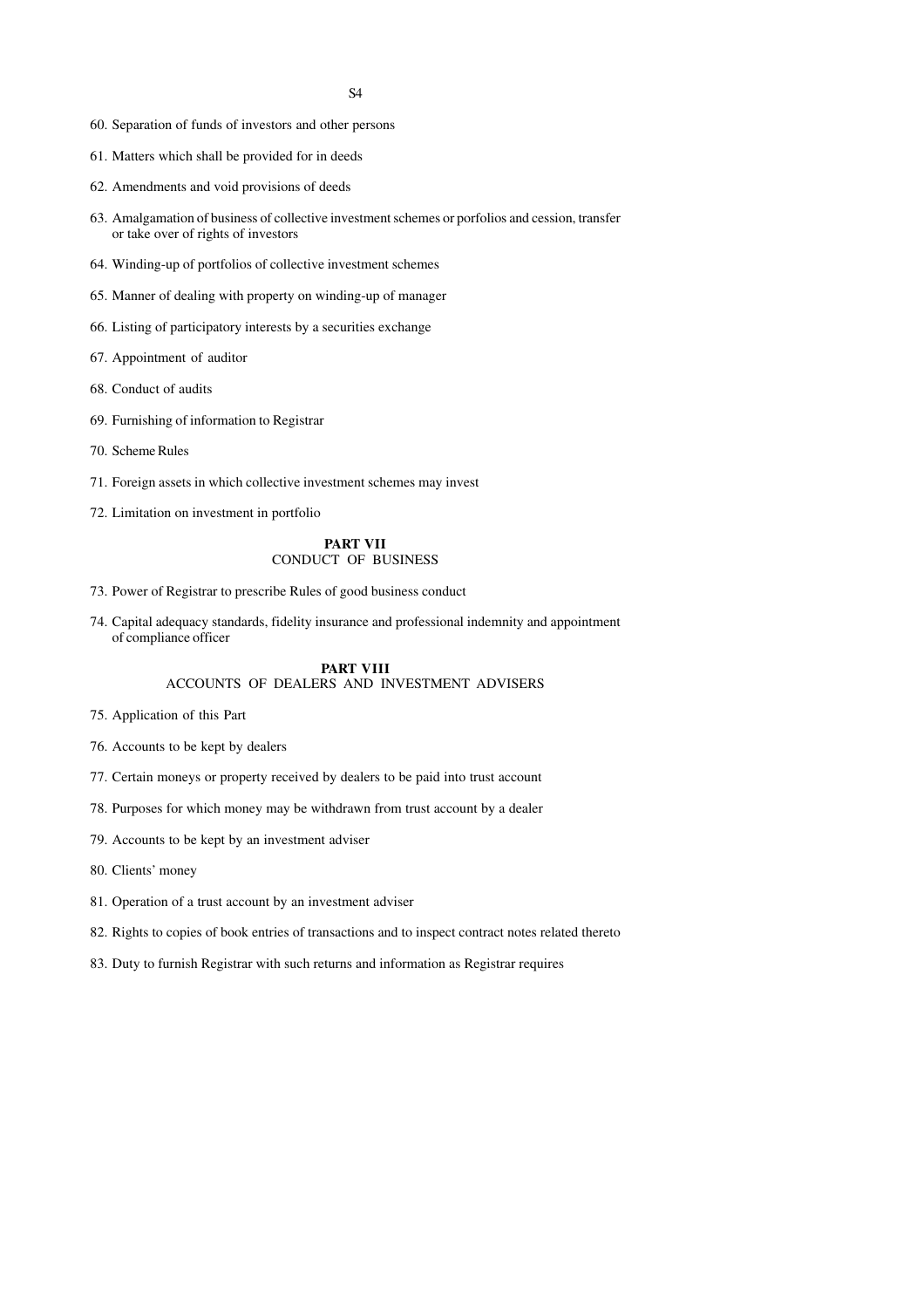- 60. Separation of funds of investors and other persons
- 61. Matters which shall be provided for in deeds
- 62. Amendments and void provisions of deeds
- 63. Amalgamation of business of collective investment schemes or porfolios and cession, transfer or take over of rights of investors
- 64. Winding-up of portfolios of collective investment schemes
- 65. Manner of dealing with property on winding-up of manager
- 66. Listing of participatory interests by a securities exchange
- 67. Appointment of auditor
- 68. Conduct of audits
- 69. Furnishing of information to Registrar
- 70. Scheme Rules
- 71. Foreign assets in which collective investment schemes may invest
- 72. Limitation on investment in portfolio

#### **PART VII** CONDUCT OF BUSINESS

- 73. Power of Registrar to prescribe Rules of good business conduct
- 74. Capital adequacy standards, fidelity insurance and professional indemnity and appointment of compliance officer

#### **PART VIII** ACCOUNTS OF DEALERS AND INVESTMENT ADVISERS

- 75. Application of this Part
- 76. Accounts to be kept by dealers
- 77. Certain moneys or property received by dealers to be paid into trust account
- 78. Purposes for which money may be withdrawn from trust account by a dealer
- 79. Accounts to be kept by an investment adviser
- 80. Clients' money
- 81. Operation of a trust account by an investment adviser
- 82. Rights to copies of book entries of transactions and to inspect contract notes related thereto
- 83. Duty to furnish Registrar with such returns and information as Registrar requires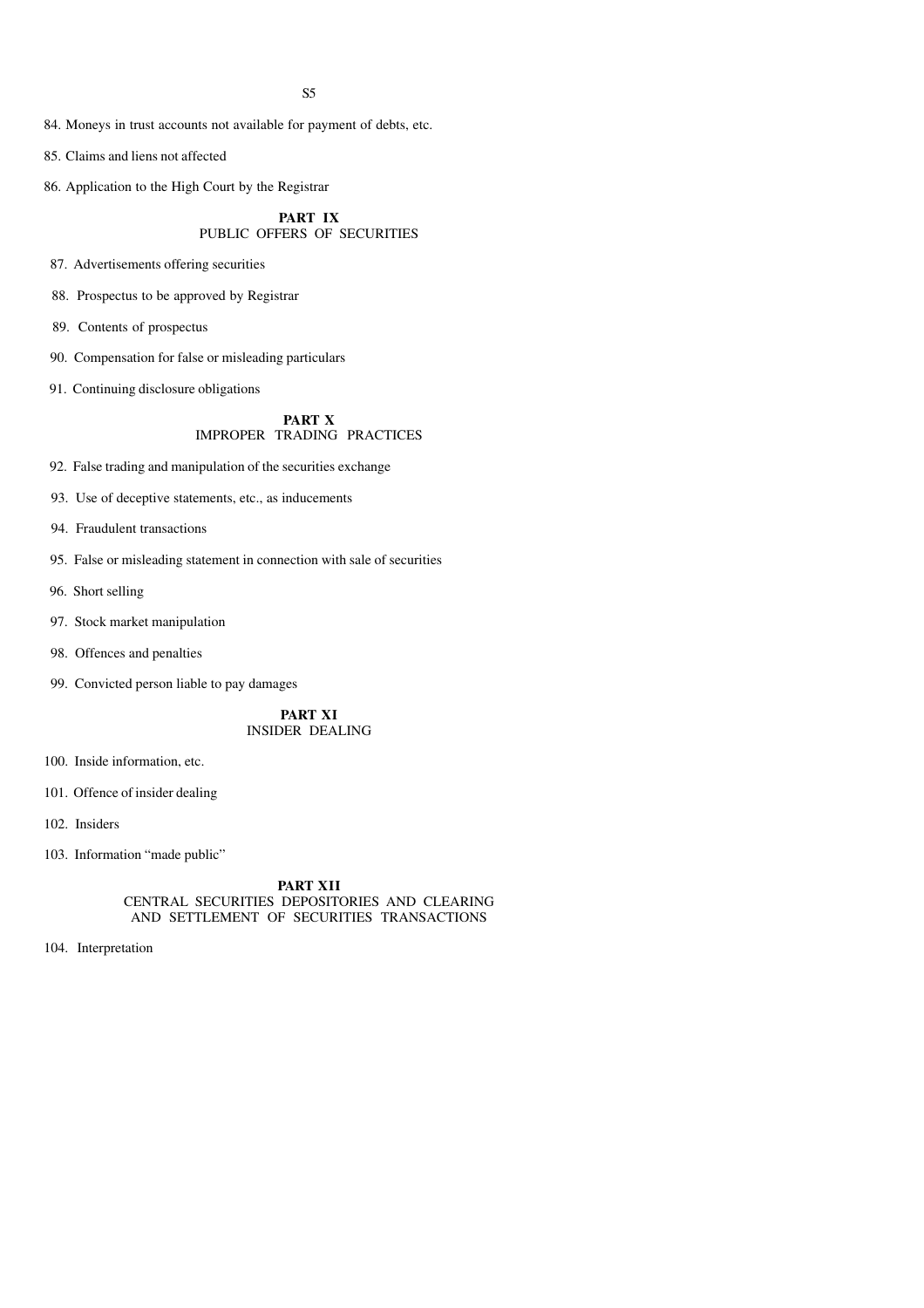- 84. Moneys in trust accounts not available for payment of debts, etc.
- 85. Claims and liens not affected
- 86. Application to the High Court by the Registrar

#### **PART IX** PUBLIC OFFERS OF SECURITIES

- 87. Advertisements offering securities
- 88. Prospectus to be approved by Registrar
- 89. Contents of prospectus
- 90. Compensation for false or misleading particulars
- 91. Continuing disclosure obligations

#### **PART X** IMPROPER TRADING PRACTICES

- 92. False trading and manipulation of the securities exchange
- 93. Use of deceptive statements, etc., as inducements
- 94. Fraudulent transactions
- 95. False or misleading statement in connection with sale of securities
- 96. Short selling
- 97. Stock market manipulation
- 98. Offences and penalties
- 99. Convicted person liable to pay damages

**PART XI** INSIDER DEALING

- 100. Inside information, etc.
- 101. Offence of insider dealing
- 102. Insiders
- 103. Information "made public"

#### **PART XII** CENTRAL SECURITIES DEPOSITORIES AND CLEARING AND SETTLEMENT OF SECURITIES TRANSACTIONS

104. Interpretation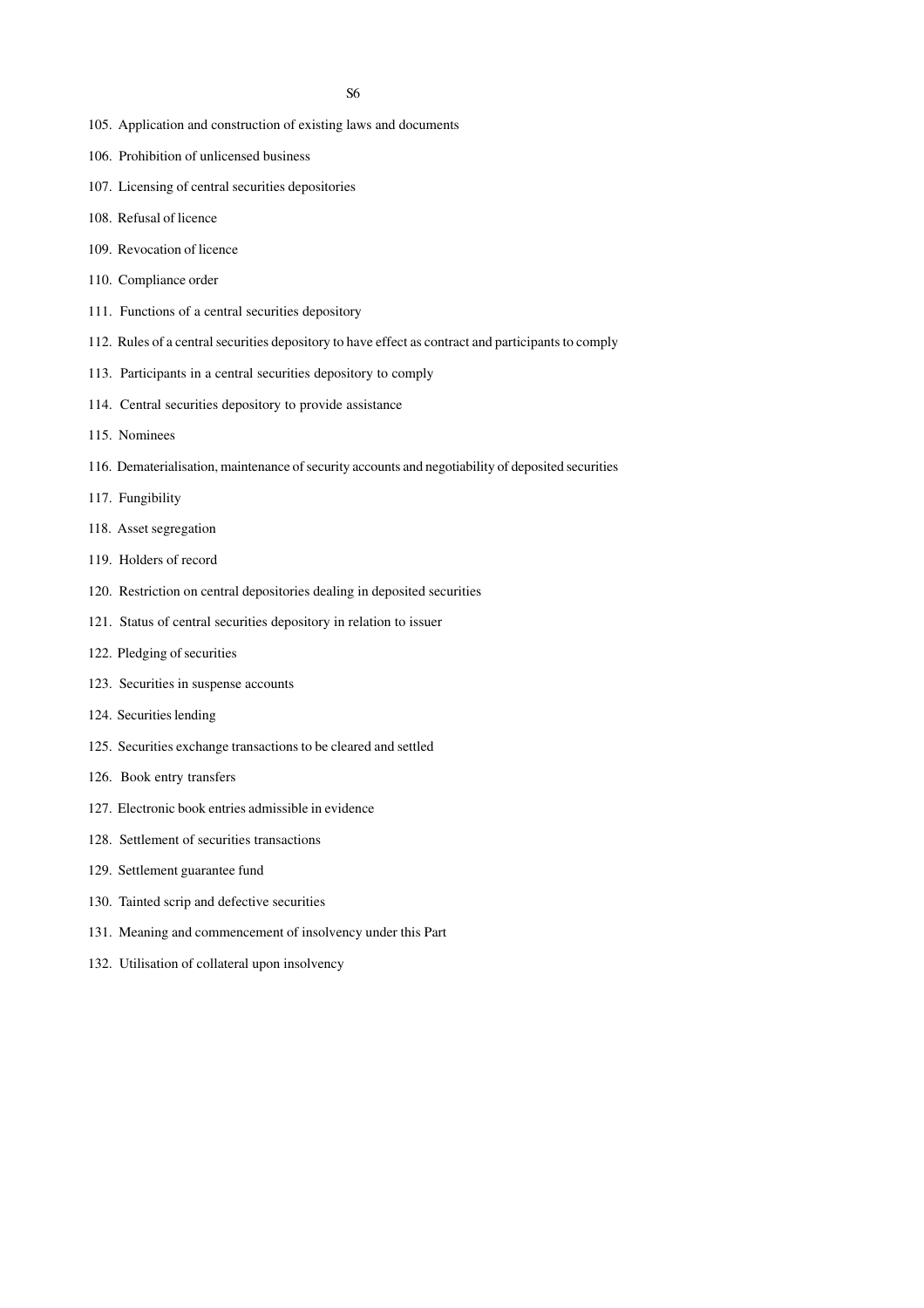- 105. Application and construction of existing laws and documents
- 106. Prohibition of unlicensed business
- 107. Licensing of central securities depositories
- 108. Refusal of licence
- 109. Revocation of licence
- 110. Compliance order
- 111. Functions of a central securities depository
- 112. Rules of a central securities depository to have effect as contract and participants to comply
- 113. Participants in a central securities depository to comply
- 114. Central securities depository to provide assistance
- 115. Nominees
- 116. Dematerialisation, maintenance of security accounts and negotiability of deposited securities
- 117. Fungibility
- 118. Asset segregation
- 119. Holders of record
- 120. Restriction on central depositories dealing in deposited securities
- 121. Status of central securities depository in relation to issuer
- 122. Pledging of securities
- 123. Securities in suspense accounts
- 124. Securities lending
- 125. Securities exchange transactions to be cleared and settled
- 126. Book entry transfers
- 127. Electronic book entries admissible in evidence
- 128. Settlement of securities transactions
- 129. Settlement guarantee fund
- 130. Tainted scrip and defective securities
- 131. Meaning and commencement of insolvency under this Part
- 132. Utilisation of collateral upon insolvency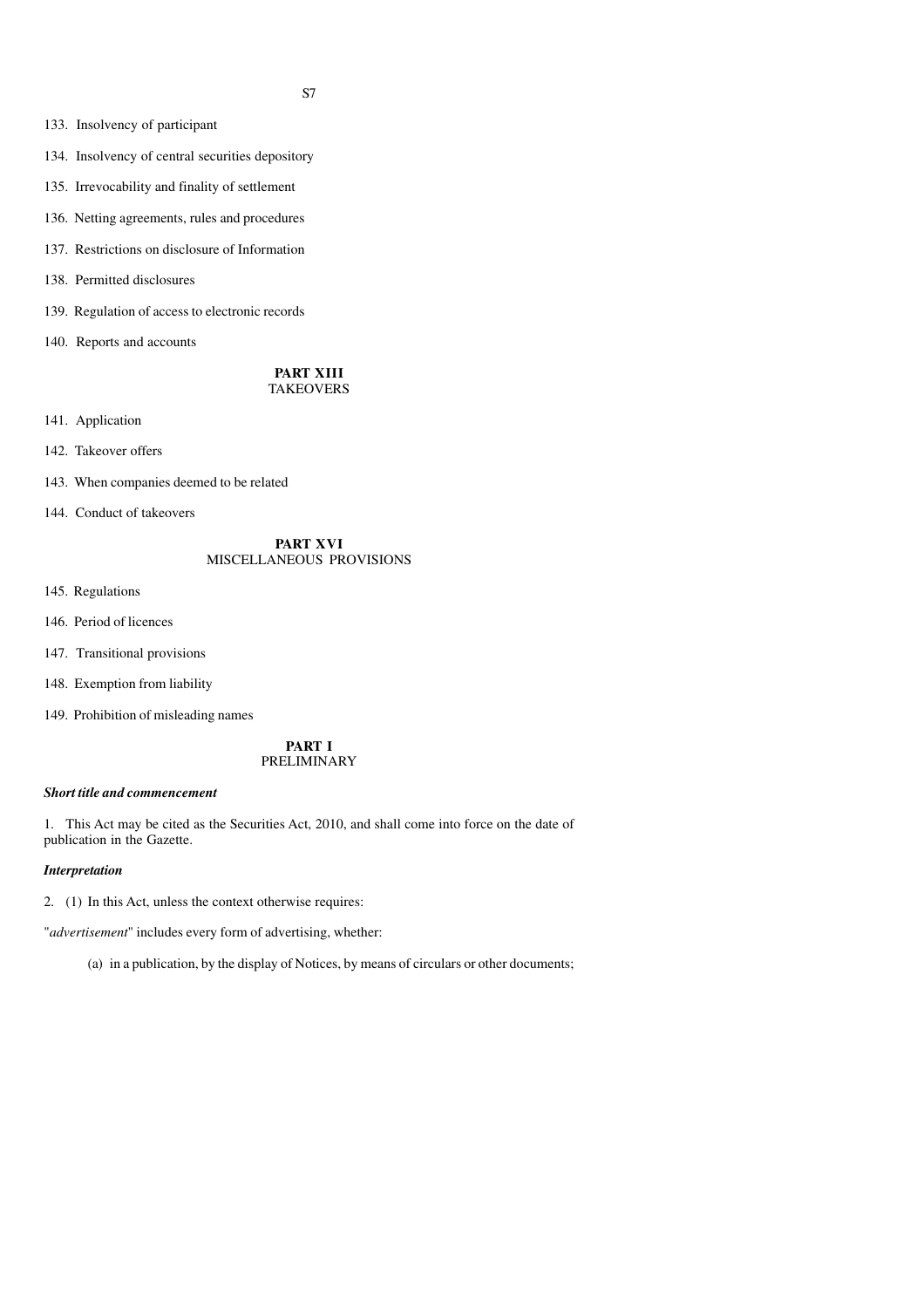- 133. Insolvency of participant
- 134. Insolvency of central securities depository
- 135. Irrevocability and finality of settlement
- 136. Netting agreements, rules and procedures
- 137. Restrictions on disclosure of Information
- 138. Permitted disclosures
- 139. Regulation of access to electronic records
- 140. Reports and accounts

#### **PART XIII** TAKEOVERS

- 141. Application
- 142. Takeover offers
- 143. When companies deemed to be related
- 144. Conduct of takeovers

#### **PART XVI** MISCELLANEOUS PROVISIONS

- 145. Regulations
- 146. Period of licences
- 147. Transitional provisions
- 148. Exemption from liability
- 149. Prohibition of misleading names

#### **PART I** PRELIMINARY

#### *Short title and commencement*

1. This Act may be cited as the Securities Act, 2010, and shall come into force on the date of publication in the Gazette.

#### *Interpretation*

2. (1) In this Act, unless the context otherwise requires:

"*advertisement*" includes every form of advertising, whether:

(a) in a publication, by the display of Notices, by means of circulars or other documents;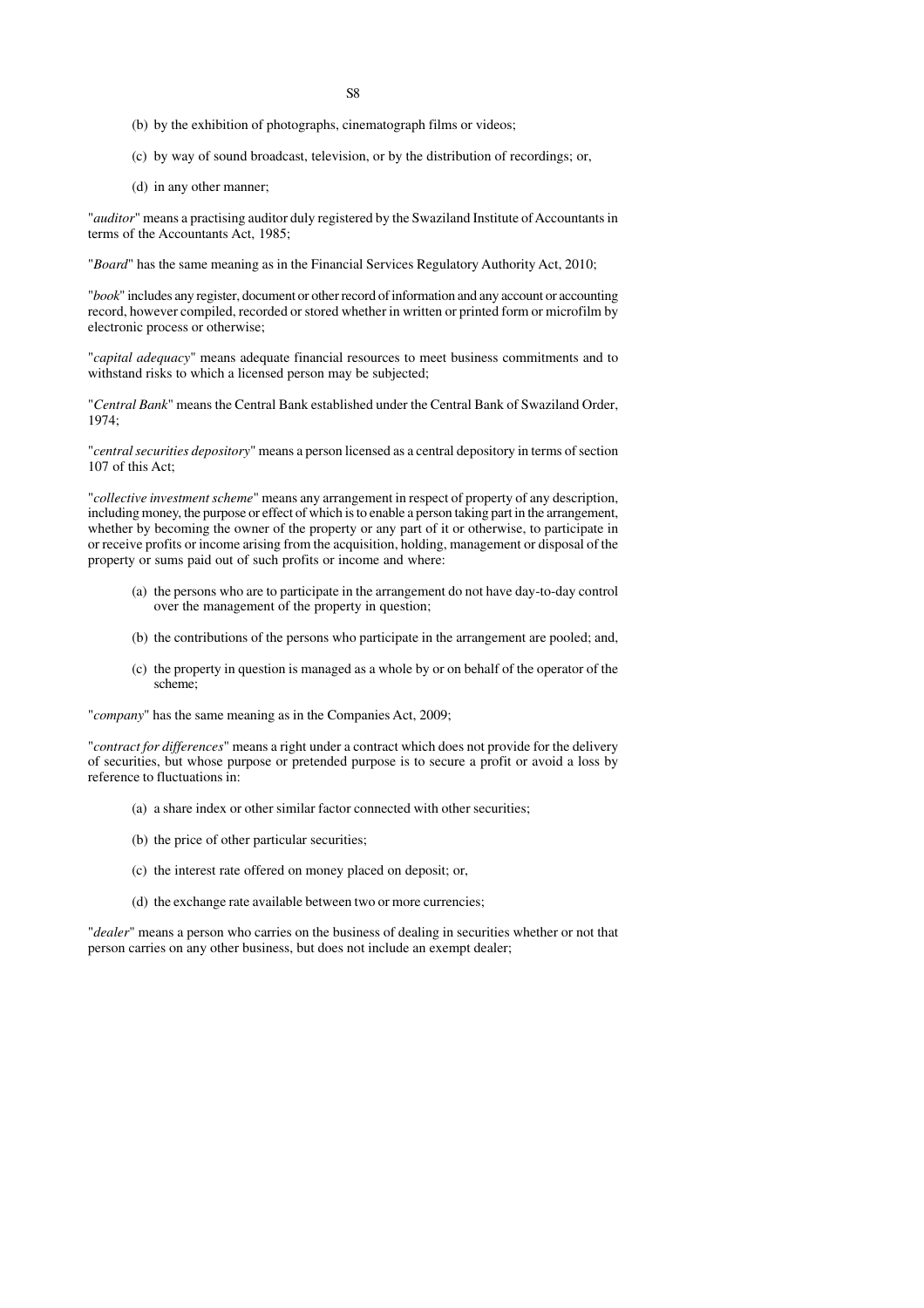- S8
- (b) by the exhibition of photographs, cinematograph films or videos;
- (c) by way of sound broadcast, television, or by the distribution of recordings; or,
- (d) in any other manner;

"*auditor*" means a practising auditor duly registered by the Swaziland Institute of Accountants in terms of the Accountants Act, 1985;

"*Board*" has the same meaning as in the Financial Services Regulatory Authority Act, 2010;

"*book*" includes any register, document or other record of information and any account or accounting record, however compiled, recorded or stored whether in written or printed form or microfilm by electronic process or otherwise;

"*capital adequacy*" means adequate financial resources to meet business commitments and to withstand risks to which a licensed person may be subjected;

"*Central Bank*" means the Central Bank established under the Central Bank of Swaziland Order, 1974;

"*central securities depository*" means a person licensed as a central depository in terms of section 107 of this Act;

"*collective investment scheme*" means any arrangement in respect of property of any description, including money, the purpose or effect of which is to enable a person taking part in the arrangement, whether by becoming the owner of the property or any part of it or otherwise, to participate in or receive profits or income arising from the acquisition, holding, management or disposal of the property or sums paid out of such profits or income and where:

- (a) the persons who are to participate in the arrangement do not have day-to-day control over the management of the property in question;
- (b) the contributions of the persons who participate in the arrangement are pooled; and,
- (c) the property in question is managed as a whole by or on behalf of the operator of the scheme;

"*company*" has the same meaning as in the Companies Act, 2009;

"*contract for differences*" means a right under a contract which does not provide for the delivery of securities, but whose purpose or pretended purpose is to secure a profit or avoid a loss by reference to fluctuations in:

- (a) a share index or other similar factor connected with other securities;
- (b) the price of other particular securities;
- (c) the interest rate offered on money placed on deposit; or,
- (d) the exchange rate available between two or more currencies;

"*dealer*" means a person who carries on the business of dealing in securities whether or not that person carries on any other business, but does not include an exempt dealer;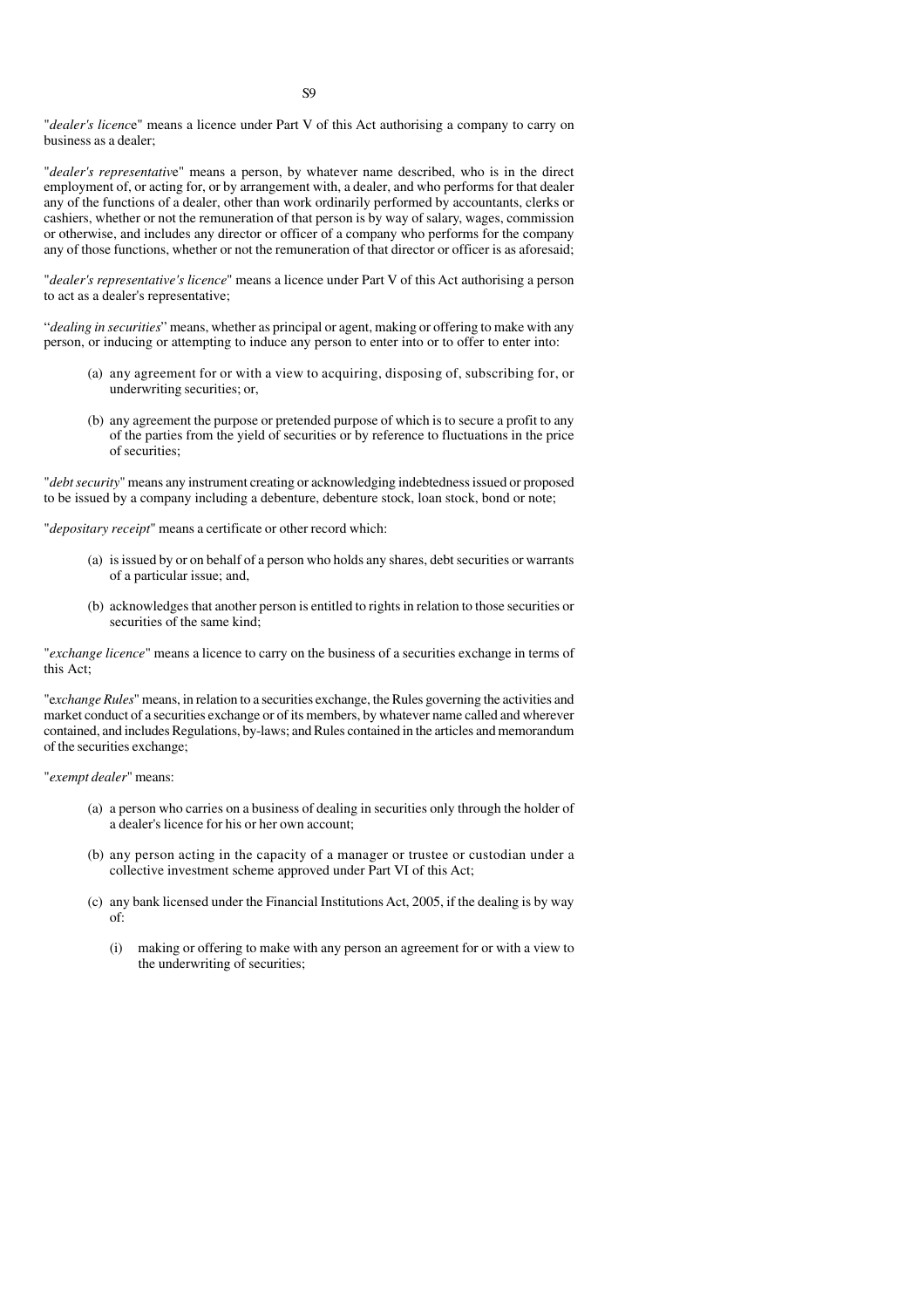"*dealer's licenc*e" means a licence under Part V of this Act authorising a company to carry on business as a dealer;

"*dealer's representativ*e" means a person, by whatever name described, who is in the direct employment of, or acting for, or by arrangement with, a dealer, and who performs for that dealer any of the functions of a dealer, other than work ordinarily performed by accountants, clerks or cashiers, whether or not the remuneration of that person is by way of salary, wages, commission or otherwise, and includes any director or officer of a company who performs for the company any of those functions, whether or not the remuneration of that director or officer is as aforesaid;

"*dealer's representative's licence*" means a licence under Part V of this Act authorising a person to act as a dealer's representative;

"*dealing in securities*" means, whether as principal or agent, making or offering to make with any person, or inducing or attempting to induce any person to enter into or to offer to enter into:

- (a) any agreement for or with a view to acquiring, disposing of, subscribing for, or underwriting securities; or,
- (b) any agreement the purpose or pretended purpose of which is to secure a profit to any of the parties from the yield of securities or by reference to fluctuations in the price of securities;

"*debt security*" means any instrument creating or acknowledging indebtedness issued or proposed to be issued by a company including a debenture, debenture stock, loan stock, bond or note;

"*depositary receipt*" means a certificate or other record which:

- (a) is issued by or on behalf of a person who holds any shares, debt securities or warrants of a particular issue; and,
- (b) acknowledges that another person is entitled to rights in relation to those securities or securities of the same kind;

"*exchange licence*" means a licence to carry on the business of a securities exchange in terms of this Act;

"e*xchange Rules*" means, in relation to a securities exchange, the Rules governing the activities and market conduct of a securities exchange or of its members, by whatever name called and wherever contained, and includes Regulations, by-laws; and Rules contained in the articles and memorandum of the securities exchange;

"*exempt dealer*" means:

- (a) a person who carries on a business of dealing in securities only through the holder of a dealer's licence for his or her own account;
- (b) any person acting in the capacity of a manager or trustee or custodian under a collective investment scheme approved under Part VI of this Act;
- (c) any bank licensed under the Financial Institutions Act, 2005, if the dealing is by way of:
	- (i) making or offering to make with any person an agreement for or with a view to the underwriting of securities;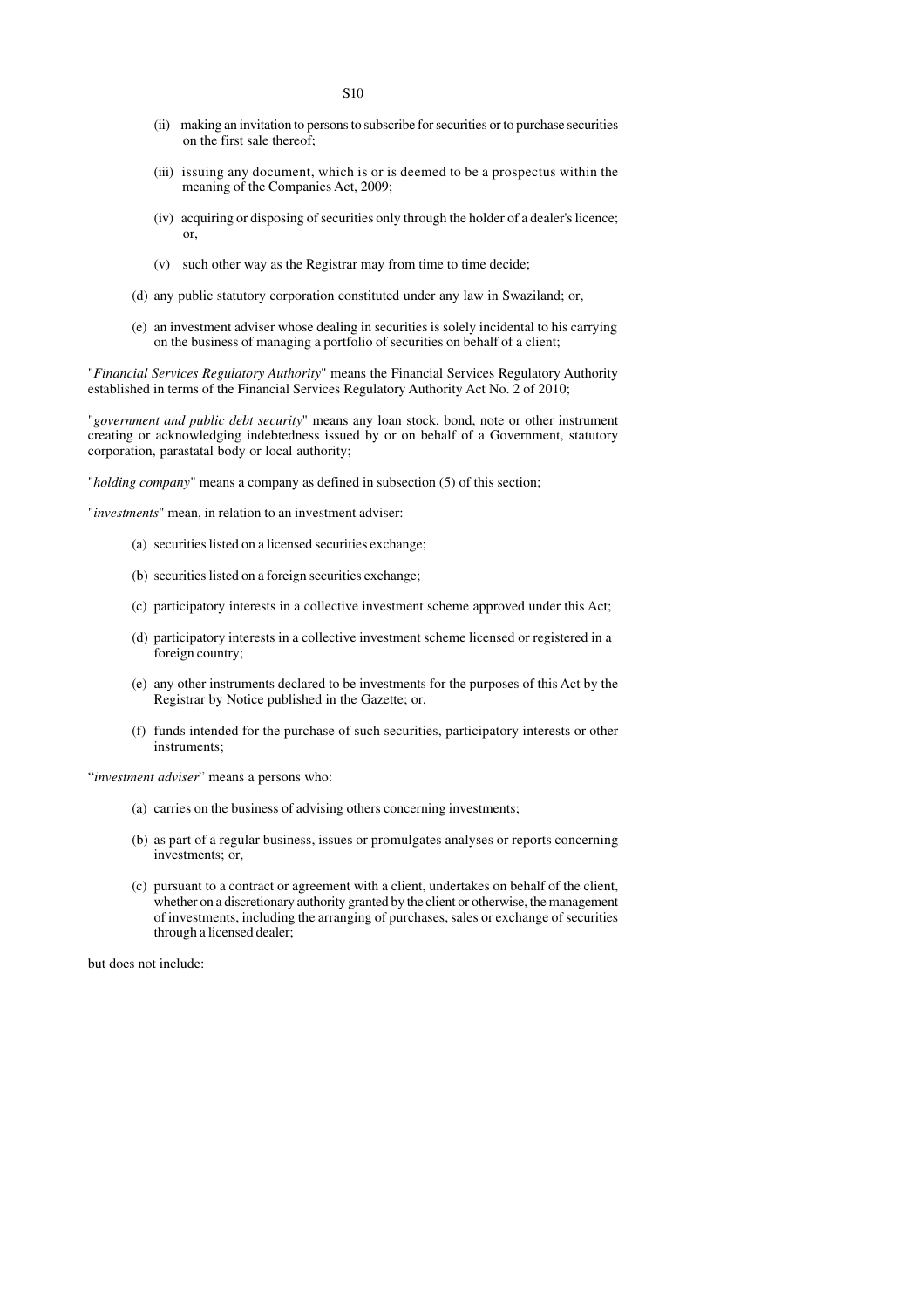- S10
- (ii) making an invitation to persons to subscribe for securities or to purchase securities on the first sale thereof;
- (iii) issuing any document, which is or is deemed to be a prospectus within the meaning of the Companies Act, 2009;
- (iv) acquiring or disposing of securities only through the holder of a dealer's licence; or,
- (v) such other way as the Registrar may from time to time decide;
- (d) any public statutory corporation constituted under any law in Swaziland; or,
- (e) an investment adviser whose dealing in securities is solely incidental to his carrying on the business of managing a portfolio of securities on behalf of a client;

"*Financial Services Regulatory Authority*" means the Financial Services Regulatory Authority established in terms of the Financial Services Regulatory Authority Act No. 2 of 2010;

"*government and public debt security*" means any loan stock, bond, note or other instrument creating or acknowledging indebtedness issued by or on behalf of a Government, statutory corporation, parastatal body or local authority;

"*holding company*" means a company as defined in subsection (5) of this section;

"*investments*" mean, in relation to an investment adviser:

- (a) securities listed on a licensed securities exchange;
- (b) securities listed on a foreign securities exchange;
- (c) participatory interests in a collective investment scheme approved under this Act;
- (d) participatory interests in a collective investment scheme licensed or registered in a foreign country;
- (e) any other instruments declared to be investments for the purposes of this Act by the Registrar by Notice published in the Gazette; or,
- (f) funds intended for the purchase of such securities, participatory interests or other instruments;

"*investment adviser*" means a persons who:

- (a) carries on the business of advising others concerning investments;
- (b) as part of a regular business, issues or promulgates analyses or reports concerning investments; or,
- (c) pursuant to a contract or agreement with a client, undertakes on behalf of the client, whether on a discretionary authority granted by the client or otherwise, the management of investments, including the arranging of purchases, sales or exchange of securities through a licensed dealer;

but does not include: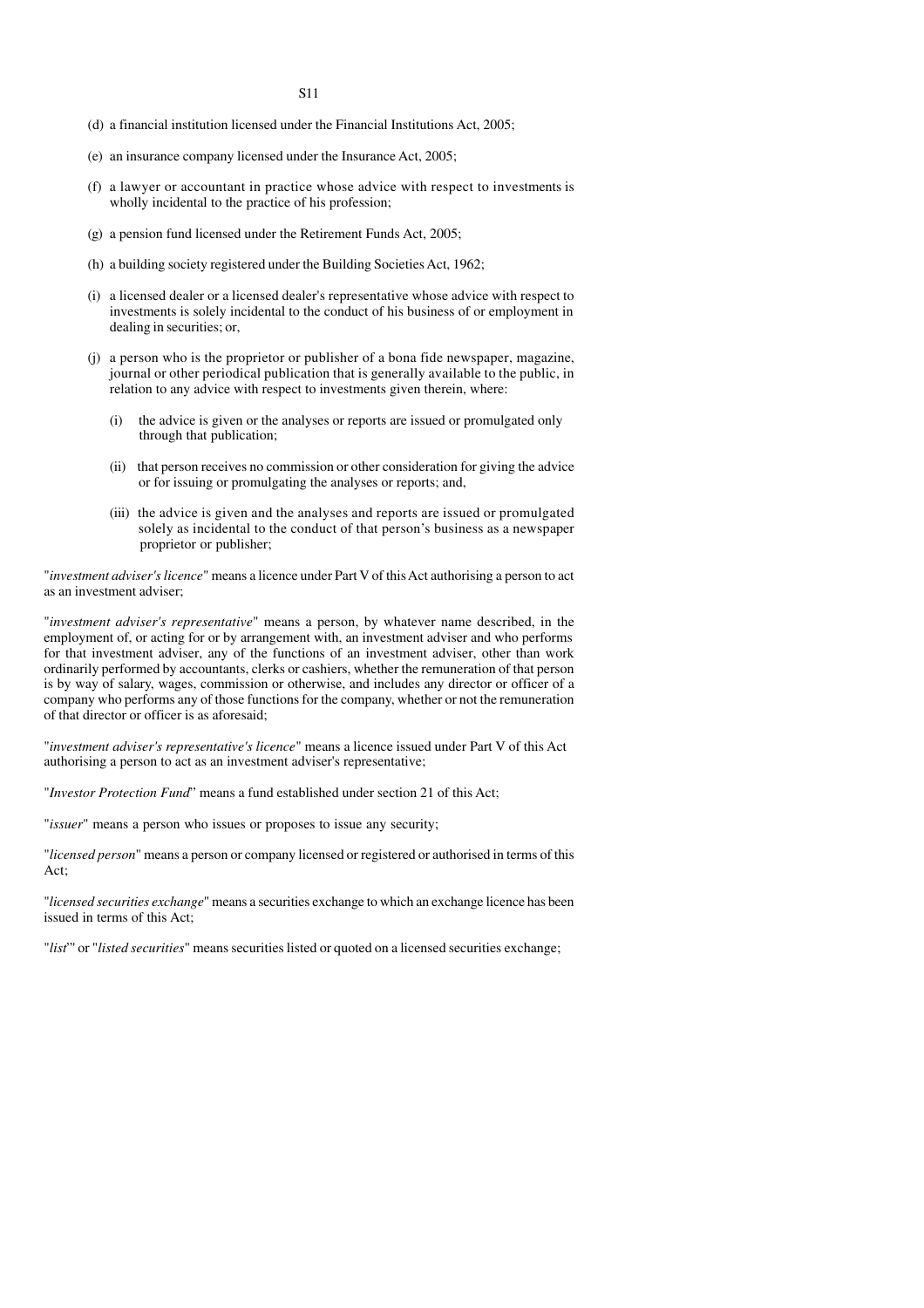- (d) a financial institution licensed under the Financial Institutions Act, 2005;
- (e) an insurance company licensed under the Insurance Act, 2005;
- (f) a lawyer or accountant in practice whose advice with respect to investments is wholly incidental to the practice of his profession;
- (g) a pension fund licensed under the Retirement Funds Act, 2005;
- (h) a building society registered under the Building Societies Act, 1962;
- (i) a licensed dealer or a licensed dealer's representative whose advice with respect to investments is solely incidental to the conduct of his business of or employment in dealing in securities; or,
- (j) a person who is the proprietor or publisher of a bona fide newspaper, magazine, journal or other periodical publication that is generally available to the public, in relation to any advice with respect to investments given therein, where:
	- (i) the advice is given or the analyses or reports are issued or promulgated only through that publication;
	- (ii) that person receives no commission or other consideration for giving the advice or for issuing or promulgating the analyses or reports; and,
	- (iii) the advice is given and the analyses and reports are issued or promulgated solely as incidental to the conduct of that person's business as a newspaper proprietor or publisher;

"*investment adviser's licence*" means a licence under Part V of this Act authorising a person to act as an investment adviser;

"*investment adviser's representative*" means a person, by whatever name described, in the employment of, or acting for or by arrangement with, an investment adviser and who performs for that investment adviser, any of the functions of an investment adviser, other than work ordinarily performed by accountants, clerks or cashiers, whether the remuneration of that person is by way of salary, wages, commission or otherwise, and includes any director or officer of a company who performs any of those functions for the company, whether or not the remuneration of that director or officer is as aforesaid;

"*investment adviser's representative's licence*" means a licence issued under Part V of this Act authorising a person to act as an investment adviser's representative;

"*Investor Protection Fund*" means a fund established under section 21 of this Act;

"*issuer*" means a person who issues or proposes to issue any security;

"*licensed person*" means a person or company licensed or registered or authorised in terms of this Act;

"*licensed securities exchange*" means a securities exchange to which an exchange licence has been issued in terms of this Act;

"*list*"' or "*listed securities*" means securities listed or quoted on a licensed securities exchange;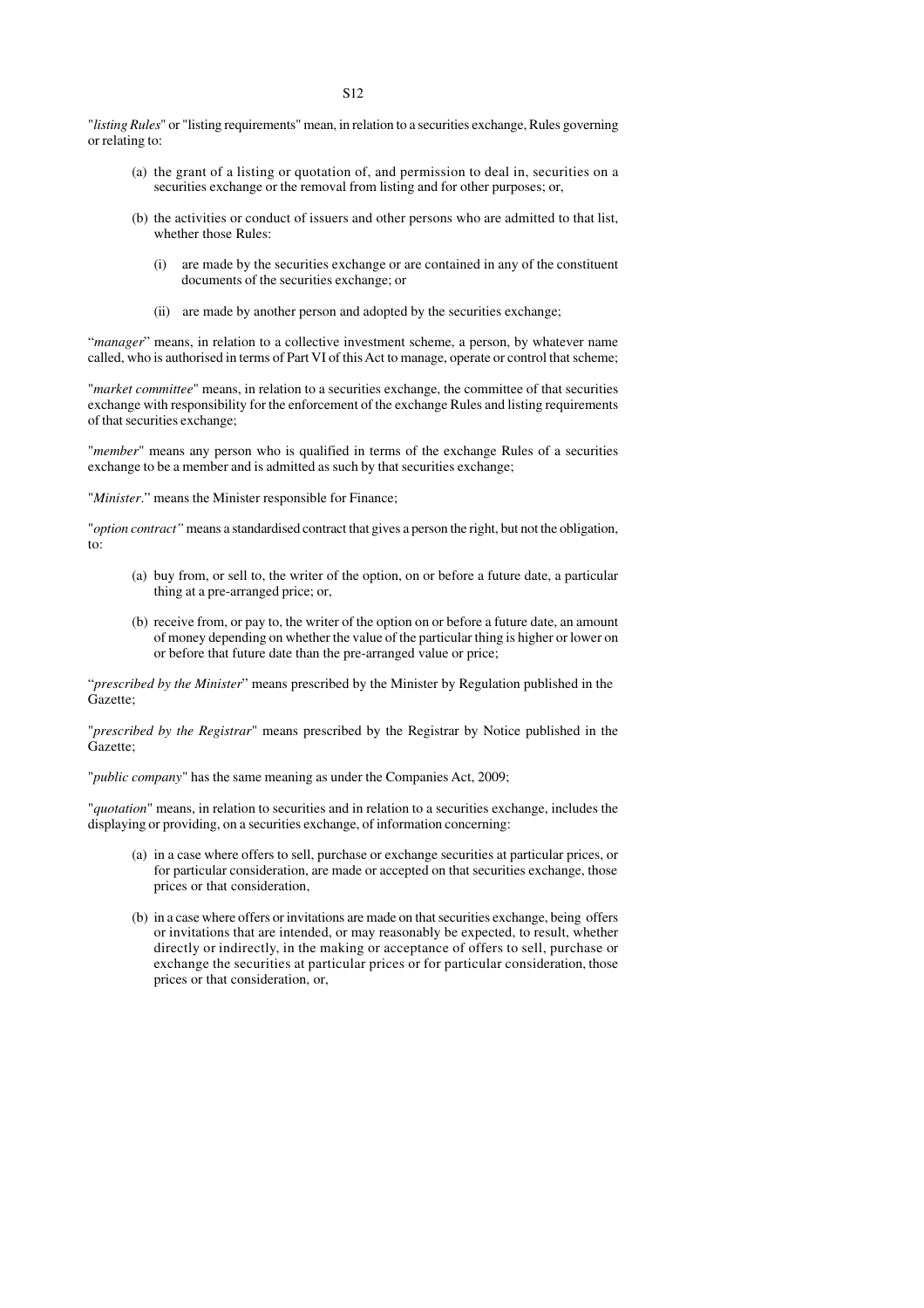"*listing Rules*" or "listing requirements" mean, in relation to a securities exchange, Rules governing or relating to:

- (a) the grant of a listing or quotation of, and permission to deal in, securities on a securities exchange or the removal from listing and for other purposes; or,
- (b) the activities or conduct of issuers and other persons who are admitted to that list, whether those Rules:
	- (i) are made by the securities exchange or are contained in any of the constituent documents of the securities exchange; or
	- (ii) are made by another person and adopted by the securities exchange;

"*manager*" means, in relation to a collective investment scheme, a person, by whatever name called, who is authorised in terms of Part VI of this Act to manage, operate or control that scheme;

"*market committee*" means, in relation to a securities exchange, the committee of that securities exchange with responsibility for the enforcement of the exchange Rules and listing requirements of that securities exchange;

"*member*" means any person who is qualified in terms of the exchange Rules of a securities exchange to be a member and is admitted as such by that securities exchange;

"*Minister*." means the Minister responsible for Finance;

"*option contract"* means a standardised contract that gives a person the right, but not the obligation, to:

- (a) buy from, or sell to, the writer of the option, on or before a future date, a particular thing at a pre-arranged price; or,
- (b) receive from, or pay to, the writer of the option on or before a future date, an amount of money depending on whether the value of the particular thing is higher or lower on or before that future date than the pre-arranged value or price;

"*prescribed by the Minister*" means prescribed by the Minister by Regulation published in the Gazette;

"*prescribed by the Registrar*" means prescribed by the Registrar by Notice published in the Gazette;

"*public company*" has the same meaning as under the Companies Act, 2009;

"*quotation*" means, in relation to securities and in relation to a securities exchange, includes the displaying or providing, on a securities exchange, of information concerning:

- (a) in a case where offers to sell, purchase or exchange securities at particular prices, or for particular consideration, are made or accepted on that securities exchange, those prices or that consideration,
- (b) in a case where offers or invitations are made on that securities exchange, being offers or invitations that are intended, or may reasonably be expected, to result, whether directly or indirectly, in the making or acceptance of offers to sell, purchase or exchange the securities at particular prices or for particular consideration, those prices or that consideration, or,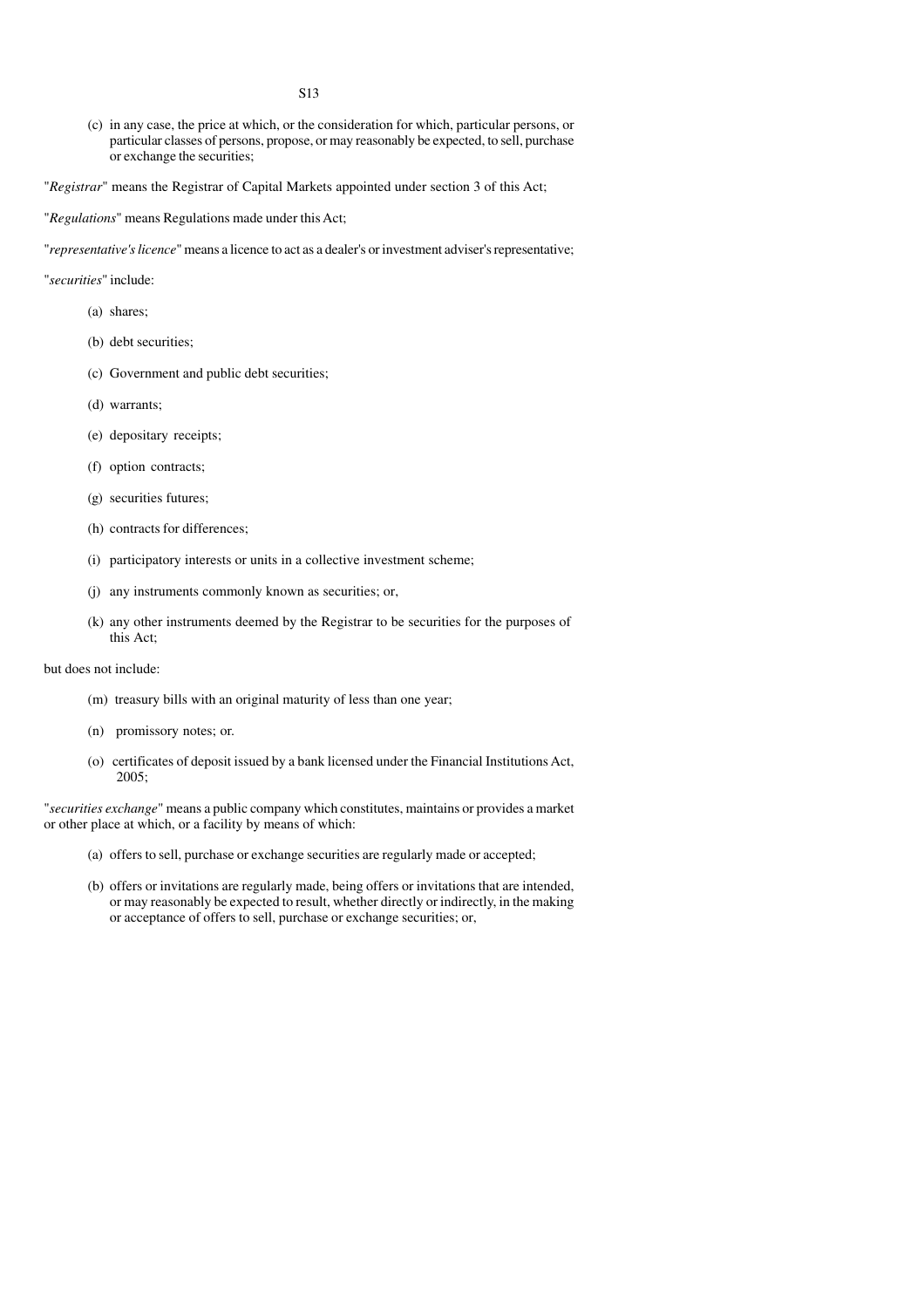- S13
- (c) in any case, the price at which, or the consideration for which, particular persons, or particular classes of persons, propose, or may reasonably be expected, to sell, purchase or exchange the securities;
- "*Registrar*" means the Registrar of Capital Markets appointed under section 3 of this Act;
- "*Regulations*" means Regulations made under this Act;

"*representative's licence*" means a licence to act as a dealer's or investment adviser's representative;

- "*securities*" include:
	- (a) shares;
	- (b) debt securities;
	- (c) Government and public debt securities;
	- (d) warrants;
	- (e) depositary receipts;
	- (f) option contracts;
	- (g) securities futures;
	- (h) contracts for differences;
	- (i) participatory interests or units in a collective investment scheme;
	- (j) any instruments commonly known as securities; or,
	- (k) any other instruments deemed by the Registrar to be securities for the purposes of this Act;

#### but does not include:

- (m) treasury bills with an original maturity of less than one year;
- (n) promissory notes; or.
- (o) certificates of deposit issued by a bank licensed under the Financial Institutions Act, 2005;

"*securities exchange*" means a public company which constitutes, maintains or provides a market or other place at which, or a facility by means of which:

- (a) offers to sell, purchase or exchange securities are regularly made or accepted;
- (b) offers or invitations are regularly made, being offers or invitations that are intended, or may reasonably be expected to result, whether directly or indirectly, in the making or acceptance of offers to sell, purchase or exchange securities; or,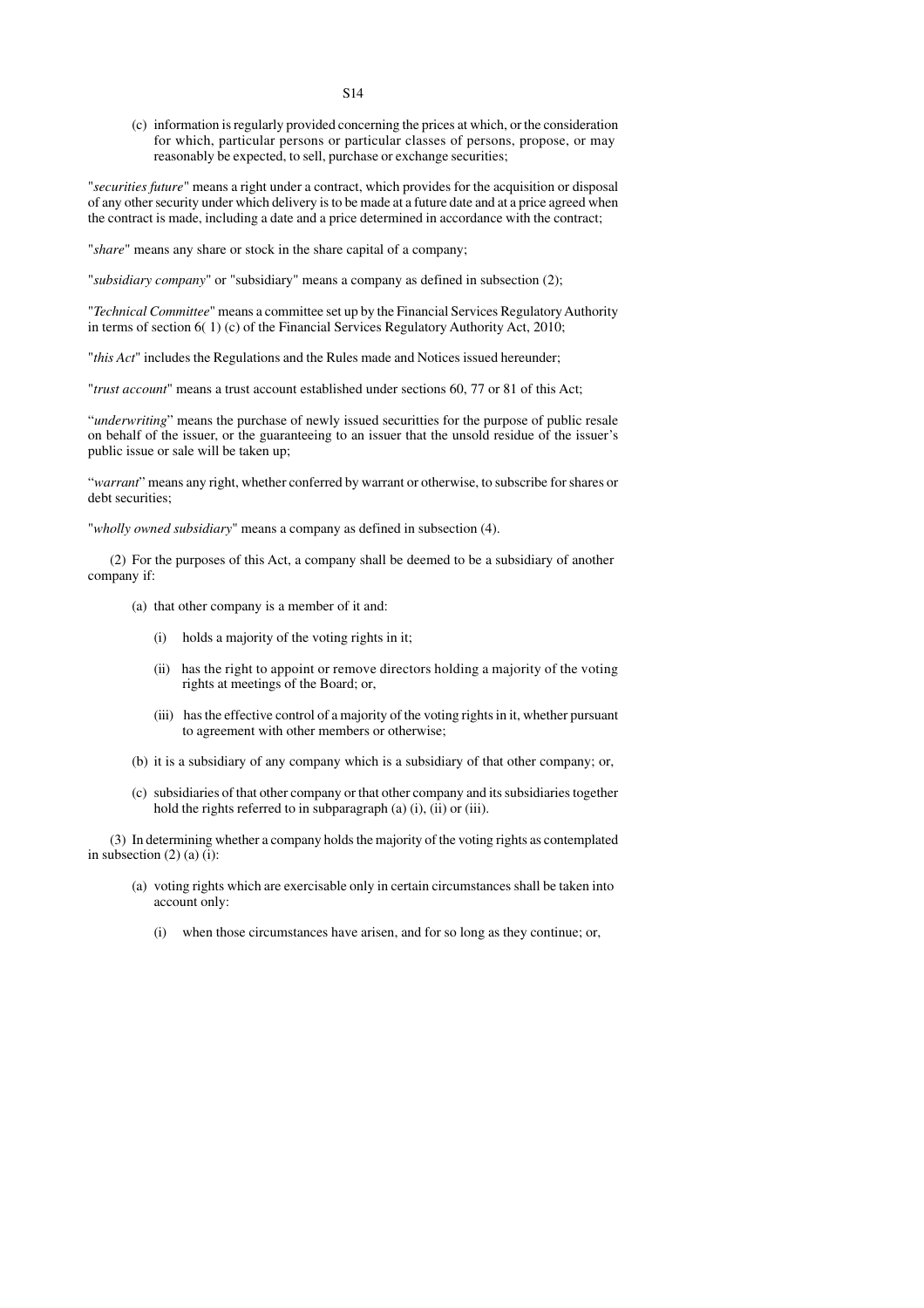(c) information is regularly provided concerning the prices at which, or the consideration for which, particular persons or particular classes of persons, propose, or may reasonably be expected, to sell, purchase or exchange securities;

"*securities future*" means a right under a contract, which provides for the acquisition or disposal of any other security under which delivery is to be made at a future date and at a price agreed when the contract is made, including a date and a price determined in accordance with the contract;

"*share*" means any share or stock in the share capital of a company;

"*subsidiary company*" or "subsidiary" means a company as defined in subsection (2);

"*Technical Committee*" means a committee set up by the Financial Services Regulatory Authority in terms of section 6( 1) (c) of the Financial Services Regulatory Authority Act, 2010;

"*this Act*" includes the Regulations and the Rules made and Notices issued hereunder;

"*trust account*" means a trust account established under sections 60, 77 or 81 of this Act;

"*underwriting*" means the purchase of newly issued securitties for the purpose of public resale on behalf of the issuer, or the guaranteeing to an issuer that the unsold residue of the issuer's public issue or sale will be taken up;

"*warrant*" means any right, whether conferred by warrant or otherwise, to subscribe for shares or debt securities;

"*wholly owned subsidiary*" means a company as defined in subsection (4).

(2) For the purposes of this Act, a company shall be deemed to be a subsidiary of another company if:

- (a) that other company is a member of it and:
	- (i) holds a majority of the voting rights in it;
	- (ii) has the right to appoint or remove directors holding a majority of the voting rights at meetings of the Board; or,
	- (iii) has the effective control of a majority of the voting rights in it, whether pursuant to agreement with other members or otherwise;
- (b) it is a subsidiary of any company which is a subsidiary of that other company; or,
- (c) subsidiaries of that other company or that other company and its subsidiaries together hold the rights referred to in subparagraph (a) (i), (ii) or (iii).

(3) In determining whether a company holds the majority of the voting rights as contemplated in subsection  $(2)$   $(a)$   $(i)$ :

- (a) voting rights which are exercisable only in certain circumstances shall be taken into account only:
	- (i) when those circumstances have arisen, and for so long as they continue; or,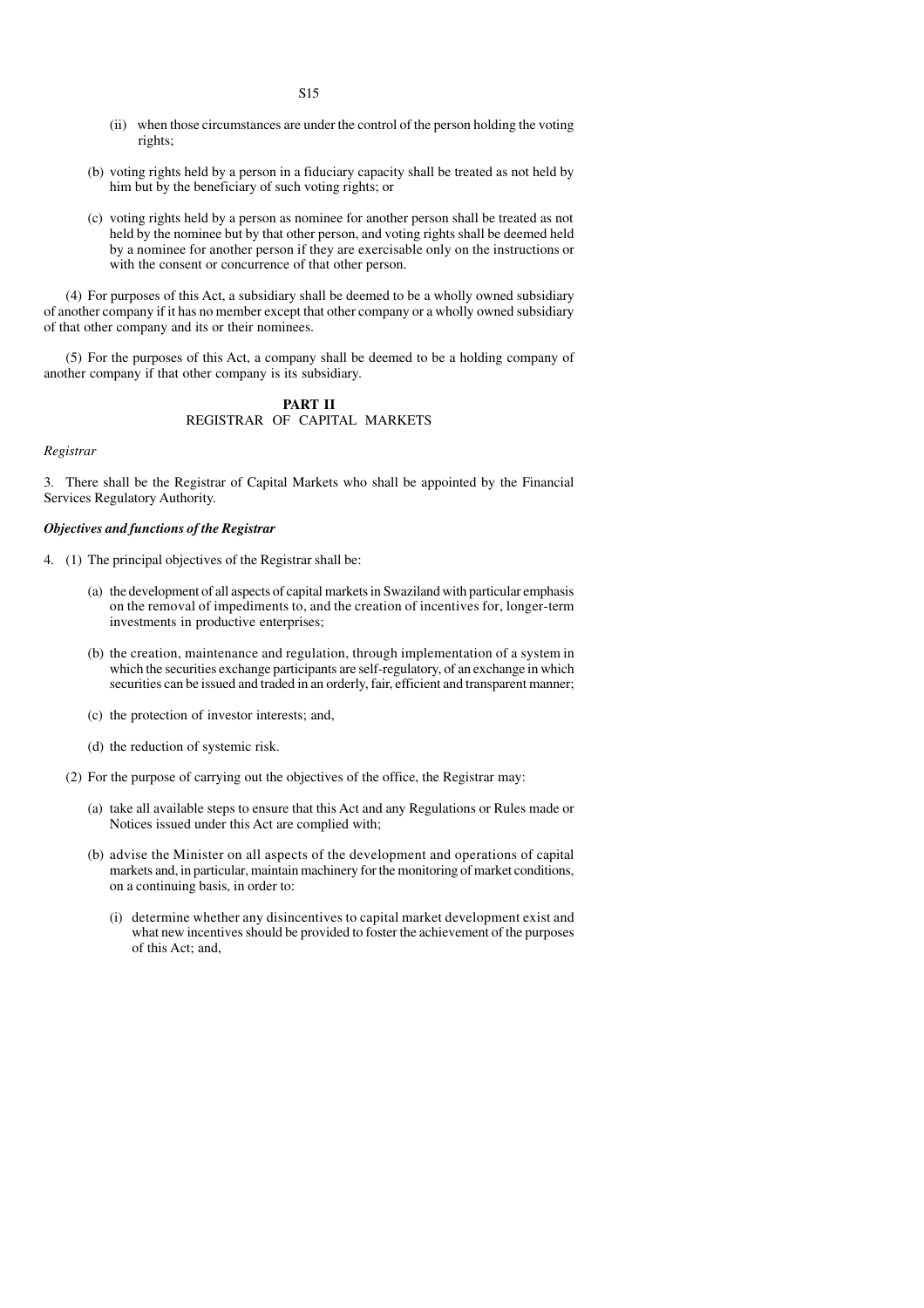- (ii) when those circumstances are under the control of the person holding the voting rights;
- (b) voting rights held by a person in a fiduciary capacity shall be treated as not held by him but by the beneficiary of such voting rights; or
- (c) voting rights held by a person as nominee for another person shall be treated as not held by the nominee but by that other person, and voting rights shall be deemed held by a nominee for another person if they are exercisable only on the instructions or with the consent or concurrence of that other person.

(4) For purposes of this Act, a subsidiary shall be deemed to be a wholly owned subsidiary of another company if it has no member except that other company or a wholly owned subsidiary of that other company and its or their nominees.

(5) For the purposes of this Act, a company shall be deemed to be a holding company of another company if that other company is its subsidiary.

#### **PART II** REGISTRAR OF CAPITAL MARKETS

#### *Registrar*

3. There shall be the Registrar of Capital Markets who shall be appointed by the Financial Services Regulatory Authority.

#### *Objectives and functions of the Registrar*

- 4. (1) The principal objectives of the Registrar shall be:
	- (a) the development of all aspects of capital markets in Swaziland with particular emphasis on the removal of impediments to, and the creation of incentives for, longer-term investments in productive enterprises;
	- (b) the creation, maintenance and regulation, through implementation of a system in which the securities exchange participants are self-regulatory, of an exchange in which securities can be issued and traded in an orderly, fair, efficient and transparent manner;
	- (c) the protection of investor interests; and,
	- (d) the reduction of systemic risk.
	- (2) For the purpose of carrying out the objectives of the office, the Registrar may:
		- (a) take all available steps to ensure that this Act and any Regulations or Rules made or Notices issued under this Act are complied with;
		- (b) advise the Minister on all aspects of the development and operations of capital markets and, in particular, maintain machinery for the monitoring of market conditions, on a continuing basis, in order to:
			- (i) determine whether any disincentives to capital market development exist and what new incentives should be provided to foster the achievement of the purposes of this Act; and,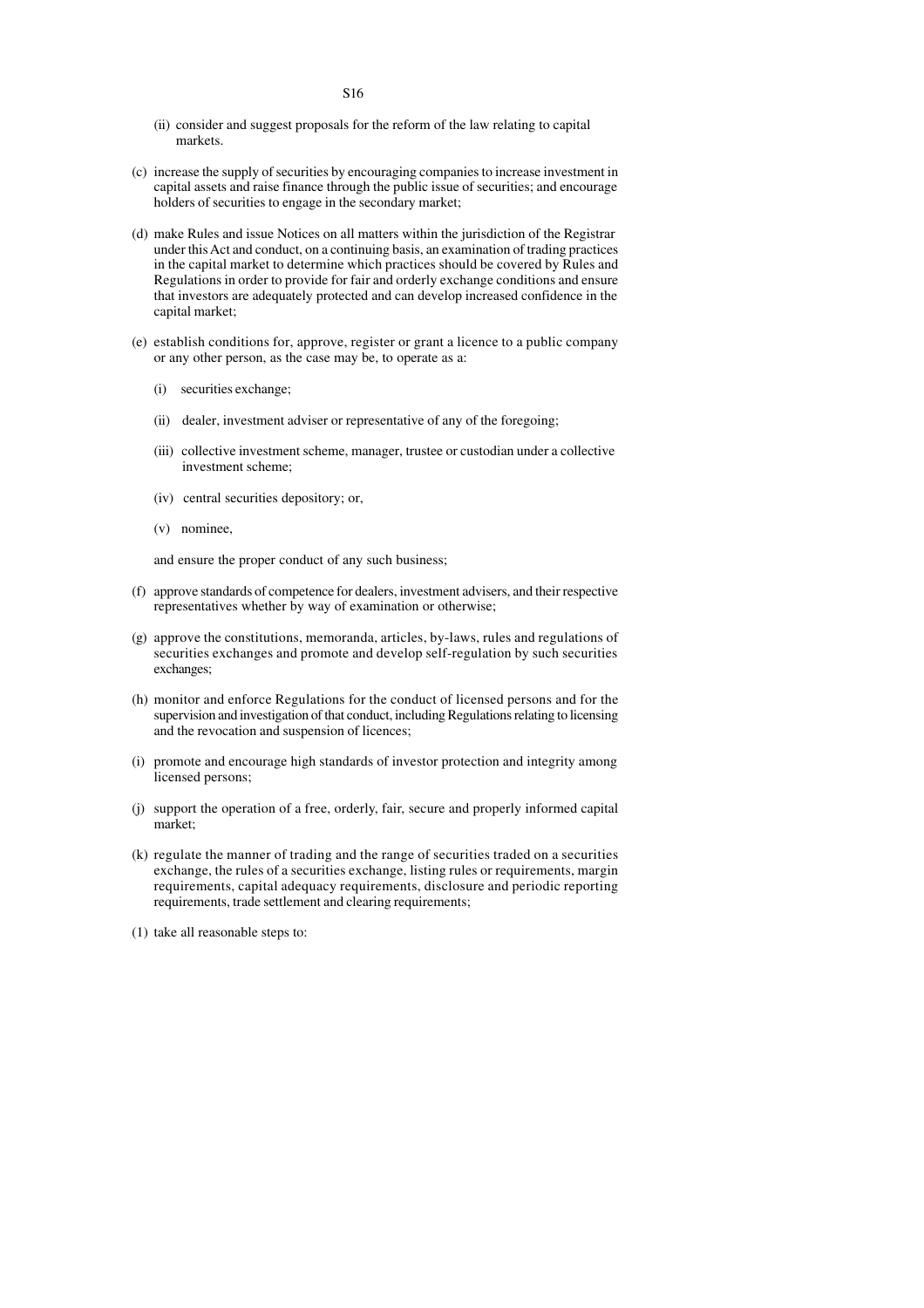- (ii) consider and suggest proposals for the reform of the law relating to capital markets.
- (c) increase the supply of securities by encouraging companies to increase investment in capital assets and raise finance through the public issue of securities; and encourage holders of securities to engage in the secondary market;
- (d) make Rules and issue Notices on all matters within the jurisdiction of the Registrar under this Act and conduct, on a continuing basis, an examination of trading practices in the capital market to determine which practices should be covered by Rules and Regulations in order to provide for fair and orderly exchange conditions and ensure that investors are adequately protected and can develop increased confidence in the capital market;
- (e) establish conditions for, approve, register or grant a licence to a public company or any other person, as the case may be, to operate as a:
	- (i) securities exchange;
	- (ii) dealer, investment adviser or representative of any of the foregoing;
	- (iii) collective investment scheme, manager, trustee or custodian under a collective investment scheme;
	- (iv) central securities depository; or,
	- (v) nominee,

and ensure the proper conduct of any such business;

- (f) approve standards of competence for dealers, investment advisers, and their respective representatives whether by way of examination or otherwise;
- (g) approve the constitutions, memoranda, articles, by-laws, rules and regulations of securities exchanges and promote and develop self-regulation by such securities exchanges;
- (h) monitor and enforce Regulations for the conduct of licensed persons and for the supervision and investigation of that conduct, including Regulations relating to licensing and the revocation and suspension of licences;
- (i) promote and encourage high standards of investor protection and integrity among licensed persons;
- (j) support the operation of a free, orderly, fair, secure and properly informed capital market;
- (k) regulate the manner of trading and the range of securities traded on a securities exchange, the rules of a securities exchange, listing rules or requirements, margin requirements, capital adequacy requirements, disclosure and periodic reporting requirements, trade settlement and clearing requirements;
- (1) take all reasonable steps to: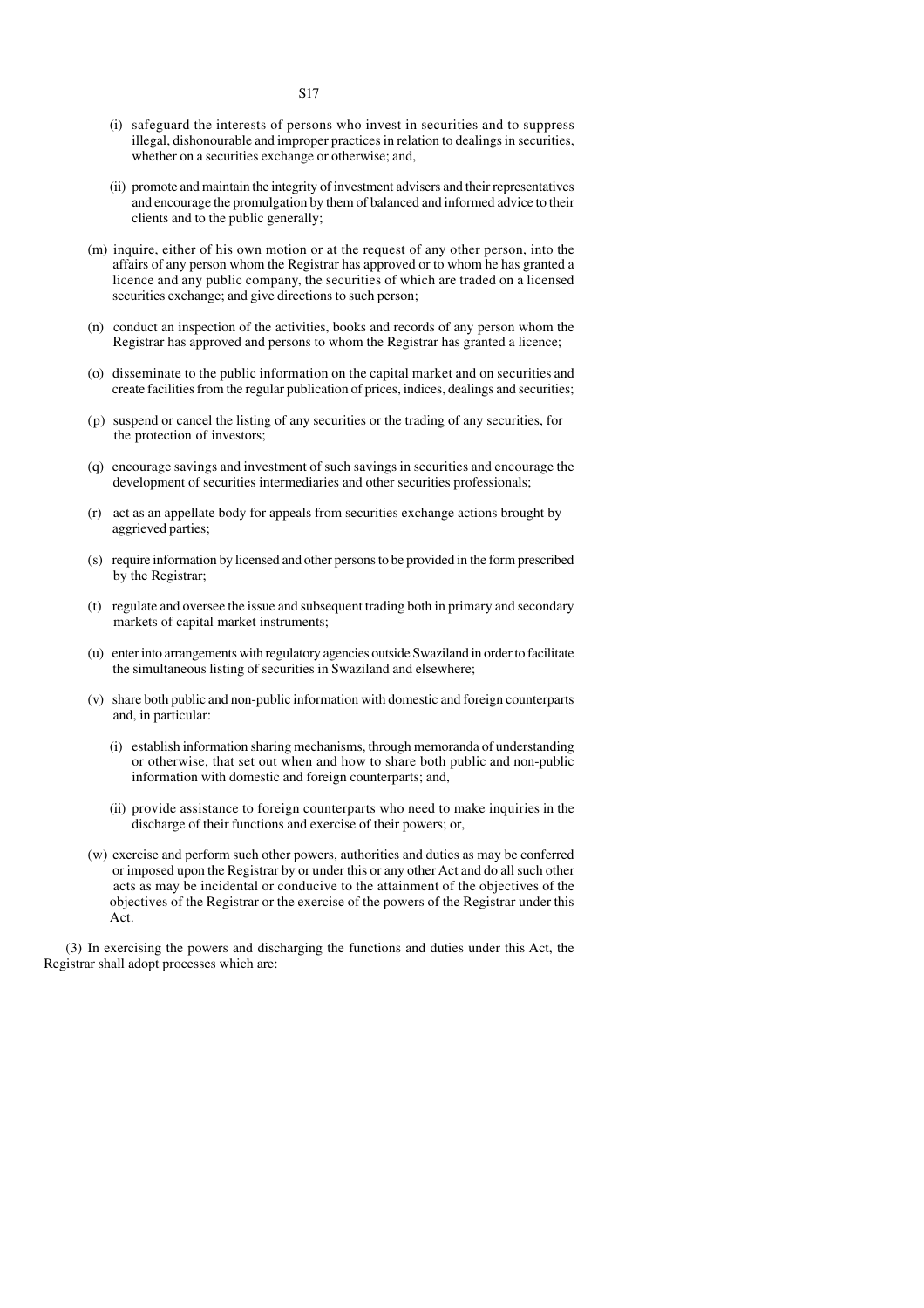- (i) safeguard the interests of persons who invest in securities and to suppress illegal, dishonourable and improper practices in relation to dealings in securities, whether on a securities exchange or otherwise; and,
- (ii) promote and maintain the integrity of investment advisers and their representatives and encourage the promulgation by them of balanced and informed advice to their clients and to the public generally;
- (m) inquire, either of his own motion or at the request of any other person, into the affairs of any person whom the Registrar has approved or to whom he has granted a licence and any public company, the securities of which are traded on a licensed securities exchange; and give directions to such person;
- (n) conduct an inspection of the activities, books and records of any person whom the Registrar has approved and persons to whom the Registrar has granted a licence;
- (o) disseminate to the public information on the capital market and on securities and create facilities from the regular publication of prices, indices, dealings and securities;
- (p) suspend or cancel the listing of any securities or the trading of any securities, for the protection of investors;
- (q) encourage savings and investment of such savings in securities and encourage the development of securities intermediaries and other securities professionals;
- (r) act as an appellate body for appeals from securities exchange actions brought by aggrieved parties;
- (s) require information by licensed and other persons to be provided in the form prescribed by the Registrar;
- (t) regulate and oversee the issue and subsequent trading both in primary and secondary markets of capital market instruments;
- (u) enter into arrangements with regulatory agencies outside Swaziland in order to facilitate the simultaneous listing of securities in Swaziland and elsewhere;
- (v) share both public and non-public information with domestic and foreign counterparts and, in particular:
	- (i) establish information sharing mechanisms, through memoranda of understanding or otherwise, that set out when and how to share both public and non-public information with domestic and foreign counterparts; and,
	- (ii) provide assistance to foreign counterparts who need to make inquiries in the discharge of their functions and exercise of their powers; or,
- (w) exercise and perform such other powers, authorities and duties as may be conferred or imposed upon the Registrar by or under this or any other Act and do all such other acts as may be incidental or conducive to the attainment of the objectives of the objectives of the Registrar or the exercise of the powers of the Registrar under this Act.

(3) In exercising the powers and discharging the functions and duties under this Act, the Registrar shall adopt processes which are: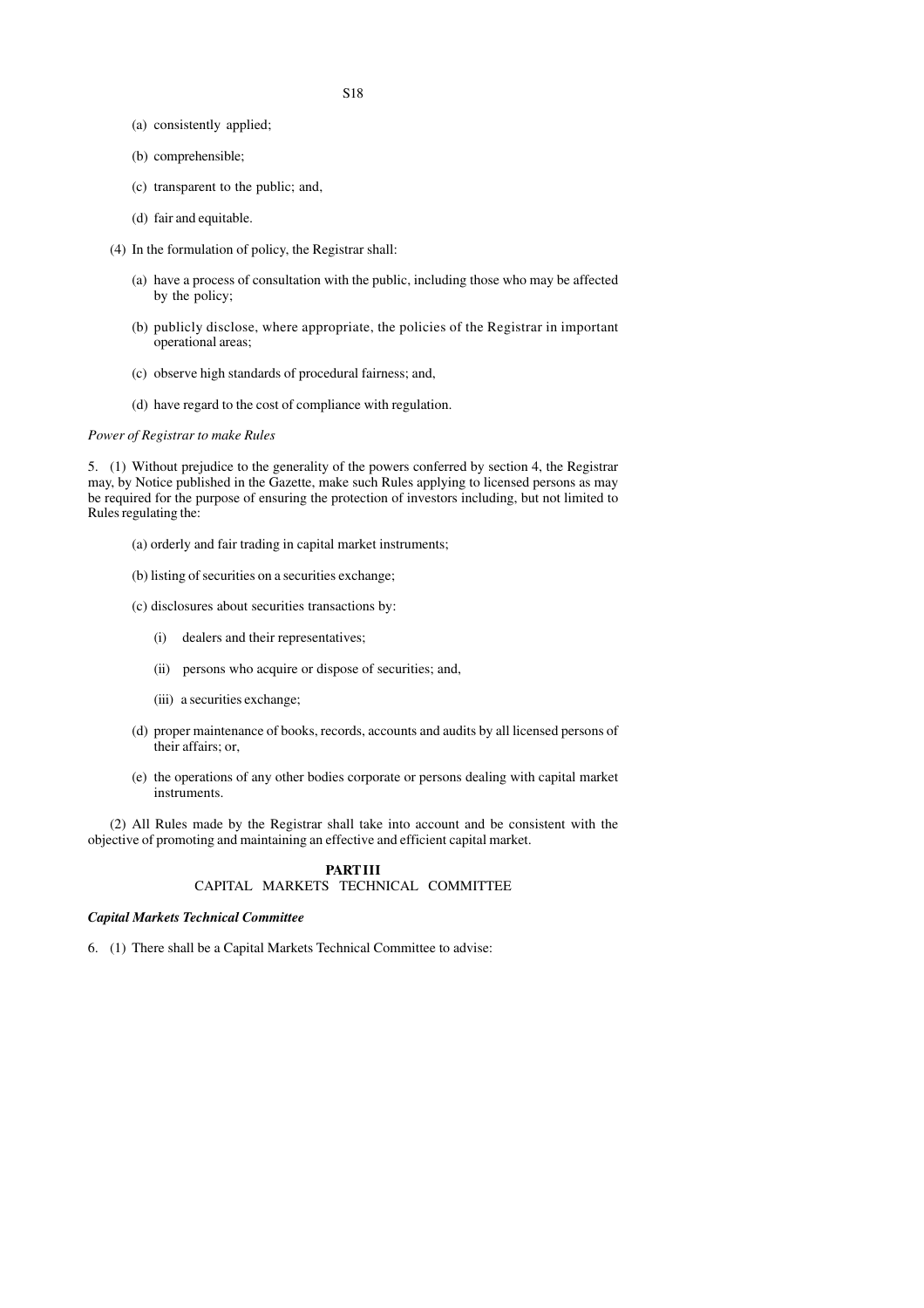- (a) consistently applied;
- (b) comprehensible;
- (c) transparent to the public; and,
- (d) fair and equitable.
- (4) In the formulation of policy, the Registrar shall:
	- (a) have a process of consultation with the public, including those who may be affected by the policy;
	- (b) publicly disclose, where appropriate, the policies of the Registrar in important operational areas;
	- (c) observe high standards of procedural fairness; and,
	- (d) have regard to the cost of compliance with regulation.

#### *Power of Registrar to make Rules*

5. (1) Without prejudice to the generality of the powers conferred by section 4, the Registrar may, by Notice published in the Gazette, make such Rules applying to licensed persons as may be required for the purpose of ensuring the protection of investors including, but not limited to Rules regulating the:

- (a) orderly and fair trading in capital market instruments;
- (b) listing of securities on a securities exchange;
- (c) disclosures about securities transactions by:
	- (i) dealers and their representatives;
	- (ii) persons who acquire or dispose of securities; and,
	- (iii) a securities exchange;
- (d) proper maintenance of books, records, accounts and audits by all licensed persons of their affairs; or,
- (e) the operations of any other bodies corporate or persons dealing with capital market instruments.

(2) All Rules made by the Registrar shall take into account and be consistent with the objective of promoting and maintaining an effective and efficient capital market.

#### **PART III** CAPITAL MARKETS TECHNICAL COMMITTEE

#### *Capital Markets Technical Committee*

6. (1) There shall be a Capital Markets Technical Committee to advise: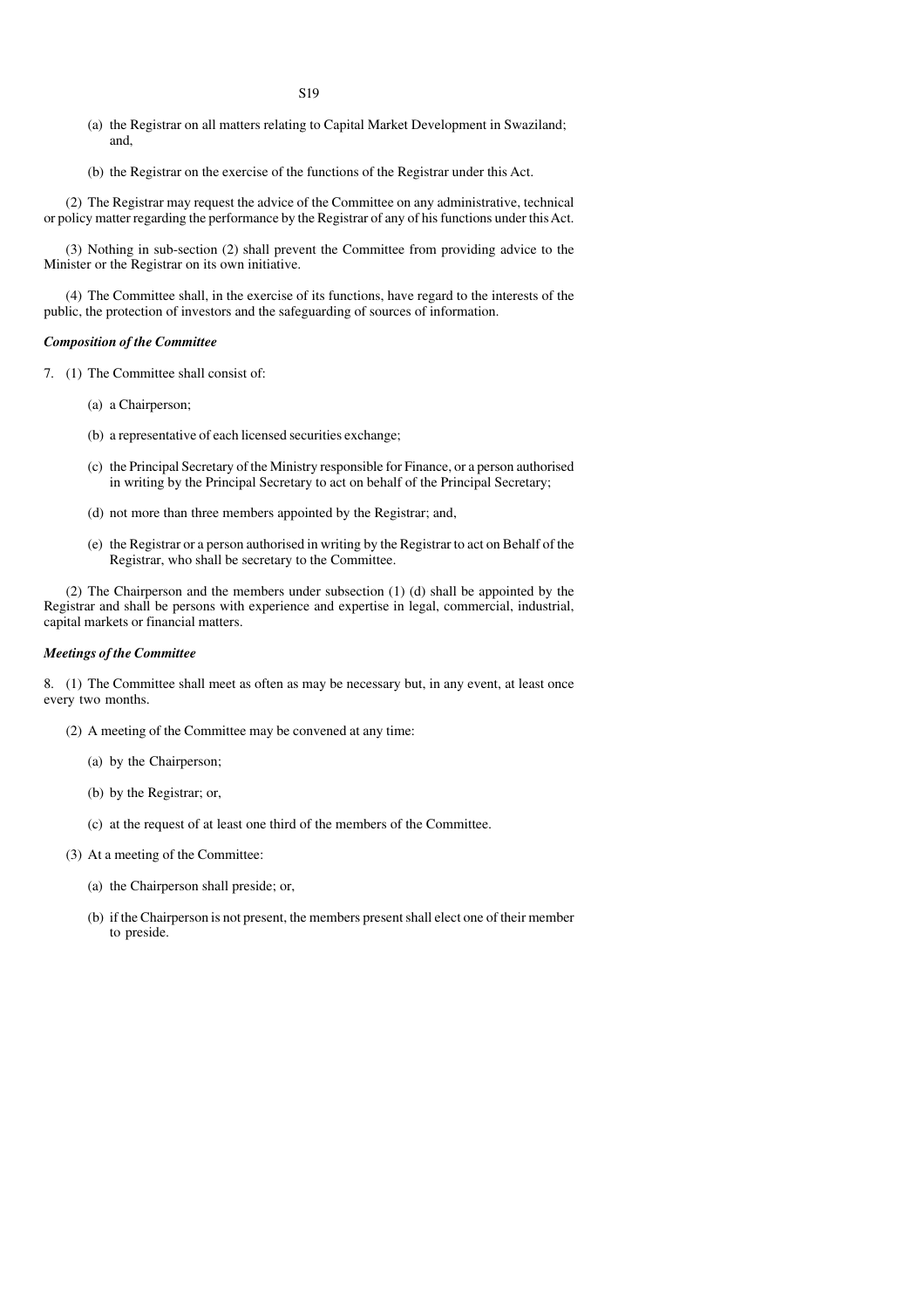- (a) the Registrar on all matters relating to Capital Market Development in Swaziland; and,
- (b) the Registrar on the exercise of the functions of the Registrar under this Act.

(2) The Registrar may request the advice of the Committee on any administrative, technical or policy matter regarding the performance by the Registrar of any of his functions under this Act.

(3) Nothing in sub-section (2) shall prevent the Committee from providing advice to the Minister or the Registrar on its own initiative.

(4) The Committee shall, in the exercise of its functions, have regard to the interests of the public, the protection of investors and the safeguarding of sources of information.

#### *Composition of the Committee*

7. (1) The Committee shall consist of:

- (a) a Chairperson;
- (b) a representative of each licensed securities exchange;
- (c) the Principal Secretary of the Ministry responsible for Finance, or a person authorised in writing by the Principal Secretary to act on behalf of the Principal Secretary;
- (d) not more than three members appointed by the Registrar; and,
- (e) the Registrar or a person authorised in writing by the Registrar to act on Behalf of the Registrar, who shall be secretary to the Committee.

(2) The Chairperson and the members under subsection (1) (d) shall be appointed by the Registrar and shall be persons with experience and expertise in legal, commercial, industrial, capital markets or financial matters.

#### *Meetings of the Committee*

8. (1) The Committee shall meet as often as may be necessary but, in any event, at least once every two months.

- (2) A meeting of the Committee may be convened at any time:
	- (a) by the Chairperson;
	- (b) by the Registrar; or,
	- (c) at the request of at least one third of the members of the Committee.
- (3) At a meeting of the Committee:
	- (a) the Chairperson shall preside; or,
	- (b) if the Chairperson is not present, the members present shall elect one of their member to preside.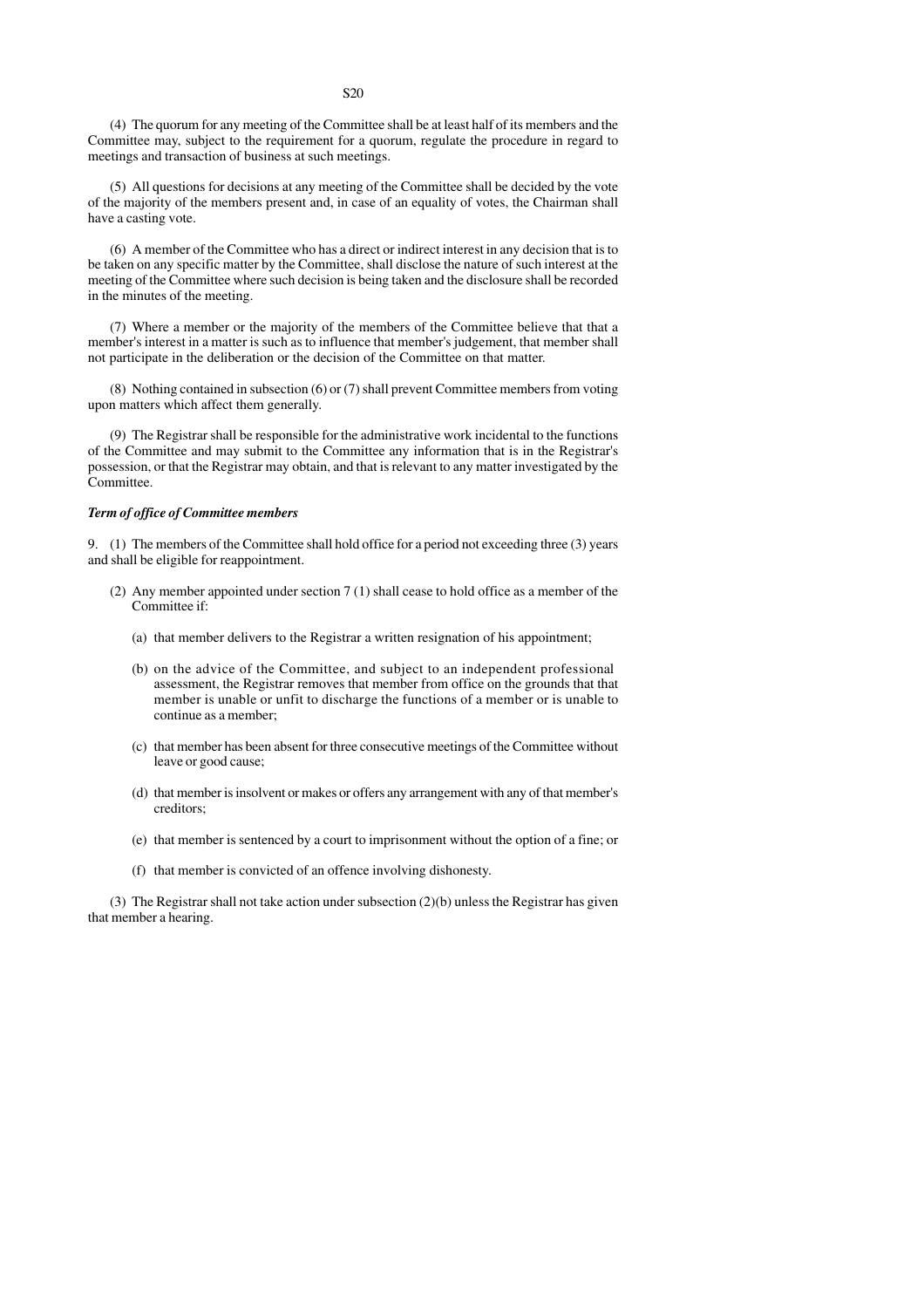(4) The quorum for any meeting of the Committee shall be at least half of its members and the Committee may, subject to the requirement for a quorum, regulate the procedure in regard to meetings and transaction of business at such meetings.

(5) All questions for decisions at any meeting of the Committee shall be decided by the vote of the majority of the members present and, in case of an equality of votes, the Chairman shall have a casting vote.

(6) A member of the Committee who has a direct or indirect interest in any decision that is to be taken on any specific matter by the Committee, shall disclose the nature of such interest at the meeting of the Committee where such decision is being taken and the disclosure shall be recorded in the minutes of the meeting.

(7) Where a member or the majority of the members of the Committee believe that that a member's interest in a matter is such as to influence that member's judgement, that member shall not participate in the deliberation or the decision of the Committee on that matter.

(8) Nothing contained in subsection (6) or (7) shall prevent Committee members from voting upon matters which affect them generally.

(9) The Registrar shall be responsible for the administrative work incidental to the functions of the Committee and may submit to the Committee any information that is in the Registrar's possession, or that the Registrar may obtain, and that is relevant to any matter investigated by the Committee.

#### *Term of office of Committee members*

9. (1) The members of the Committee shall hold office for a period not exceeding three (3) years and shall be eligible for reappointment.

- (2) Any member appointed under section 7 (1) shall cease to hold office as a member of the Committee if:
	- (a) that member delivers to the Registrar a written resignation of his appointment;
	- (b) on the advice of the Committee, and subject to an independent professional assessment, the Registrar removes that member from office on the grounds that that member is unable or unfit to discharge the functions of a member or is unable to continue as a member;
	- (c) that member has been absent for three consecutive meetings of the Committee without leave or good cause;
	- (d) that member is insolvent or makes or offers any arrangement with any of that member's creditors;
	- (e) that member is sentenced by a court to imprisonment without the option of a fine; or
	- (f) that member is convicted of an offence involving dishonesty.

(3) The Registrar shall not take action under subsection (2)(b) unless the Registrar has given that member a hearing.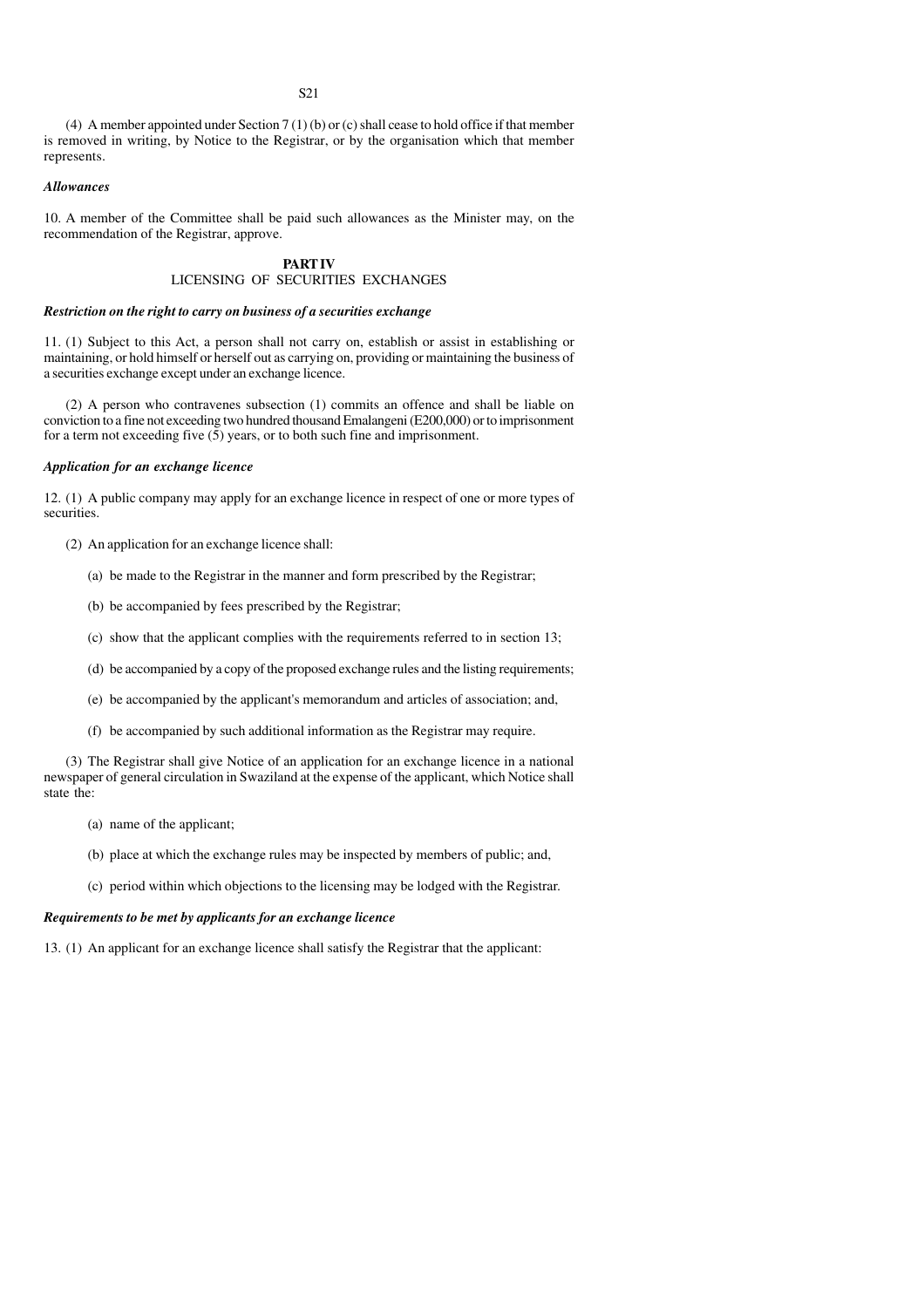(4) A member appointed under Section 7 (1) (b) or (c) shall cease to hold office if that member is removed in writing, by Notice to the Registrar, or by the organisation which that member represents.

#### *Allowances*

10. A member of the Committee shall be paid such allowances as the Minister may, on the recommendation of the Registrar, approve.

#### **PART IV** LICENSING OF SECURITIES EXCHANGES

#### *Restriction on the right to carry on business of a securities exchange*

11. (1) Subject to this Act, a person shall not carry on, establish or assist in establishing or maintaining, or hold himself or herself out as carrying on, providing or maintaining the business of a securities exchange except under an exchange licence.

(2) A person who contravenes subsection (1) commits an offence and shall be liable on conviction to a fine not exceeding two hundred thousand Emalangeni (E200,000) or to imprisonment for a term not exceeding five (5) years, or to both such fine and imprisonment.

#### *Application for an exchange licence*

12. (1) A public company may apply for an exchange licence in respect of one or more types of securities.

- (2) An application for an exchange licence shall:
	- (a) be made to the Registrar in the manner and form prescribed by the Registrar;
	- (b) be accompanied by fees prescribed by the Registrar;
	- (c) show that the applicant complies with the requirements referred to in section 13;
	- (d) be accompanied by a copy of the proposed exchange rules and the listing requirements;
	- (e) be accompanied by the applicant's memorandum and articles of association; and,
	- (f) be accompanied by such additional information as the Registrar may require.

(3) The Registrar shall give Notice of an application for an exchange licence in a national newspaper of general circulation in Swaziland at the expense of the applicant, which Notice shall state the:

- (a) name of the applicant;
- (b) place at which the exchange rules may be inspected by members of public; and,
- (c) period within which objections to the licensing may be lodged with the Registrar.

#### *Requirements to be met by applicants for an exchange licence*

13. (1) An applicant for an exchange licence shall satisfy the Registrar that the applicant: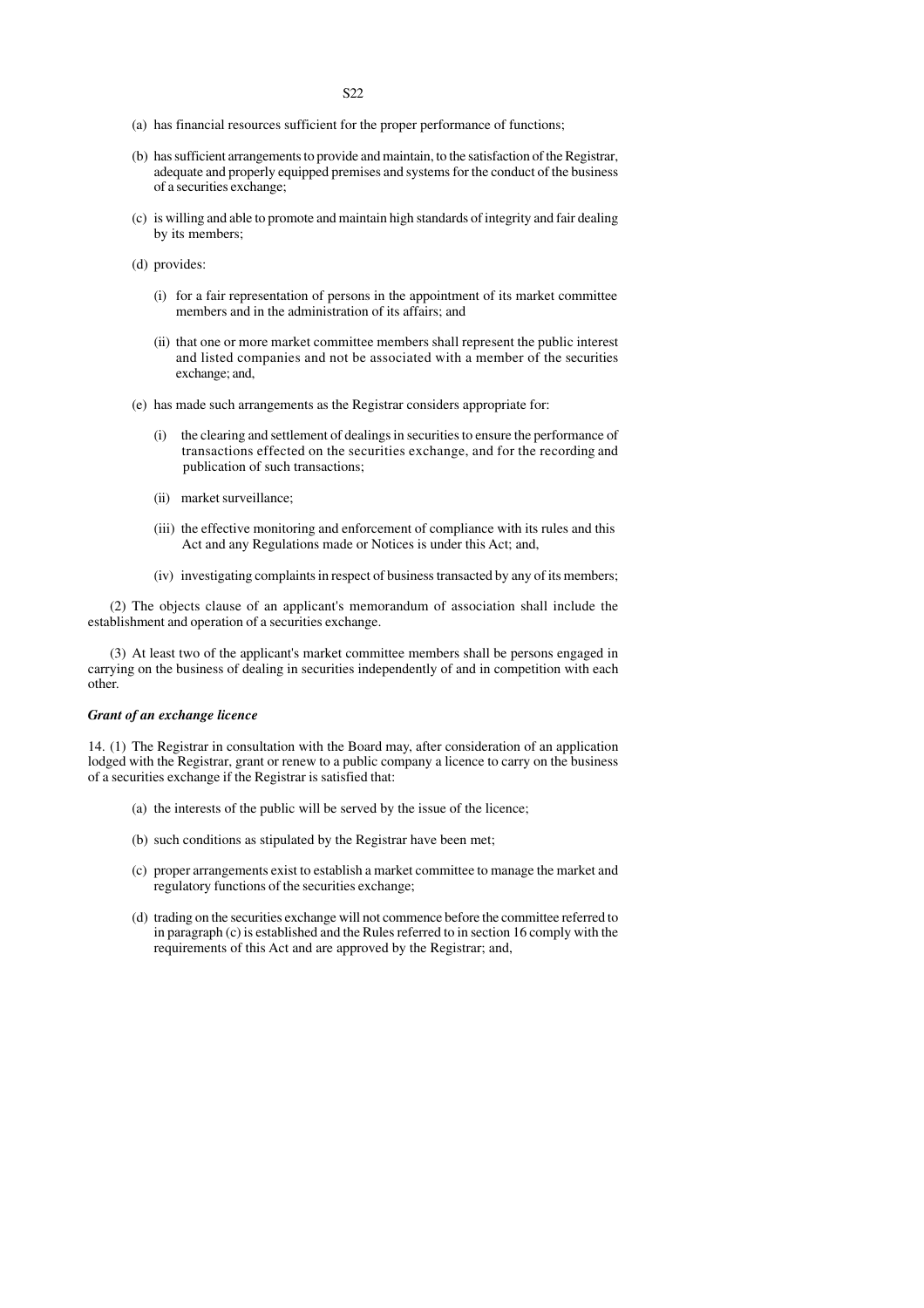- (a) has financial resources sufficient for the proper performance of functions;
- (b) has sufficient arrangements to provide and maintain, to the satisfaction of the Registrar, adequate and properly equipped premises and systems for the conduct of the business of a securities exchange;
- (c) is willing and able to promote and maintain high standards of integrity and fair dealing by its members;
- (d) provides:
	- (i) for a fair representation of persons in the appointment of its market committee members and in the administration of its affairs; and
	- (ii) that one or more market committee members shall represent the public interest and listed companies and not be associated with a member of the securities exchange; and,
- (e) has made such arrangements as the Registrar considers appropriate for:
	- (i) the clearing and settlement of dealings in securities to ensure the performance of transactions effected on the securities exchange, and for the recording and publication of such transactions;
	- (ii) market surveillance;
	- (iii) the effective monitoring and enforcement of compliance with its rules and this Act and any Regulations made or Notices is under this Act; and,
	- (iv) investigating complaints in respect of business transacted by any of its members;

(2) The objects clause of an applicant's memorandum of association shall include the establishment and operation of a securities exchange.

(3) At least two of the applicant's market committee members shall be persons engaged in carrying on the business of dealing in securities independently of and in competition with each other.

#### *Grant of an exchange licence*

14. (1) The Registrar in consultation with the Board may, after consideration of an application lodged with the Registrar, grant or renew to a public company a licence to carry on the business of a securities exchange if the Registrar is satisfied that:

- (a) the interests of the public will be served by the issue of the licence;
- (b) such conditions as stipulated by the Registrar have been met;
- (c) proper arrangements exist to establish a market committee to manage the market and regulatory functions of the securities exchange;
- (d) trading on the securities exchange will not commence before the committee referred to in paragraph (c) is established and the Rules referred to in section 16 comply with the requirements of this Act and are approved by the Registrar; and,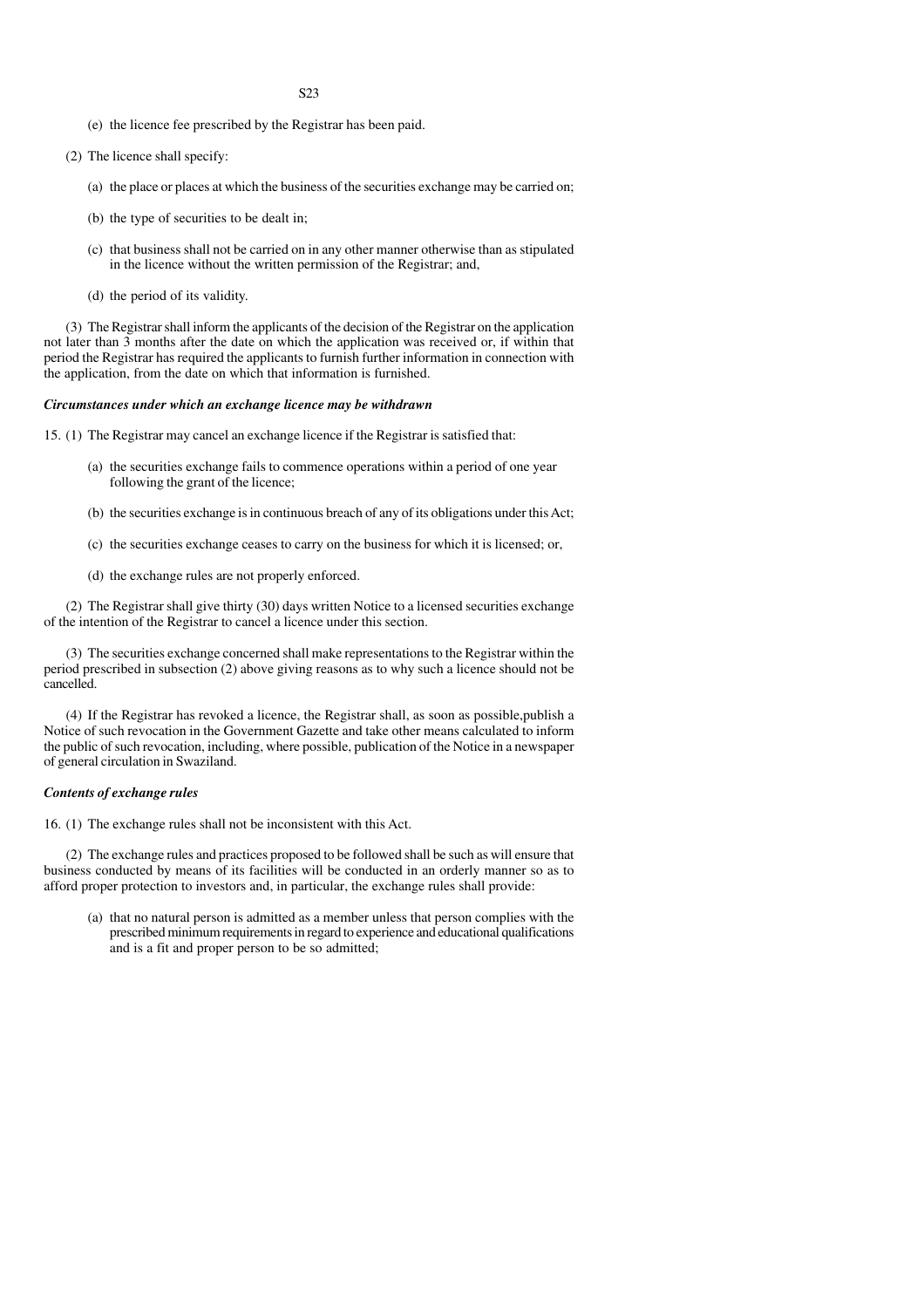- (e) the licence fee prescribed by the Registrar has been paid.
- (2) The licence shall specify:
	- (a) the place or places at which the business of the securities exchange may be carried on;
	- (b) the type of securities to be dealt in;
	- (c) that business shall not be carried on in any other manner otherwise than as stipulated in the licence without the written permission of the Registrar; and,
	- (d) the period of its validity.

(3) The Registrar shall inform the applicants of the decision of the Registrar on the application not later than 3 months after the date on which the application was received or, if within that period the Registrar has required the applicants to furnish further information in connection with the application, from the date on which that information is furnished.

#### *Circumstances under which an exchange licence may be withdrawn*

15. (1) The Registrar may cancel an exchange licence if the Registrar is satisfied that:

- (a) the securities exchange fails to commence operations within a period of one year following the grant of the licence;
- (b) the securities exchange is in continuous breach of any of its obligations under this Act;
- (c) the securities exchange ceases to carry on the business for which it is licensed; or,
- (d) the exchange rules are not properly enforced.

(2) The Registrar shall give thirty (30) days written Notice to a licensed securities exchange of the intention of the Registrar to cancel a licence under this section.

(3) The securities exchange concerned shall make representations to the Registrar within the period prescribed in subsection (2) above giving reasons as to why such a licence should not be cancelled.

(4) If the Registrar has revoked a licence, the Registrar shall, as soon as possible,publish a Notice of such revocation in the Government Gazette and take other means calculated to inform the public of such revocation, including, where possible, publication of the Notice in a newspaper of general circulation in Swaziland.

#### *Contents of exchange rules*

16. (1) The exchange rules shall not be inconsistent with this Act.

(2) The exchange rules and practices proposed to be followed shall be such as will ensure that business conducted by means of its facilities will be conducted in an orderly manner so as to afford proper protection to investors and, in particular, the exchange rules shall provide:

(a) that no natural person is admitted as a member unless that person complies with the prescribed minimum requirements in regard to experience and educational qualifications and is a fit and proper person to be so admitted;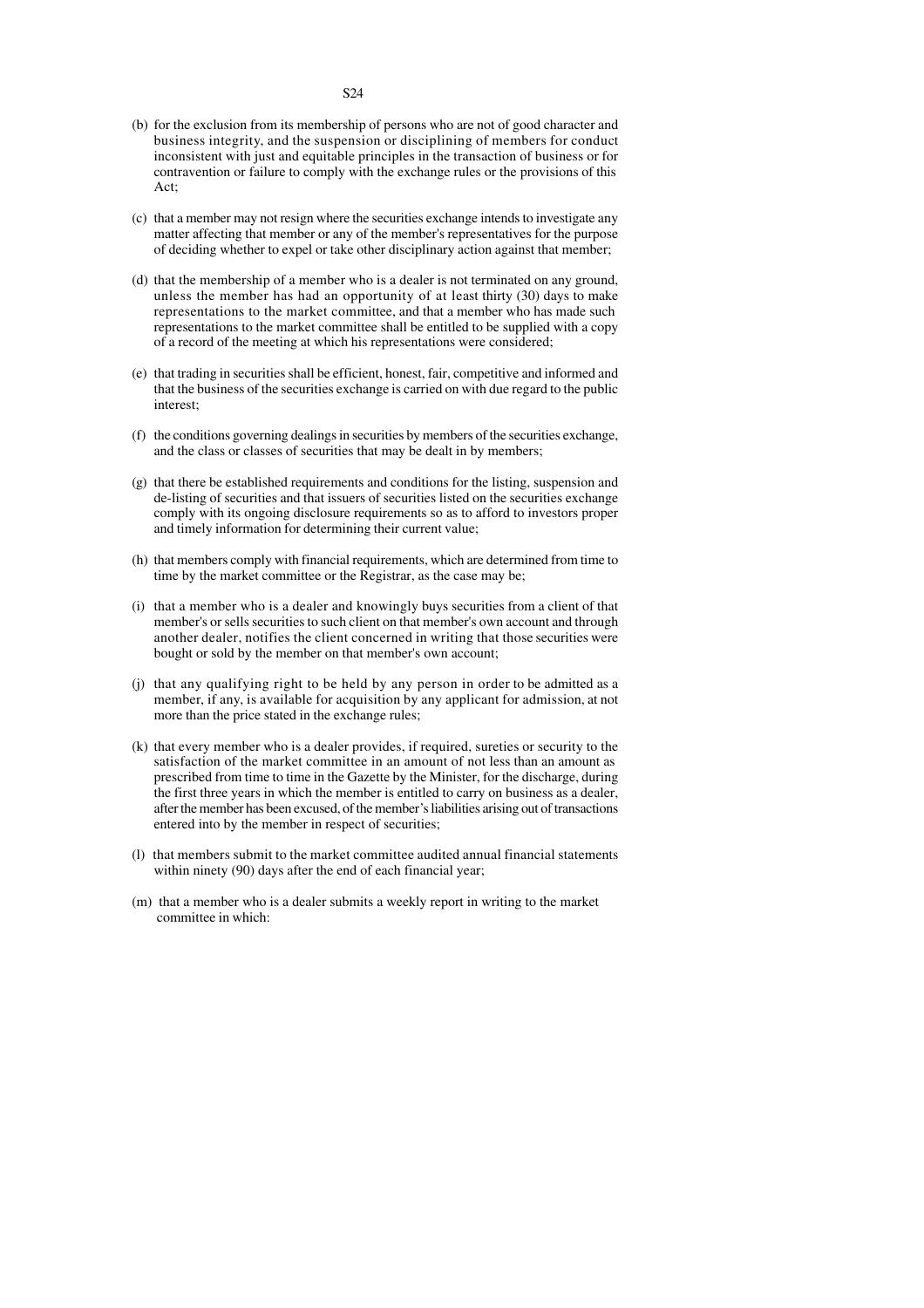- (b) for the exclusion from its membership of persons who are not of good character and business integrity, and the suspension or disciplining of members for conduct inconsistent with just and equitable principles in the transaction of business or for contravention or failure to comply with the exchange rules or the provisions of this Act;
- (c) that a member may not resign where the securities exchange intends to investigate any matter affecting that member or any of the member's representatives for the purpose of deciding whether to expel or take other disciplinary action against that member;
- (d) that the membership of a member who is a dealer is not terminated on any ground, unless the member has had an opportunity of at least thirty (30) days to make representations to the market committee, and that a member who has made such representations to the market committee shall be entitled to be supplied with a copy of a record of the meeting at which his representations were considered;
- (e) that trading in securities shall be efficient, honest, fair, competitive and informed and that the business of the securities exchange is carried on with due regard to the public interest;
- (f) the conditions governing dealings in securities by members of the securities exchange, and the class or classes of securities that may be dealt in by members;
- (g) that there be established requirements and conditions for the listing, suspension and de-listing of securities and that issuers of securities listed on the securities exchange comply with its ongoing disclosure requirements so as to afford to investors proper and timely information for determining their current value;
- (h) that members comply with financial requirements, which are determined from time to time by the market committee or the Registrar, as the case may be;
- (i) that a member who is a dealer and knowingly buys securities from a client of that member's or sells securities to such client on that member's own account and through another dealer, notifies the client concerned in writing that those securities were bought or sold by the member on that member's own account;
- (j) that any qualifying right to be held by any person in order to be admitted as a member, if any, is available for acquisition by any applicant for admission, at not more than the price stated in the exchange rules;
- (k) that every member who is a dealer provides, if required, sureties or security to the satisfaction of the market committee in an amount of not less than an amount as prescribed from time to time in the Gazette by the Minister, for the discharge, during the first three years in which the member is entitled to carry on business as a dealer, after the member has been excused, of the member's liabilities arising out of transactions entered into by the member in respect of securities;
- (l) that members submit to the market committee audited annual financial statements within ninety (90) days after the end of each financial year;
- (m) that a member who is a dealer submits a weekly report in writing to the market committee in which: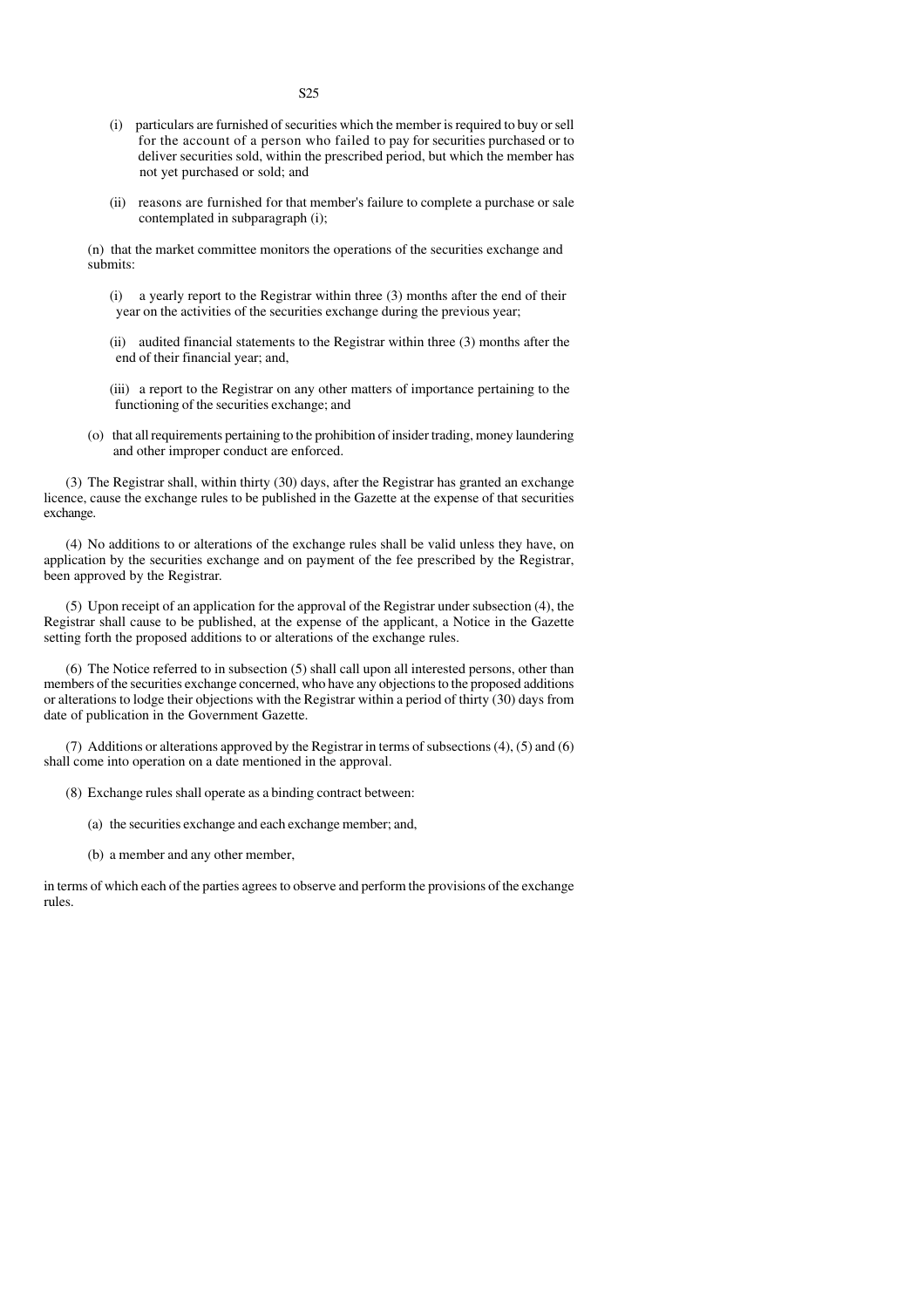- (i) particulars are furnished of securities which the member is required to buy or sell for the account of a person who failed to pay for securities purchased or to deliver securities sold, within the prescribed period, but which the member has not yet purchased or sold; and
- (ii) reasons are furnished for that member's failure to complete a purchase or sale contemplated in subparagraph (i);

(n) that the market committee monitors the operations of the securities exchange and submits:

- (i) a yearly report to the Registrar within three (3) months after the end of their year on the activities of the securities exchange during the previous year;
- (ii) audited financial statements to the Registrar within three (3) months after the end of their financial year; and,
- (iii) a report to the Registrar on any other matters of importance pertaining to the functioning of the securities exchange; and
- (o) that all requirements pertaining to the prohibition of insider trading, money laundering and other improper conduct are enforced.

(3) The Registrar shall, within thirty (30) days, after the Registrar has granted an exchange licence, cause the exchange rules to be published in the Gazette at the expense of that securities exchange.

(4) No additions to or alterations of the exchange rules shall be valid unless they have, on application by the securities exchange and on payment of the fee prescribed by the Registrar, been approved by the Registrar.

(5) Upon receipt of an application for the approval of the Registrar under subsection (4), the Registrar shall cause to be published, at the expense of the applicant, a Notice in the Gazette setting forth the proposed additions to or alterations of the exchange rules.

(6) The Notice referred to in subsection (5) shall call upon all interested persons, other than members of the securities exchange concerned, who have any objections to the proposed additions or alterations to lodge their objections with the Registrar within a period of thirty (30) days from date of publication in the Government Gazette.

(7) Additions or alterations approved by the Registrar in terms of subsections (4), (5) and (6) shall come into operation on a date mentioned in the approval.

- (8) Exchange rules shall operate as a binding contract between:
	- (a) the securities exchange and each exchange member; and,
	- (b) a member and any other member,

in terms of which each of the parties agrees to observe and perform the provisions of the exchange rules.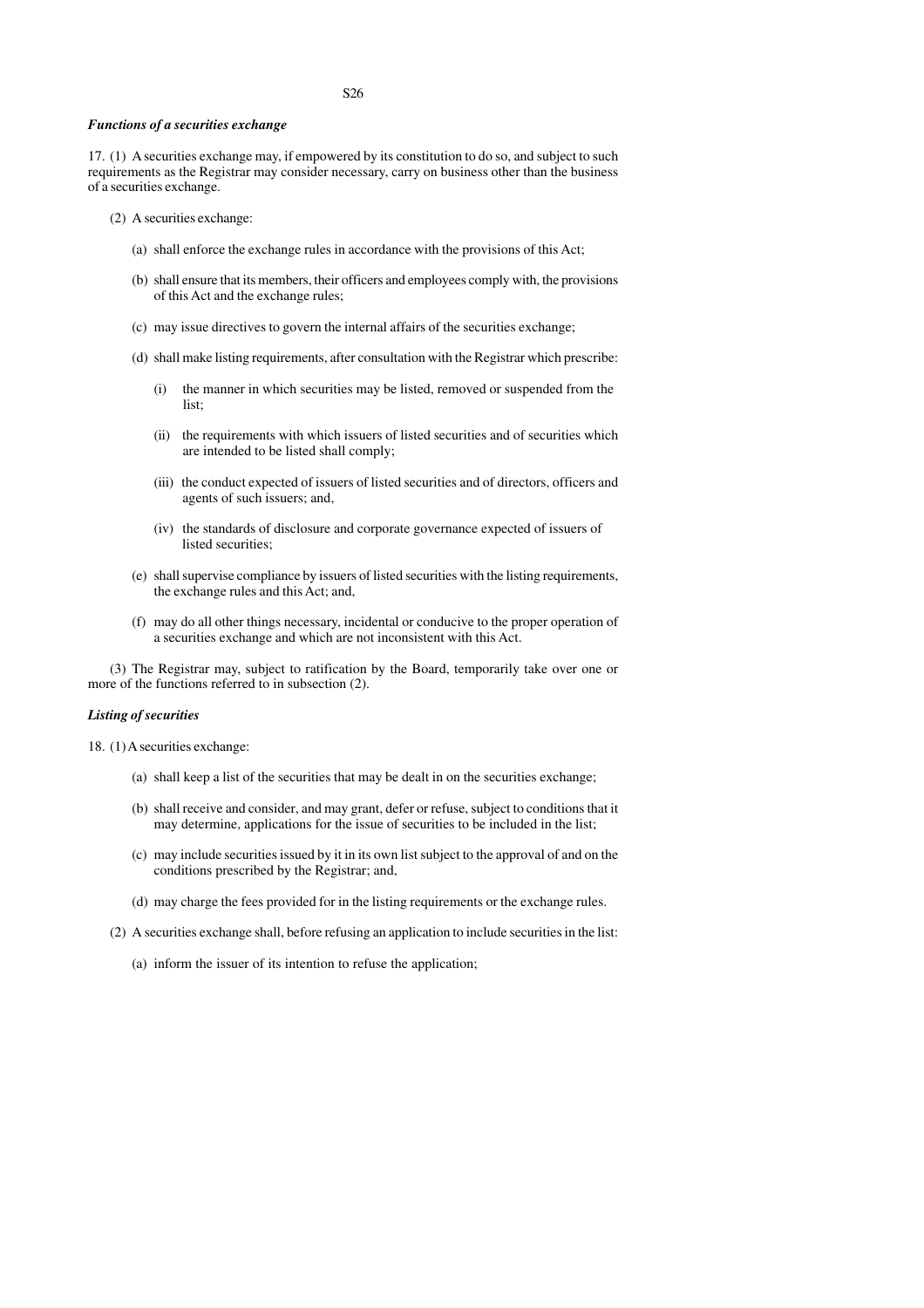#### *Functions of a securities exchange*

17. (1) A securities exchange may, if empowered by its constitution to do so, and subject to such requirements as the Registrar may consider necessary, carry on business other than the business of a securities exchange.

- (2) A securities exchange:
	- (a) shall enforce the exchange rules in accordance with the provisions of this Act;
	- (b) shall ensure that its members, their officers and employees comply with, the provisions of this Act and the exchange rules;
	- (c) may issue directives to govern the internal affairs of the securities exchange;
	- (d) shall make listing requirements, after consultation with the Registrar which prescribe:
		- (i) the manner in which securities may be listed, removed or suspended from the list;
		- (ii) the requirements with which issuers of listed securities and of securities which are intended to be listed shall comply;
		- (iii) the conduct expected of issuers of listed securities and of directors, officers and agents of such issuers; and,
		- (iv) the standards of disclosure and corporate governance expected of issuers of listed securities;
	- (e) shall supervise compliance by issuers of listed securities with the listing requirements, the exchange rules and this Act; and,
	- (f) may do all other things necessary, incidental or conducive to the proper operation of a securities exchange and which are not inconsistent with this Act.

(3) The Registrar may, subject to ratification by the Board, temporarily take over one or more of the functions referred to in subsection (2).

#### *Listing of securities*

18. (1) A securities exchange:

- (a) shall keep a list of the securities that may be dealt in on the securities exchange;
- (b) shall receive and consider, and may grant, defer or refuse, subject to conditions that it may determine, applications for the issue of securities to be included in the list;
- (c) may include securities issued by it in its own list subject to the approval of and on the conditions prescribed by the Registrar; and,
- (d) may charge the fees provided for in the listing requirements or the exchange rules.
- (2) A securities exchange shall, before refusing an application to include securities in the list:
	- (a) inform the issuer of its intention to refuse the application;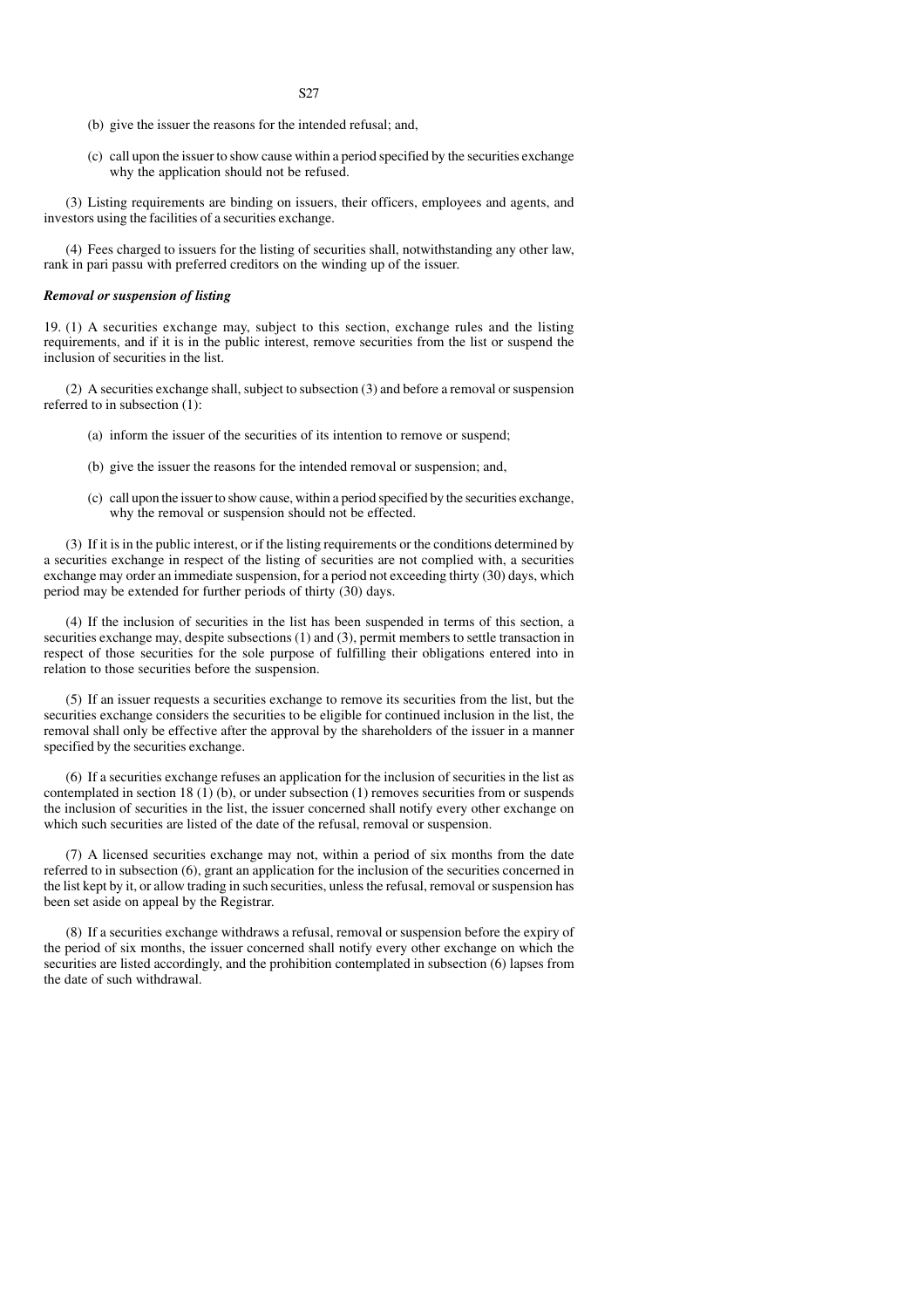- (b) give the issuer the reasons for the intended refusal; and,
- (c) call upon the issuer to show cause within a period specified by the securities exchange why the application should not be refused.

(3) Listing requirements are binding on issuers, their officers, employees and agents, and investors using the facilities of a securities exchange.

(4) Fees charged to issuers for the listing of securities shall, notwithstanding any other law, rank in pari passu with preferred creditors on the winding up of the issuer.

#### *Removal or suspension of listing*

19. (1) A securities exchange may, subject to this section, exchange rules and the listing requirements, and if it is in the public interest, remove securities from the list or suspend the inclusion of securities in the list.

(2) A securities exchange shall, subject to subsection (3) and before a removal or suspension referred to in subsection (1):

- (a) inform the issuer of the securities of its intention to remove or suspend;
- (b) give the issuer the reasons for the intended removal or suspension; and,
- (c) call upon the issuer to show cause, within a period specified by the securities exchange, why the removal or suspension should not be effected.

(3) If it is in the public interest, or if the listing requirements or the conditions determined by a securities exchange in respect of the listing of securities are not complied with, a securities exchange may order an immediate suspension, for a period not exceeding thirty (30) days, which period may be extended for further periods of thirty (30) days.

(4) If the inclusion of securities in the list has been suspended in terms of this section, a securities exchange may, despite subsections (1) and (3), permit members to settle transaction in respect of those securities for the sole purpose of fulfilling their obligations entered into in relation to those securities before the suspension.

(5) If an issuer requests a securities exchange to remove its securities from the list, but the securities exchange considers the securities to be eligible for continued inclusion in the list, the removal shall only be effective after the approval by the shareholders of the issuer in a manner specified by the securities exchange.

(6) If a securities exchange refuses an application for the inclusion of securities in the list as contemplated in section  $18(1)$  (b), or under subsection  $(1)$  removes securities from or suspends the inclusion of securities in the list, the issuer concerned shall notify every other exchange on which such securities are listed of the date of the refusal, removal or suspension.

(7) A licensed securities exchange may not, within a period of six months from the date referred to in subsection (6), grant an application for the inclusion of the securities concerned in the list kept by it, or allow trading in such securities, unless the refusal, removal or suspension has been set aside on appeal by the Registrar.

(8) If a securities exchange withdraws a refusal, removal or suspension before the expiry of the period of six months, the issuer concerned shall notify every other exchange on which the securities are listed accordingly, and the prohibition contemplated in subsection (6) lapses from the date of such withdrawal.

S27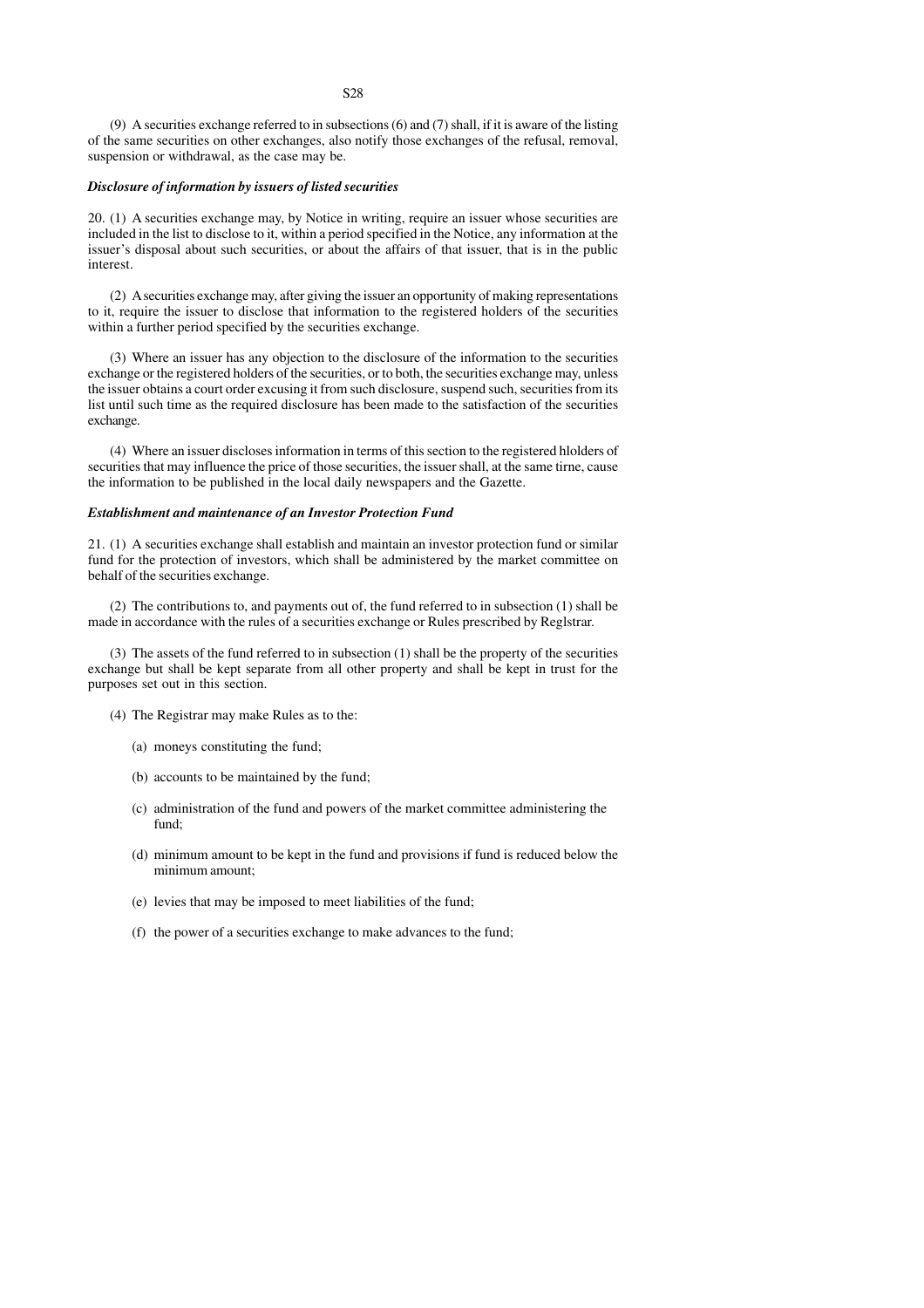(9) A securities exchange referred to in subsections (6) and (7) shall, if it is aware of the listing of the same securities on other exchanges, also notify those exchanges of the refusal, removal, suspension or withdrawal, as the case may be.

#### *Disclosure of information by issuers of listed securities*

20. (1) A securities exchange may, by Notice in writing, require an issuer whose securities are included in the list to disclose to it, within a period specified in the Notice, any information at the issuer's disposal about such securities, or about the affairs of that issuer, that is in the public interest.

(2) A securities exchange may, after giving the issuer an opportunity of making representations to it, require the issuer to disclose that information to the registered holders of the securities within a further period specified by the securities exchange.

(3) Where an issuer has any objection to the disclosure of the information to the securities exchange or the registered holders of the securities, or to both, the securities exchange may, unless the issuer obtains a court order excusing it from such disclosure, suspend such, securities from its list until such time as the required disclosure has been made to the satisfaction of the securities exchange.

(4) Where an issuer discloses information in terms of this section to the registered hlolders of securities that may influence the price of those securities, the issuer shall, at the same tirne, cause the information to be published in the local daily newspapers and the Gazette.

#### *Establishment and maintenance of an Investor Protection Fund*

21. (1) A securities exchange shall establish and maintain an investor protection fund or similar fund for the protection of investors, which shall be administered by the market committee on behalf of the securities exchange.

(2) The contributions to, and payments out of, the fund referred to in subsection (1) shall be made in accordance with the rules of a securities exchange or Rules prescribed by Reglstrar.

(3) The assets of the fund referred to in subsection (1) shall be the property of the securities exchange but shall be kept separate from all other property and shall be kept in trust for the purposes set out in this section.

- (4) The Registrar may make Rules as to the:
	- (a) moneys constituting the fund;
	- (b) accounts to be maintained by the fund;
	- (c) administration of the fund and powers of the market committee administering the fund;
	- (d) minimum amount to be kept in the fund and provisions if fund is reduced below the minimum amount;
	- (e) levies that may be imposed to meet liabilities of the fund;
	- (f) the power of a securities exchange to make advances to the fund;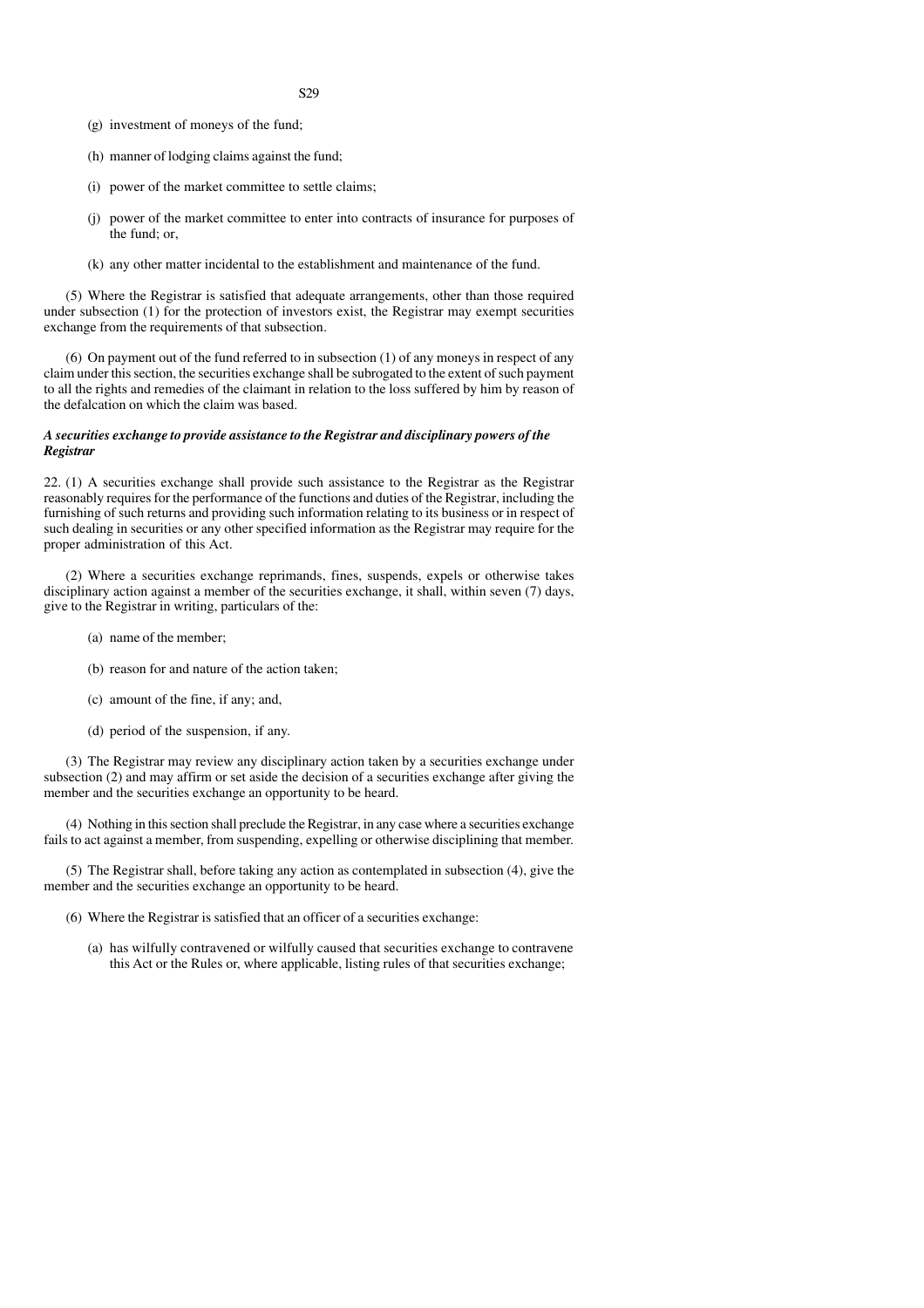- (g) investment of moneys of the fund;
- (h) manner of lodging claims against the fund;
- (i) power of the market committee to settle claims;
- (j) power of the market committee to enter into contracts of insurance for purposes of the fund; or,
- (k) any other matter incidental to the establishment and maintenance of the fund.

(5) Where the Registrar is satisfied that adequate arrangements, other than those required under subsection (1) for the protection of investors exist, the Registrar may exempt securities exchange from the requirements of that subsection.

(6) On payment out of the fund referred to in subsection (1) of any moneys in respect of any claim under this section, the securities exchange shall be subrogated to the extent of such payment to all the rights and remedies of the claimant in relation to the loss suffered by him by reason of the defalcation on which the claim was based.

#### *A securities exchange to provide assistance to the Registrar and disciplinary powers of the Registrar*

22. (1) A securities exchange shall provide such assistance to the Registrar as the Registrar reasonably requires for the performance of the functions and duties of the Registrar, including the furnishing of such returns and providing such information relating to its business or in respect of such dealing in securities or any other specified information as the Registrar may require for the proper administration of this Act.

(2) Where a securities exchange reprimands, fines, suspends, expels or otherwise takes disciplinary action against a member of the securities exchange, it shall, within seven (7) days, give to the Registrar in writing, particulars of the:

- (a) name of the member;
- (b) reason for and nature of the action taken;
- (c) amount of the fine, if any; and,
- (d) period of the suspension, if any.

(3) The Registrar may review any disciplinary action taken by a securities exchange under subsection (2) and may affirm or set aside the decision of a securities exchange after giving the member and the securities exchange an opportunity to be heard.

(4) Nothing in this section shall preclude the Registrar, in any case where a securities exchange fails to act against a member, from suspending, expelling or otherwise disciplining that member.

(5) The Registrar shall, before taking any action as contemplated in subsection (4), give the member and the securities exchange an opportunity to be heard.

- (6) Where the Registrar is satisfied that an officer of a securities exchange:
	- (a) has wilfully contravened or wilfully caused that securities exchange to contravene this Act or the Rules or, where applicable, listing rules of that securities exchange;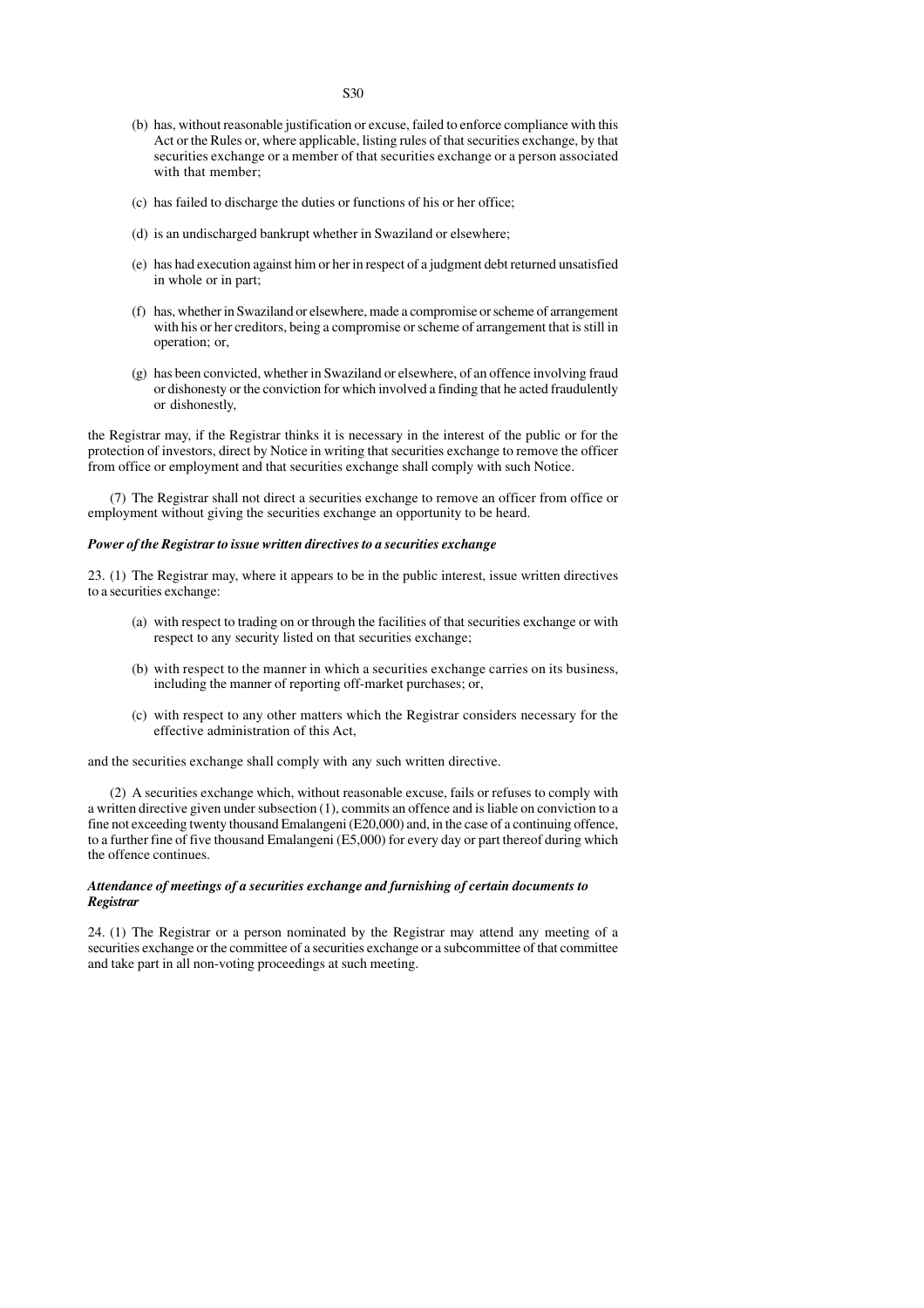- (b) has, without reasonable justification or excuse, failed to enforce compliance with this Act or the Rules or, where applicable, listing rules of that securities exchange, by that securities exchange or a member of that securities exchange or a person associated with that member:
- (c) has failed to discharge the duties or functions of his or her office;
- (d) is an undischarged bankrupt whether in Swaziland or elsewhere;
- (e) has had execution against him or her in respect of a judgment debt returned unsatisfied in whole or in part;
- (f) has, whether in Swaziland or elsewhere, made a compromise or scheme of arrangement with his or her creditors, being a compromise or scheme of arrangement that is still in operation; or,
- (g) has been convicted, whether in Swaziland or elsewhere, of an offence involving fraud or dishonesty or the conviction for which involved a finding that he acted fraudulently or dishonestly,

the Registrar may, if the Registrar thinks it is necessary in the interest of the public or for the protection of investors, direct by Notice in writing that securities exchange to remove the officer from office or employment and that securities exchange shall comply with such Notice.

(7) The Registrar shall not direct a securities exchange to remove an officer from office or employment without giving the securities exchange an opportunity to be heard.

#### *Power of the Registrar to issue written directives to a securities exchange*

23. (1) The Registrar may, where it appears to be in the public interest, issue written directives to a securities exchange:

- (a) with respect to trading on or through the facilities of that securities exchange or with respect to any security listed on that securities exchange;
- (b) with respect to the manner in which a securities exchange carries on its business, including the manner of reporting off-market purchases; or,
- (c) with respect to any other matters which the Registrar considers necessary for the effective administration of this Act,

and the securities exchange shall comply with any such written directive.

(2) A securities exchange which, without reasonable excuse, fails or refuses to comply with a written directive given under subsection (1), commits an offence and is liable on conviction to a fine not exceeding twenty thousand Emalangeni (E20,000) and, in the case of a continuing offence, to a further fine of five thousand Emalangeni (E5,000) for every day or part thereof during which the offence continues.

#### *Attendance of meetings of a securities exchange and furnishing of certain documents to Registrar*

24. (1) The Registrar or a person nominated by the Registrar may attend any meeting of a securities exchange or the committee of a securities exchange or a subcommittee of that committee and take part in all non-voting proceedings at such meeting.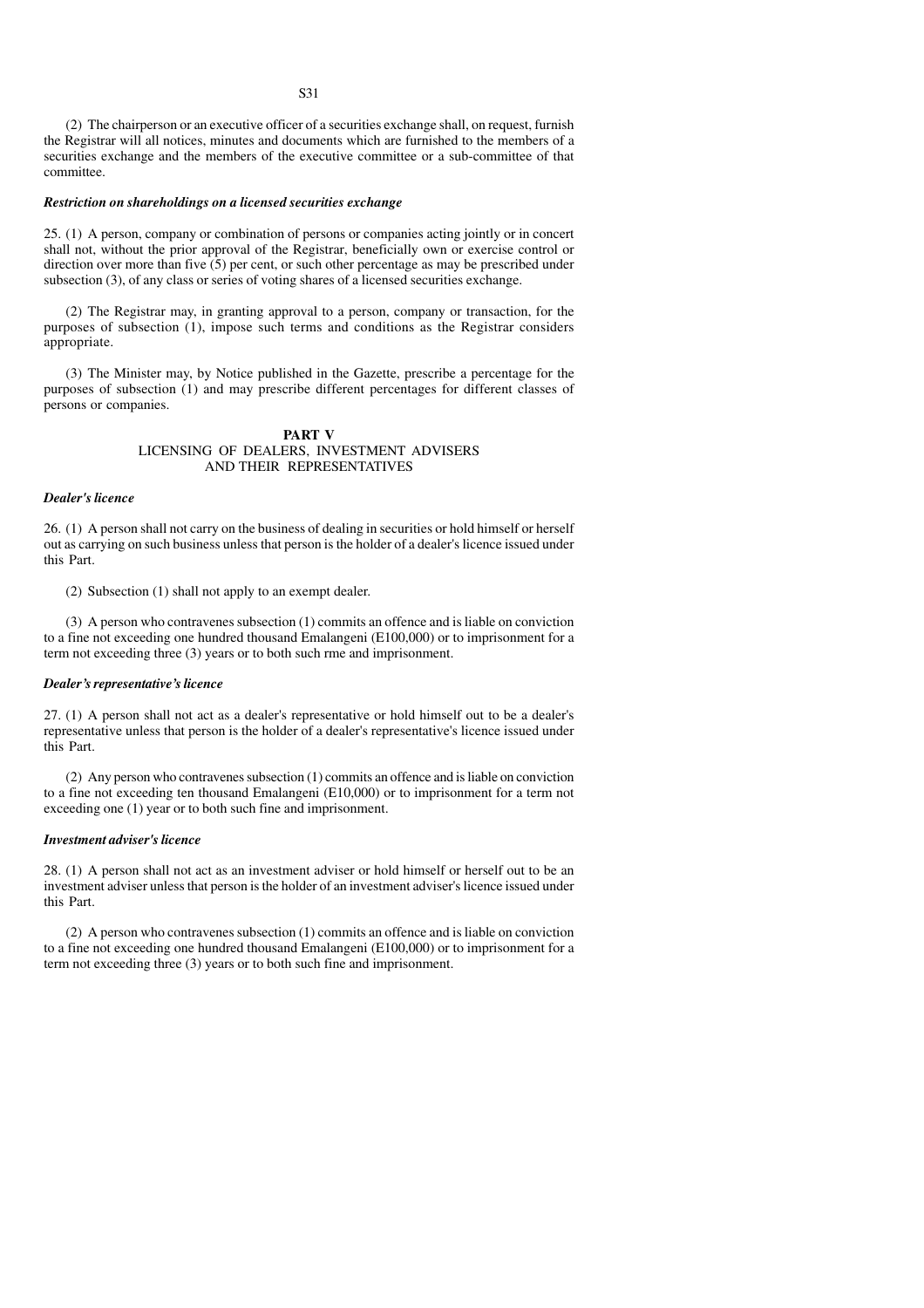(2) The chairperson or an executive officer of a securities exchange shall, on request, furnish the Registrar will all notices, minutes and documents which are furnished to the members of a securities exchange and the members of the executive committee or a sub-committee of that committee.

#### *Restriction on shareholdings on a licensed securities exchange*

25. (1) A person, company or combination of persons or companies acting jointly or in concert shall not, without the prior approval of the Registrar, beneficially own or exercise control or direction over more than five (5) per cent, or such other percentage as may be prescribed under subsection (3), of any class or series of voting shares of a licensed securities exchange.

(2) The Registrar may, in granting approval to a person, company or transaction, for the purposes of subsection (1), impose such terms and conditions as the Registrar considers appropriate.

(3) The Minister may, by Notice published in the Gazette, prescribe a percentage for the purposes of subsection (1) and may prescribe different percentages for different classes of persons or companies.

#### **PART V** LICENSING OF DEALERS, INVESTMENT ADVISERS AND THEIR REPRESENTATIVES

#### *Dealer's licence*

26. (1) A person shall not carry on the business of dealing in securities or hold himself or herself out as carrying on such business unless that person is the holder of a dealer's licence issued under this Part.

(2) Subsection (1) shall not apply to an exempt dealer.

(3) A person who contravenes subsection (1) commits an offence and is liable on conviction to a fine not exceeding one hundred thousand Emalangeni (E100,000) or to imprisonment for a term not exceeding three (3) years or to both such rme and imprisonment.

#### *Dealer's representative's licence*

27. (1) A person shall not act as a dealer's representative or hold himself out to be a dealer's representative unless that person is the holder of a dealer's representative's licence issued under this Part.

(2) Any person who contravenes subsection (1) commits an offence and is liable on conviction to a fine not exceeding ten thousand Emalangeni (E10,000) or to imprisonment for a term not exceeding one (1) year or to both such fine and imprisonment.

#### *Investment adviser's licence*

28. (1) A person shall not act as an investment adviser or hold himself or herself out to be an investment adviser unless that person is the holder of an investment adviser's licence issued under this Part.

(2) A person who contravenes subsection (1) commits an offence and is liable on conviction to a fine not exceeding one hundred thousand Emalangeni (E100,000) or to imprisonment for a term not exceeding three (3) years or to both such fine and imprisonment.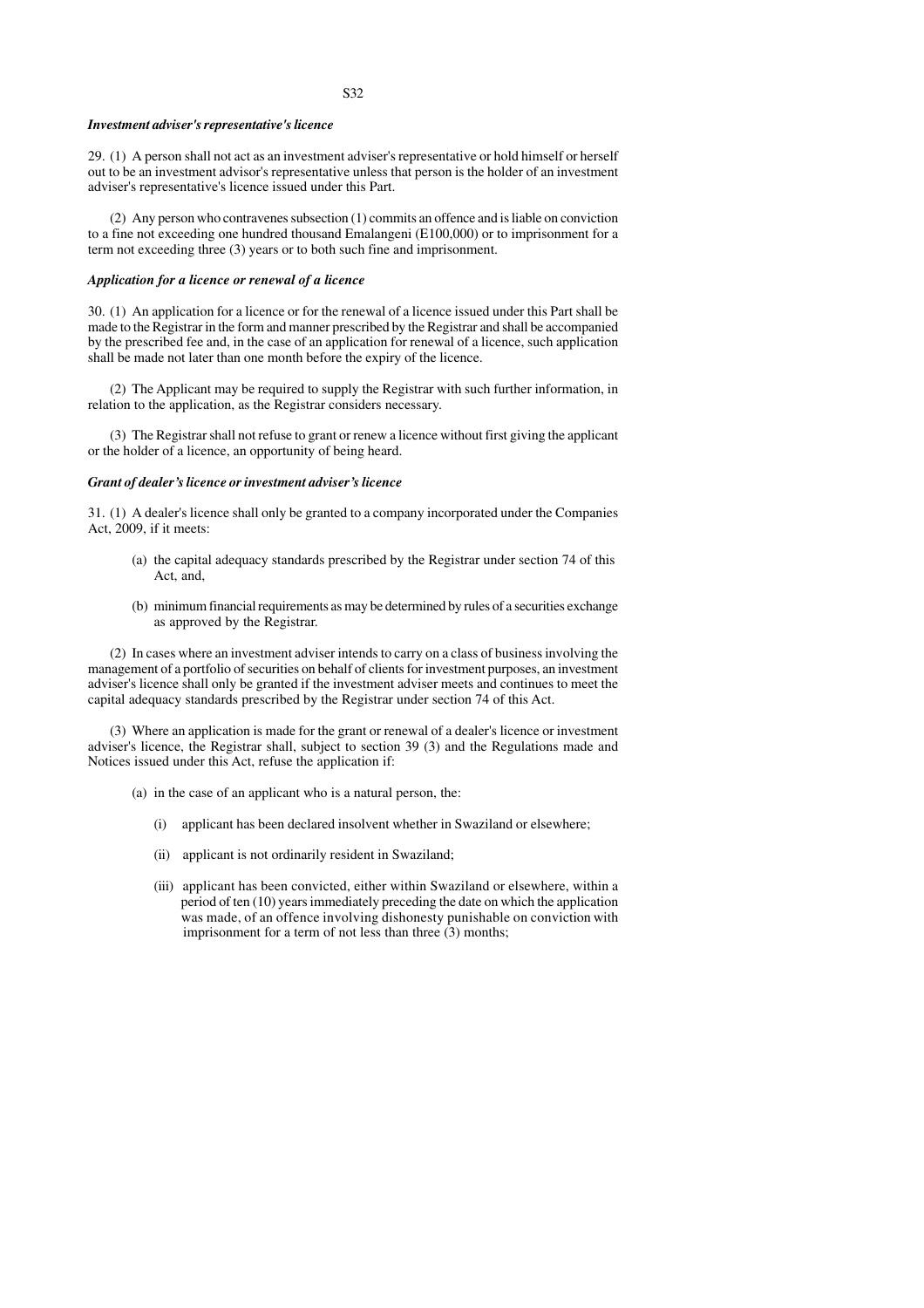#### *Investment adviser's representative's licence*

29. (1) A person shall not act as an investment adviser's representative or hold himself or herself out to be an investment advisor's representative unless that person is the holder of an investment adviser's representative's licence issued under this Part.

(2) Any person who contravenes subsection (1) commits an offence and is liable on conviction to a fine not exceeding one hundred thousand Emalangeni (E100,000) or to imprisonment for a term not exceeding three (3) years or to both such fine and imprisonment.

#### *Application for a licence or renewal of a licence*

30. (1) An application for a licence or for the renewal of a licence issued under this Part shall be made to the Registrar in the form and manner prescribed by the Registrar and shall be accompanied by the prescribed fee and, in the case of an application for renewal of a licence, such application shall be made not later than one month before the expiry of the licence.

(2) The Applicant may be required to supply the Registrar with such further information, in relation to the application, as the Registrar considers necessary.

(3) The Registrar shall not refuse to grant or renew a licence without first giving the applicant or the holder of a licence, an opportunity of being heard.

#### *Grant of dealer's licence or investment adviser's licence*

31. (1) A dealer's licence shall only be granted to a company incorporated under the Companies Act, 2009, if it meets:

- (a) the capital adequacy standards prescribed by the Registrar under section 74 of this Act, and,
- (b) minimum financial requirements as may be determined by rules of a securities exchange as approved by the Registrar.

(2) In cases where an investment adviser intends to carry on a class of business involving the management of a portfolio of securities on behalf of clients for investment purposes, an investment adviser's licence shall only be granted if the investment adviser meets and continues to meet the capital adequacy standards prescribed by the Registrar under section 74 of this Act.

(3) Where an application is made for the grant or renewal of a dealer's licence or investment adviser's licence, the Registrar shall, subject to section 39 (3) and the Regulations made and Notices issued under this Act, refuse the application if:

- (a) in the case of an applicant who is a natural person, the:
	- (i) applicant has been declared insolvent whether in Swaziland or elsewhere;
	- (ii) applicant is not ordinarily resident in Swaziland;
	- (iii) applicant has been convicted, either within Swaziland or elsewhere, within a period of ten (10) years immediately preceding the date on which the application was made, of an offence involving dishonesty punishable on conviction with imprisonment for a term of not less than three  $(3)$  months;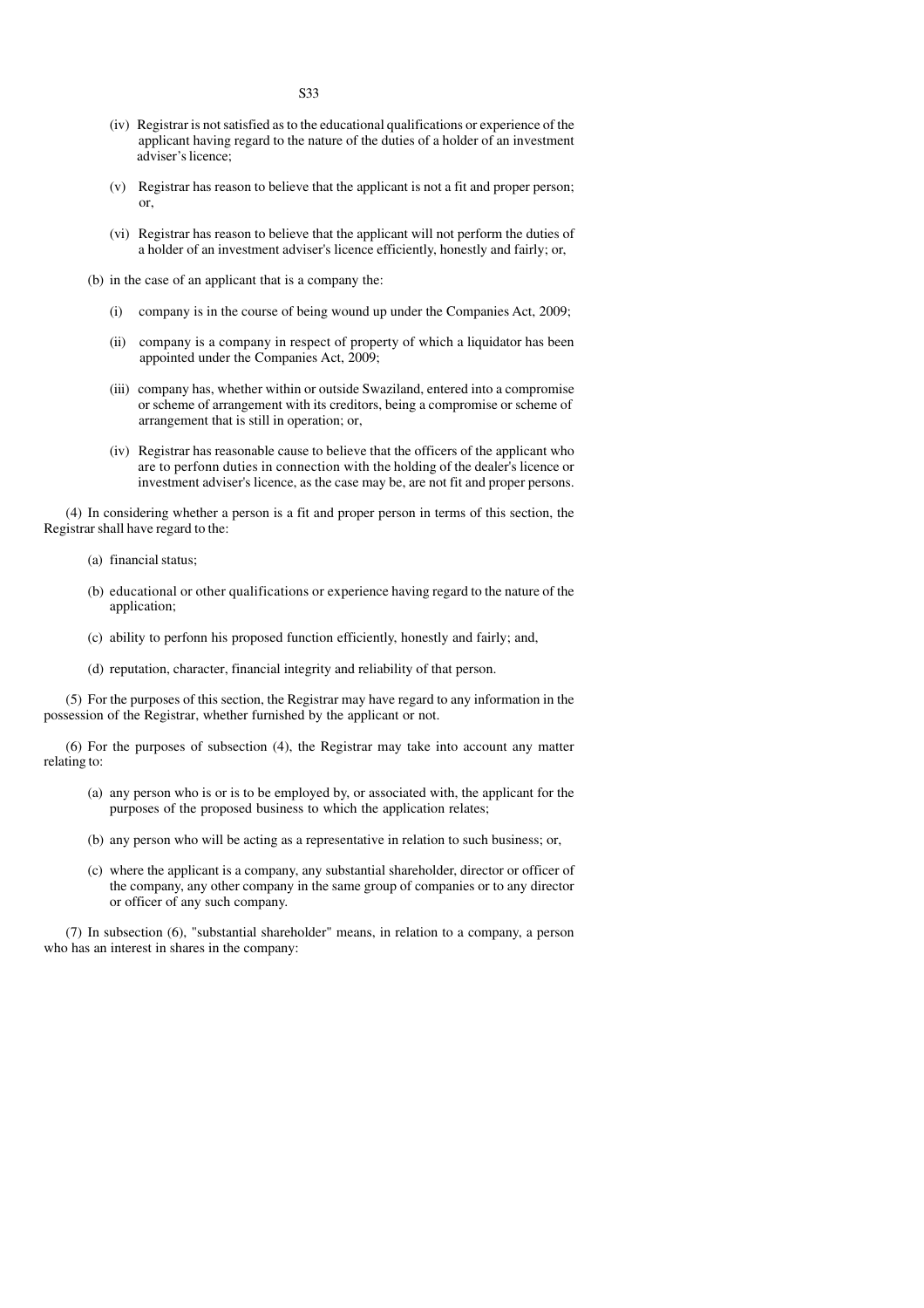- (iv) Registrar is not satisfied as to the educational qualifications or experience of the applicant having regard to the nature of the duties of a holder of an investment adviser's licence;
- (v) Registrar has reason to believe that the applicant is not a fit and proper person; or,
- (vi) Registrar has reason to believe that the applicant will not perform the duties of a holder of an investment adviser's licence efficiently, honestly and fairly; or,
- (b) in the case of an applicant that is a company the:
	- (i) company is in the course of being wound up under the Companies Act, 2009;
	- (ii) company is a company in respect of property of which a liquidator has been appointed under the Companies Act, 2009;
	- (iii) company has, whether within or outside Swaziland, entered into a compromise or scheme of arrangement with its creditors, being a compromise or scheme of arrangement that is still in operation; or,
	- (iv) Registrar has reasonable cause to believe that the officers of the applicant who are to perfonn duties in connection with the holding of the dealer's licence or investment adviser's licence, as the case may be, are not fit and proper persons.

(4) In considering whether a person is a fit and proper person in terms of this section, the Registrar shall have regard to the:

- (a) financial status;
- (b) educational or other qualifications or experience having regard to the nature of the application;
- (c) ability to perfonn his proposed function efficiently, honestly and fairly; and,
- (d) reputation, character, financial integrity and reliability of that person.

(5) For the purposes of this section, the Registrar may have regard to any information in the possession of the Registrar, whether furnished by the applicant or not.

(6) For the purposes of subsection (4), the Registrar may take into account any matter relating to:

- (a) any person who is or is to be employed by, or associated with, the applicant for the purposes of the proposed business to which the application relates;
- (b) any person who will be acting as a representative in relation to such business; or,
- (c) where the applicant is a company, any substantial shareholder, director or officer of the company, any other company in the same group of companies or to any director or officer of any such company.

(7) In subsection (6), "substantial shareholder" means, in relation to a company, a person who has an interest in shares in the company: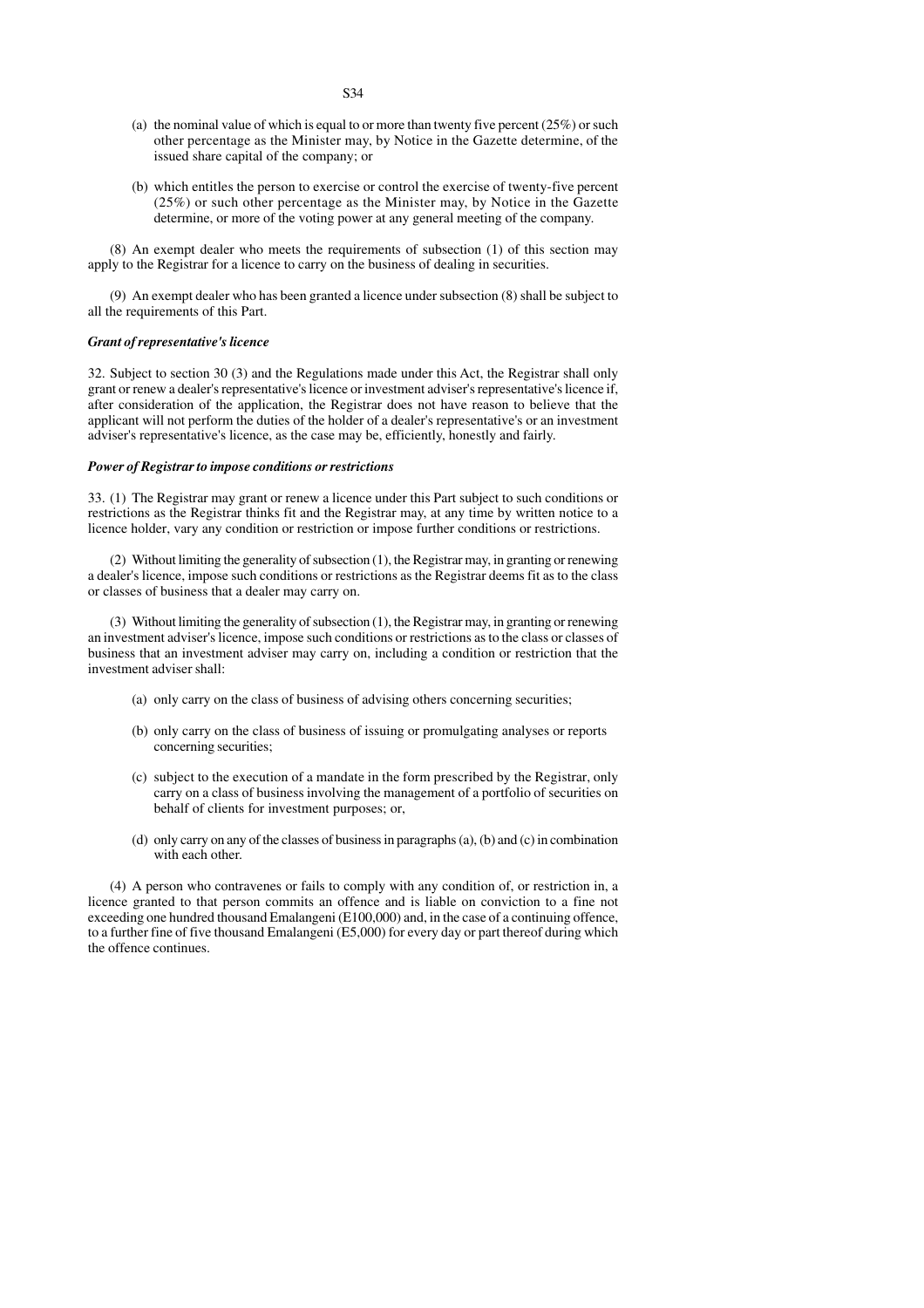- (a) the nominal value of which is equal to or more than twenty five percent  $(25%)$  or such other percentage as the Minister may, by Notice in the Gazette determine, of the issued share capital of the company; or
- (b) which entitles the person to exercise or control the exercise of twenty-five percent (25%) or such other percentage as the Minister may, by Notice in the Gazette determine, or more of the voting power at any general meeting of the company.

(8) An exempt dealer who meets the requirements of subsection (1) of this section may apply to the Registrar for a licence to carry on the business of dealing in securities.

(9) An exempt dealer who has been granted a licence under subsection (8) shall be subject to all the requirements of this Part.

### *Grant of representative's licence*

32. Subject to section 30 (3) and the Regulations made under this Act, the Registrar shall only grant or renew a dealer's representative's licence or investment adviser's representative's licence if, after consideration of the application, the Registrar does not have reason to believe that the applicant will not perform the duties of the holder of a dealer's representative's or an investment adviser's representative's licence, as the case may be, efficiently, honestly and fairly.

# *Power of Registrar to impose conditions or restrictions*

33. (1) The Registrar may grant or renew a licence under this Part subject to such conditions or restrictions as the Registrar thinks fit and the Registrar may, at any time by written notice to a licence holder, vary any condition or restriction or impose further conditions or restrictions.

(2) Without limiting the generality of subsection (1), the Registrar may, in granting or renewing a dealer's licence, impose such conditions or restrictions as the Registrar deems fit as to the class or classes of business that a dealer may carry on.

(3) Without limiting the generality of subsection (1), the Registrar may, in granting or renewing an investment adviser's licence, impose such conditions or restrictions as to the class or classes of business that an investment adviser may carry on, including a condition or restriction that the investment adviser shall:

- (a) only carry on the class of business of advising others concerning securities;
- (b) only carry on the class of business of issuing or promulgating analyses or reports concerning securities;
- (c) subject to the execution of a mandate in the form prescribed by the Registrar, only carry on a class of business involving the management of a portfolio of securities on behalf of clients for investment purposes; or,
- (d) only carry on any of the classes of business in paragraphs (a), (b) and (c) in combination with each other.

(4) A person who contravenes or fails to comply with any condition of, or restriction in, a licence granted to that person commits an offence and is liable on conviction to a fine not exceeding one hundred thousand Emalangeni (E100,000) and, in the case of a continuing offence, to a further fine of five thousand Emalangeni (E5,000) for every day or part thereof during which the offence continues.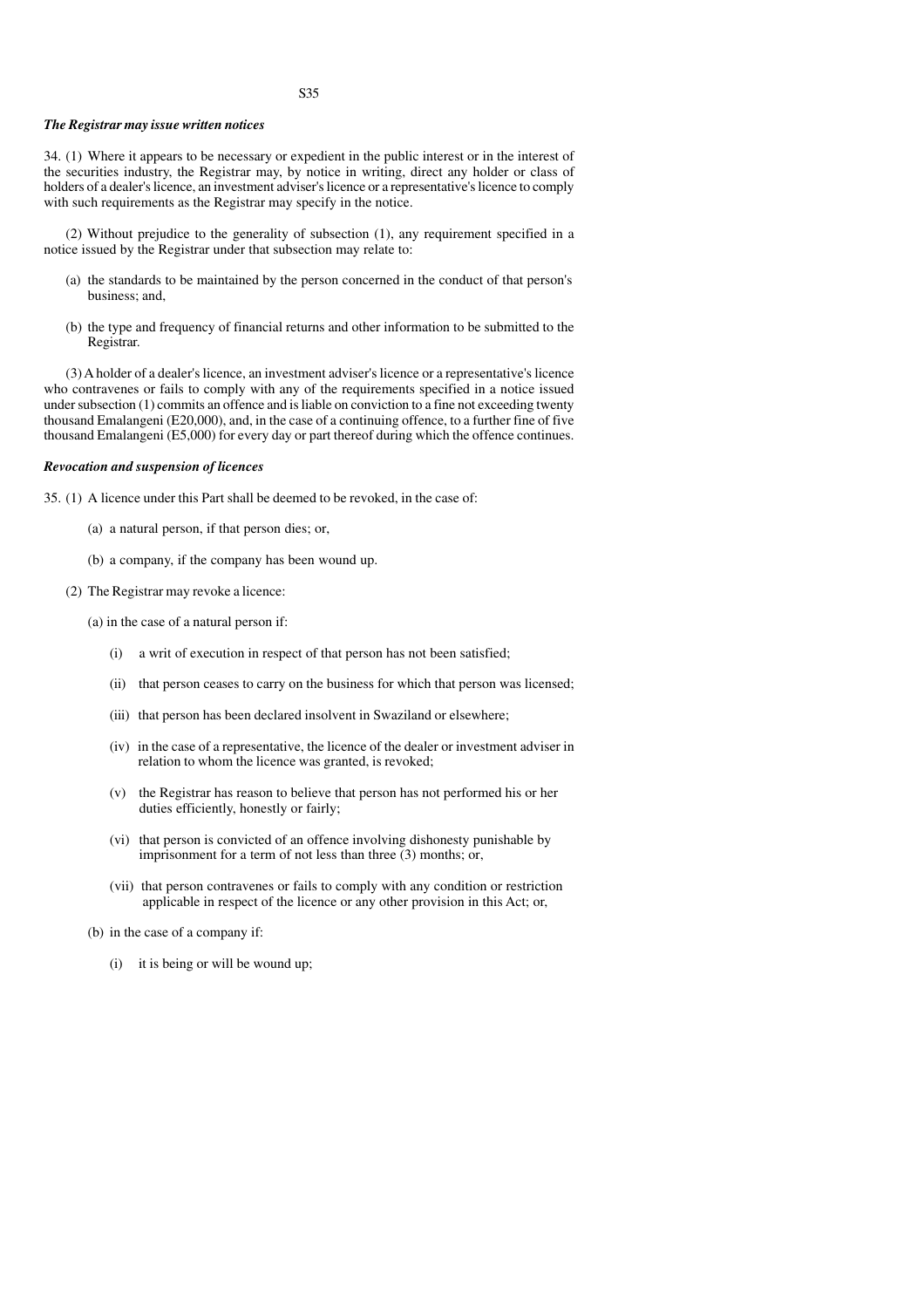# *The Registrar may issue written notices*

34. (1) Where it appears to be necessary or expedient in the public interest or in the interest of the securities industry, the Registrar may, by notice in writing, direct any holder or class of holders of a dealer's licence, an investment adviser's licence or a representative's licence to comply with such requirements as the Registrar may specify in the notice.

(2) Without prejudice to the generality of subsection (1), any requirement specified in a notice issued by the Registrar under that subsection may relate to:

- (a) the standards to be maintained by the person concerned in the conduct of that person's business; and,
- (b) the type and frequency of financial returns and other information to be submitted to the Registrar.

(3) A holder of a dealer's licence, an investment adviser's licence or a representative's licence who contravenes or fails to comply with any of the requirements specified in a notice issued under subsection (1) commits an offence and is liable on conviction to a fine not exceeding twenty thousand Emalangeni (E20,000), and, in the case of a continuing offence, to a further fine of five thousand Emalangeni (E5,000) for every day or part thereof during which the offence continues.

# *Revocation and suspension of licences*

35. (1) A licence under this Part shall be deemed to be revoked, in the case of:

- (a) a natural person, if that person dies; or,
- (b) a company, if the company has been wound up.
- (2) The Registrar may revoke a licence:

(a) in the case of a natural person if:

- (i) a writ of execution in respect of that person has not been satisfied;
- (ii) that person ceases to carry on the business for which that person was licensed;
- (iii) that person has been declared insolvent in Swaziland or elsewhere;
- (iv) in the case of a representative, the licence of the dealer or investment adviser in relation to whom the licence was granted, is revoked;
- (v) the Registrar has reason to believe that person has not performed his or her duties efficiently, honestly or fairly;
- (vi) that person is convicted of an offence involving dishonesty punishable by imprisonment for a term of not less than three (3) months; or,
- (vii) that person contravenes or fails to comply with any condition or restriction applicable in respect of the licence or any other provision in this Act; or,
- (b) in the case of a company if:
	- (i) it is being or will be wound up;

#### S35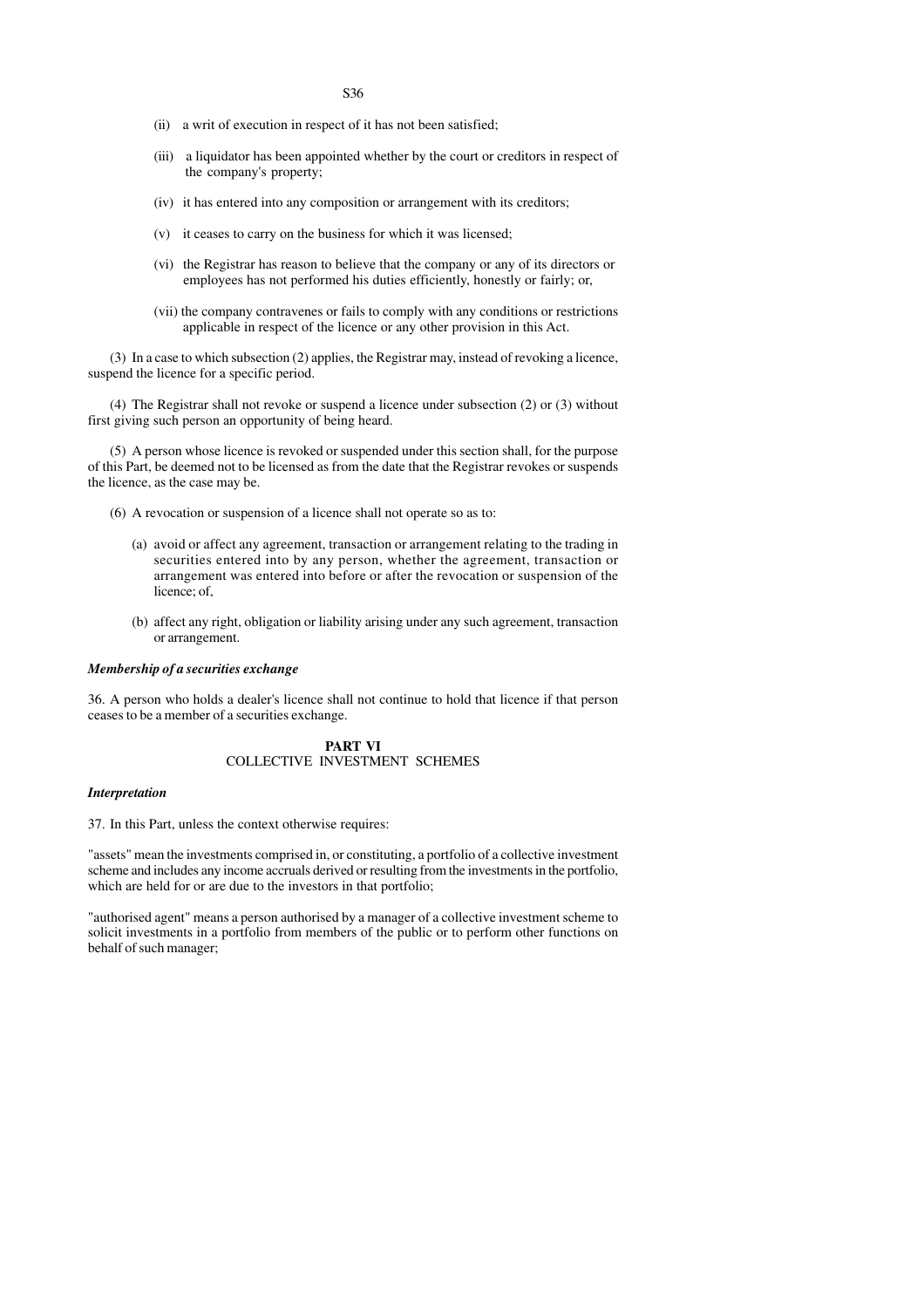S36

- (ii) a writ of execution in respect of it has not been satisfied;
- (iii) a liquidator has been appointed whether by the court or creditors in respect of the company's property;
- (iv) it has entered into any composition or arrangement with its creditors;
- (v) it ceases to carry on the business for which it was licensed;
- (vi) the Registrar has reason to believe that the company or any of its directors or employees has not performed his duties efficiently, honestly or fairly; or,
- (vii) the company contravenes or fails to comply with any conditions or restrictions applicable in respect of the licence or any other provision in this Act.

(3) In a case to which subsection (2) applies, the Registrar may, instead of revoking a licence, suspend the licence for a specific period.

(4) The Registrar shall not revoke or suspend a licence under subsection (2) or (3) without first giving such person an opportunity of being heard.

(5) A person whose licence is revoked or suspended under this section shall, for the purpose of this Part, be deemed not to be licensed as from the date that the Registrar revokes or suspends the licence, as the case may be.

- (6) A revocation or suspension of a licence shall not operate so as to:
	- (a) avoid or affect any agreement, transaction or arrangement relating to the trading in securities entered into by any person, whether the agreement, transaction or arrangement was entered into before or after the revocation or suspension of the licence; of,
	- (b) affect any right, obligation or liability arising under any such agreement, transaction or arrangement.

# *Membership of a securities exchange*

36. A person who holds a dealer's licence shall not continue to hold that licence if that person ceases to be a member of a securities exchange.

# **PART VI** COLLECTIVE INVESTMENT SCHEMES

# *Interpretation*

37. In this Part, unless the context otherwise requires:

"assets" mean the investments comprised in, or constituting, a portfolio of a collective investment scheme and includes any income accruals derived or resulting from the investments in the portfolio, which are held for or are due to the investors in that portfolio;

"authorised agent" means a person authorised by a manager of a collective investment scheme to solicit investments in a portfolio from members of the public or to perform other functions on behalf of such manager;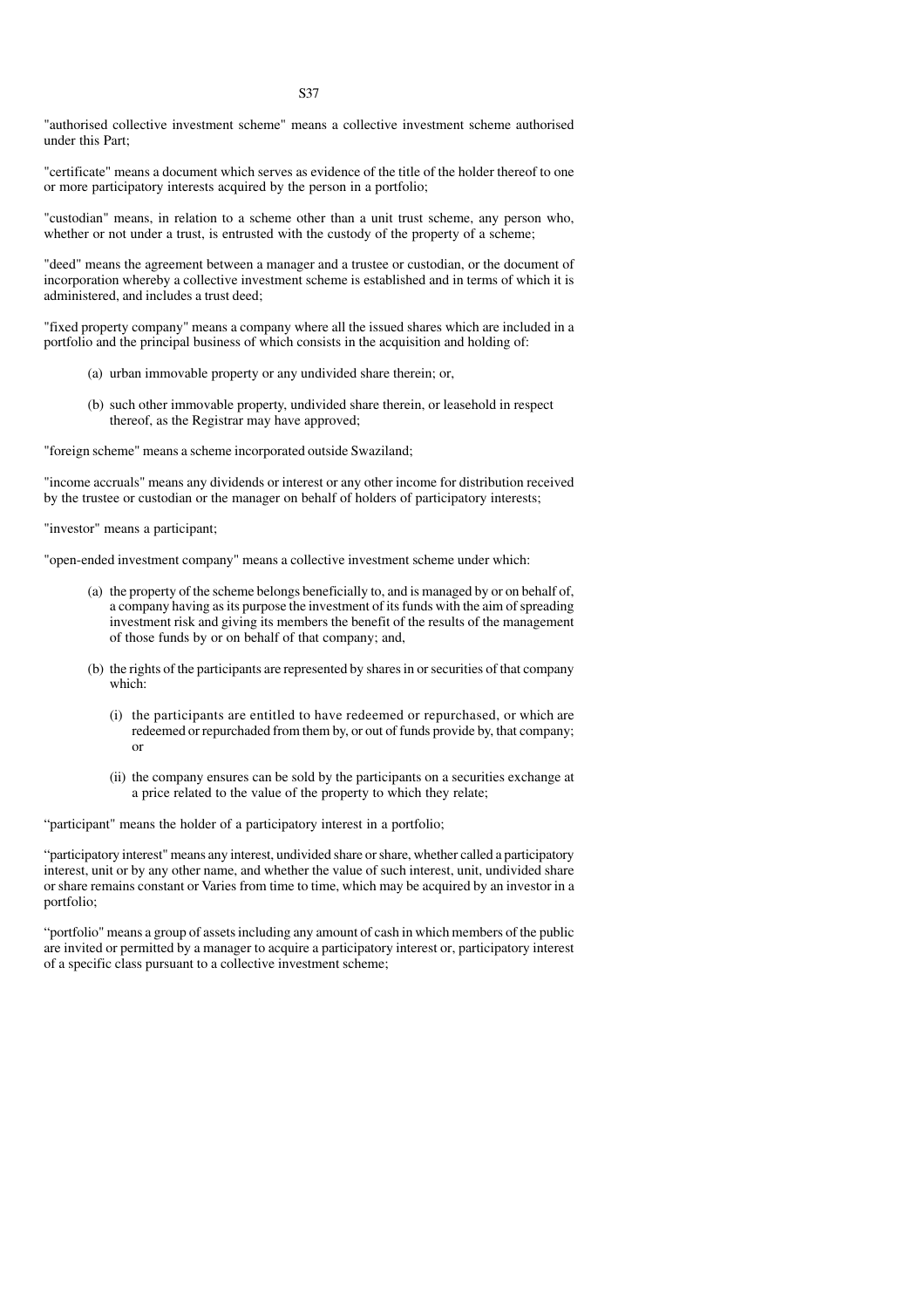"authorised collective investment scheme" means a collective investment scheme authorised under this Part;

"certificate" means a document which serves as evidence of the title of the holder thereof to one or more participatory interests acquired by the person in a portfolio;

"custodian" means, in relation to a scheme other than a unit trust scheme, any person who, whether or not under a trust, is entrusted with the custody of the property of a scheme;

"deed" means the agreement between a manager and a trustee or custodian, or the document of incorporation whereby a collective investment scheme is established and in terms of which it is administered, and includes a trust deed;

"fixed property company" means a company where all the issued shares which are included in a portfolio and the principal business of which consists in the acquisition and holding of:

- (a) urban immovable property or any undivided share therein; or,
- (b) such other immovable property, undivided share therein, or leasehold in respect thereof, as the Registrar may have approved;

"foreign scheme" means a scheme incorporated outside Swaziland;

"income accruals" means any dividends or interest or any other income for distribution received by the trustee or custodian or the manager on behalf of holders of participatory interests;

"investor" means a participant;

"open-ended investment company" means a collective investment scheme under which:

- (a) the property of the scheme belongs beneficially to, and is managed by or on behalf of, a company having as its purpose the investment of its funds with the aim of spreading investment risk and giving its members the benefit of the results of the management of those funds by or on behalf of that company; and,
- (b) the rights of the participants are represented by shares in or securities of that company which:
	- (i) the participants are entitled to have redeemed or repurchased, or which are redeemed or repurchaded from them by, or out of funds provide by, that company; or
	- (ii) the company ensures can be sold by the participants on a securities exchange at a price related to the value of the property to which they relate;

"participant" means the holder of a participatory interest in a portfolio;

"participatory interest" means any interest, undivided share or share, whether called a participatory interest, unit or by any other name, and whether the value of such interest, unit, undivided share or share remains constant or Varies from time to time, which may be acquired by an investor in a portfolio;

"portfolio" means a group of assets including any amount of cash in which members of the public are invited or permitted by a manager to acquire a participatory interest or, participatory interest of a specific class pursuant to a collective investment scheme;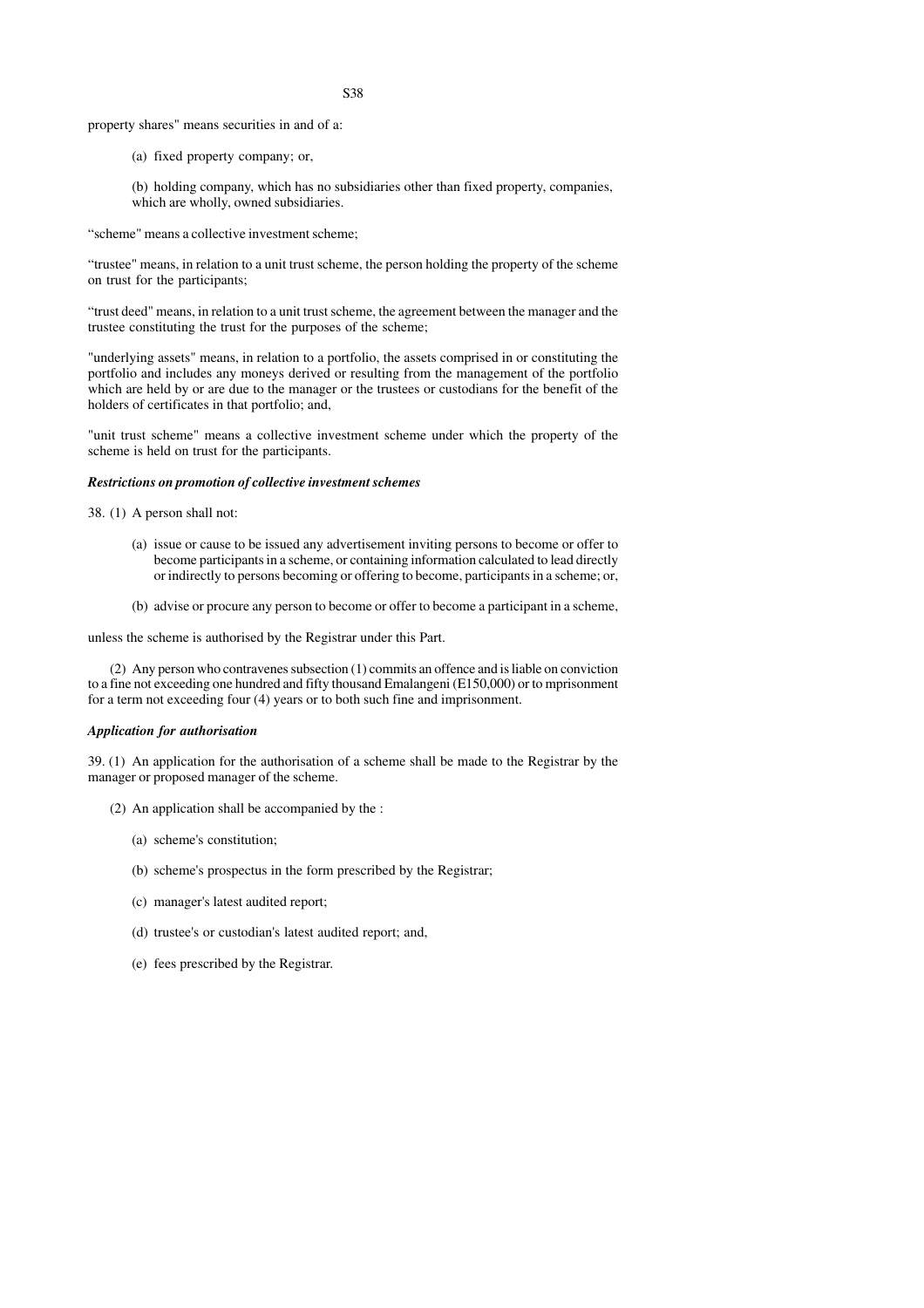property shares" means securities in and of a:

(a) fixed property company; or,

(b) holding company, which has no subsidiaries other than fixed property, companies, which are wholly, owned subsidiaries.

"scheme" means a collective investment scheme;

"trustee" means, in relation to a unit trust scheme, the person holding the property of the scheme on trust for the participants;

"trust deed" means, in relation to a unit trust scheme, the agreement between the manager and the trustee constituting the trust for the purposes of the scheme;

"underlying assets" means, in relation to a portfolio, the assets comprised in or constituting the portfolio and includes any moneys derived or resulting from the management of the portfolio which are held by or are due to the manager or the trustees or custodians for the benefit of the holders of certificates in that portfolio; and,

"unit trust scheme" means a collective investment scheme under which the property of the scheme is held on trust for the participants.

## *Restrictions on promotion of collective investment schemes*

38. (1) A person shall not:

- (a) issue or cause to be issued any advertisement inviting persons to become or offer to become participants in a scheme, or containing information calculated to lead directly or indirectly to persons becoming or offering to become, participants in a scheme; or,
- (b) advise or procure any person to become or offer to become a participant in a scheme,

unless the scheme is authorised by the Registrar under this Part.

(2) Any person who contravenes subsection (1) commits an offence and is liable on conviction to a fine not exceeding one hundred and fifty thousand Emalangeni (E150,000) or to mprisonment for a term not exceeding four (4) years or to both such fine and imprisonment.

#### *Application for authorisation*

39. (1) An application for the authorisation of a scheme shall be made to the Registrar by the manager or proposed manager of the scheme.

- (2) An application shall be accompanied by the :
	- (a) scheme's constitution;
	- (b) scheme's prospectus in the form prescribed by the Registrar;
	- (c) manager's latest audited report;
	- (d) trustee's or custodian's latest audited report; and,
	- (e) fees prescribed by the Registrar.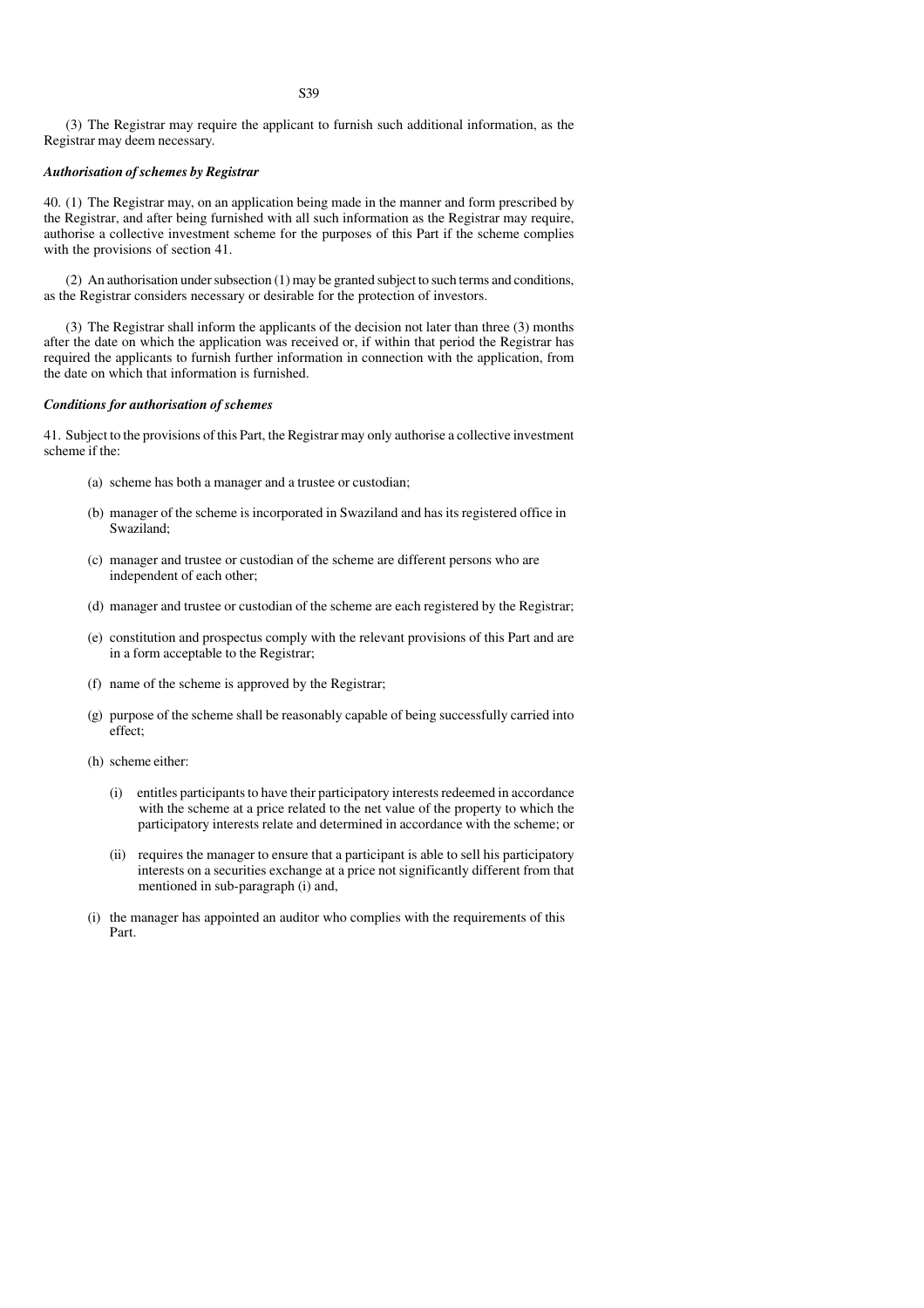(3) The Registrar may require the applicant to furnish such additional information, as the Registrar may deem necessary.

# *Authorisation of schemes by Registrar*

40. (1) The Registrar may, on an application being made in the manner and form prescribed by the Registrar, and after being furnished with all such information as the Registrar may require, authorise a collective investment scheme for the purposes of this Part if the scheme complies with the provisions of section 41.

(2) An authorisation under subsection (1) may be granted subject to such terms and conditions, as the Registrar considers necessary or desirable for the protection of investors.

(3) The Registrar shall inform the applicants of the decision not later than three (3) months after the date on which the application was received or, if within that period the Registrar has required the applicants to furnish further information in connection with the application, from the date on which that information is furnished.

#### *Conditions for authorisation of schemes*

41. Subject to the provisions of this Part, the Registrar may only authorise a collective investment scheme if the:

- (a) scheme has both a manager and a trustee or custodian;
- (b) manager of the scheme is incorporated in Swaziland and has its registered office in Swaziland;
- (c) manager and trustee or custodian of the scheme are different persons who are independent of each other;
- (d) manager and trustee or custodian of the scheme are each registered by the Registrar;
- (e) constitution and prospectus comply with the relevant provisions of this Part and are in a form acceptable to the Registrar;
- (f) name of the scheme is approved by the Registrar;
- (g) purpose of the scheme shall be reasonably capable of being successfully carried into effect;
- (h) scheme either:
	- (i) entitles participants to have their participatory interests redeemed in accordance with the scheme at a price related to the net value of the property to which the participatory interests relate and determined in accordance with the scheme; or
	- (ii) requires the manager to ensure that a participant is able to sell his participatory interests on a securities exchange at a price not significantly different from that mentioned in sub-paragraph (i) and,
- (i) the manager has appointed an auditor who complies with the requirements of this Part.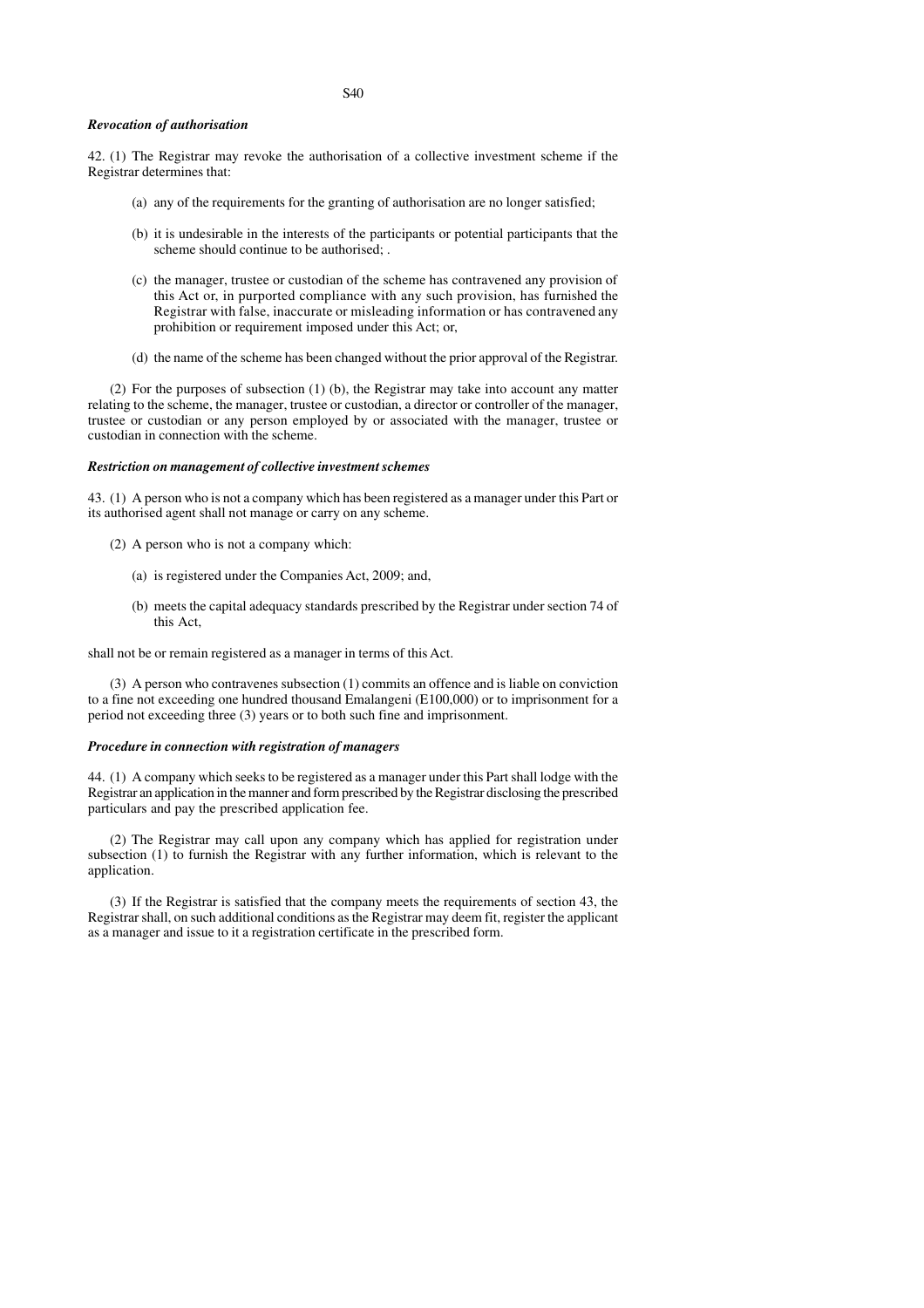#### *Revocation of authorisation*

42. (1) The Registrar may revoke the authorisation of a collective investment scheme if the Registrar determines that:

- (a) any of the requirements for the granting of authorisation are no longer satisfied;
- (b) it is undesirable in the interests of the participants or potential participants that the scheme should continue to be authorised; .
- (c) the manager, trustee or custodian of the scheme has contravened any provision of this Act or, in purported compliance with any such provision, has furnished the Registrar with false, inaccurate or misleading information or has contravened any prohibition or requirement imposed under this Act; or,
- (d) the name of the scheme has been changed without the prior approval of the Registrar.

(2) For the purposes of subsection (1) (b), the Registrar may take into account any matter relating to the scheme, the manager, trustee or custodian, a director or controller of the manager, trustee or custodian or any person employed by or associated with the manager, trustee or custodian in connection with the scheme.

# *Restriction on management of collective investment schemes*

43. (1) A person who is not a company which has been registered as a manager under this Part or its authorised agent shall not manage or carry on any scheme.

- (2) A person who is not a company which:
	- (a) is registered under the Companies Act, 2009; and,
	- (b) meets the capital adequacy standards prescribed by the Registrar under section 74 of this Act,

shall not be or remain registered as a manager in terms of this Act.

(3) A person who contravenes subsection (1) commits an offence and is liable on conviction to a fine not exceeding one hundred thousand Emalangeni (E100,000) or to imprisonment for a period not exceeding three (3) years or to both such fine and imprisonment.

## *Procedure in connection with registration of managers*

44. (1) A company which seeks to be registered as a manager under this Part shall lodge with the Registrar an application in the manner and form prescribed by the Registrar disclosing the prescribed particulars and pay the prescribed application fee.

(2) The Registrar may call upon any company which has applied for registration under subsection (1) to furnish the Registrar with any further information, which is relevant to the application.

(3) If the Registrar is satisfied that the company meets the requirements of section 43, the Registrar shall, on such additional conditions as the Registrar may deem fit, register the applicant as a manager and issue to it a registration certificate in the prescribed form.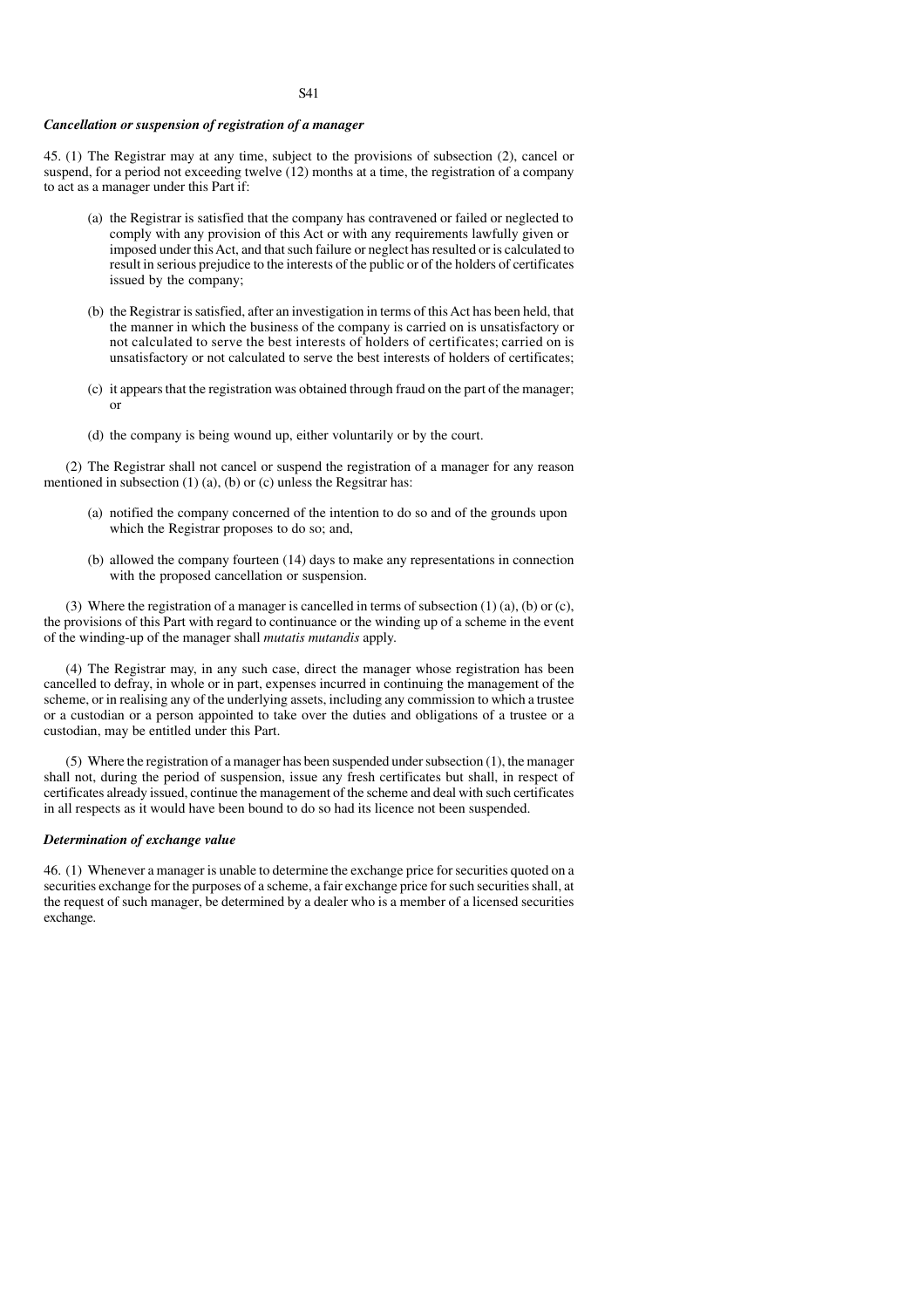# *Cancellation or suspension of registration of a manager*

45. (1) The Registrar may at any time, subject to the provisions of subsection (2), cancel or suspend, for a period not exceeding twelve (12) months at a time, the registration of a company to act as a manager under this Part if:

- (a) the Registrar is satisfied that the company has contravened or failed or neglected to comply with any provision of this Act or with any requirements lawfully given or imposed under this Act, and that such failure or neglect has resulted or is calculated to result in serious prejudice to the interests of the public or of the holders of certificates issued by the company;
- (b) the Registrar is satisfied, after an investigation in terms of this Act has been held, that the manner in which the business of the company is carried on is unsatisfactory or not calculated to serve the best interests of holders of certificates; carried on is unsatisfactory or not calculated to serve the best interests of holders of certificates;
- (c) it appears that the registration was obtained through fraud on the part of the manager; or
- (d) the company is being wound up, either voluntarily or by the court.

(2) The Registrar shall not cancel or suspend the registration of a manager for any reason mentioned in subsection (1) (a), (b) or (c) unless the Regsitrar has:

- (a) notified the company concerned of the intention to do so and of the grounds upon which the Registrar proposes to do so; and,
- (b) allowed the company fourteen (14) days to make any representations in connection with the proposed cancellation or suspension.

(3) Where the registration of a manager is cancelled in terms of subsection  $(1)$   $(a)$ ,  $(b)$  or  $(c)$ , the provisions of this Part with regard to continuance or the winding up of a scheme in the event of the winding-up of the manager shall *mutatis mutandis* apply.

(4) The Registrar may, in any such case, direct the manager whose registration has been cancelled to defray, in whole or in part, expenses incurred in continuing the management of the scheme, or in realising any of the underlying assets, including any commission to which a trustee or a custodian or a person appointed to take over the duties and obligations of a trustee or a custodian, may be entitled under this Part.

(5) Where the registration of a manager has been suspended under subsection (1), the manager shall not, during the period of suspension, issue any fresh certificates but shall, in respect of certificates already issued, continue the management of the scheme and deal with such certificates in all respects as it would have been bound to do so had its licence not been suspended.

### *Determination of exchange value*

46. (1) Whenever a manager is unable to determine the exchange price for securities quoted on a securities exchange for the purposes of a scheme, a fair exchange price for such securities shall, at the request of such manager, be determined by a dealer who is a member of a licensed securities exchange.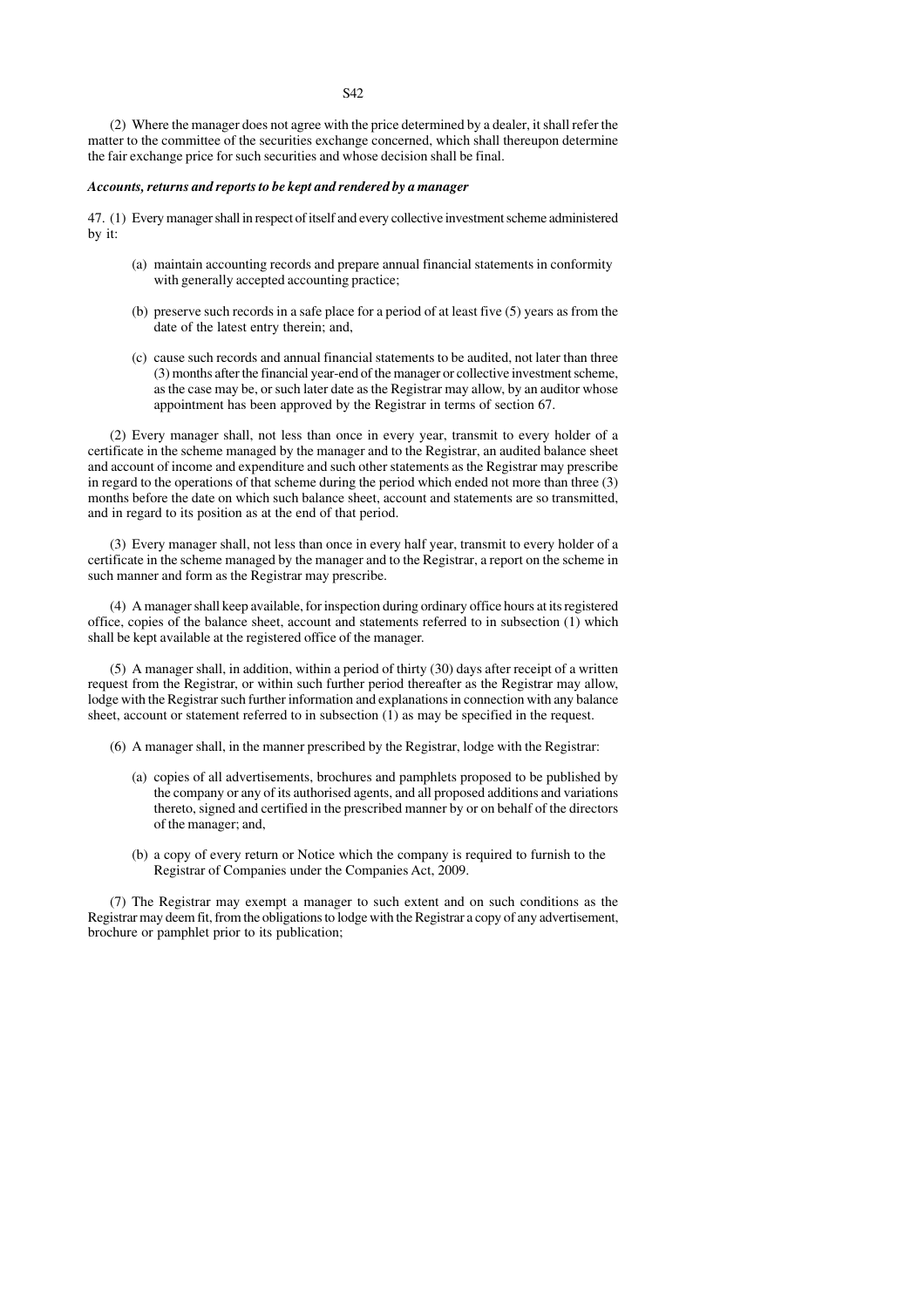(2) Where the manager does not agree with the price determined by a dealer, it shall refer the matter to the committee of the securities exchange concerned, which shall thereupon determine the fair exchange price for such securities and whose decision shall be final.

## *Accounts, returns and reports to be kept and rendered by a manager*

47. (1) Every manager shall in respect of itself and every collective investment scheme administered by it:

- (a) maintain accounting records and prepare annual financial statements in conformity with generally accepted accounting practice;
- (b) preserve such records in a safe place for a period of at least five (5) years as from the date of the latest entry therein; and,
- (c) cause such records and annual financial statements to be audited, not later than three (3) months after the financial year-end of the manager or collective investment scheme, as the case may be, or such later date as the Registrar may allow, by an auditor whose appointment has been approved by the Registrar in terms of section 67.

(2) Every manager shall, not less than once in every year, transmit to every holder of a certificate in the scheme managed by the manager and to the Registrar, an audited balance sheet and account of income and expenditure and such other statements as the Registrar may prescribe in regard to the operations of that scheme during the period which ended not more than three (3) months before the date on which such balance sheet, account and statements are so transmitted, and in regard to its position as at the end of that period.

(3) Every manager shall, not less than once in every half year, transmit to every holder of a certificate in the scheme managed by the manager and to the Registrar, a report on the scheme in such manner and form as the Registrar may prescribe.

(4) A manager shall keep available, for inspection during ordinary office hours at its registered office, copies of the balance sheet, account and statements referred to in subsection (1) which shall be kept available at the registered office of the manager.

(5) A manager shall, in addition, within a period of thirty (30) days after receipt of a written request from the Registrar, or within such further period thereafter as the Registrar may allow, lodge with the Registrar such further information and explanations in connection with any balance sheet, account or statement referred to in subsection  $(1)$  as may be specified in the request.

- (6) A manager shall, in the manner prescribed by the Registrar, lodge with the Registrar:
	- (a) copies of all advertisements, brochures and pamphlets proposed to be published by the company or any of its authorised agents, and all proposed additions and variations thereto, signed and certified in the prescribed manner by or on behalf of the directors of the manager; and,
	- (b) a copy of every return or Notice which the company is required to furnish to the Registrar of Companies under the Companies Act, 2009.

(7) The Registrar may exempt a manager to such extent and on such conditions as the Registrar may deem fit, from the obligations to lodge with the Registrar a copy of any advertisement, brochure or pamphlet prior to its publication;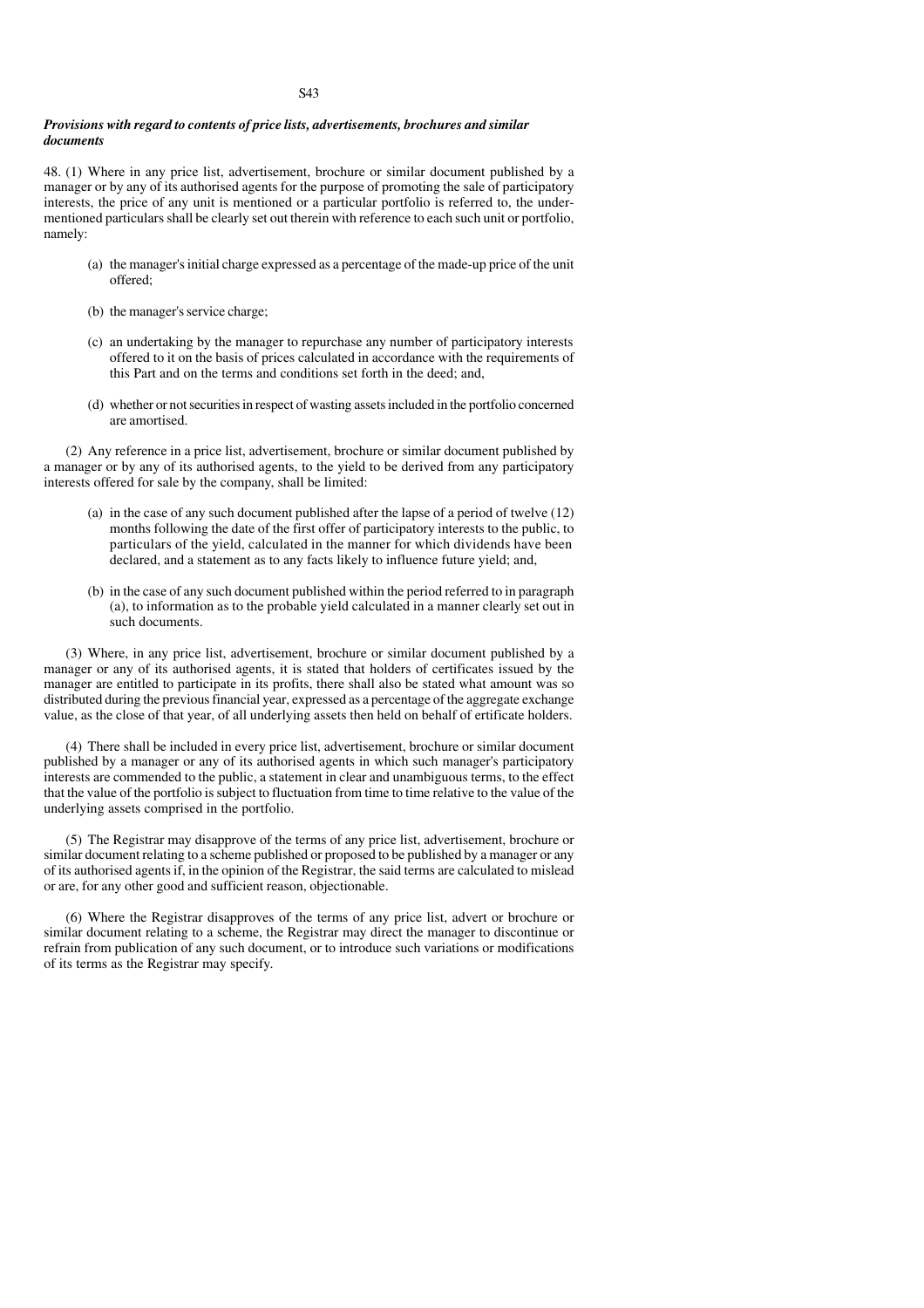# *Provisions with regard to contents of price lists, advertisements, brochures and similar documents*

48. (1) Where in any price list, advertisement, brochure or similar document published by a manager or by any of its authorised agents for the purpose of promoting the sale of participatory interests, the price of any unit is mentioned or a particular portfolio is referred to, the undermentioned particulars shall be clearly set out therein with reference to each such unit or portfolio, namely:

- (a) the manager's initial charge expressed as a percentage of the made-up price of the unit offered;
- (b) the manager's service charge;
- (c) an undertaking by the manager to repurchase any number of participatory interests offered to it on the basis of prices calculated in accordance with the requirements of this Part and on the terms and conditions set forth in the deed; and,
- (d) whether or not securities in respect of wasting assets included in the portfolio concerned are amortised.

(2) Any reference in a price list, advertisement, brochure or similar document published by a manager or by any of its authorised agents, to the yield to be derived from any participatory interests offered for sale by the company, shall be limited:

- (a) in the case of any such document published after the lapse of a period of twelve (12) months following the date of the first offer of participatory interests to the public, to particulars of the yield, calculated in the manner for which dividends have been declared, and a statement as to any facts likely to influence future yield; and,
- (b) in the case of any such document published within the period referred to in paragraph (a), to information as to the probable yield calculated in a manner clearly set out in such documents.

(3) Where, in any price list, advertisement, brochure or similar document published by a manager or any of its authorised agents, it is stated that holders of certificates issued by the manager are entitled to participate in its profits, there shall also be stated what amount was so distributed during the previous financial year, expressed as a percentage of the aggregate exchange value, as the close of that year, of all underlying assets then held on behalf of ertificate holders.

(4) There shall be included in every price list, advertisement, brochure or similar document published by a manager or any of its authorised agents in which such manager's participatory interests are commended to the public, a statement in clear and unambiguous terms, to the effect that the value of the portfolio is subject to fluctuation from time to time relative to the value of the underlying assets comprised in the portfolio.

(5) The Registrar may disapprove of the terms of any price list, advertisement, brochure or similar document relating to a scheme published or proposed to be published by a manager or any of its authorised agents if, in the opinion of the Registrar, the said terms are calculated to mislead or are, for any other good and sufficient reason, objectionable.

(6) Where the Registrar disapproves of the terms of any price list, advert or brochure or similar document relating to a scheme, the Registrar may direct the manager to discontinue or refrain from publication of any such document, or to introduce such variations or modifications of its terms as the Registrar may specify.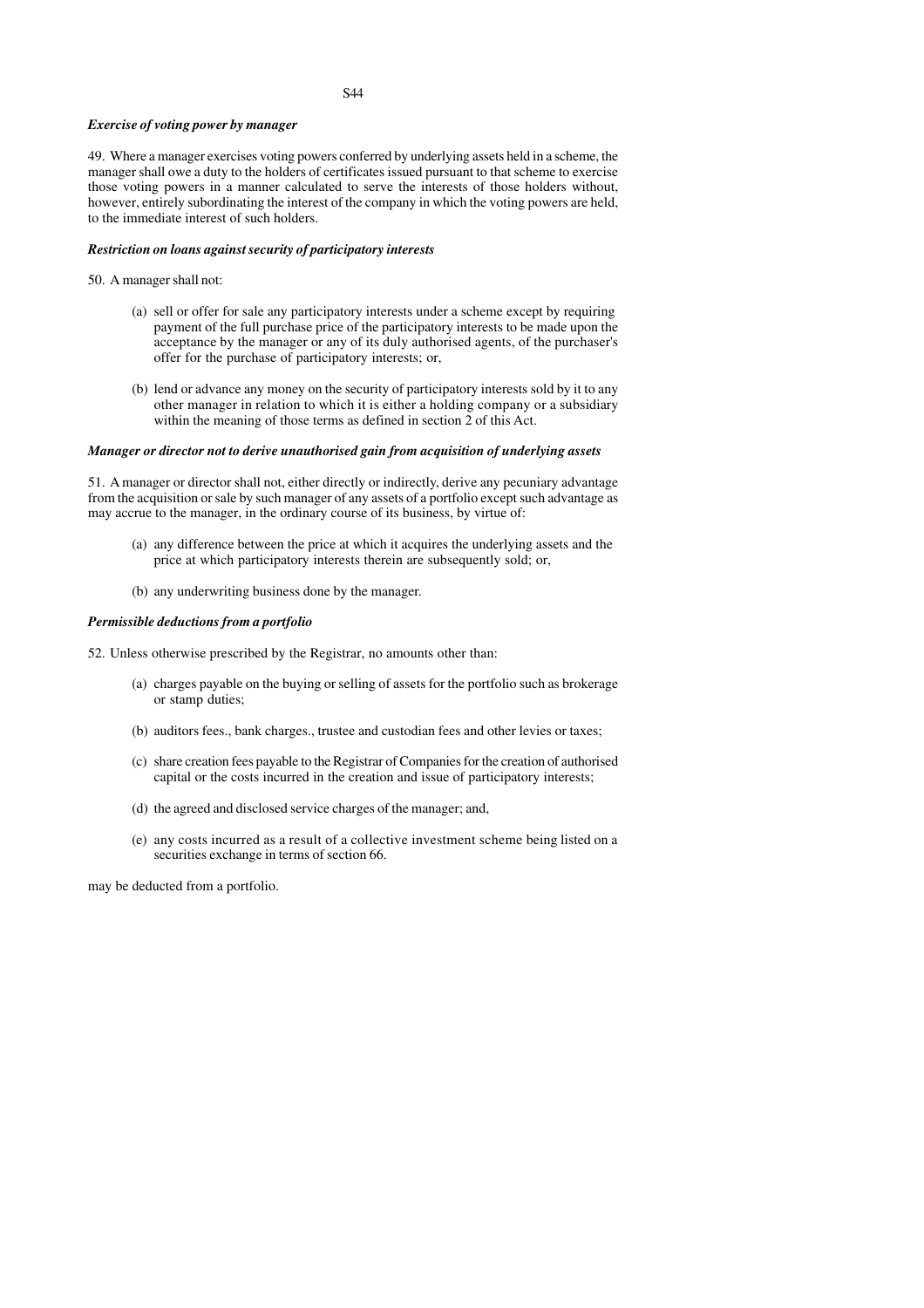## *Exercise of voting power by manager*

49. Where a manager exercises voting powers conferred by underlying assets held in a scheme, the manager shall owe a duty to the holders of certificates issued pursuant to that scheme to exercise those voting powers in a manner calculated to serve the interests of those holders without, however, entirely subordinating the interest of the company in which the voting powers are held, to the immediate interest of such holders.

## *Restriction on loans against security of participatory interests*

## 50. A manager shall not:

- (a) sell or offer for sale any participatory interests under a scheme except by requiring payment of the full purchase price of the participatory interests to be made upon the acceptance by the manager or any of its duly authorised agents, of the purchaser's offer for the purchase of participatory interests; or,
- (b) lend or advance any money on the security of participatory interests sold by it to any other manager in relation to which it is either a holding company or a subsidiary within the meaning of those terms as defined in section 2 of this Act.

# *Manager or director not to derive unauthorised gain from acquisition of underlying assets*

51. A manager or director shall not, either directly or indirectly, derive any pecuniary advantage from the acquisition or sale by such manager of any assets of a portfolio except such advantage as may accrue to the manager, in the ordinary course of its business, by virtue of:

- (a) any difference between the price at which it acquires the underlying assets and the price at which participatory interests therein are subsequently sold; or,
- (b) any underwriting business done by the manager.

## *Permissible deductions from a portfolio*

- 52. Unless otherwise prescribed by the Registrar, no amounts other than:
	- (a) charges payable on the buying or selling of assets for the portfolio such as brokerage or stamp duties;
	- (b) auditors fees., bank charges., trustee and custodian fees and other levies or taxes;
	- (c) share creation fees payable to the Registrar of Companies for the creation of authorised capital or the costs incurred in the creation and issue of participatory interests;
	- (d) the agreed and disclosed service charges of the manager; and,
	- (e) any costs incurred as a result of a collective investment scheme being listed on a securities exchange in terms of section 66.

may be deducted from a portfolio.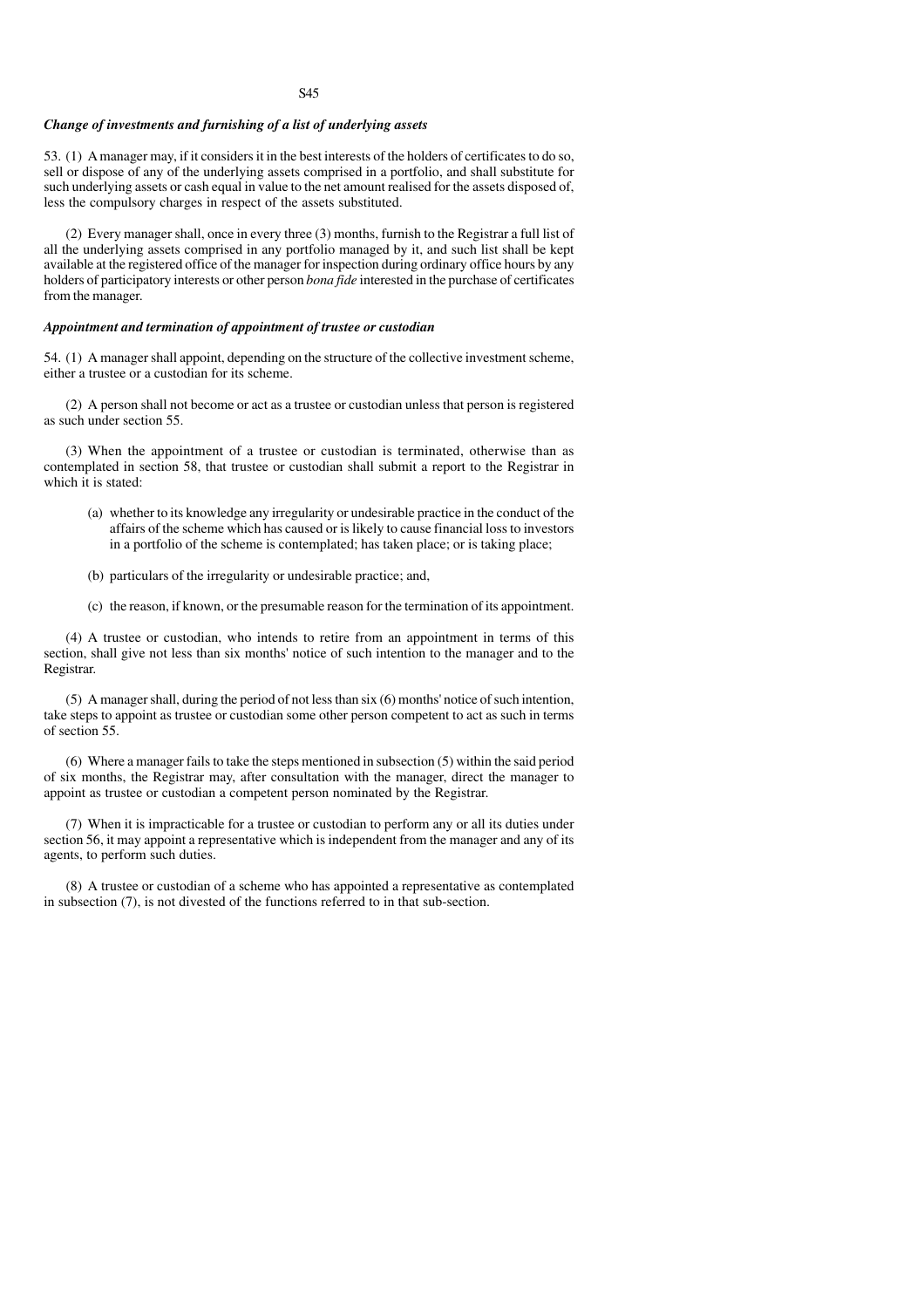### *Change of investments and furnishing of a list of underlying assets*

53. (1) A manager may, if it considers it in the best interests of the holders of certificates to do so, sell or dispose of any of the underlying assets comprised in a portfolio, and shall substitute for such underlying assets or cash equal in value to the net amount realised for the assets disposed of, less the compulsory charges in respect of the assets substituted.

(2) Every manager shall, once in every three (3) months, furnish to the Registrar a full list of all the underlying assets comprised in any portfolio managed by it, and such list shall be kept available at the registered office of the manager for inspection during ordinary office hours by any holders of participatory interests or other person *bona fide* interested in the purchase of certificates from the manager.

## *Appointment and termination of appointment of trustee or custodian*

54. (1) A manager shall appoint, depending on the structure of the collective investment scheme, either a trustee or a custodian for its scheme.

(2) A person shall not become or act as a trustee or custodian unless that person is registered as such under section 55.

(3) When the appointment of a trustee or custodian is terminated, otherwise than as contemplated in section 58, that trustee or custodian shall submit a report to the Registrar in which it is stated:

- (a) whether to its knowledge any irregularity or undesirable practice in the conduct of the affairs of the scheme which has caused or is likely to cause financial loss to investors in a portfolio of the scheme is contemplated; has taken place; or is taking place;
- (b) particulars of the irregularity or undesirable practice; and,
- (c) the reason, if known, or the presumable reason for the termination of its appointment.

(4) A trustee or custodian, who intends to retire from an appointment in terms of this section, shall give not less than six months' notice of such intention to the manager and to the Registrar.

(5) A manager shall, during the period of not less than six (6) months' notice of such intention, take steps to appoint as trustee or custodian some other person competent to act as such in terms of section 55.

(6) Where a manager fails to take the steps mentioned in subsection (5) within the said period of six months, the Registrar may, after consultation with the manager, direct the manager to appoint as trustee or custodian a competent person nominated by the Registrar.

(7) When it is impracticable for a trustee or custodian to perform any or all its duties under section 56, it may appoint a representative which is independent from the manager and any of its agents, to perform such duties.

(8) A trustee or custodian of a scheme who has appointed a representative as contemplated in subsection (7), is not divested of the functions referred to in that sub-section.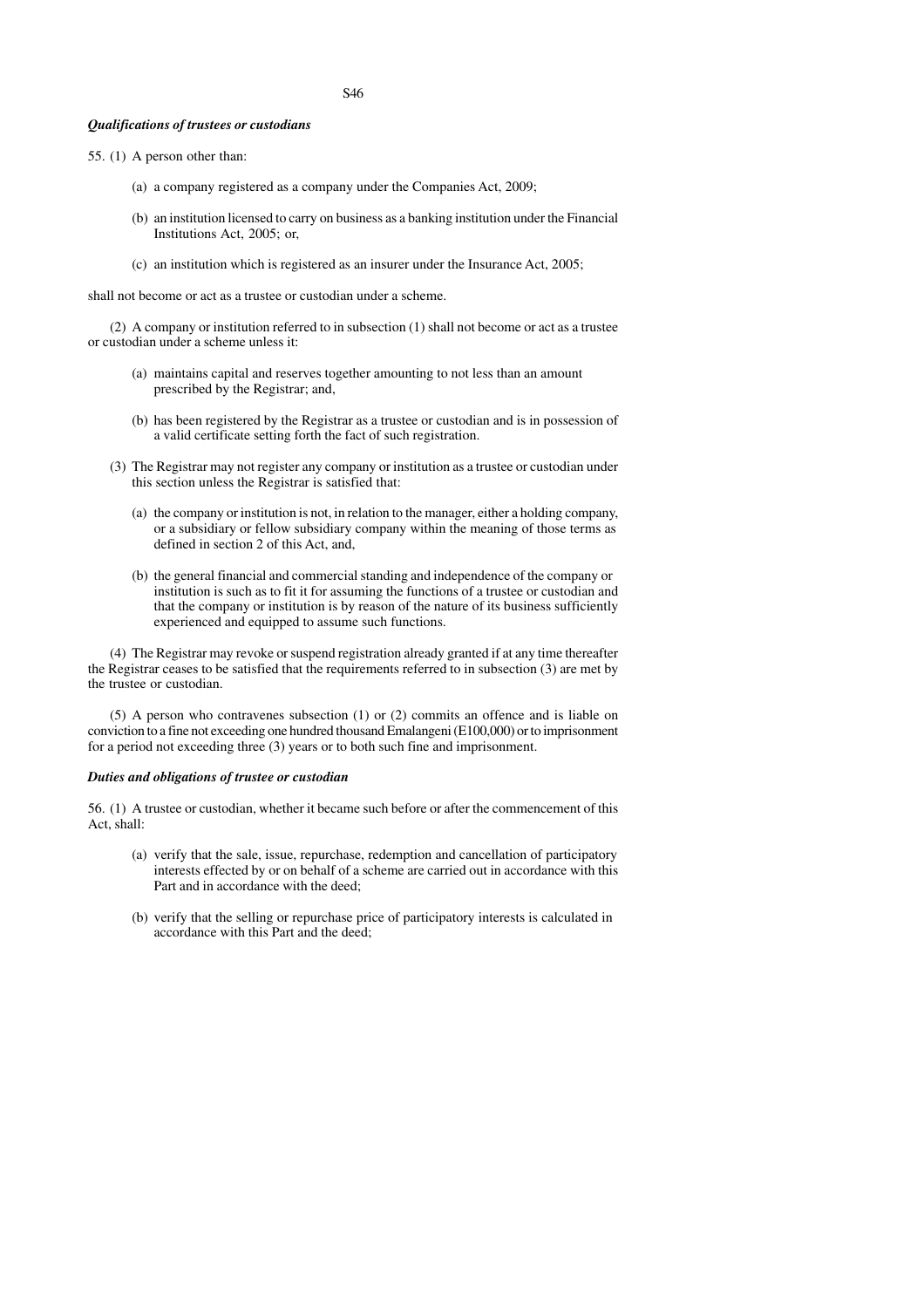## *Qualifications of trustees or custodians*

- 55. (1) A person other than:
	- (a) a company registered as a company under the Companies Act, 2009;
	- (b) an institution licensed to carry on business as a banking institution under the Financial Institutions Act, 2005; or,
	- (c) an institution which is registered as an insurer under the Insurance Act, 2005;

shall not become or act as a trustee or custodian under a scheme.

(2) A company or institution referred to in subsection (1) shall not become or act as a trustee or custodian under a scheme unless it:

- (a) maintains capital and reserves together amounting to not less than an amount prescribed by the Registrar; and,
- (b) has been registered by the Registrar as a trustee or custodian and is in possession of a valid certificate setting forth the fact of such registration.
- (3) The Registrar may not register any company or institution as a trustee or custodian under this section unless the Registrar is satisfied that:
	- (a) the company or institution is not, in relation to the manager, either a holding company, or a subsidiary or fellow subsidiary company within the meaning of those terms as defined in section 2 of this Act, and,
	- (b) the general financial and commercial standing and independence of the company or institution is such as to fit it for assuming the functions of a trustee or custodian and that the company or institution is by reason of the nature of its business sufficiently experienced and equipped to assume such functions.

(4) The Registrar may revoke or suspend registration already granted if at any time thereafter the Registrar ceases to be satisfied that the requirements referred to in subsection (3) are met by the trustee or custodian.

(5) A person who contravenes subsection (1) or (2) commits an offence and is liable on conviction to a fine not exceeding one hundred thousand Emalangeni (E100,000) or to imprisonment for a period not exceeding three (3) years or to both such fine and imprisonment.

### *Duties and obligations of trustee or custodian*

56. (1) A trustee or custodian, whether it became such before or after the commencement of this Act, shall:

- (a) verify that the sale, issue, repurchase, redemption and cancellation of participatory interests effected by or on behalf of a scheme are carried out in accordance with this Part and in accordance with the deed;
- (b) verify that the selling or repurchase price of participatory interests is calculated in accordance with this Part and the deed;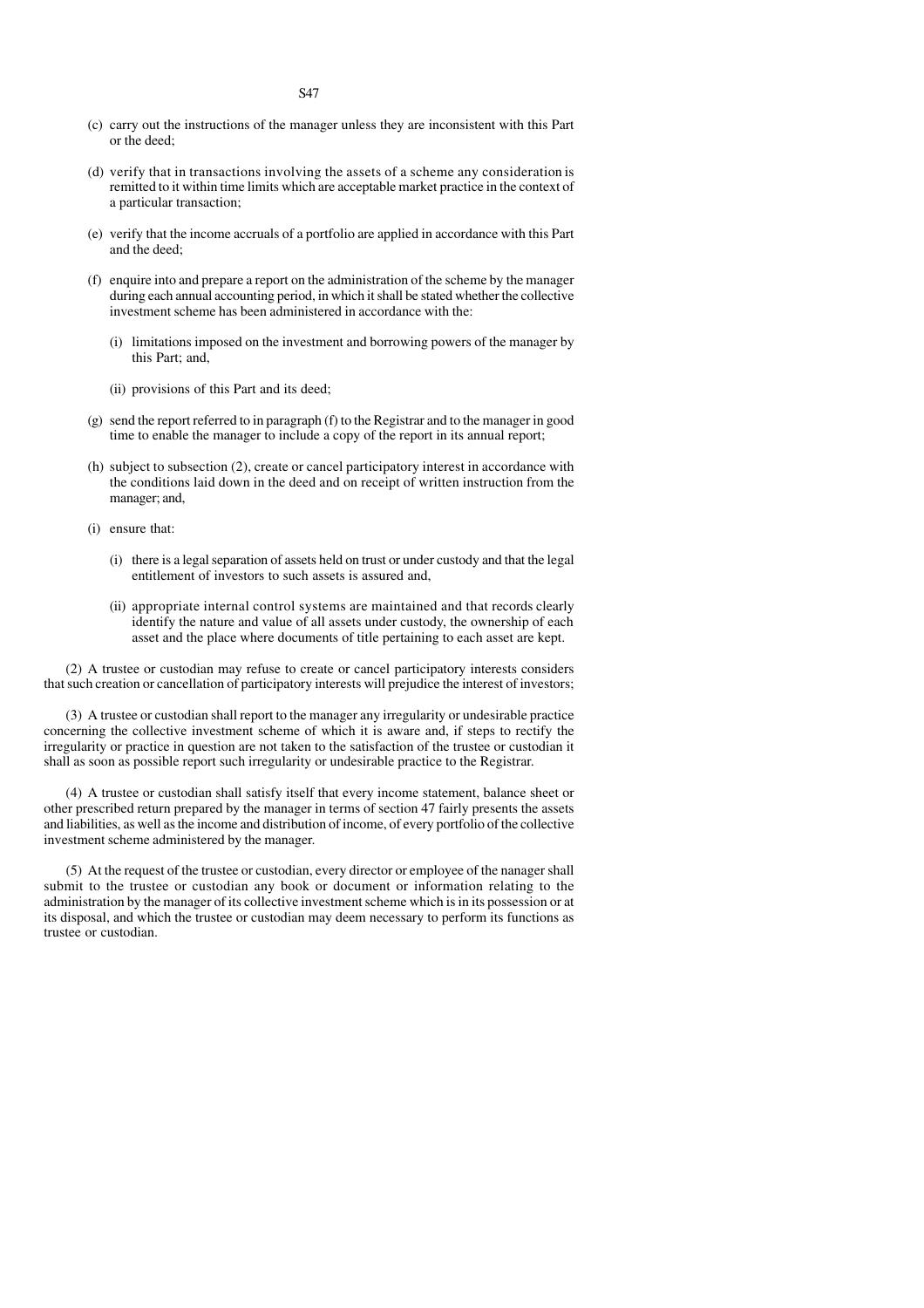- (c) carry out the instructions of the manager unless they are inconsistent with this Part or the deed;
- (d) verify that in transactions involving the assets of a scheme any consideration is remitted to it within time limits which are acceptable market practice in the context of a particular transaction;
- (e) verify that the income accruals of a portfolio are applied in accordance with this Part and the deed;
- (f) enquire into and prepare a report on the administration of the scheme by the manager during each annual accounting period, in which it shall be stated whether the collective investment scheme has been administered in accordance with the:
	- (i) limitations imposed on the investment and borrowing powers of the manager by this Part; and,
	- (ii) provisions of this Part and its deed;
- (g) send the report referred to in paragraph (f) to the Registrar and to the manager in good time to enable the manager to include a copy of the report in its annual report;
- (h) subject to subsection (2), create or cancel participatory interest in accordance with the conditions laid down in the deed and on receipt of written instruction from the manager; and,
- (i) ensure that:
	- (i) there is a legal separation of assets held on trust or under custody and that the legal entitlement of investors to such assets is assured and,
	- (ii) appropriate internal control systems are maintained and that records clearly identify the nature and value of all assets under custody, the ownership of each asset and the place where documents of title pertaining to each asset are kept.

(2) A trustee or custodian may refuse to create or cancel participatory interests considers that such creation or cancellation of participatory interests will prejudice the interest of investors;

(3) A trustee or custodian shall report to the manager any irregularity or undesirable practice concerning the collective investment scheme of which it is aware and, if steps to rectify the irregularity or practice in question are not taken to the satisfaction of the trustee or custodian it shall as soon as possible report such irregularity or undesirable practice to the Registrar.

(4) A trustee or custodian shall satisfy itself that every income statement, balance sheet or other prescribed return prepared by the manager in terms of section 47 fairly presents the assets and liabilities, as well as the income and distribution of income, of every portfolio of the collective investment scheme administered by the manager.

(5) At the request of the trustee or custodian, every director or employee of the nanager shall submit to the trustee or custodian any book or document or information relating to the administration by the manager of its collective investment scheme which is in its possession or at its disposal, and which the trustee or custodian may deem necessary to perform its functions as trustee or custodian.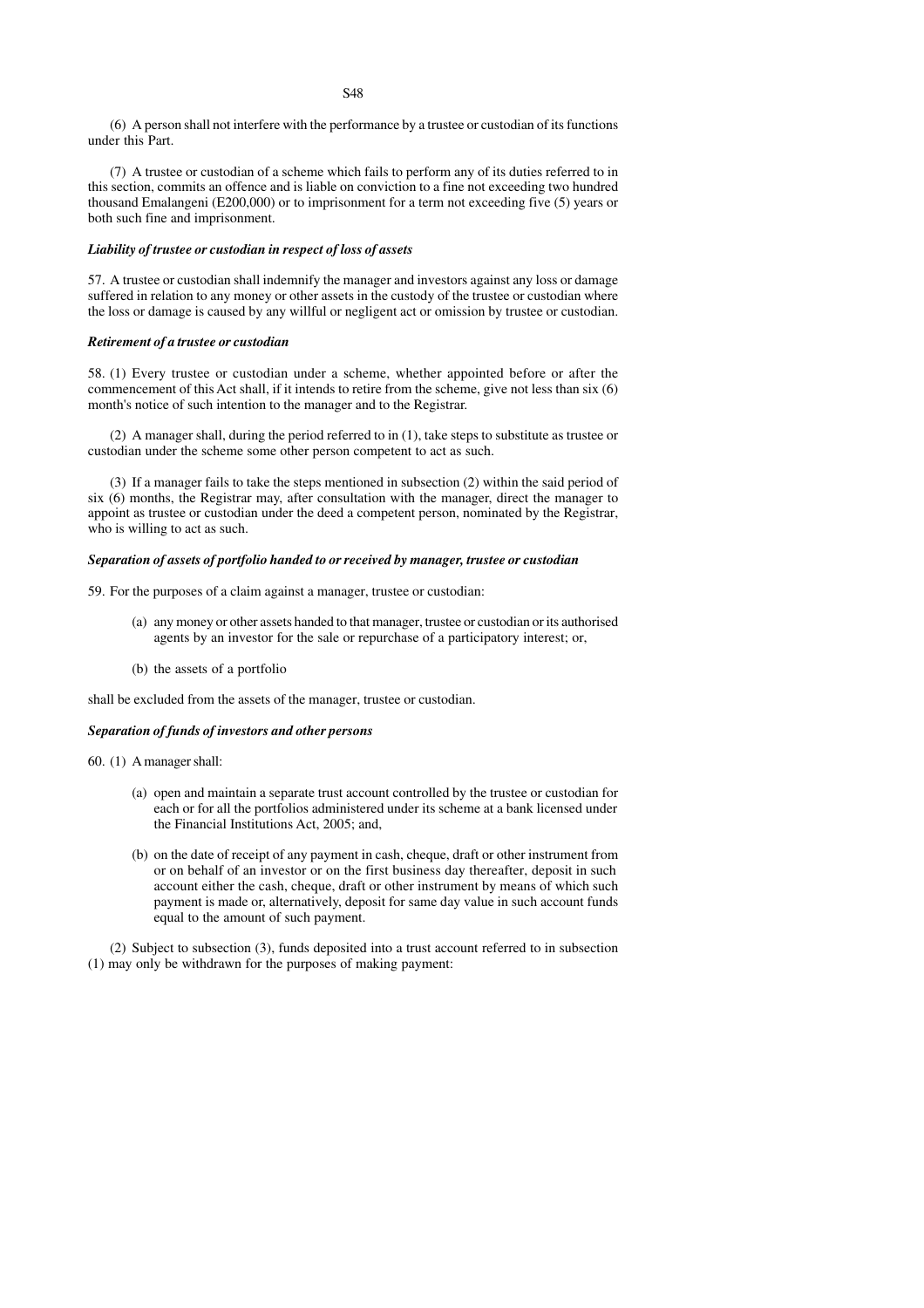(6) A person shall not interfere with the performance by a trustee or custodian of its functions under this Part.

(7) A trustee or custodian of a scheme which fails to perform any of its duties referred to in this section, commits an offence and is liable on conviction to a fine not exceeding two hundred thousand Emalangeni (E200,000) or to imprisonment for a term not exceeding five (5) years or both such fine and imprisonment.

# *Liability of trustee or custodian in respect of loss of assets*

57. A trustee or custodian shall indemnify the manager and investors against any loss or damage suffered in relation to any money or other assets in the custody of the trustee or custodian where the loss or damage is caused by any willful or negligent act or omission by trustee or custodian.

### *Retirement of a trustee or custodian*

58. (1) Every trustee or custodian under a scheme, whether appointed before or after the commencement of this Act shall, if it intends to retire from the scheme, give not less than six (6) month's notice of such intention to the manager and to the Registrar.

(2) A manager shall, during the period referred to in (1), take steps to substitute as trustee or custodian under the scheme some other person competent to act as such.

(3) If a manager fails to take the steps mentioned in subsection (2) within the said period of six (6) months, the Registrar may, after consultation with the manager, direct the manager to appoint as trustee or custodian under the deed a competent person, nominated by the Registrar, who is willing to act as such.

### *Separation of assets of portfolio handed to or received by manager, trustee or custodian*

59. For the purposes of a claim against a manager, trustee or custodian:

- (a) any money or other assets handed to that manager, trustee or custodian or its authorised agents by an investor for the sale or repurchase of a participatory interest; or,
- (b) the assets of a portfolio

shall be excluded from the assets of the manager, trustee or custodian.

## *Separation of funds of investors and other persons*

60. (1) A manager shall:

- (a) open and maintain a separate trust account controlled by the trustee or custodian for each or for all the portfolios administered under its scheme at a bank licensed under the Financial Institutions Act, 2005; and,
- (b) on the date of receipt of any payment in cash, cheque, draft or other instrument from or on behalf of an investor or on the first business day thereafter, deposit in such account either the cash, cheque, draft or other instrument by means of which such payment is made or, alternatively, deposit for same day value in such account funds equal to the amount of such payment.

(2) Subject to subsection (3), funds deposited into a trust account referred to in subsection (1) may only be withdrawn for the purposes of making payment: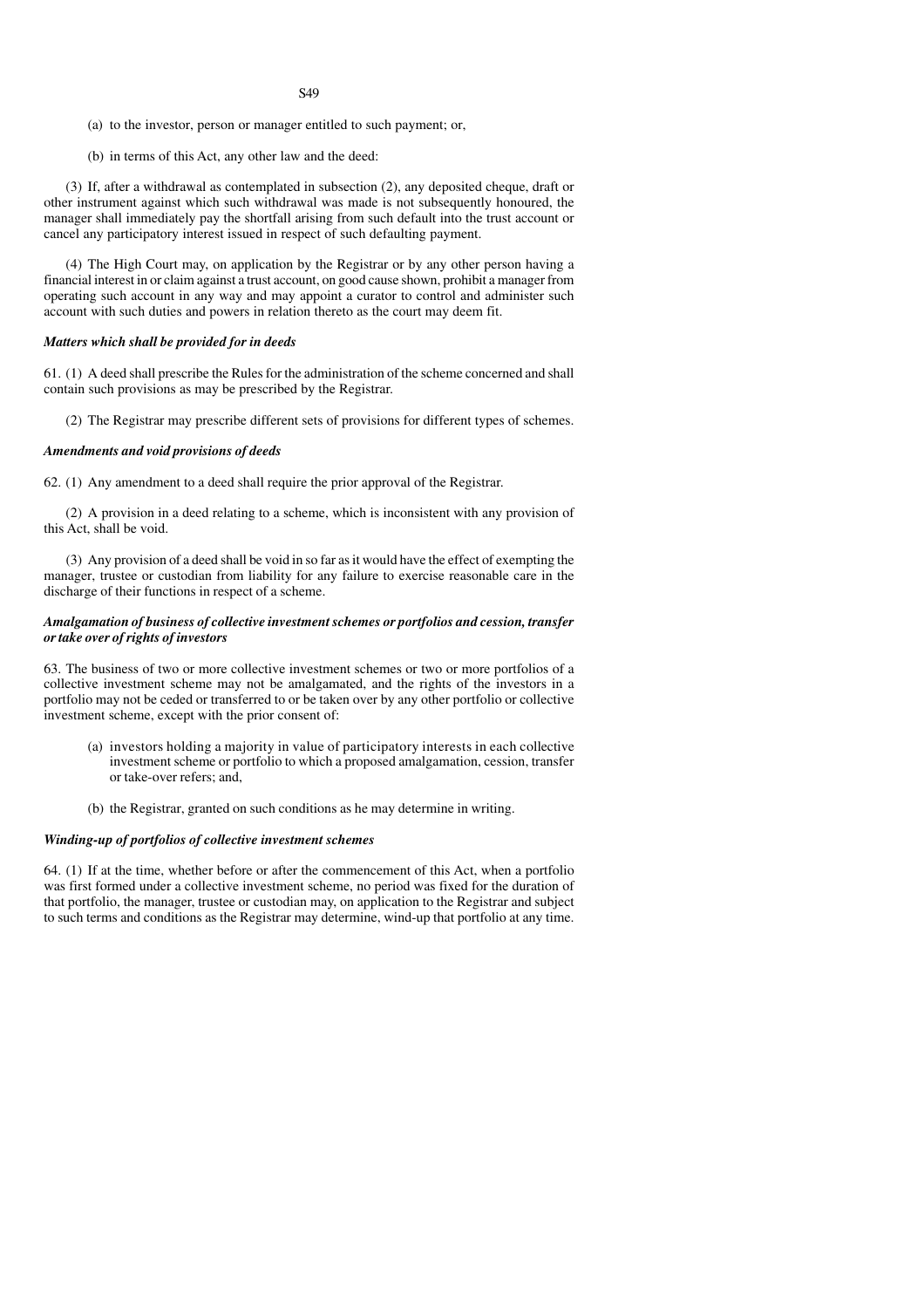S49

- (a) to the investor, person or manager entitled to such payment; or,
- (b) in terms of this Act, any other law and the deed:

(3) If, after a withdrawal as contemplated in subsection (2), any deposited cheque, draft or other instrument against which such withdrawal was made is not subsequently honoured, the manager shall immediately pay the shortfall arising from such default into the trust account or cancel any participatory interest issued in respect of such defaulting payment.

(4) The High Court may, on application by the Registrar or by any other person having a financial interest in or claim against a trust account, on good cause shown, prohibit a manager from operating such account in any way and may appoint a curator to control and administer such account with such duties and powers in relation thereto as the court may deem fit.

#### *Matters which shall be provided for in deeds*

61. (1) A deed shall prescribe the Rules for the administration of the scheme concerned and shall contain such provisions as may be prescribed by the Registrar.

(2) The Registrar may prescribe different sets of provisions for different types of schemes.

# *Amendments and void provisions of deeds*

62. (1) Any amendment to a deed shall require the prior approval of the Registrar.

(2) A provision in a deed relating to a scheme, which is inconsistent with any provision of this Act, shall be void.

(3) Any provision of a deed shall be void in so far as it would have the effect of exempting the manager, trustee or custodian from liability for any failure to exercise reasonable care in the discharge of their functions in respect of a scheme.

### *Amalgamation of business of collective investment schemes or portfolios and cession, transfer or take over of rights of investors*

63. The business of two or more collective investment schemes or two or more portfolios of a collective investment scheme may not be amalgamated, and the rights of the investors in a portfolio may not be ceded or transferred to or be taken over by any other portfolio or collective investment scheme, except with the prior consent of:

- (a) investors holding a majority in value of participatory interests in each collective investment scheme or portfolio to which a proposed amalgamation, cession, transfer or take-over refers; and,
- (b) the Registrar, granted on such conditions as he may determine in writing.

### *Winding-up of portfolios of collective investment schemes*

64. (1) If at the time, whether before or after the commencement of this Act, when a portfolio was first formed under a collective investment scheme, no period was fixed for the duration of that portfolio, the manager, trustee or custodian may, on application to the Registrar and subject to such terms and conditions as the Registrar may determine, wind-up that portfolio at any time.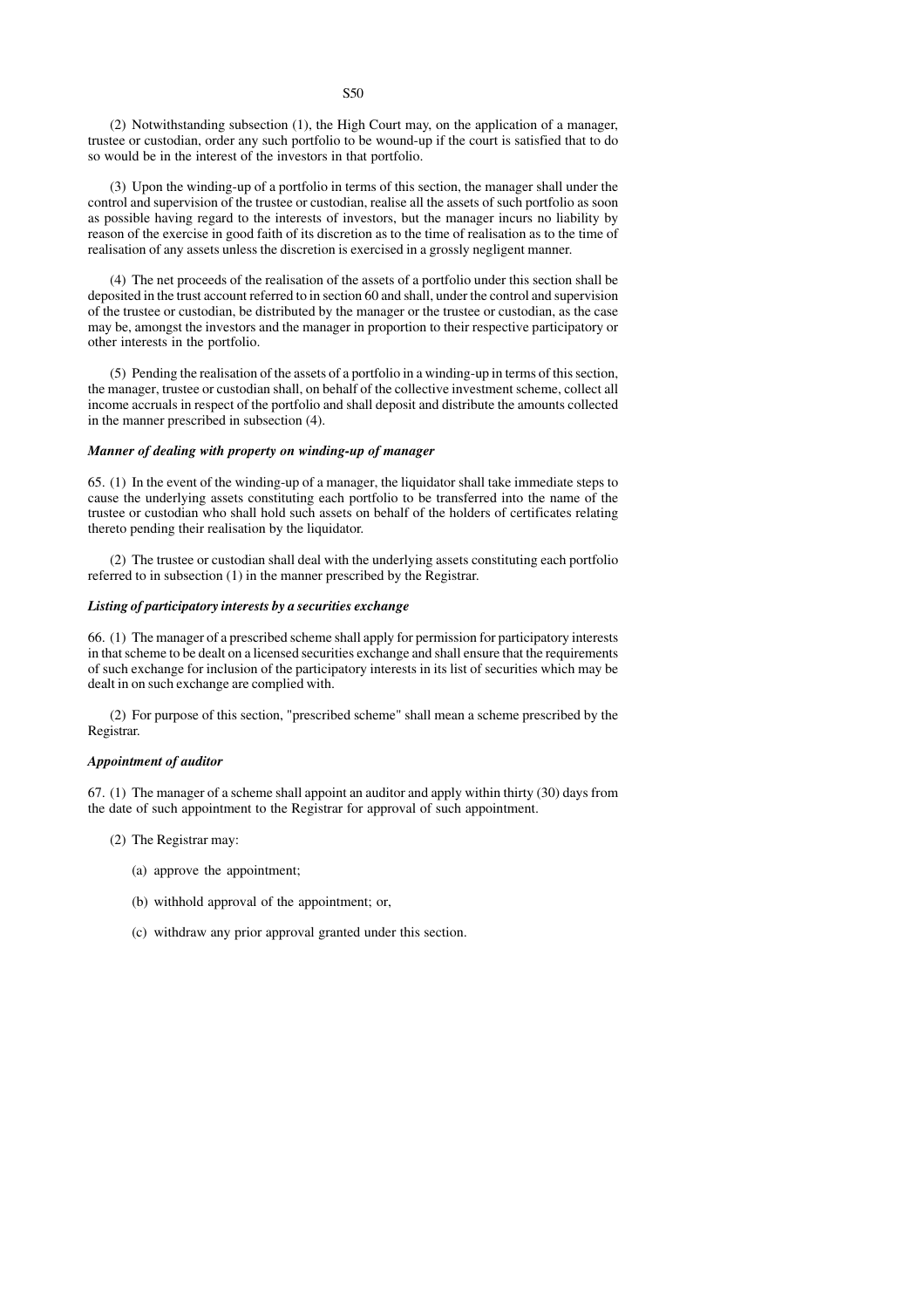(2) Notwithstanding subsection (1), the High Court may, on the application of a manager, trustee or custodian, order any such portfolio to be wound-up if the court is satisfied that to do so would be in the interest of the investors in that portfolio.

(3) Upon the winding-up of a portfolio in terms of this section, the manager shall under the control and supervision of the trustee or custodian, realise all the assets of such portfolio as soon as possible having regard to the interests of investors, but the manager incurs no liability by reason of the exercise in good faith of its discretion as to the time of realisation as to the time of realisation of any assets unless the discretion is exercised in a grossly negligent manner.

(4) The net proceeds of the realisation of the assets of a portfolio under this section shall be deposited in the trust account referred to in section 60 and shall, under the control and supervision of the trustee or custodian, be distributed by the manager or the trustee or custodian, as the case may be, amongst the investors and the manager in proportion to their respective participatory or other interests in the portfolio.

(5) Pending the realisation of the assets of a portfolio in a winding-up in terms of this section, the manager, trustee or custodian shall, on behalf of the collective investment scheme, collect all income accruals in respect of the portfolio and shall deposit and distribute the amounts collected in the manner prescribed in subsection (4).

# *Manner of dealing with property on winding-up of manager*

65. (1) In the event of the winding-up of a manager, the liquidator shall take immediate steps to cause the underlying assets constituting each portfolio to be transferred into the name of the trustee or custodian who shall hold such assets on behalf of the holders of certificates relating thereto pending their realisation by the liquidator.

(2) The trustee or custodian shall deal with the underlying assets constituting each portfolio referred to in subsection (1) in the manner prescribed by the Registrar.

# *Listing of participatory interests by a securities exchange*

66. (1) The manager of a prescribed scheme shall apply for permission for participatory interests in that scheme to be dealt on a licensed securities exchange and shall ensure that the requirements of such exchange for inclusion of the participatory interests in its list of securities which may be dealt in on such exchange are complied with.

(2) For purpose of this section, "prescribed scheme" shall mean a scheme prescribed by the Registrar.

#### *Appointment of auditor*

67. (1) The manager of a scheme shall appoint an auditor and apply within thirty (30) days from the date of such appointment to the Registrar for approval of such appointment.

- (2) The Registrar may:
	- (a) approve the appointment;
	- (b) withhold approval of the appointment; or,
	- (c) withdraw any prior approval granted under this section.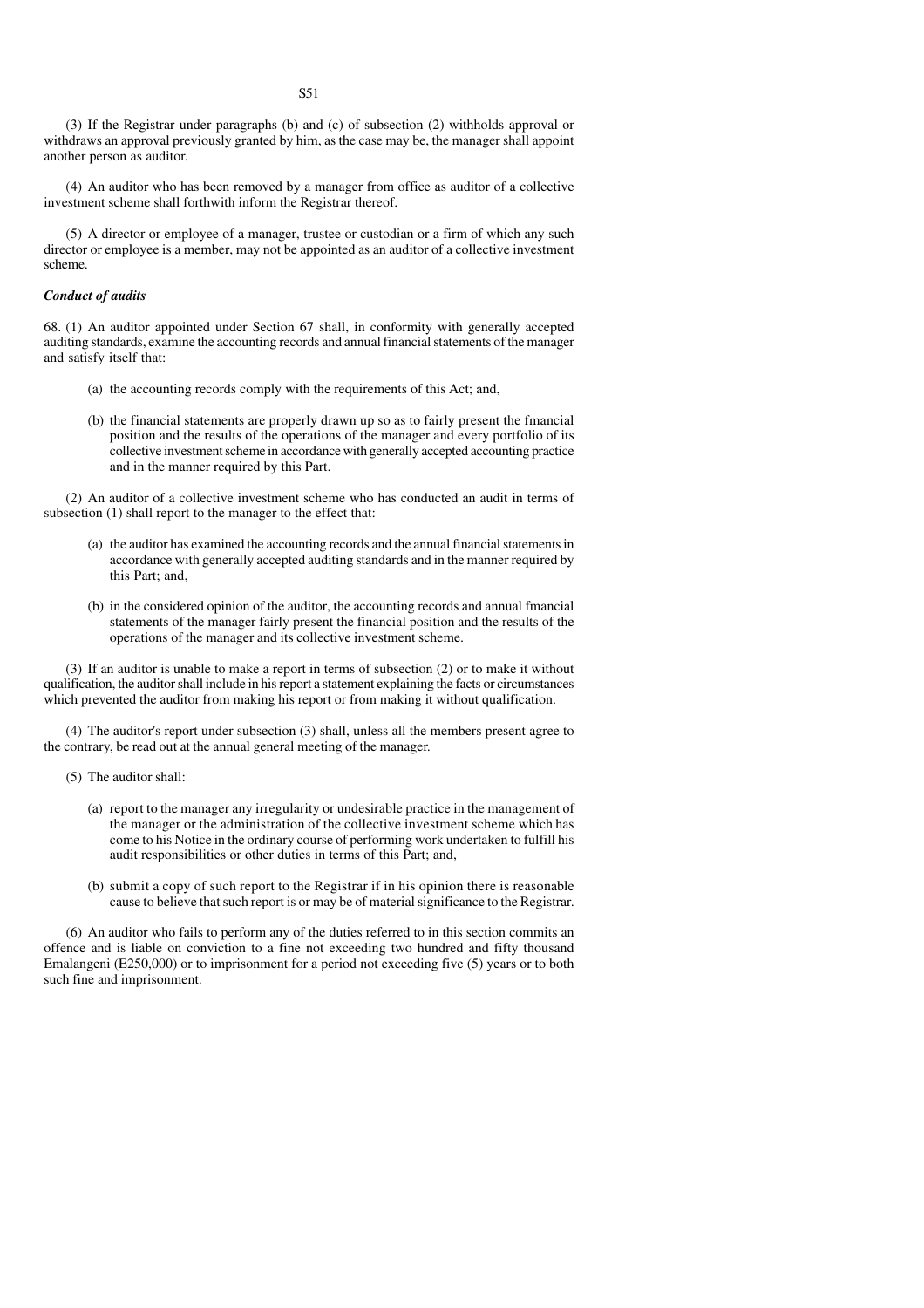(3) If the Registrar under paragraphs (b) and (c) of subsection (2) withholds approval or withdraws an approval previously granted by him, as the case may be, the manager shall appoint another person as auditor.

(4) An auditor who has been removed by a manager from office as auditor of a collective investment scheme shall forthwith inform the Registrar thereof.

(5) A director or employee of a manager, trustee or custodian or a firm of which any such director or employee is a member, may not be appointed as an auditor of a collective investment scheme.

# *Conduct of audits*

68. (1) An auditor appointed under Section 67 shall, in conformity with generally accepted auditing standards, examine the accounting records and annual financial statements of the manager and satisfy itself that:

- (a) the accounting records comply with the requirements of this Act; and,
- (b) the financial statements are properly drawn up so as to fairly present the fmancial position and the results of the operations of the manager and every portfolio of its collective investment scheme in accordance with generally accepted accounting practice and in the manner required by this Part.

(2) An auditor of a collective investment scheme who has conducted an audit in terms of subsection (1) shall report to the manager to the effect that:

- (a) the auditor has examined the accounting records and the annual financial statements in accordance with generally accepted auditing standards and in the manner required by this Part; and,
- (b) in the considered opinion of the auditor, the accounting records and annual fmancial statements of the manager fairly present the financial position and the results of the operations of the manager and its collective investment scheme.

(3) If an auditor is unable to make a report in terms of subsection (2) or to make it without qualification, the auditor shall include in his report a statement explaining the facts or circumstances which prevented the auditor from making his report or from making it without qualification.

(4) The auditor's report under subsection (3) shall, unless all the members present agree to the contrary, be read out at the annual general meeting of the manager.

- (5) The auditor shall:
	- (a) report to the manager any irregularity or undesirable practice in the management of the manager or the administration of the collective investment scheme which has come to his Notice in the ordinary course of performing work undertaken to fulfill his audit responsibilities or other duties in terms of this Part; and,
	- (b) submit a copy of such report to the Registrar if in his opinion there is reasonable cause to believe that such report is or may be of material significance to the Registrar.

(6) An auditor who fails to perform any of the duties referred to in this section commits an offence and is liable on conviction to a fine not exceeding two hundred and fifty thousand Emalangeni (E250,000) or to imprisonment for a period not exceeding five (5) years or to both such fine and imprisonment.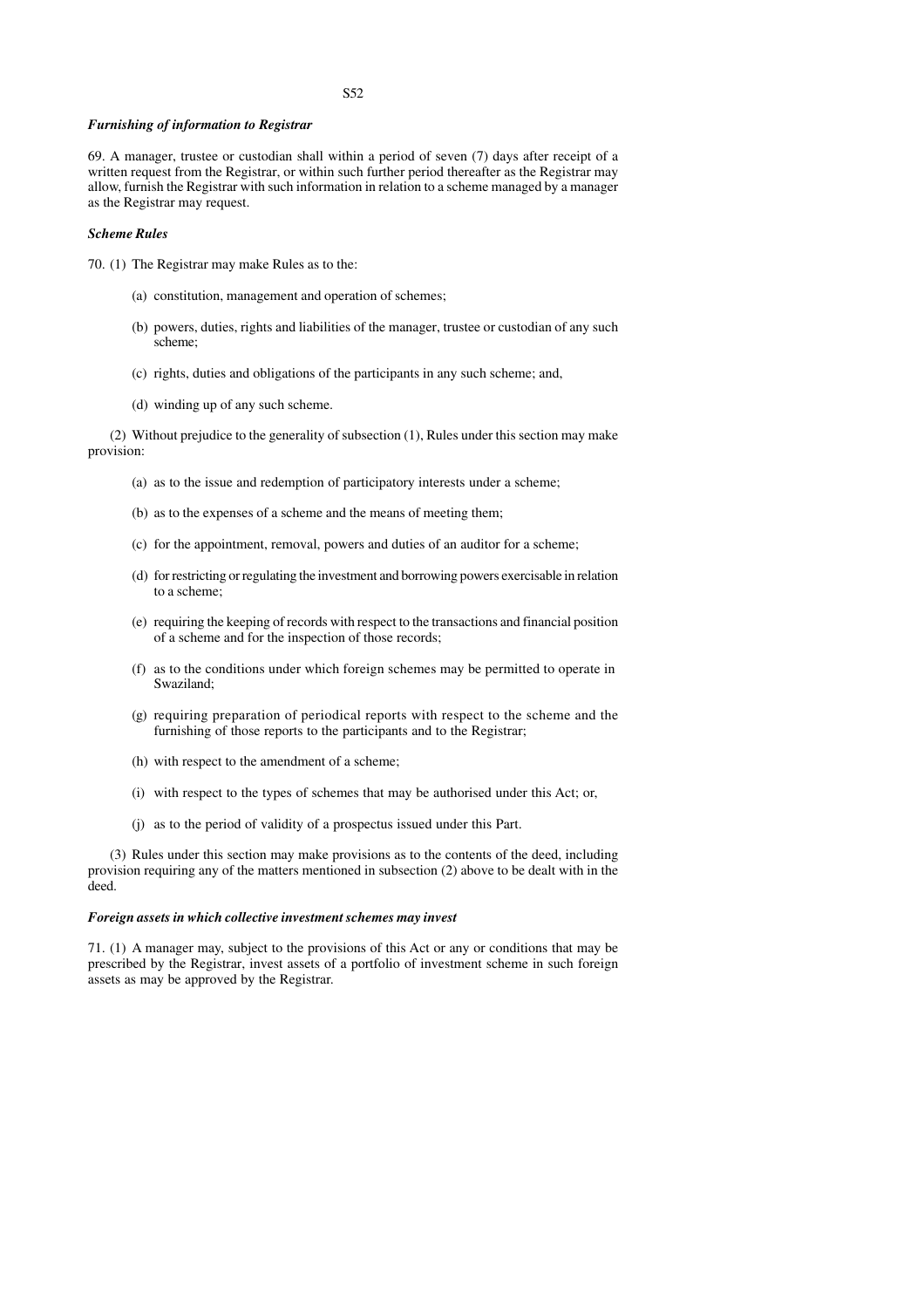# S52

## *Furnishing of information to Registrar*

69. A manager, trustee or custodian shall within a period of seven (7) days after receipt of a written request from the Registrar, or within such further period thereafter as the Registrar may allow, furnish the Registrar with such information in relation to a scheme managed by a manager as the Registrar may request.

#### *Scheme Rules*

- 70. (1) The Registrar may make Rules as to the:
	- (a) constitution, management and operation of schemes;
	- (b) powers, duties, rights and liabilities of the manager, trustee or custodian of any such scheme;
	- (c) rights, duties and obligations of the participants in any such scheme; and,
	- (d) winding up of any such scheme.

(2) Without prejudice to the generality of subsection (1), Rules under this section may make provision:

- (a) as to the issue and redemption of participatory interests under a scheme;
- (b) as to the expenses of a scheme and the means of meeting them;
- (c) for the appointment, removal, powers and duties of an auditor for a scheme;
- (d) for restricting or regulating the investment and borrowing powers exercisable in relation to a scheme;
- (e) requiring the keeping of records with respect to the transactions and financial position of a scheme and for the inspection of those records;
- (f) as to the conditions under which foreign schemes may be permitted to operate in Swaziland;
- (g) requiring preparation of periodical reports with respect to the scheme and the furnishing of those reports to the participants and to the Registrar;
- (h) with respect to the amendment of a scheme;
- (i) with respect to the types of schemes that may be authorised under this Act; or,
- (j) as to the period of validity of a prospectus issued under this Part.

(3) Rules under this section may make provisions as to the contents of the deed, including provision requiring any of the matters mentioned in subsection (2) above to be dealt with in the deed.

## *Foreign assets in which collective investment schemes may invest*

71. (1) A manager may, subject to the provisions of this Act or any or conditions that may be prescribed by the Registrar, invest assets of a portfolio of investment scheme in such foreign assets as may be approved by the Registrar.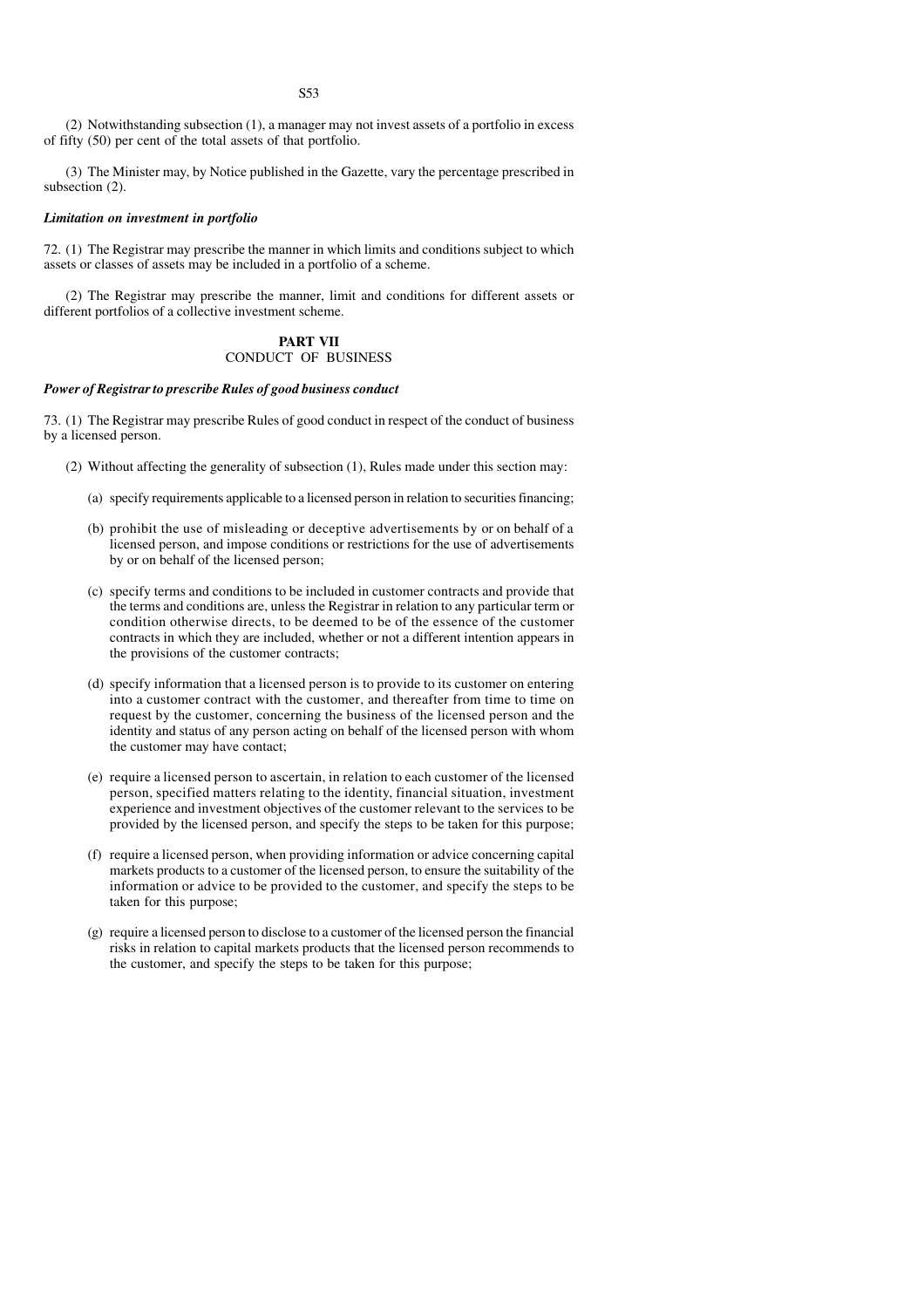(2) Notwithstanding subsection (1), a manager may not invest assets of a portfolio in excess of fifty (50) per cent of the total assets of that portfolio.

(3) The Minister may, by Notice published in the Gazette, vary the percentage prescribed in subsection (2).

## *Limitation on investment in portfolio*

72. (1) The Registrar may prescribe the manner in which limits and conditions subject to which assets or classes of assets may be included in a portfolio of a scheme.

(2) The Registrar may prescribe the manner, limit and conditions for different assets or different portfolios of a collective investment scheme.

# **PART VII** CONDUCT OF BUSINESS

# *Power of Registrar to prescribe Rules of good business conduct*

73. (1) The Registrar may prescribe Rules of good conduct in respect of the conduct of business by a licensed person.

- (2) Without affecting the generality of subsection (1), Rules made under this section may:
	- (a) specify requirements applicable to a licensed person in relation to securities financing;
	- (b) prohibit the use of misleading or deceptive advertisements by or on behalf of a licensed person, and impose conditions or restrictions for the use of advertisements by or on behalf of the licensed person;
	- (c) specify terms and conditions to be included in customer contracts and provide that the terms and conditions are, unless the Registrar in relation to any particular term or condition otherwise directs, to be deemed to be of the essence of the customer contracts in which they are included, whether or not a different intention appears in the provisions of the customer contracts;
	- (d) specify information that a licensed person is to provide to its customer on entering into a customer contract with the customer, and thereafter from time to time on request by the customer, concerning the business of the licensed person and the identity and status of any person acting on behalf of the licensed person with whom the customer may have contact;
	- (e) require a licensed person to ascertain, in relation to each customer of the licensed person, specified matters relating to the identity, financial situation, investment experience and investment objectives of the customer relevant to the services to be provided by the licensed person, and specify the steps to be taken for this purpose;
	- (f) require a licensed person, when providing information or advice concerning capital markets products to a customer of the licensed person, to ensure the suitability of the information or advice to be provided to the customer, and specify the steps to be taken for this purpose;
	- (g) require a licensed person to disclose to a customer of the licensed person the financial risks in relation to capital markets products that the licensed person recommends to the customer, and specify the steps to be taken for this purpose;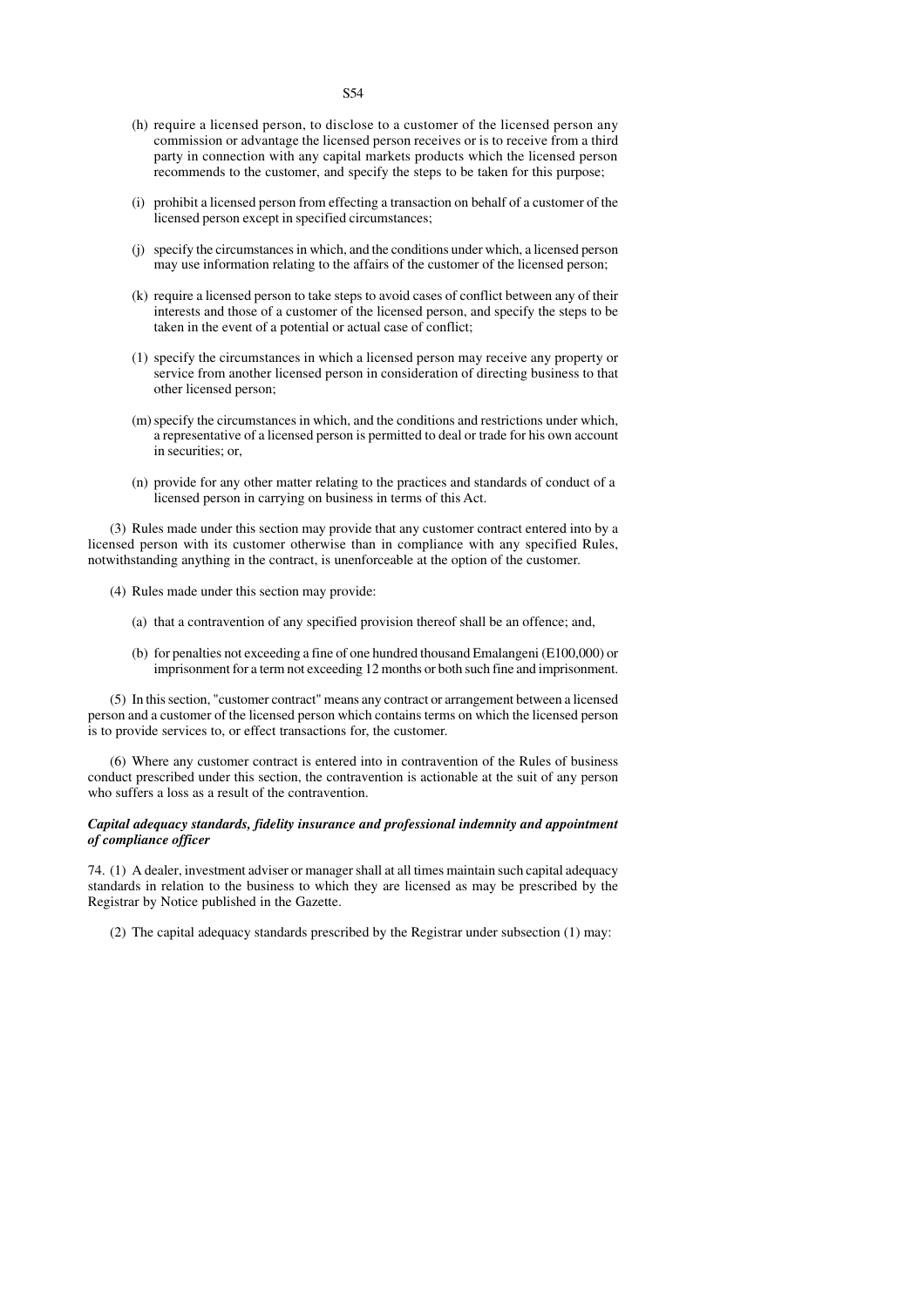- (h) require a licensed person, to disclose to a customer of the licensed person any commission or advantage the licensed person receives or is to receive from a third party in connection with any capital markets products which the licensed person recommends to the customer, and specify the steps to be taken for this purpose;
- (i) prohibit a licensed person from effecting a transaction on behalf of a customer of the licensed person except in specified circumstances;
- (j) specify the circumstances in which, and the conditions under which, a licensed person may use information relating to the affairs of the customer of the licensed person;
- (k) require a licensed person to take steps to avoid cases of conflict between any of their interests and those of a customer of the licensed person, and specify the steps to be taken in the event of a potential or actual case of conflict;
- (1) specify the circumstances in which a licensed person may receive any property or service from another licensed person in consideration of directing business to that other licensed person;
- (m)specify the circumstances in which, and the conditions and restrictions under which, a representative of a licensed person is permitted to deal or trade for his own account in securities; or,
- (n) provide for any other matter relating to the practices and standards of conduct of a licensed person in carrying on business in terms of this Act.

(3) Rules made under this section may provide that any customer contract entered into by a licensed person with its customer otherwise than in compliance with any specified Rules, notwithstanding anything in the contract, is unenforceable at the option of the customer.

- (4) Rules made under this section may provide:
	- (a) that a contravention of any specified provision thereof shall be an offence; and,
	- (b) for penalties not exceeding a fine of one hundred thousand Emalangeni (E100,000) or imprisonment for a term not exceeding 12 months or both such fine and imprisonment.

(5) In this section, "customer contract" means any contract or arrangement between a licensed person and a customer of the licensed person which contains terms on which the licensed person is to provide services to, or effect transactions for, the customer.

(6) Where any customer contract is entered into in contravention of the Rules of business conduct prescribed under this section, the contravention is actionable at the suit of any person who suffers a loss as a result of the contravention.

# *Capital adequacy standards, fidelity insurance and professional indemnity and appointment of compliance officer*

74. (1) A dealer, investment adviser or manager shall at all times maintain such capital adequacy standards in relation to the business to which they are licensed as may be prescribed by the Registrar by Notice published in the Gazette.

(2) The capital adequacy standards prescribed by the Registrar under subsection (1) may: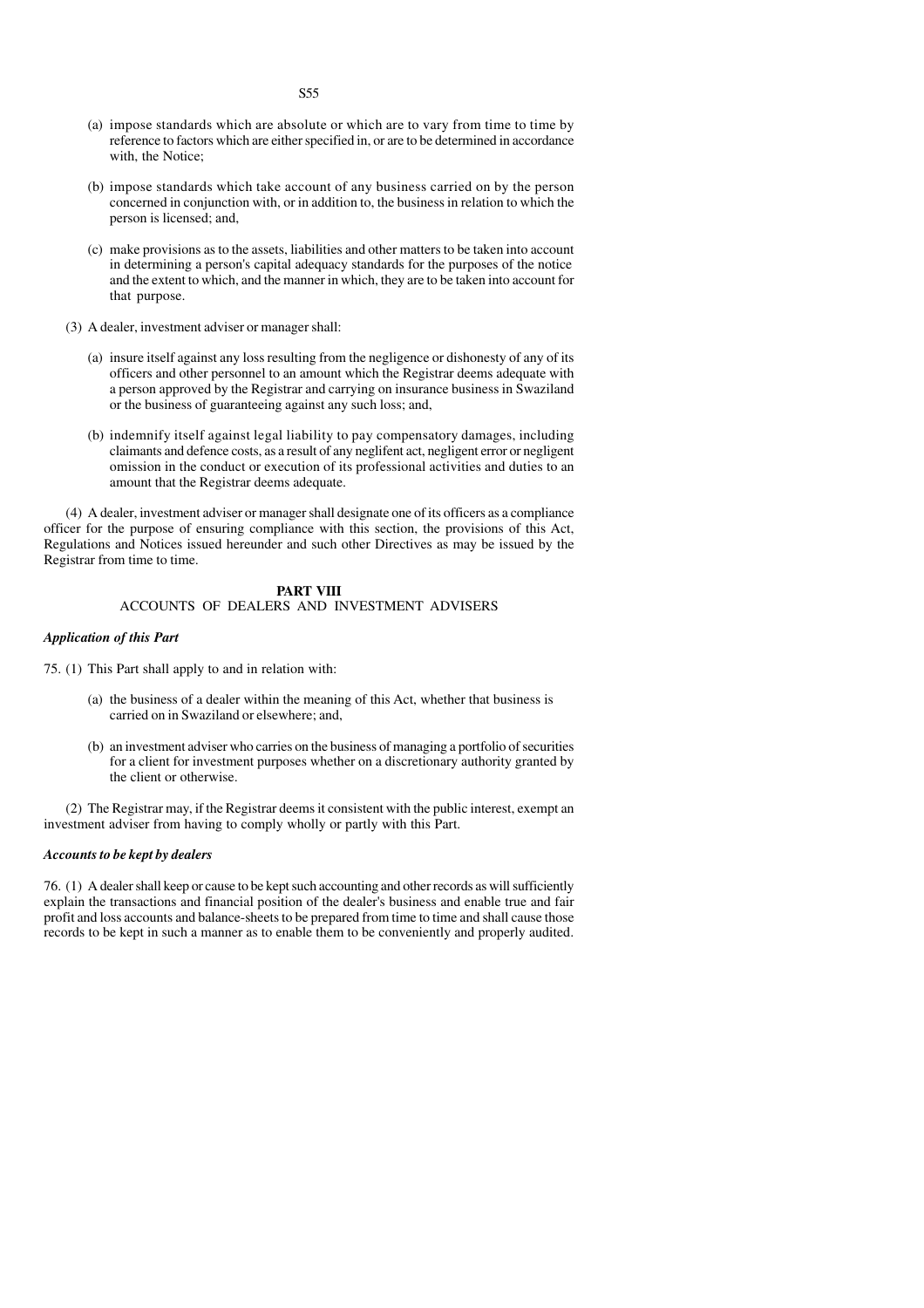- (a) impose standards which are absolute or which are to vary from time to time by reference to factors which are either specified in, or are to be determined in accordance with, the Notice;
- (b) impose standards which take account of any business carried on by the person concerned in conjunction with, or in addition to, the business in relation to which the person is licensed; and,
- (c) make provisions as to the assets, liabilities and other matters to be taken into account in determining a person's capital adequacy standards for the purposes of the notice and the extent to which, and the manner in which, they are to be taken into account for that purpose.
- (3) A dealer, investment adviser or manager shall:
	- (a) insure itself against any loss resulting from the negligence or dishonesty of any of its officers and other personnel to an amount which the Registrar deems adequate with a person approved by the Registrar and carrying on insurance business in Swaziland or the business of guaranteeing against any such loss; and,
	- (b) indemnify itself against legal liability to pay compensatory damages, including claimants and defence costs, as a result of any neglifent act, negligent error or negligent omission in the conduct or execution of its professional activities and duties to an amount that the Registrar deems adequate.

(4) A dealer, investment adviser or manager shall designate one of its officers as a compliance officer for the purpose of ensuring compliance with this section, the provisions of this Act, Regulations and Notices issued hereunder and such other Directives as may be issued by the Registrar from time to time.

# **PART VIII** ACCOUNTS OF DEALERS AND INVESTMENT ADVISERS

# *Application of this Part*

- 75. (1) This Part shall apply to and in relation with:
	- (a) the business of a dealer within the meaning of this Act, whether that business is carried on in Swaziland or elsewhere; and,
	- (b) an investment adviser who carries on the business of managing a portfolio of securities for a client for investment purposes whether on a discretionary authority granted by the client or otherwise.

(2) The Registrar may, if the Registrar deems it consistent with the public interest, exempt an investment adviser from having to comply wholly or partly with this Part.

## *Accounts to be kept by dealers*

76. (1) A dealer shall keep or cause to be kept such accounting and other records as will sufficiently explain the transactions and financial position of the dealer's business and enable true and fair profit and loss accounts and balance-sheets to be prepared from time to time and shall cause those records to be kept in such a manner as to enable them to be conveniently and properly audited.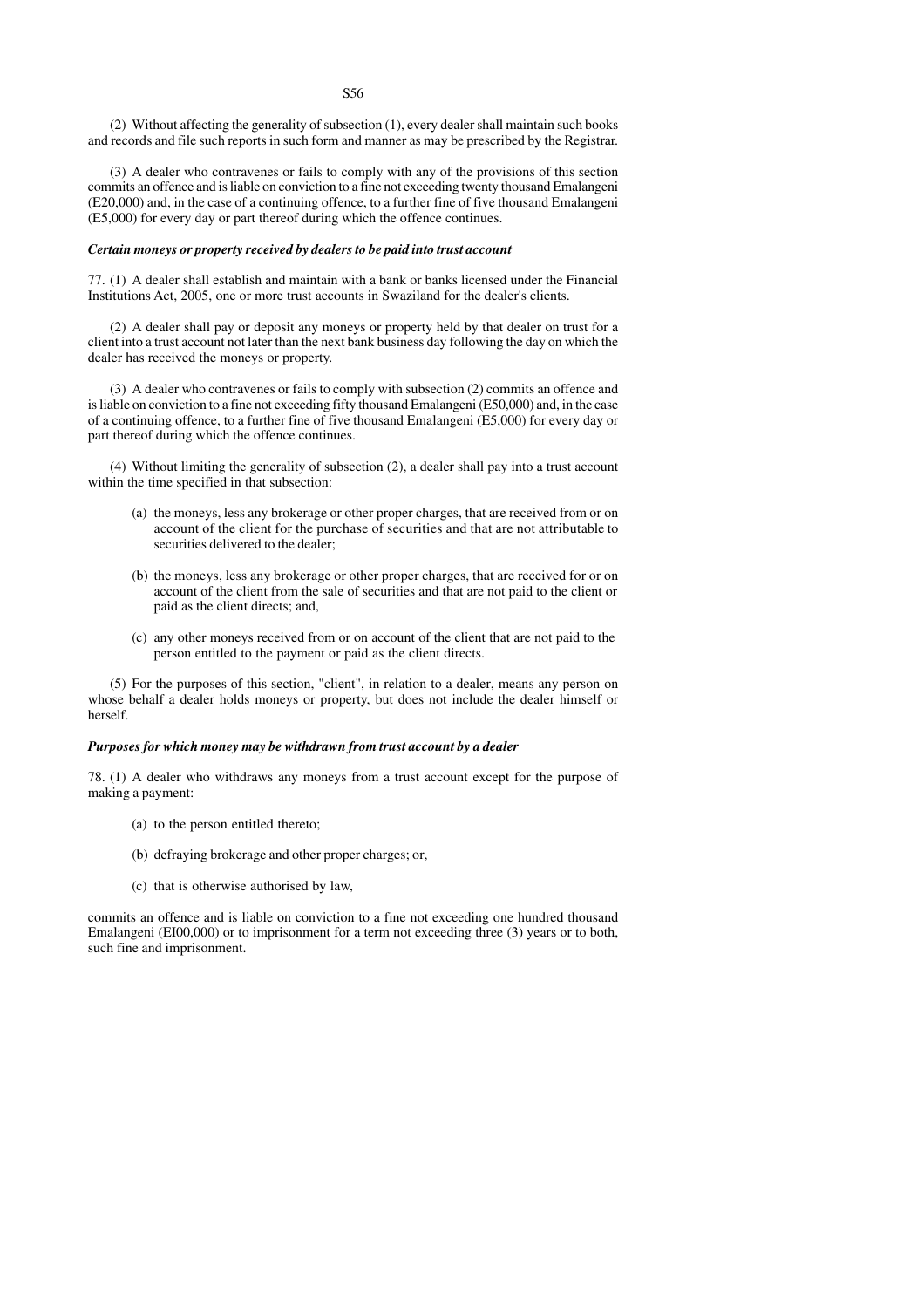(2) Without affecting the generality of subsection (1), every dealer shall maintain such books and records and file such reports in such form and manner as may be prescribed by the Registrar.

(3) A dealer who contravenes or fails to comply with any of the provisions of this section commits an offence and is liable on conviction to a fine not exceeding twenty thousand Emalangeni (E20,000) and, in the case of a continuing offence, to a further fine of five thousand Emalangeni (E5,000) for every day or part thereof during which the offence continues.

# *Certain moneys or property received by dealers to be paid into trust account*

77. (1) A dealer shall establish and maintain with a bank or banks licensed under the Financial Institutions Act, 2005, one or more trust accounts in Swaziland for the dealer's clients.

(2) A dealer shall pay or deposit any moneys or property held by that dealer on trust for a client into a trust account not later than the next bank business day following the day on which the dealer has received the moneys or property.

(3) A dealer who contravenes or fails to comply with subsection (2) commits an offence and is liable on conviction to a fine not exceeding fifty thousand Emalangeni (E50,000) and, in the case of a continuing offence, to a further fine of five thousand Emalangeni (E5,000) for every day or part thereof during which the offence continues.

(4) Without limiting the generality of subsection (2), a dealer shall pay into a trust account within the time specified in that subsection:

- (a) the moneys, less any brokerage or other proper charges, that are received from or on account of the client for the purchase of securities and that are not attributable to securities delivered to the dealer;
- (b) the moneys, less any brokerage or other proper charges, that are received for or on account of the client from the sale of securities and that are not paid to the client or paid as the client directs; and,
- (c) any other moneys received from or on account of the client that are not paid to the person entitled to the payment or paid as the client directs.

(5) For the purposes of this section, "client", in relation to a dealer, means any person on whose behalf a dealer holds moneys or property, but does not include the dealer himself or herself.

## *Purposes for which money may be withdrawn from trust account by a dealer*

78. (1) A dealer who withdraws any moneys from a trust account except for the purpose of making a payment:

- (a) to the person entitled thereto;
- (b) defraying brokerage and other proper charges; or,
- (c) that is otherwise authorised by law,

commits an offence and is liable on conviction to a fine not exceeding one hundred thousand Emalangeni (EI00,000) or to imprisonment for a term not exceeding three (3) years or to both, such fine and imprisonment.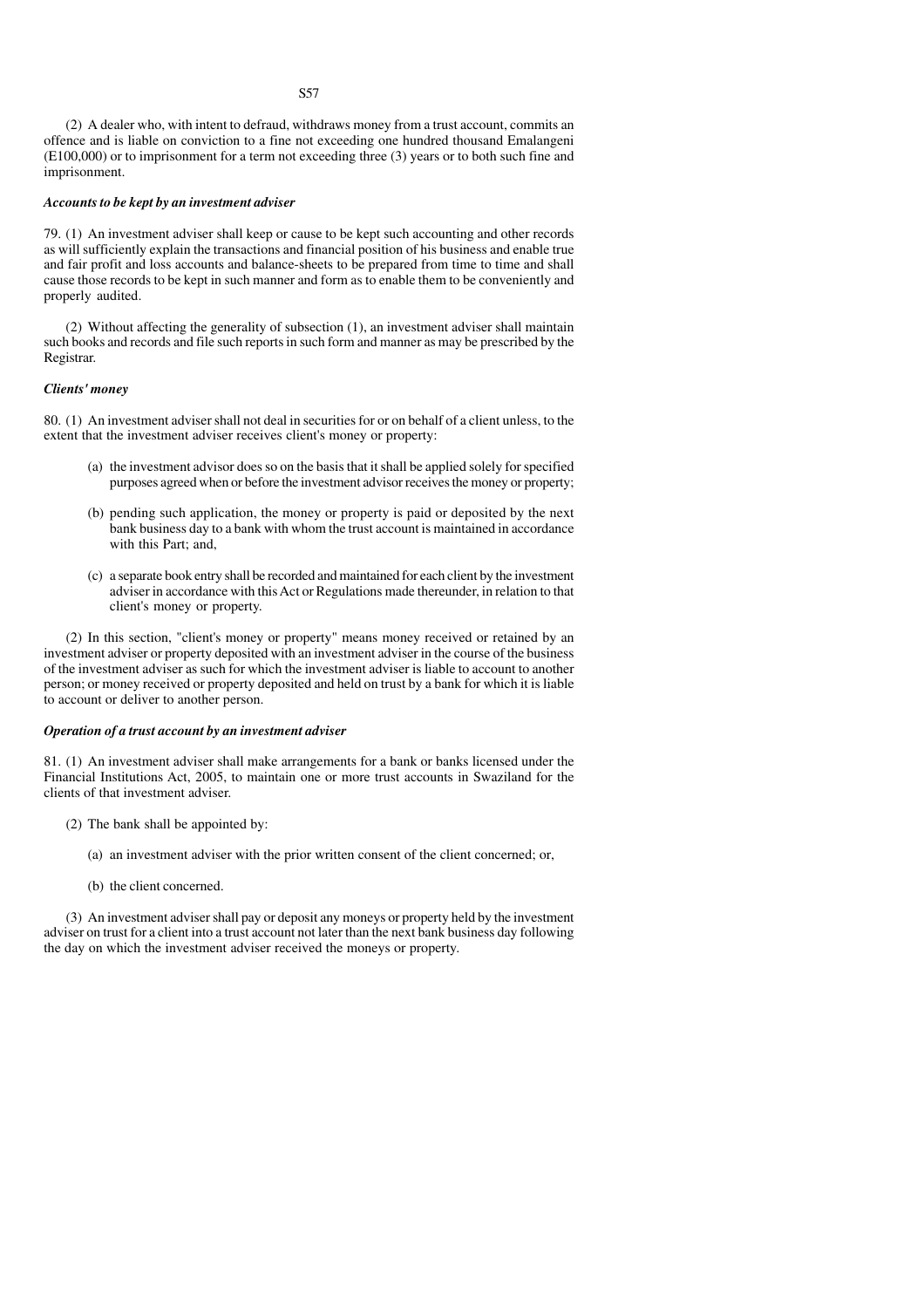(2) A dealer who, with intent to defraud, withdraws money from a trust account, commits an offence and is liable on conviction to a fine not exceeding one hundred thousand Emalangeni (E100,000) or to imprisonment for a term not exceeding three (3) years or to both such fine and imprisonment.

# *Accounts to be kept by an investment adviser*

79. (1) An investment adviser shall keep or cause to be kept such accounting and other records as will sufficiently explain the transactions and financial position of his business and enable true and fair profit and loss accounts and balance-sheets to be prepared from time to time and shall cause those records to be kept in such manner and form as to enable them to be conveniently and properly audited.

(2) Without affecting the generality of subsection (1), an investment adviser shall maintain such books and records and file such reports in such form and manner as may be prescribed by the Registrar.

# *Clients' money*

80. (1) An investment adviser shall not deal in securities for or on behalf of a client unless, to the extent that the investment adviser receives client's money or property:

- (a) the investment advisor does so on the basis that it shall be applied solely for specified purposes agreed when or before the investment advisor receives the money or property;
- (b) pending such application, the money or property is paid or deposited by the next bank business day to a bank with whom the trust account is maintained in accordance with this Part; and,
- (c) a separate book entry shall be recorded and maintained for each client by the investment adviser in accordance with this Act or Regulations made thereunder, in relation to that client's money or property.

(2) In this section, "client's money or property" means money received or retained by an investment adviser or property deposited with an investment adviser in the course of the business of the investment adviser as such for which the investment adviser is liable to account to another person; or money received or property deposited and held on trust by a bank for which it is liable to account or deliver to another person.

#### *Operation of a trust account by an investment adviser*

81. (1) An investment adviser shall make arrangements for a bank or banks licensed under the Financial Institutions Act, 2005, to maintain one or more trust accounts in Swaziland for the clients of that investment adviser.

- (2) The bank shall be appointed by:
	- (a) an investment adviser with the prior written consent of the client concerned; or,
	- (b) the client concerned.

(3) An investment adviser shall pay or deposit any moneys or property held by the investment adviser on trust for a client into a trust account not later than the next bank business day following the day on which the investment adviser received the moneys or property.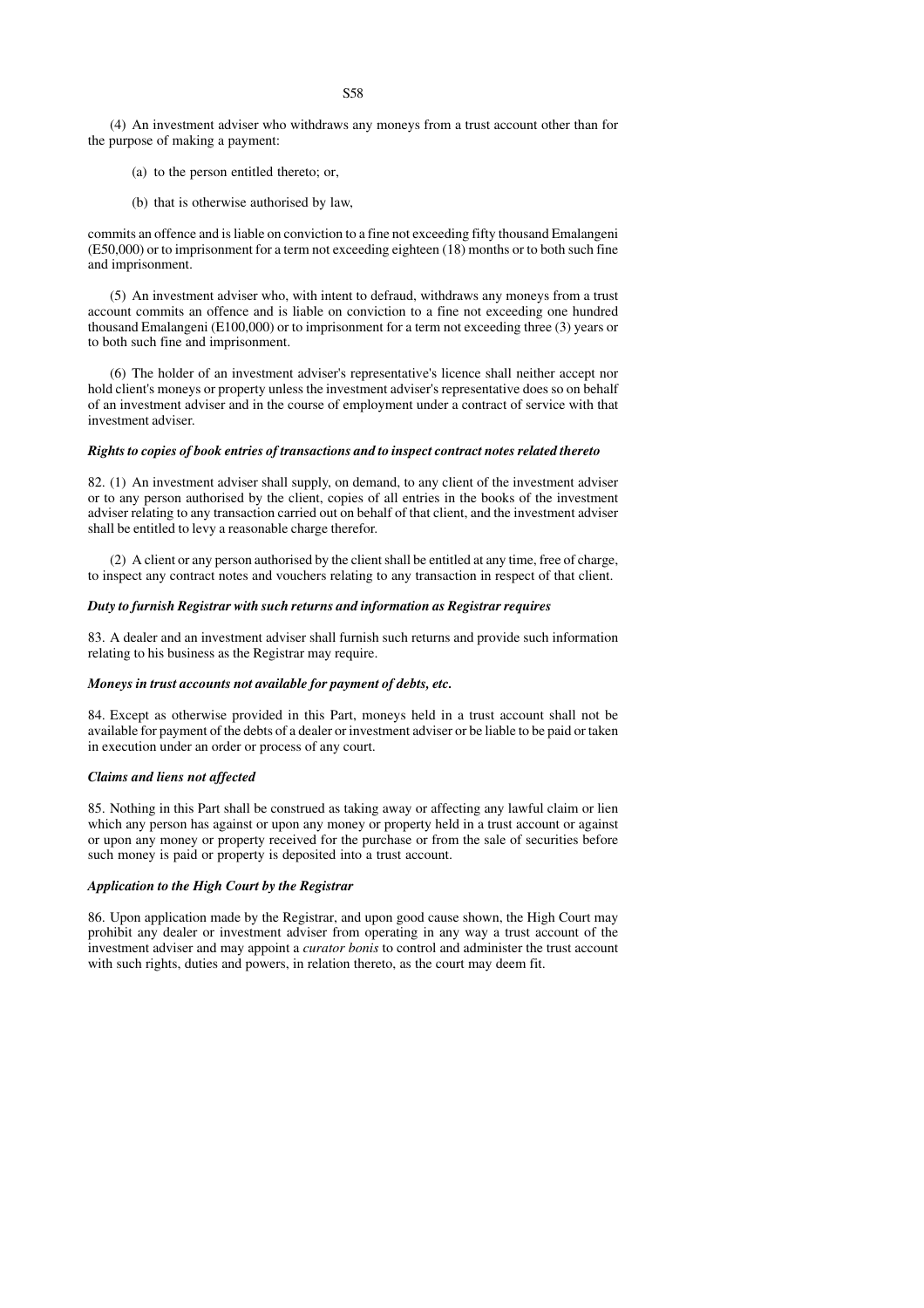- (a) to the person entitled thereto; or,
- (b) that is otherwise authorised by law,

commits an offence and is liable on conviction to a fine not exceeding fifty thousand Emalangeni (E50,000) or to imprisonment for a term not exceeding eighteen (18) months or to both such fine and imprisonment.

(5) An investment adviser who, with intent to defraud, withdraws any moneys from a trust account commits an offence and is liable on conviction to a fine not exceeding one hundred thousand Emalangeni (E100,000) or to imprisonment for a term not exceeding three (3) years or to both such fine and imprisonment.

(6) The holder of an investment adviser's representative's licence shall neither accept nor hold client's moneys or property unless the investment adviser's representative does so on behalf of an investment adviser and in the course of employment under a contract of service with that investment adviser.

# *Rights to copies of book entries of transactions and to inspect contract notes related thereto*

82. (1) An investment adviser shall supply, on demand, to any client of the investment adviser or to any person authorised by the client, copies of all entries in the books of the investment adviser relating to any transaction carried out on behalf of that client, and the investment adviser shall be entitled to levy a reasonable charge therefor.

(2) A client or any person authorised by the client shall be entitled at any time, free of charge, to inspect any contract notes and vouchers relating to any transaction in respect of that client.

# *Duty to furnish Registrar with such returns and information as Registrar requires*

83. A dealer and an investment adviser shall furnish such returns and provide such information relating to his business as the Registrar may require.

#### *Moneys in trust accounts not available for payment of debts, etc.*

84. Except as otherwise provided in this Part, moneys held in a trust account shall not be available for payment of the debts of a dealer or investment adviser or be liable to be paid or taken in execution under an order or process of any court.

## *Claims and liens not affected*

85. Nothing in this Part shall be construed as taking away or affecting any lawful claim or lien which any person has against or upon any money or property held in a trust account or against or upon any money or property received for the purchase or from the sale of securities before such money is paid or property is deposited into a trust account.

## *Application to the High Court by the Registrar*

86. Upon application made by the Registrar, and upon good cause shown, the High Court may prohibit any dealer or investment adviser from operating in any way a trust account of the investment adviser and may appoint a *curator bonis* to control and administer the trust account with such rights, duties and powers, in relation thereto, as the court may deem fit.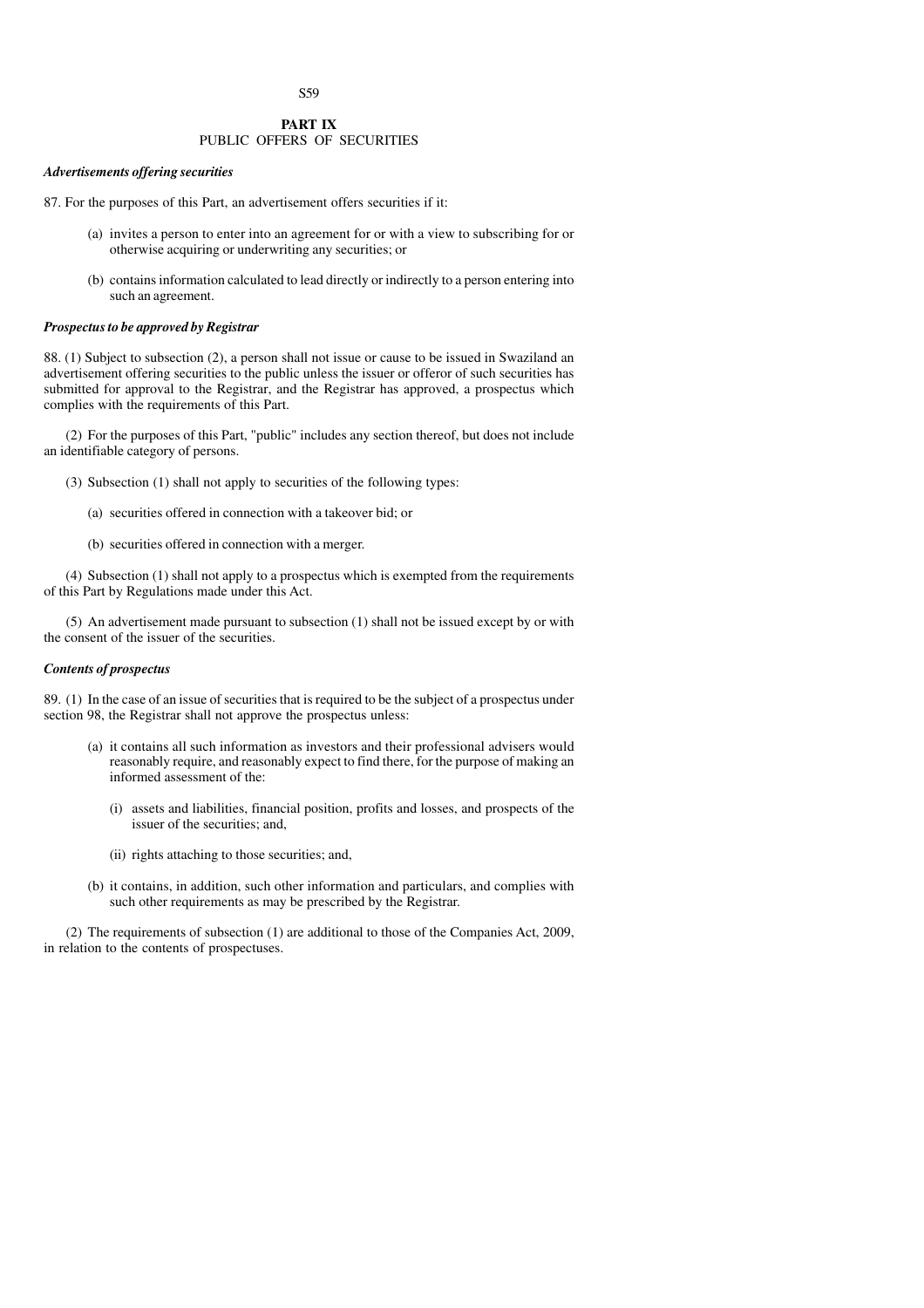S59

# **PART IX** PUBLIC OFFERS OF SECURITIES

## *Advertisements offering securities*

- 87. For the purposes of this Part, an advertisement offers securities if it:
	- (a) invites a person to enter into an agreement for or with a view to subscribing for or otherwise acquiring or underwriting any securities; or
	- (b) contains information calculated to lead directly or indirectly to a person entering into such an agreement.

## *Prospectus to be approved by Registrar*

88. (1) Subject to subsection (2), a person shall not issue or cause to be issued in Swaziland an advertisement offering securities to the public unless the issuer or offeror of such securities has submitted for approval to the Registrar, and the Registrar has approved, a prospectus which complies with the requirements of this Part.

(2) For the purposes of this Part, "public" includes any section thereof, but does not include an identifiable category of persons.

- (3) Subsection (1) shall not apply to securities of the following types:
	- (a) securities offered in connection with a takeover bid; or
	- (b) securities offered in connection with a merger.

(4) Subsection (1) shall not apply to a prospectus which is exempted from the requirements of this Part by Regulations made under this Act.

(5) An advertisement made pursuant to subsection (1) shall not be issued except by or with the consent of the issuer of the securities.

# *Contents of prospectus*

89. (1) In the case of an issue of securities that is required to be the subject of a prospectus under section 98, the Registrar shall not approve the prospectus unless:

- (a) it contains all such information as investors and their professional advisers would reasonably require, and reasonably expect to find there, for the purpose of making an informed assessment of the:
	- (i) assets and liabilities, financial position, profits and losses, and prospects of the issuer of the securities; and,
	- (ii) rights attaching to those securities; and,
- (b) it contains, in addition, such other information and particulars, and complies with such other requirements as may be prescribed by the Registrar.

(2) The requirements of subsection (1) are additional to those of the Companies Act, 2009, in relation to the contents of prospectuses.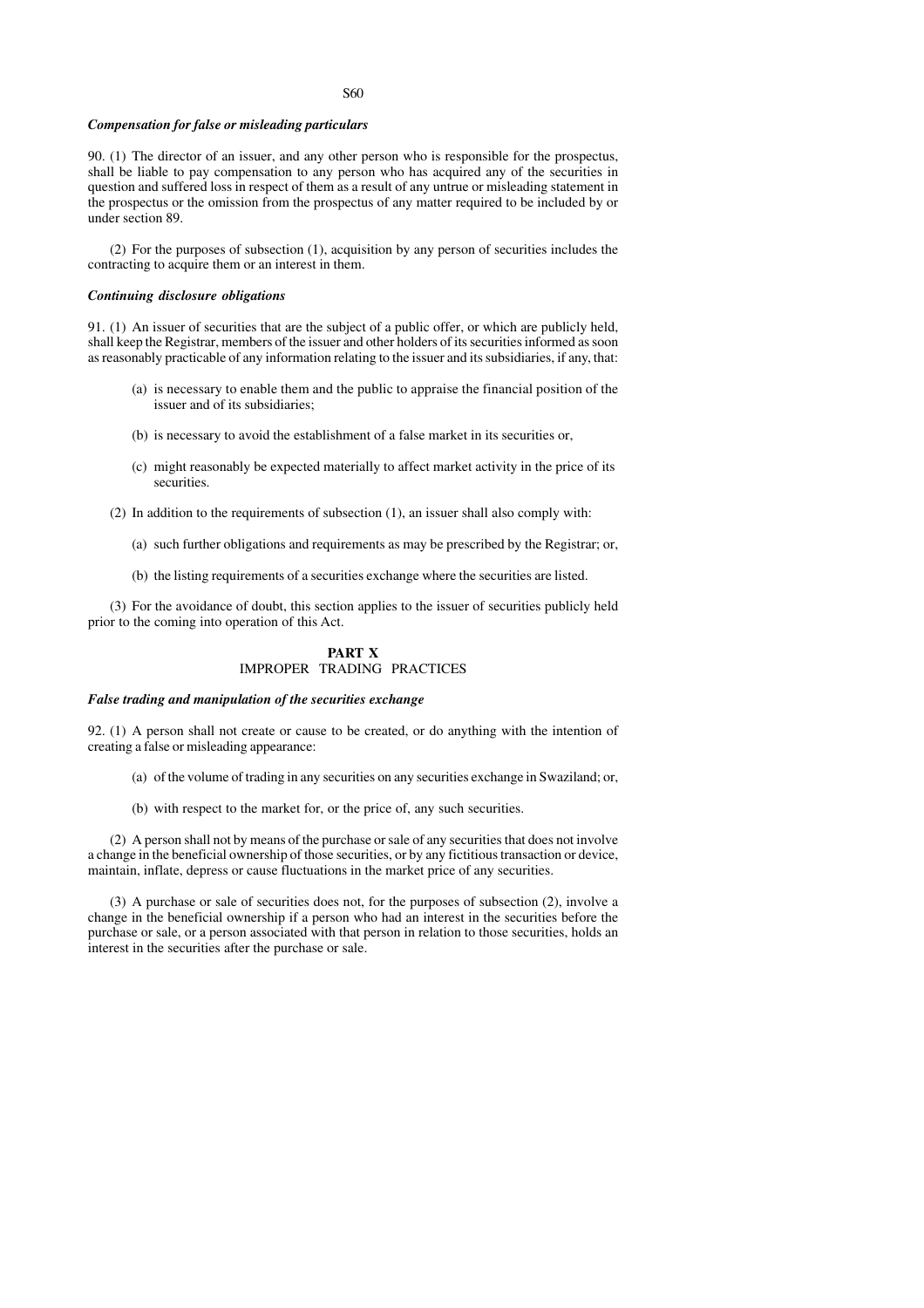### *Compensation for false or misleading particulars*

90. (1) The director of an issuer, and any other person who is responsible for the prospectus, shall be liable to pay compensation to any person who has acquired any of the securities in question and suffered loss in respect of them as a result of any untrue or misleading statement in the prospectus or the omission from the prospectus of any matter required to be included by or under section 89.

(2) For the purposes of subsection (1), acquisition by any person of securities includes the contracting to acquire them or an interest in them.

## *Continuing disclosure obligations*

91. (1) An issuer of securities that are the subject of a public offer, or which are publicly held, shall keep the Registrar, members of the issuer and other holders of its securities informed as soon as reasonably practicable of any information relating to the issuer and its subsidiaries, if any, that:

- (a) is necessary to enable them and the public to appraise the financial position of the issuer and of its subsidiaries;
- (b) is necessary to avoid the establishment of a false market in its securities or,
- (c) might reasonably be expected materially to affect market activity in the price of its securities.
- (2) In addition to the requirements of subsection (1), an issuer shall also comply with:
	- (a) such further obligations and requirements as may be prescribed by the Registrar; or,
	- (b) the listing requirements of a securities exchange where the securities are listed.

(3) For the avoidance of doubt, this section applies to the issuer of securities publicly held prior to the coming into operation of this Act.

# **PART X** IMPROPER TRADING PRACTICES

#### *False trading and manipulation of the securities exchange*

92. (1) A person shall not create or cause to be created, or do anything with the intention of creating a false or misleading appearance:

- (a) of the volume of trading in any securities on any securities exchange in Swaziland; or,
- (b) with respect to the market for, or the price of, any such securities.

(2) A person shall not by means of the purchase or sale of any securities that does not involve a change in the beneficial ownership of those securities, or by any fictitious transaction or device, maintain, inflate, depress or cause fluctuations in the market price of any securities.

(3) A purchase or sale of securities does not, for the purposes of subsection (2), involve a change in the beneficial ownership if a person who had an interest in the securities before the purchase or sale, or a person associated with that person in relation to those securities, holds an interest in the securities after the purchase or sale.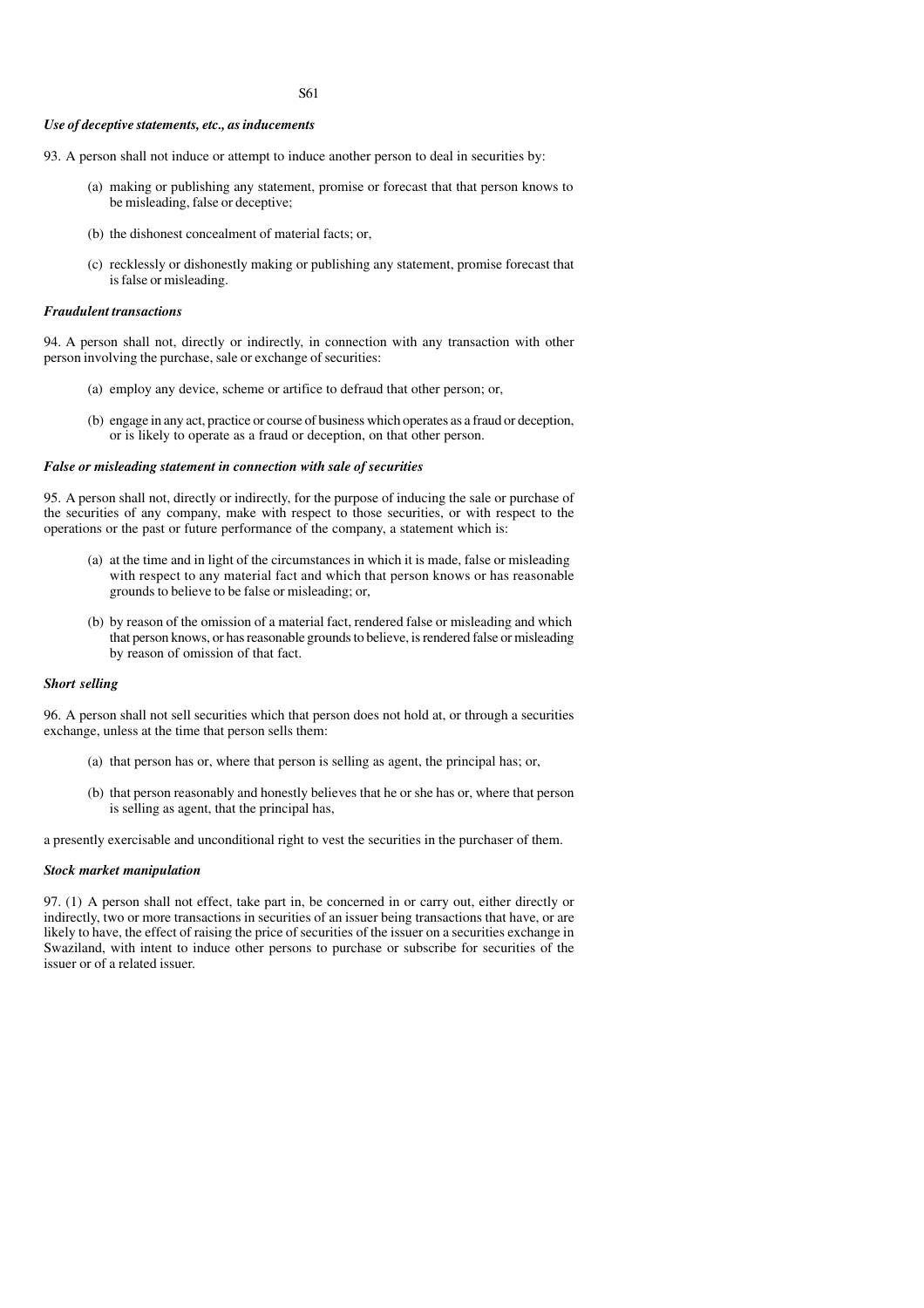#### S61

#### *Use of deceptive statements, etc., as inducements*

- 93. A person shall not induce or attempt to induce another person to deal in securities by:
	- (a) making or publishing any statement, promise or forecast that that person knows to be misleading, false or deceptive;
	- (b) the dishonest concealment of material facts; or,
	- (c) recklessly or dishonestly making or publishing any statement, promise forecast that is false or misleading.

#### *Fraudulent transactions*

94. A person shall not, directly or indirectly, in connection with any transaction with other person involving the purchase, sale or exchange of securities:

- (a) employ any device, scheme or artifice to defraud that other person; or,
- (b) engage in any act, practice or course of business which operates as a fraud or deception, or is likely to operate as a fraud or deception, on that other person.

# *False or misleading statement in connection with sale of securities*

95. A person shall not, directly or indirectly, for the purpose of inducing the sale or purchase of the securities of any company, make with respect to those securities, or with respect to the operations or the past or future performance of the company, a statement which is:

- (a) at the time and in light of the circumstances in which it is made, false or misleading with respect to any material fact and which that person knows or has reasonable grounds to believe to be false or misleading; or,
- (b) by reason of the omission of a material fact, rendered false or misleading and which that person knows, or has reasonable grounds to believe, is rendered false or misleading by reason of omission of that fact.

#### *Short selling*

96. A person shall not sell securities which that person does not hold at, or through a securities exchange, unless at the time that person sells them:

- (a) that person has or, where that person is selling as agent, the principal has; or,
- (b) that person reasonably and honestly believes that he or she has or, where that person is selling as agent, that the principal has,

a presently exercisable and unconditional right to vest the securities in the purchaser of them.

#### *Stock market manipulation*

97. (1) A person shall not effect, take part in, be concerned in or carry out, either directly or indirectly, two or more transactions in securities of an issuer being transactions that have, or are likely to have, the effect of raising the price of securities of the issuer on a securities exchange in Swaziland, with intent to induce other persons to purchase or subscribe for securities of the issuer or of a related issuer.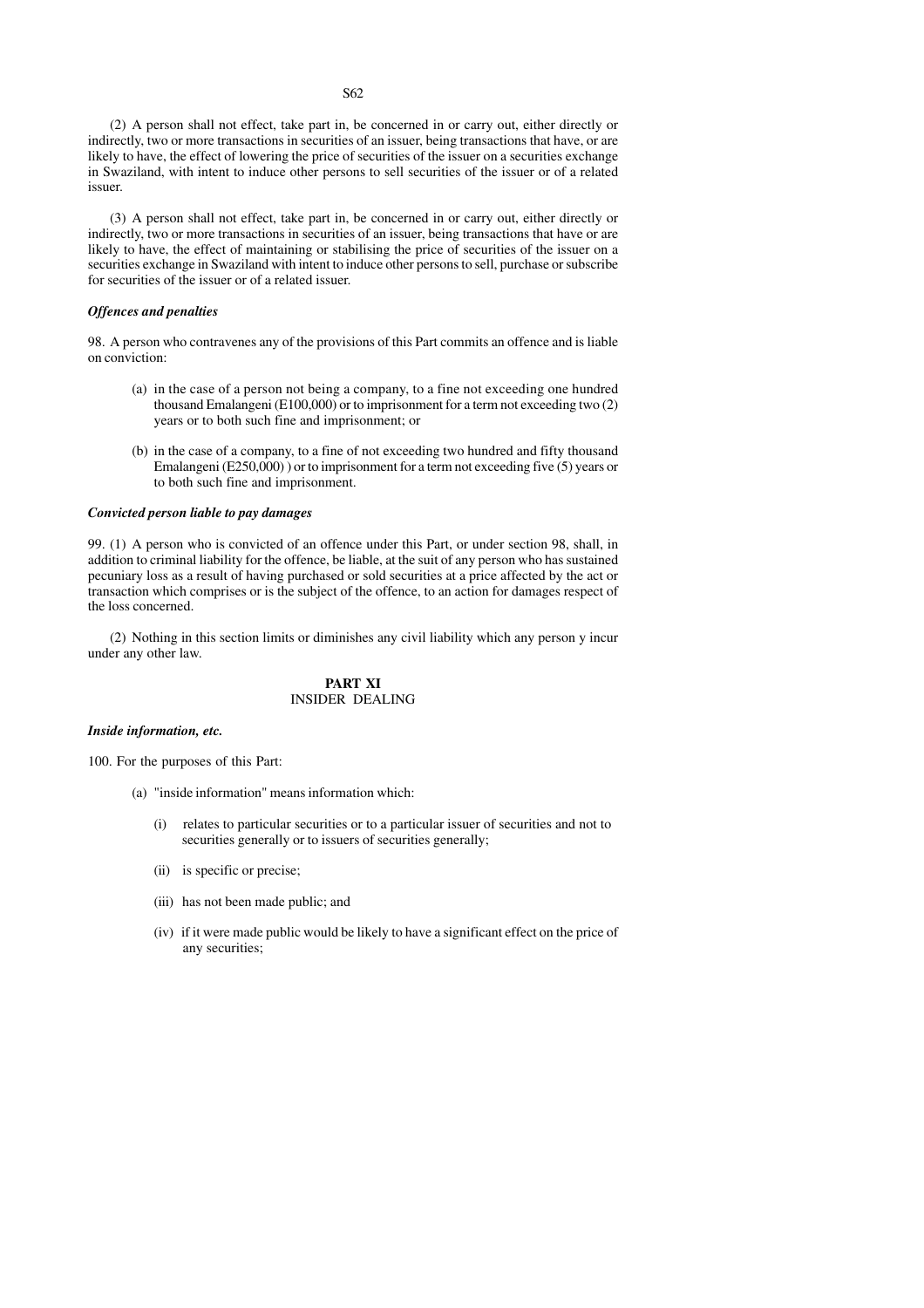(2) A person shall not effect, take part in, be concerned in or carry out, either directly or indirectly, two or more transactions in securities of an issuer, being transactions that have, or are likely to have, the effect of lowering the price of securities of the issuer on a securities exchange in Swaziland, with intent to induce other persons to sell securities of the issuer or of a related issuer.

(3) A person shall not effect, take part in, be concerned in or carry out, either directly or indirectly, two or more transactions in securities of an issuer, being transactions that have or are likely to have, the effect of maintaining or stabilising the price of securities of the issuer on a securities exchange in Swaziland with intent to induce other persons to sell, purchase or subscribe for securities of the issuer or of a related issuer.

### *Offences and penalties*

98. A person who contravenes any of the provisions of this Part commits an offence and is liable on conviction:

- (a) in the case of a person not being a company, to a fine not exceeding one hundred thousand Emalangeni (E100,000) or to imprisonment for a term not exceeding two (2) years or to both such fine and imprisonment; or
- (b) in the case of a company, to a fine of not exceeding two hundred and fifty thousand Emalangeni (E250,000) ) or to imprisonment for a term not exceeding five (5) years or to both such fine and imprisonment.

### *Convicted person liable to pay damages*

99. (1) A person who is convicted of an offence under this Part, or under section 98, shall, in addition to criminal liability for the offence, be liable, at the suit of any person who has sustained pecuniary loss as a result of having purchased or sold securities at a price affected by the act or transaction which comprises or is the subject of the offence, to an action for damages respect of the loss concerned.

(2) Nothing in this section limits or diminishes any civil liability which any person y incur under any other law.

# **PART XI** INSIDER DEALING

#### *Inside information, etc.*

100. For the purposes of this Part:

- (a) "inside information" means information which:
	- (i) relates to particular securities or to a particular issuer of securities and not to securities generally or to issuers of securities generally;
	- (ii) is specific or precise;
	- (iii) has not been made public; and
	- (iv) if it were made public would be likely to have a significant effect on the price of any securities;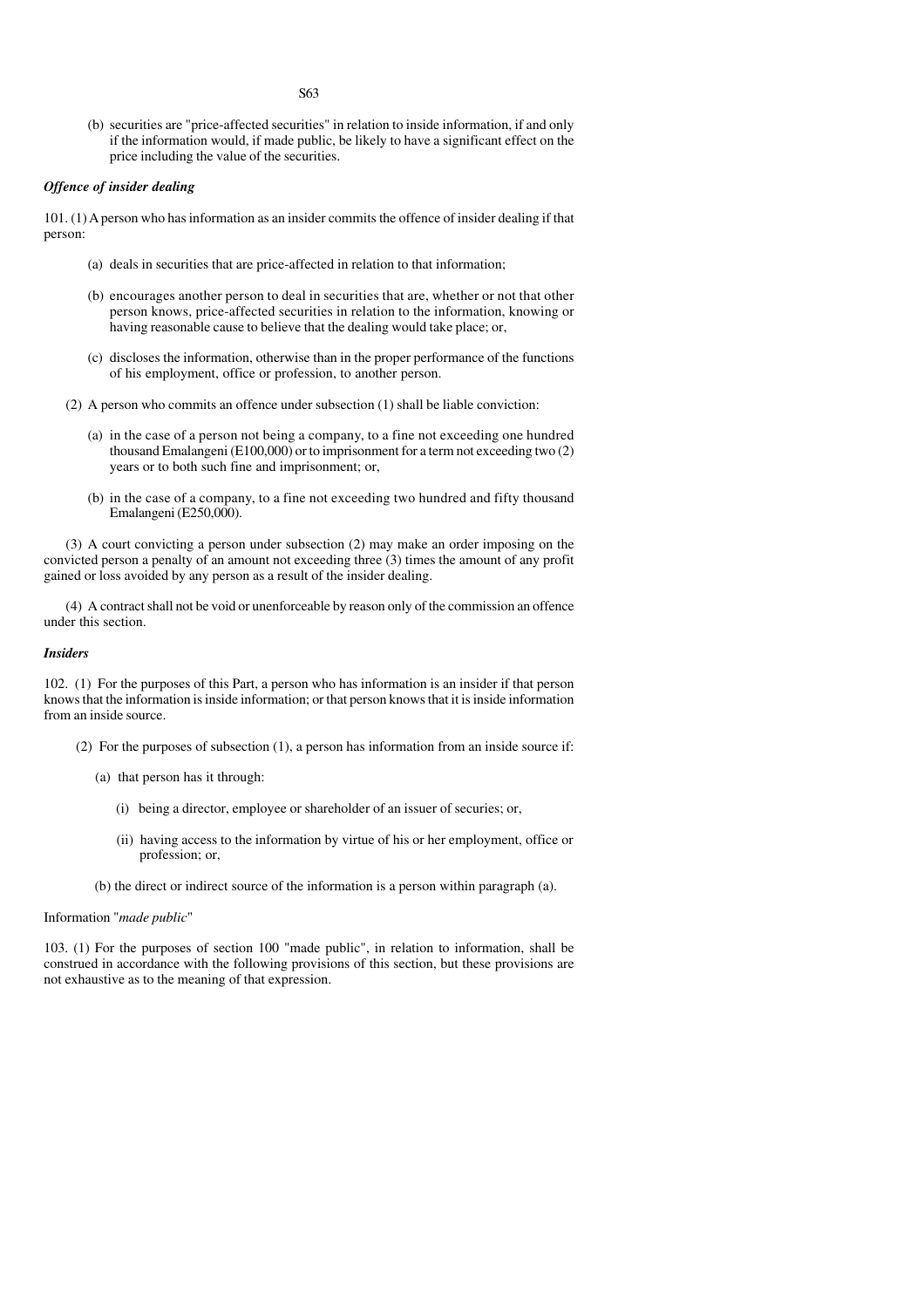(b) securities are "price-affected securities" in relation to inside information, if and only if the information would, if made public, be likely to have a significant effect on the price including the value of the securities.

## *Offence of insider dealing*

101. (1) A person who has information as an insider commits the offence of insider dealing if that person:

S63

- (a) deals in securities that are price-affected in relation to that information;
- (b) encourages another person to deal in securities that are, whether or not that other person knows, price-affected securities in relation to the information, knowing or having reasonable cause to believe that the dealing would take place; or,
- (c) discloses the information, otherwise than in the proper performance of the functions of his employment, office or profession, to another person.
- (2) A person who commits an offence under subsection (1) shall be liable conviction:
	- (a) in the case of a person not being a company, to a fine not exceeding one hundred thousand Emalangeni (E100,000) or to imprisonment for a term not exceeding two  $(2)$ years or to both such fine and imprisonment; or,
	- (b) in the case of a company, to a fine not exceeding two hundred and fifty thousand Emalangeni (E250,000).

(3) A court convicting a person under subsection (2) may make an order imposing on the convicted person a penalty of an amount not exceeding three (3) times the amount of any profit gained or loss avoided by any person as a result of the insider dealing.

(4) A contract shall not be void or unenforceable by reason only of the commission an offence under this section.

# *Insiders*

102. (1) For the purposes of this Part, a person who has information is an insider if that person knows that the information is inside information; or that person knows that it is inside information from an inside source.

- (2) For the purposes of subsection (1), a person has information from an inside source if:
	- (a) that person has it through:
		- (i) being a director, employee or shareholder of an issuer of securies; or,
		- (ii) having access to the information by virtue of his or her employment, office or profession; or,
	- (b) the direct or indirect source of the information is a person within paragraph (a).

## Information "*made public*"

103. (1) For the purposes of section 100 "made public", in relation to information, shall be construed in accordance with the following provisions of this section, but these provisions are not exhaustive as to the meaning of that expression.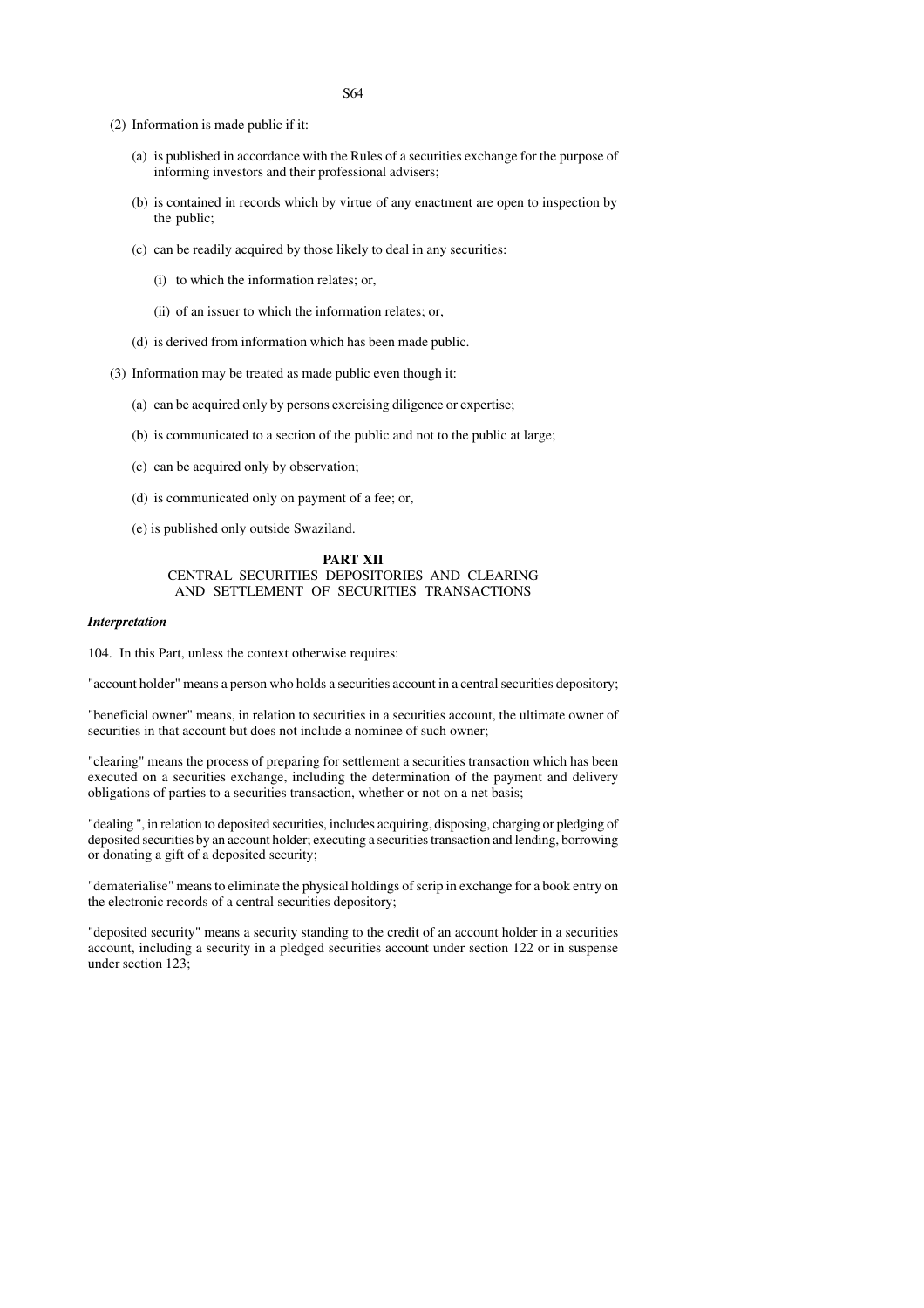- (2) Information is made public if it:
	- (a) is published in accordance with the Rules of a securities exchange for the purpose of informing investors and their professional advisers;
	- (b) is contained in records which by virtue of any enactment are open to inspection by the public;
	- (c) can be readily acquired by those likely to deal in any securities:
		- (i) to which the information relates; or,
		- (ii) of an issuer to which the information relates; or,
	- (d) is derived from information which has been made public.
- (3) Information may be treated as made public even though it:
	- (a) can be acquired only by persons exercising diligence or expertise;
	- (b) is communicated to a section of the public and not to the public at large;
	- (c) can be acquired only by observation;
	- (d) is communicated only on payment of a fee; or,
	- (e) is published only outside Swaziland.

#### **PART XII** CENTRAL SECURITIES DEPOSITORIES AND CLEARING AND SETTLEMENT OF SECURITIES TRANSACTIONS

#### *Interpretation*

104. In this Part, unless the context otherwise requires:

"account holder" means a person who holds a securities account in a central securities depository;

"beneficial owner" means, in relation to securities in a securities account, the ultimate owner of securities in that account but does not include a nominee of such owner;

"clearing" means the process of preparing for settlement a securities transaction which has been executed on a securities exchange, including the determination of the payment and delivery obligations of parties to a securities transaction, whether or not on a net basis;

"dealing ", in relation to deposited securities, includes acquiring, disposing, charging or pledging of deposited securities by an account holder; executing a securities transaction and lending, borrowing or donating a gift of a deposited security;

"dematerialise" means to eliminate the physical holdings of scrip in exchange for a book entry on the electronic records of a central securities depository;

"deposited security" means a security standing to the credit of an account holder in a securities account, including a security in a pledged securities account under section 122 or in suspense under section 123: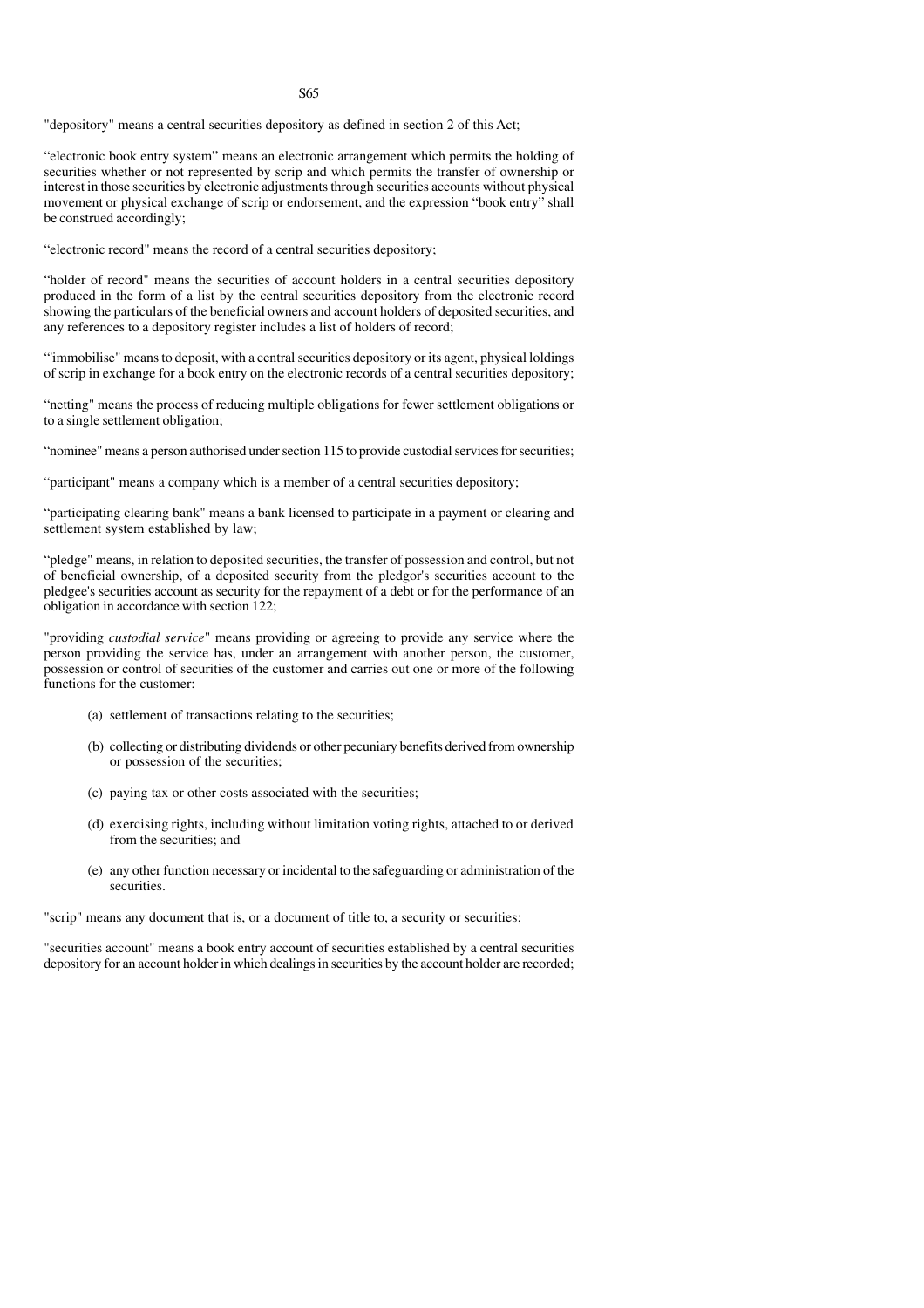#### S65

"depository" means a central securities depository as defined in section 2 of this Act;

"electronic book entry system" means an electronic arrangement which permits the holding of securities whether or not represented by scrip and which permits the transfer of ownership or interest in those securities by electronic adjustments through securities accounts without physical movement or physical exchange of scrip or endorsement, and the expression "book entry" shall be construed accordingly;

"electronic record" means the record of a central securities depository;

"holder of record" means the securities of account holders in a central securities depository produced in the form of a list by the central securities depository from the electronic record showing the particulars of the beneficial owners and account holders of deposited securities, and any references to a depository register includes a list of holders of record;

"'immobilise" means to deposit, with a central securities depository or its agent, physical loldings of scrip in exchange for a book entry on the electronic records of a central securities depository;

"netting" means the process of reducing multiple obligations for fewer settlement obligations or to a single settlement obligation;

"nominee" means a person authorised under section 115 to provide custodial services for securities;

"participant" means a company which is a member of a central securities depository;

"participating clearing bank" means a bank licensed to participate in a payment or clearing and settlement system established by law;

"pledge" means, in relation to deposited securities, the transfer of possession and control, but not of beneficial ownership, of a deposited security from the pledgor's securities account to the pledgee's securities account as security for the repayment of a debt or for the performance of an obligation in accordance with section 122;

"providing *custodial service*" means providing or agreeing to provide any service where the person providing the service has, under an arrangement with another person, the customer, possession or control of securities of the customer and carries out one or more of the following functions for the customer:

- (a) settlement of transactions relating to the securities;
- (b) collecting or distributing dividends or other pecuniary benefits derived from ownership or possession of the securities;
- (c) paying tax or other costs associated with the securities;
- (d) exercising rights, including without limitation voting rights, attached to or derived from the securities; and
- (e) any other function necessary or incidental to the safeguarding or administration of the securities.

"scrip" means any document that is, or a document of title to, a security or securities;

"securities account" means a book entry account of securities established by a central securities depository for an account holder in which dealings in securities by the account holder are recorded;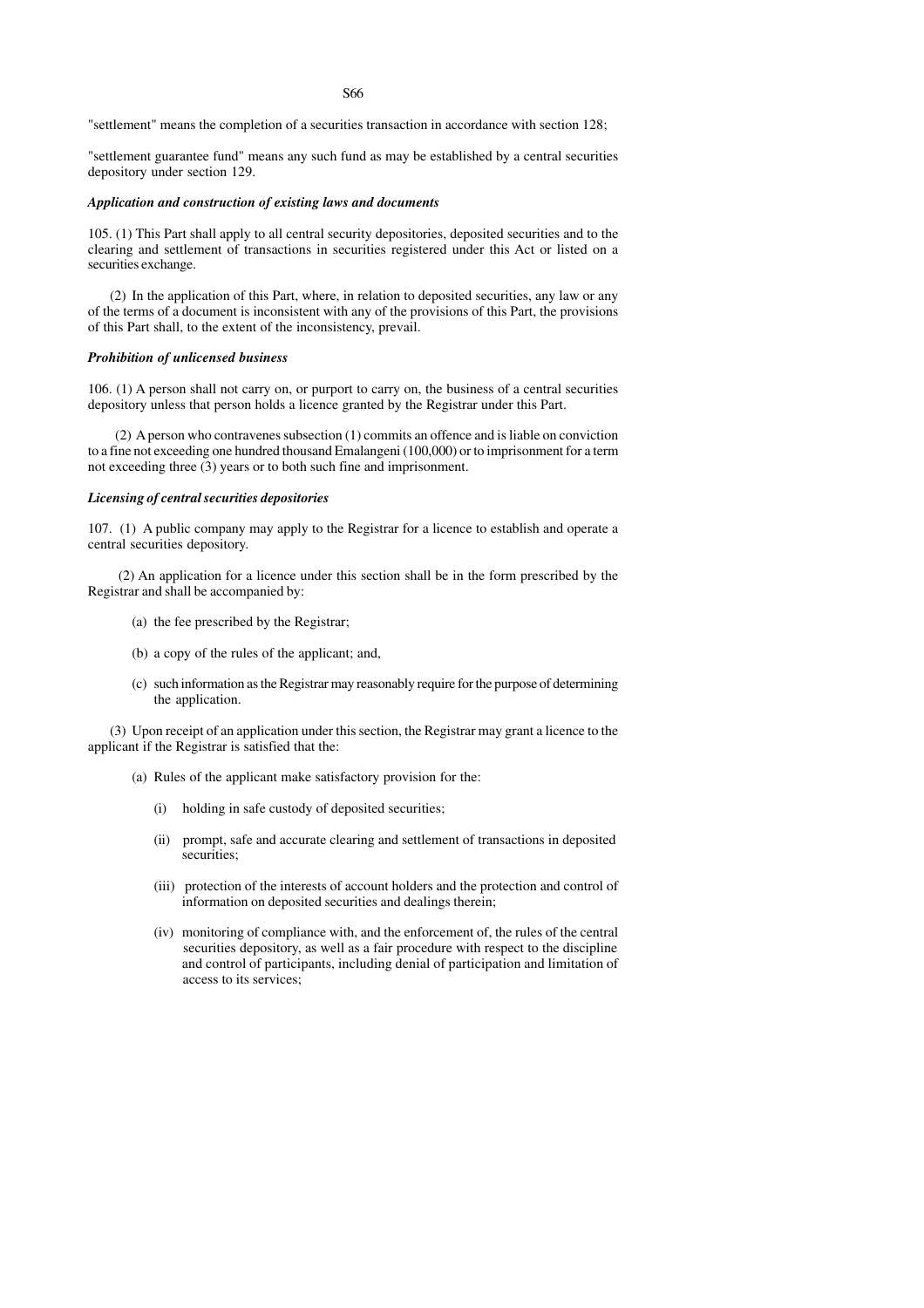"settlement" means the completion of a securities transaction in accordance with section 128;

"settlement guarantee fund" means any such fund as may be established by a central securities depository under section 129.

## *Application and construction of existing laws and documents*

105. (1) This Part shall apply to all central security depositories, deposited securities and to the clearing and settlement of transactions in securities registered under this Act or listed on a securities exchange.

(2) In the application of this Part, where, in relation to deposited securities, any law or any of the terms of a document is inconsistent with any of the provisions of this Part, the provisions of this Part shall, to the extent of the inconsistency, prevail.

# *Prohibition of unlicensed business*

106. (1) A person shall not carry on, or purport to carry on, the business of a central securities depository unless that person holds a licence granted by the Registrar under this Part.

 (2) A person who contravenes subsection (1) commits an offence and is liable on conviction to a fine not exceeding one hundred thousand Emalangeni (100,000) or to imprisonment for a term not exceeding three (3) years or to both such fine and imprisonment.

# *Licensing of central securities depositories*

107. (1) A public company may apply to the Registrar for a licence to establish and operate a central securities depository.

 (2) An application for a licence under this section shall be in the form prescribed by the Registrar and shall be accompanied by:

- (a) the fee prescribed by the Registrar;
- (b) a copy of the rules of the applicant; and,
- (c) such information as the Registrar may reasonably require for the purpose of determining the application.

(3) Upon receipt of an application under this section, the Registrar may grant a licence to the applicant if the Registrar is satisfied that the:

- (a) Rules of the applicant make satisfactory provision for the:
	- (i) holding in safe custody of deposited securities;
	- (ii) prompt, safe and accurate clearing and settlement of transactions in deposited securities;
	- (iii) protection of the interests of account holders and the protection and control of information on deposited securities and dealings therein;
	- (iv) monitoring of compliance with, and the enforcement of, the rules of the central securities depository, as well as a fair procedure with respect to the discipline and control of participants, including denial of participation and limitation of access to its services;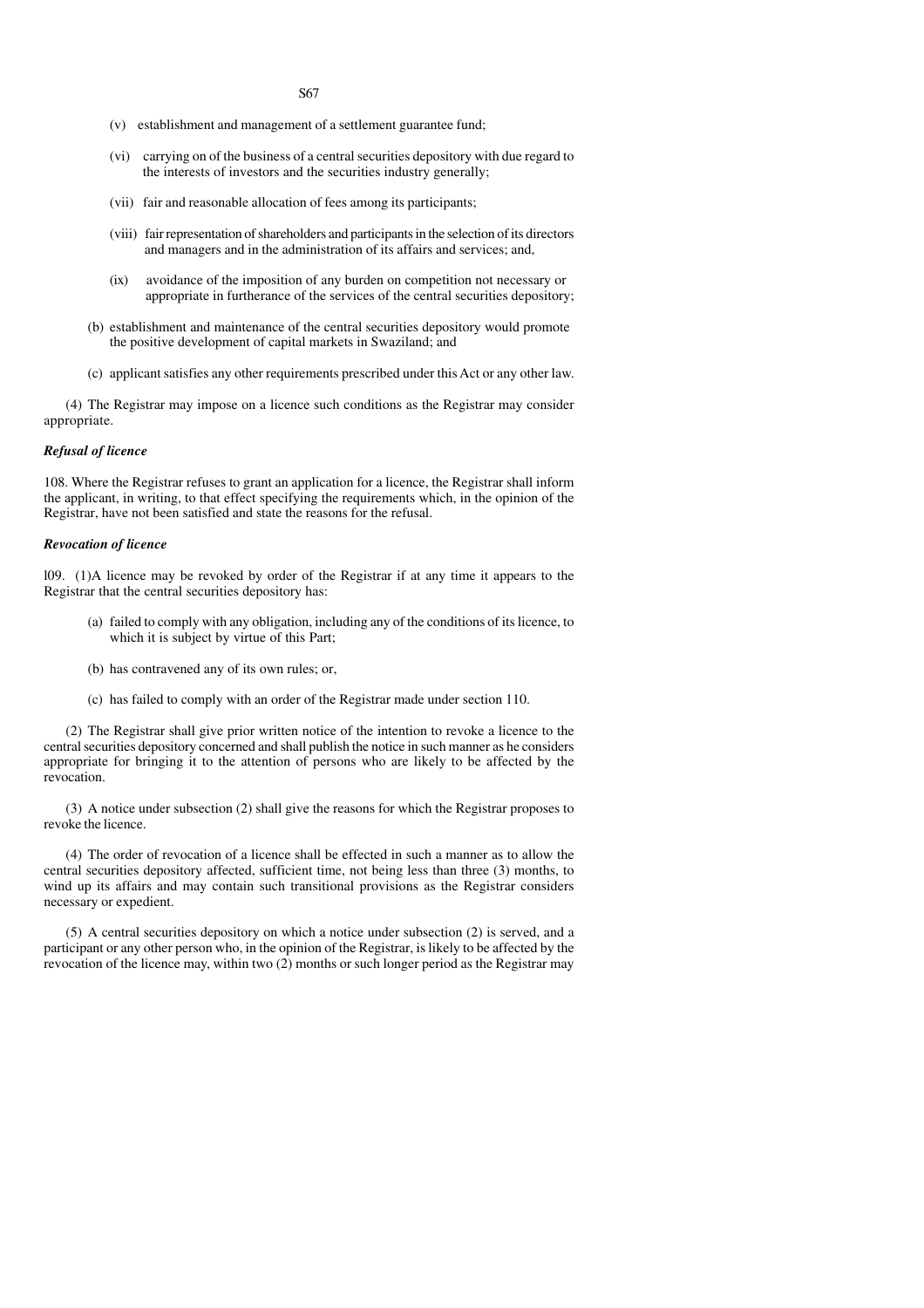S67

- (v) establishment and management of a settlement guarantee fund;
- (vi) carrying on of the business of a central securities depository with due regard to the interests of investors and the securities industry generally;
- (vii) fair and reasonable allocation of fees among its participants;
- (viii) fair representation of shareholders and participants in the selection of its directors and managers and in the administration of its affairs and services; and,
- (ix) avoidance of the imposition of any burden on competition not necessary or appropriate in furtherance of the services of the central securities depository;
- (b) establishment and maintenance of the central securities depository would promote the positive development of capital markets in Swaziland; and
- (c) applicant satisfies any other requirements prescribed under this Act or any other law.

(4) The Registrar may impose on a licence such conditions as the Registrar may consider appropriate.

# *Refusal of licence*

108. Where the Registrar refuses to grant an application for a licence, the Registrar shall inform the applicant, in writing, to that effect specifying the requirements which, in the opinion of the Registrar, have not been satisfied and state the reasons for the refusal.

#### *Revocation of licence*

l09. (1)A licence may be revoked by order of the Registrar if at any time it appears to the Registrar that the central securities depository has:

- (a) failed to comply with any obligation, including any of the conditions of its licence, to which it is subject by virtue of this Part;
- (b) has contravened any of its own rules; or,
- (c) has failed to comply with an order of the Registrar made under section 110.

(2) The Registrar shall give prior written notice of the intention to revoke a licence to the central securities depository concerned and shall publish the notice in such manner as he considers appropriate for bringing it to the attention of persons who are likely to be affected by the revocation.

(3) A notice under subsection (2) shall give the reasons for which the Registrar proposes to revoke the licence.

(4) The order of revocation of a licence shall be effected in such a manner as to allow the central securities depository affected, sufficient time, not being less than three (3) months, to wind up its affairs and may contain such transitional provisions as the Registrar considers necessary or expedient.

(5) A central securities depository on which a notice under subsection (2) is served, and a participant or any other person who, in the opinion of the Registrar, is likely to be affected by the revocation of the licence may, within two (2) months or such longer period as the Registrar may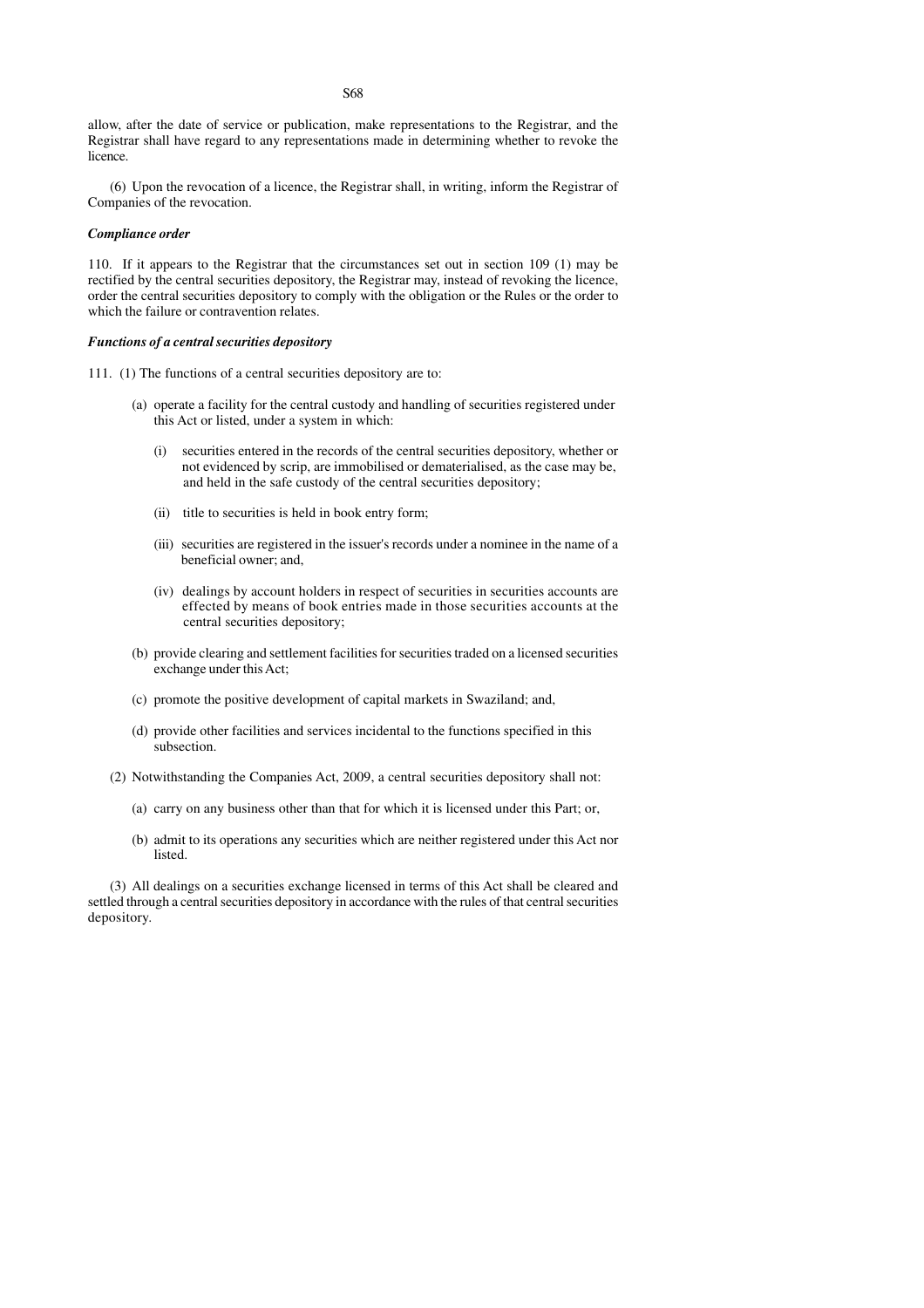allow, after the date of service or publication, make representations to the Registrar, and the Registrar shall have regard to any representations made in determining whether to revoke the licence.

(6) Upon the revocation of a licence, the Registrar shall, in writing, inform the Registrar of Companies of the revocation.

#### *Compliance order*

110. If it appears to the Registrar that the circumstances set out in section 109 (1) may be rectified by the central securities depository, the Registrar may, instead of revoking the licence, order the central securities depository to comply with the obligation or the Rules or the order to which the failure or contravention relates.

#### *Functions of a central securities depository*

- 111. (1) The functions of a central securities depository are to:
	- (a) operate a facility for the central custody and handling of securities registered under this Act or listed, under a system in which:
		- (i) securities entered in the records of the central securities depository, whether or not evidenced by scrip, are immobilised or dematerialised, as the case may be, and held in the safe custody of the central securities depository;
		- (ii) title to securities is held in book entry form;
		- (iii) securities are registered in the issuer's records under a nominee in the name of a beneficial owner; and,
		- (iv) dealings by account holders in respect of securities in securities accounts are effected by means of book entries made in those securities accounts at the central securities depository;
	- (b) provide clearing and settlement facilities for securities traded on a licensed securities exchange under this Act;
	- (c) promote the positive development of capital markets in Swaziland; and,
	- (d) provide other facilities and services incidental to the functions specified in this subsection.
	- (2) Notwithstanding the Companies Act, 2009, a central securities depository shall not:
		- (a) carry on any business other than that for which it is licensed under this Part; or,
		- (b) admit to its operations any securities which are neither registered under this Act nor listed.

(3) All dealings on a securities exchange licensed in terms of this Act shall be cleared and settled through a central securities depository in accordance with the rules of that central securities depository.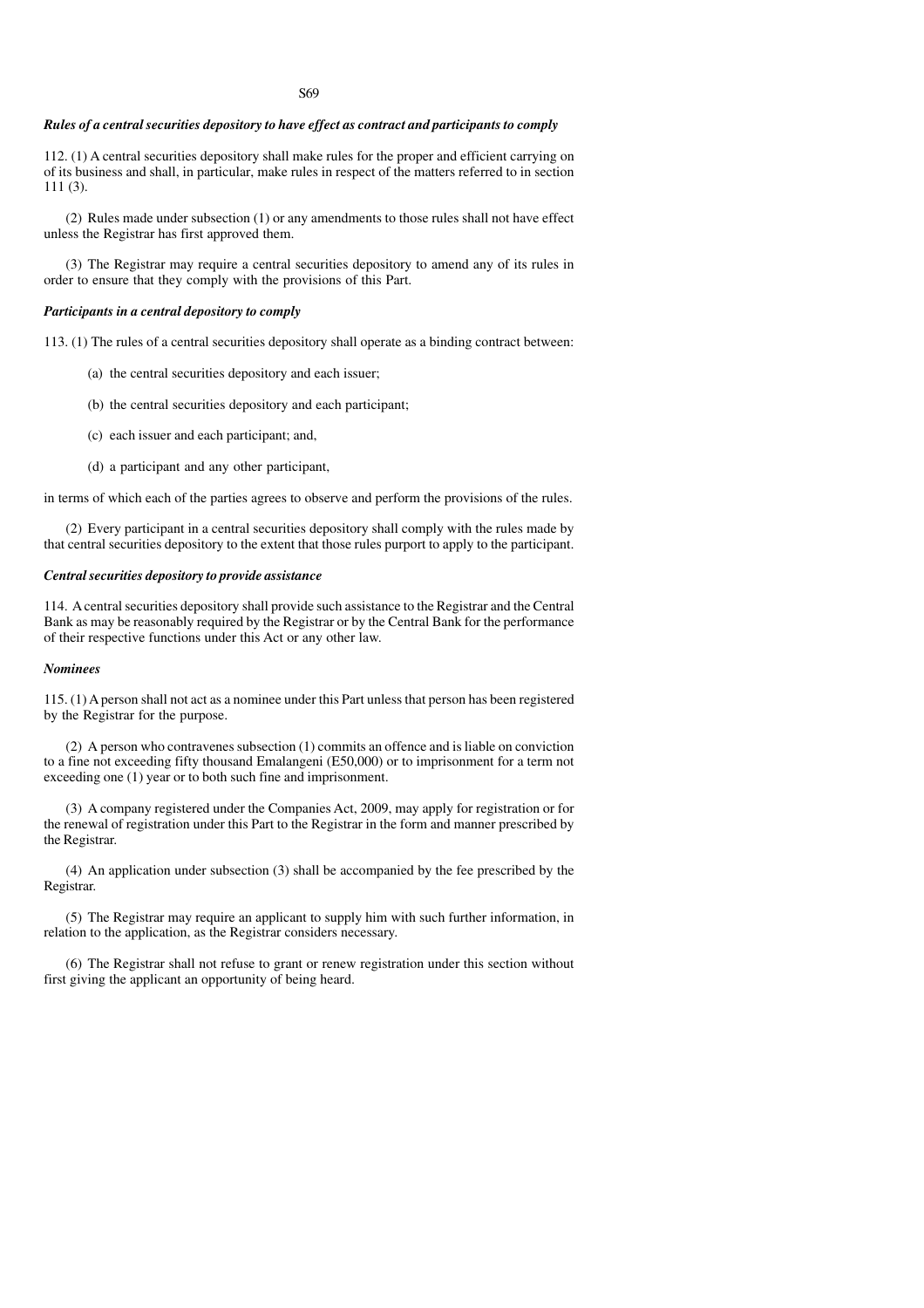#### S69

#### *Rules of a central securities depository to have effect as contract and participants to comply*

112. (1) A central securities depository shall make rules for the proper and efficient carrying on of its business and shall, in particular, make rules in respect of the matters referred to in section 111 (3).

(2) Rules made under subsection (1) or any amendments to those rules shall not have effect unless the Registrar has first approved them.

(3) The Registrar may require a central securities depository to amend any of its rules in order to ensure that they comply with the provisions of this Part.

#### *Participants in a central depository to comply*

113. (1) The rules of a central securities depository shall operate as a binding contract between:

- (a) the central securities depository and each issuer;
- (b) the central securities depository and each participant;
- (c) each issuer and each participant; and,
- (d) a participant and any other participant,

in terms of which each of the parties agrees to observe and perform the provisions of the rules.

(2) Every participant in a central securities depository shall comply with the rules made by that central securities depository to the extent that those rules purport to apply to the participant.

# *Central securities depository to provide assistance*

114. A central securities depository shall provide such assistance to the Registrar and the Central Bank as may be reasonably required by the Registrar or by the Central Bank for the performance of their respective functions under this Act or any other law.

#### *Nominees*

115. (1) A person shall not act as a nominee under this Part unless that person has been registered by the Registrar for the purpose.

(2) A person who contravenes subsection (1) commits an offence and is liable on conviction to a fine not exceeding fifty thousand Emalangeni (E50,000) or to imprisonment for a term not exceeding one (1) year or to both such fine and imprisonment.

(3) A company registered under the Companies Act, 2009, may apply for registration or for the renewal of registration under this Part to the Registrar in the form and manner prescribed by the Registrar.

(4) An application under subsection (3) shall be accompanied by the fee prescribed by the Registrar.

(5) The Registrar may require an applicant to supply him with such further information, in relation to the application, as the Registrar considers necessary.

(6) The Registrar shall not refuse to grant or renew registration under this section without first giving the applicant an opportunity of being heard.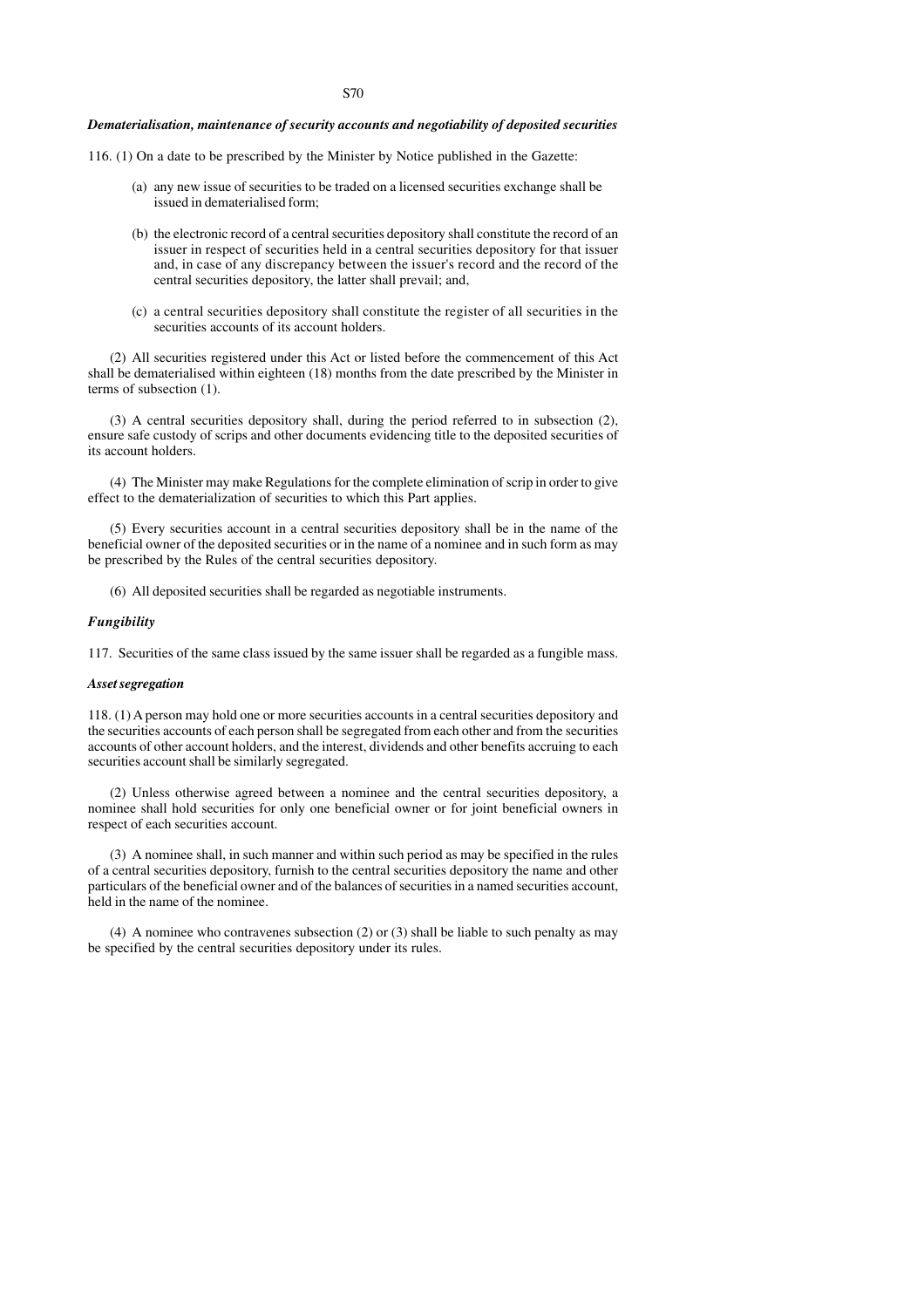#### S70

#### *Dematerialisation, maintenance of security accounts and negotiability of deposited securities*

116. (1) On a date to be prescribed by the Minister by Notice published in the Gazette:

- (a) any new issue of securities to be traded on a licensed securities exchange shall be issued in dematerialised form;
- (b) the electronic record of a central securities depository shall constitute the record of an issuer in respect of securities held in a central securities depository for that issuer and, in case of any discrepancy between the issuer's record and the record of the central securities depository, the latter shall prevail; and,
- (c) a central securities depository shall constitute the register of all securities in the securities accounts of its account holders.

(2) All securities registered under this Act or listed before the commencement of this Act shall be dematerialised within eighteen (18) months from the date prescribed by the Minister in terms of subsection (1).

(3) A central securities depository shall, during the period referred to in subsection (2), ensure safe custody of scrips and other documents evidencing title to the deposited securities of its account holders.

(4) The Minister may make Regulations for the complete elimination of scrip in order to give effect to the dematerialization of securities to which this Part applies.

(5) Every securities account in a central securities depository shall be in the name of the beneficial owner of the deposited securities or in the name of a nominee and in such form as may be prescribed by the Rules of the central securities depository.

(6) All deposited securities shall be regarded as negotiable instruments.

#### *Fungibility*

117. Securities of the same class issued by the same issuer shall be regarded as a fungible mass.

#### *Asset segregation*

118. (1) A person may hold one or more securities accounts in a central securities depository and the securities accounts of each person shall be segregated from each other and from the securities accounts of other account holders, and the interest, dividends and other benefits accruing to each securities account shall be similarly segregated.

(2) Unless otherwise agreed between a nominee and the central securities depository, a nominee shall hold securities for only one beneficial owner or for joint beneficial owners in respect of each securities account.

(3) A nominee shall, in such manner and within such period as may be specified in the rules of a central securities depository, furnish to the central securities depository the name and other particulars of the beneficial owner and of the balances of securities in a named securities account, held in the name of the nominee.

(4) A nominee who contravenes subsection (2) or (3) shall be liable to such penalty as may be specified by the central securities depository under its rules.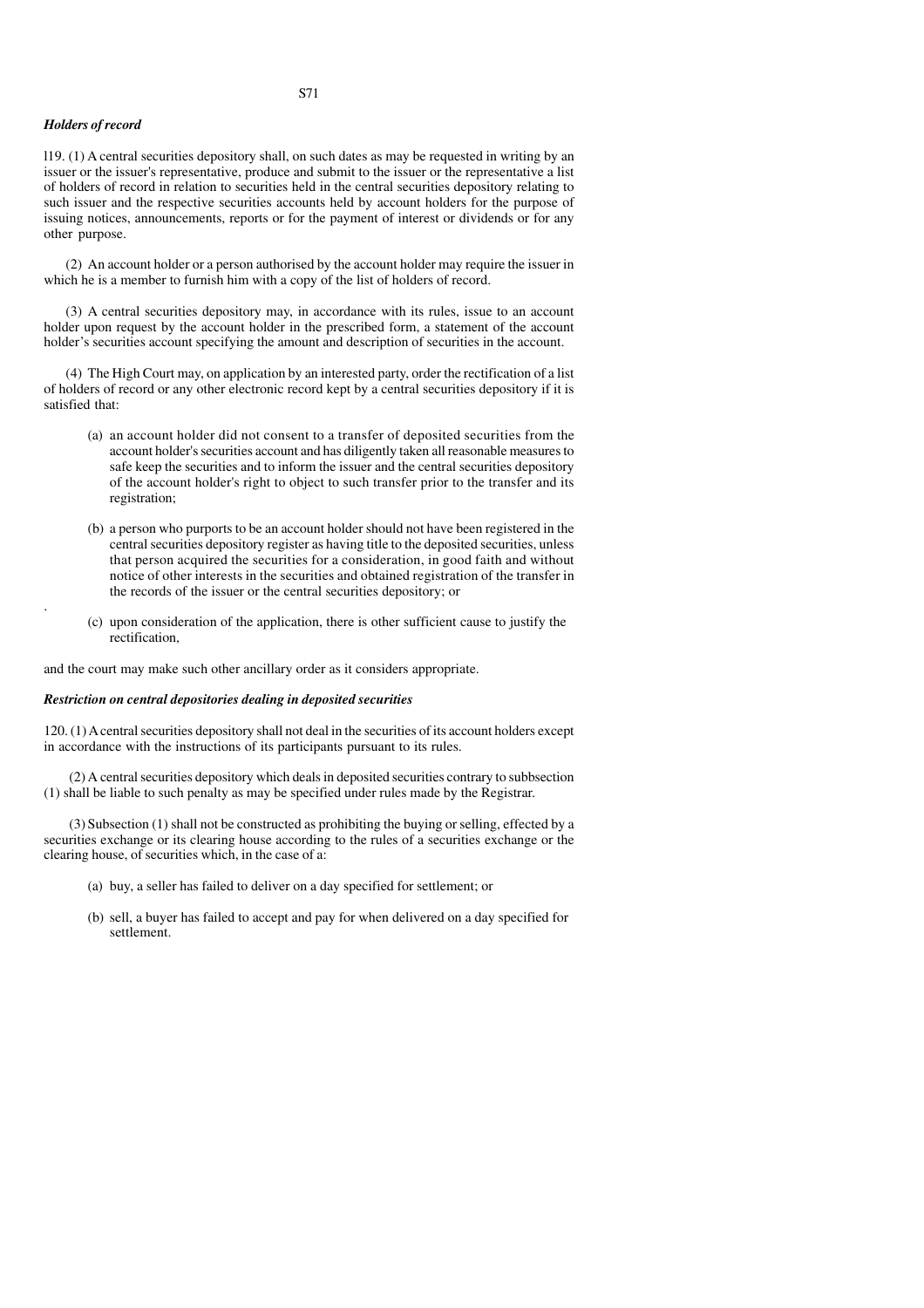#### *Holders of record*

.

l19. (1) A central securities depository shall, on such dates as may be requested in writing by an issuer or the issuer's representative, produce and submit to the issuer or the representative a list of holders of record in relation to securities held in the central securities depository relating to such issuer and the respective securities accounts held by account holders for the purpose of issuing notices, announcements, reports or for the payment of interest or dividends or for any other purpose.

(2) An account holder or a person authorised by the account holder may require the issuer in which he is a member to furnish him with a copy of the list of holders of record.

(3) A central securities depository may, in accordance with its rules, issue to an account holder upon request by the account holder in the prescribed form, a statement of the account holder's securities account specifying the amount and description of securities in the account.

(4) The High Court may, on application by an interested party, order the rectification of a list of holders of record or any other electronic record kept by a central securities depository if it is satisfied that:

- (a) an account holder did not consent to a transfer of deposited securities from the account holder's securities account and has diligently taken all reasonable measures to safe keep the securities and to inform the issuer and the central securities depository of the account holder's right to object to such transfer prior to the transfer and its registration;
- (b) a person who purports to be an account holder should not have been registered in the central securities depository register as having title to the deposited securities, unless that person acquired the securities for a consideration, in good faith and without notice of other interests in the securities and obtained registration of the transfer in the records of the issuer or the central securities depository; or
- (c) upon consideration of the application, there is other sufficient cause to justify the rectification,

and the court may make such other ancillary order as it considers appropriate.

#### *Restriction on central depositories dealing in deposited securities*

120. (1) A central securities depository shall not deal in the securities of its account holders except in accordance with the instructions of its participants pursuant to its rules.

 (2) A central securities depository which deals in deposited securities contrary to subbsection (1) shall be liable to such penalty as may be specified under rules made by the Registrar.

 (3) Subsection (1) shall not be constructed as prohibiting the buying or selling, effected by a securities exchange or its clearing house according to the rules of a securities exchange or the clearing house, of securities which, in the case of a:

- (a) buy, a seller has failed to deliver on a day specified for settlement; or
- (b) sell, a buyer has failed to accept and pay for when delivered on a day specified for settlement.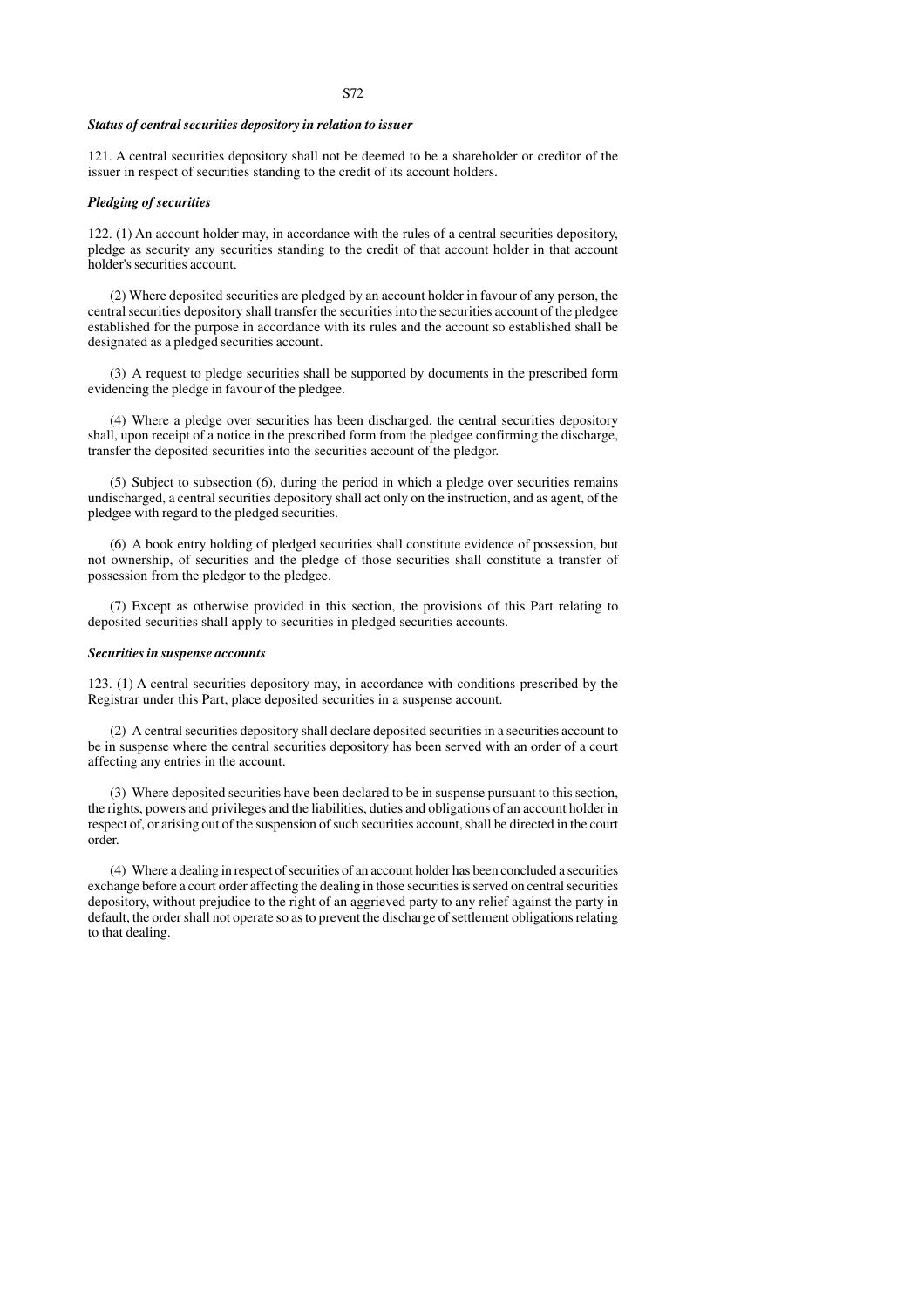#### *Status of central securities depository in relation to issuer*

121. A central securities depository shall not be deemed to be a shareholder or creditor of the issuer in respect of securities standing to the credit of its account holders.

#### *Pledging of securities*

122. (1) An account holder may, in accordance with the rules of a central securities depository, pledge as security any securities standing to the credit of that account holder in that account holder's securities account.

(2) Where deposited securities are pledged by an account holder in favour of any person, the central securities depository shall transfer the securities into the securities account of the pledgee established for the purpose in accordance with its rules and the account so established shall be designated as a pledged securities account.

(3) A request to pledge securities shall be supported by documents in the prescribed form evidencing the pledge in favour of the pledgee.

(4) Where a pledge over securities has been discharged, the central securities depository shall, upon receipt of a notice in the prescribed form from the pledgee confirming the discharge, transfer the deposited securities into the securities account of the pledgor.

(5) Subject to subsection (6), during the period in which a pledge over securities remains undischarged, a central securities depository shall act only on the instruction, and as agent, of the pledgee with regard to the pledged securities.

(6) A book entry holding of pledged securities shall constitute evidence of possession, but not ownership, of securities and the pledge of those securities shall constitute a transfer of possession from the pledgor to the pledgee.

(7) Except as otherwise provided in this section, the provisions of this Part relating to deposited securities shall apply to securities in pledged securities accounts.

#### *Securities in suspense accounts*

123. (1) A central securities depository may, in accordance with conditions prescribed by the Registrar under this Part, place deposited securities in a suspense account.

(2) A central securities depository shall declare deposited securities in a securities account to be in suspense where the central securities depository has been served with an order of a court affecting any entries in the account.

(3) Where deposited securities have been declared to be in suspense pursuant to this section, the rights, powers and privileges and the liabilities, duties and obligations of an account holder in respect of, or arising out of the suspension of such securities account, shall be directed in the court order.

(4) Where a dealing in respect of securities of an account holder has been concluded a securities exchange before a court order affecting the dealing in those securities is served on central securities depository, without prejudice to the right of an aggrieved party to any relief against the party in default, the order shall not operate so as to prevent the discharge of settlement obligations relating to that dealing.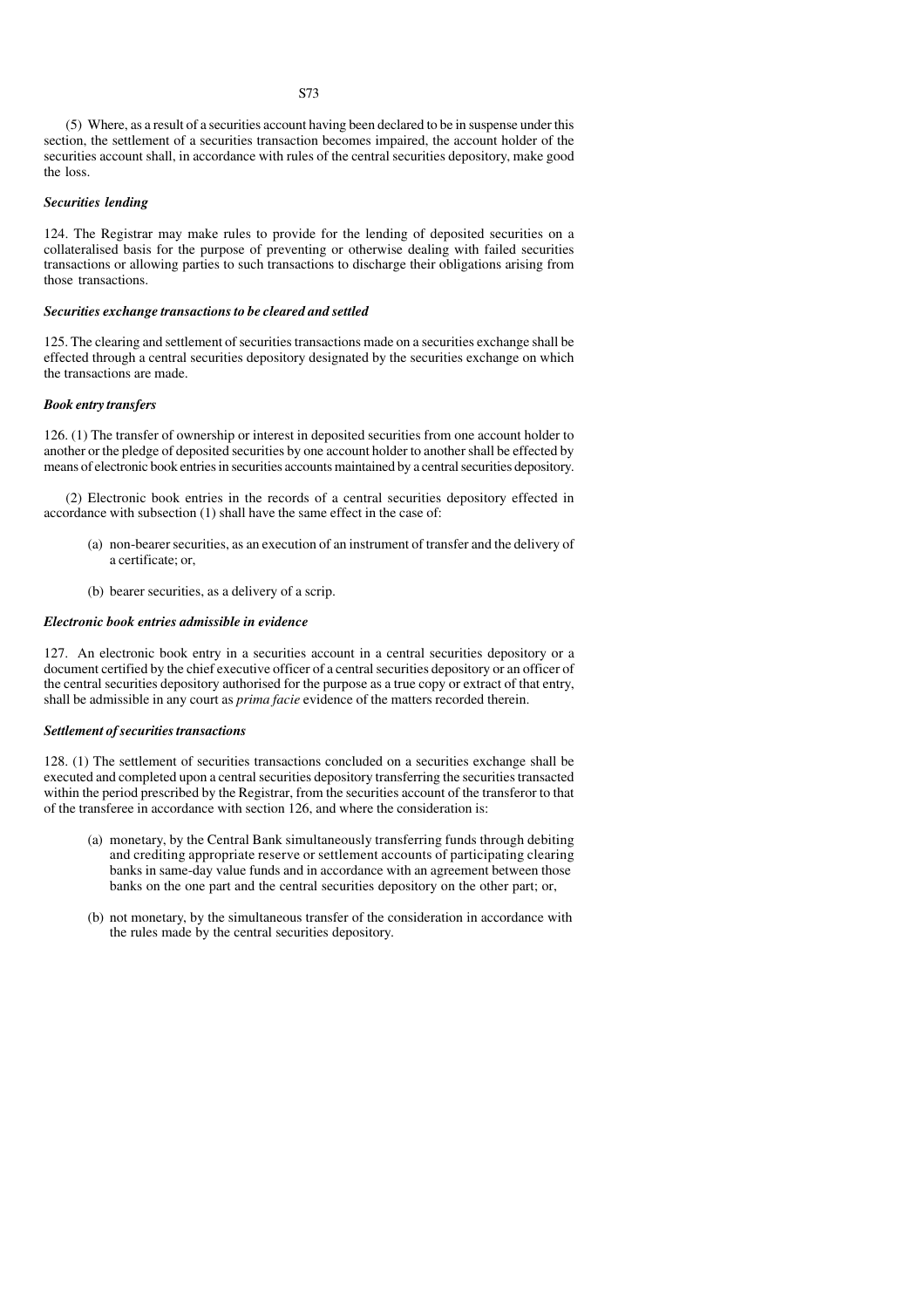(5) Where, as a result of a securities account having been declared to be in suspense under this section, the settlement of a securities transaction becomes impaired, the account holder of the securities account shall, in accordance with rules of the central securities depository, make good the loss.

# *Securities lending*

124. The Registrar may make rules to provide for the lending of deposited securities on a collateralised basis for the purpose of preventing or otherwise dealing with failed securities transactions or allowing parties to such transactions to discharge their obligations arising from those transactions.

#### *Securities exchange transactions to be cleared and settled*

125. The clearing and settlement of securities transactions made on a securities exchange shall be effected through a central securities depository designated by the securities exchange on which the transactions are made.

#### *Book entry transfers*

126. (1) The transfer of ownership or interest in deposited securities from one account holder to another or the pledge of deposited securities by one account holder to another shall be effected by means of electronic book entries in securities accounts maintained by a central securities depository.

(2) Electronic book entries in the records of a central securities depository effected in accordance with subsection (1) shall have the same effect in the case of:

- (a) non-bearer securities, as an execution of an instrument of transfer and the delivery of a certificate; or,
- (b) bearer securities, as a delivery of a scrip.

#### *Electronic book entries admissible in evidence*

127. An electronic book entry in a securities account in a central securities depository or a document certified by the chief executive officer of a central securities depository or an officer of the central securities depository authorised for the purpose as a true copy or extract of that entry, shall be admissible in any court as *prima facie* evidence of the matters recorded therein.

#### *Settlement of securities transactions*

128. (1) The settlement of securities transactions concluded on a securities exchange shall be executed and completed upon a central securities depository transferring the securities transacted within the period prescribed by the Registrar, from the securities account of the transferor to that of the transferee in accordance with section 126, and where the consideration is:

- (a) monetary, by the Central Bank simultaneously transferring funds through debiting and crediting appropriate reserve or settlement accounts of participating clearing banks in same-day value funds and in accordance with an agreement between those banks on the one part and the central securities depository on the other part; or,
- (b) not monetary, by the simultaneous transfer of the consideration in accordance with the rules made by the central securities depository.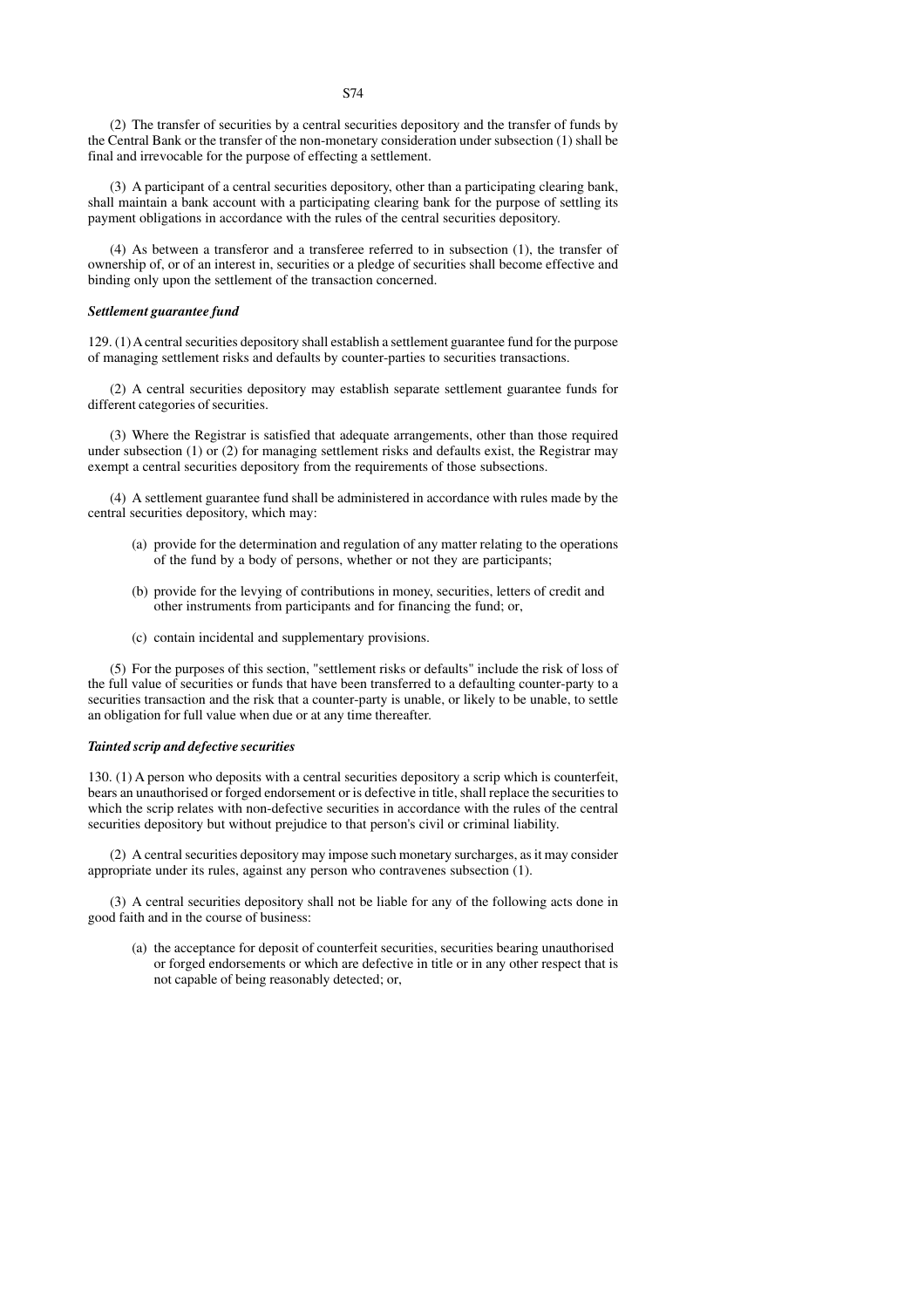(2) The transfer of securities by a central securities depository and the transfer of funds by the Central Bank or the transfer of the non-monetary consideration under subsection (1) shall be final and irrevocable for the purpose of effecting a settlement.

(3) A participant of a central securities depository, other than a participating clearing bank, shall maintain a bank account with a participating clearing bank for the purpose of settling its payment obligations in accordance with the rules of the central securities depository.

(4) As between a transferor and a transferee referred to in subsection (1), the transfer of ownership of, or of an interest in, securities or a pledge of securities shall become effective and binding only upon the settlement of the transaction concerned.

#### *Settlement guarantee fund*

129. (1) A central securities depository shall establish a settlement guarantee fund for the purpose of managing settlement risks and defaults by counter-parties to securities transactions.

(2) A central securities depository may establish separate settlement guarantee funds for different categories of securities.

(3) Where the Registrar is satisfied that adequate arrangements, other than those required under subsection (1) or (2) for managing settlement risks and defaults exist, the Registrar may exempt a central securities depository from the requirements of those subsections.

(4) A settlement guarantee fund shall be administered in accordance with rules made by the central securities depository, which may:

- (a) provide for the determination and regulation of any matter relating to the operations of the fund by a body of persons, whether or not they are participants;
- (b) provide for the levying of contributions in money, securities, letters of credit and other instruments from participants and for financing the fund; or,
- (c) contain incidental and supplementary provisions.

(5) For the purposes of this section, "settlement risks or defaults" include the risk of loss of the full value of securities or funds that have been transferred to a defaulting counter-party to a securities transaction and the risk that a counter-party is unable, or likely to be unable, to settle an obligation for full value when due or at any time thereafter.

#### *Tainted scrip and defective securities*

130. (1) A person who deposits with a central securities depository a scrip which is counterfeit, bears an unauthorised or forged endorsement or is defective in title, shall replace the securities to which the scrip relates with non-defective securities in accordance with the rules of the central securities depository but without prejudice to that person's civil or criminal liability.

(2) A central securities depository may impose such monetary surcharges, as it may consider appropriate under its rules, against any person who contravenes subsection (1).

(3) A central securities depository shall not be liable for any of the following acts done in good faith and in the course of business:

(a) the acceptance for deposit of counterfeit securities, securities bearing unauthorised or forged endorsements or which are defective in title or in any other respect that is not capable of being reasonably detected; or,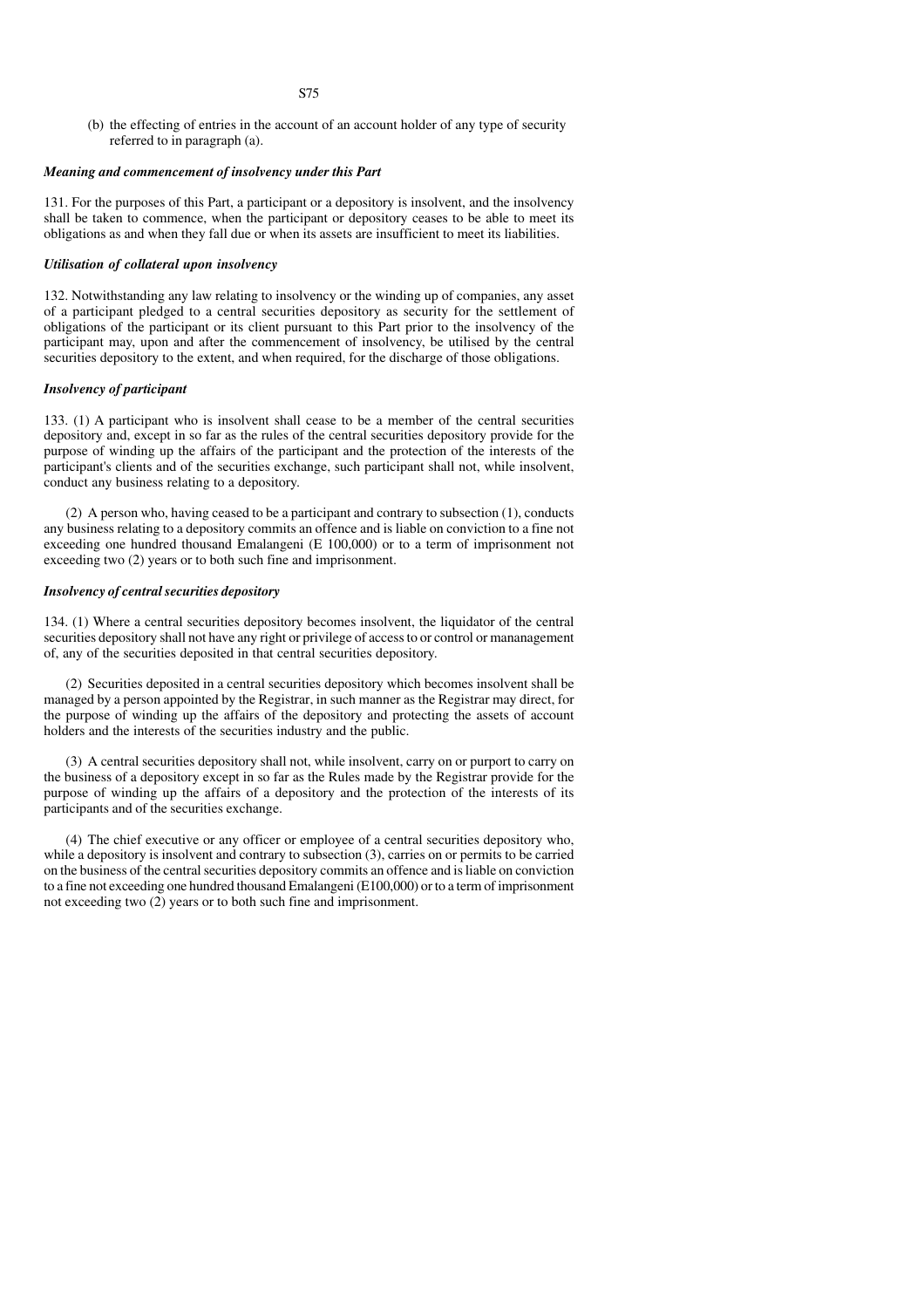- S75
- (b) the effecting of entries in the account of an account holder of any type of security referred to in paragraph (a).

### *Meaning and commencement of insolvency under this Part*

131. For the purposes of this Part, a participant or a depository is insolvent, and the insolvency shall be taken to commence, when the participant or depository ceases to be able to meet its obligations as and when they fall due or when its assets are insufficient to meet its liabilities.

## *Utilisation of collateral upon insolvency*

132. Notwithstanding any law relating to insolvency or the winding up of companies, any asset of a participant pledged to a central securities depository as security for the settlement of obligations of the participant or its client pursuant to this Part prior to the insolvency of the participant may, upon and after the commencement of insolvency, be utilised by the central securities depository to the extent, and when required, for the discharge of those obligations.

### *Insolvency of participant*

133. (1) A participant who is insolvent shall cease to be a member of the central securities depository and, except in so far as the rules of the central securities depository provide for the purpose of winding up the affairs of the participant and the protection of the interests of the participant's clients and of the securities exchange, such participant shall not, while insolvent, conduct any business relating to a depository.

(2) A person who, having ceased to be a participant and contrary to subsection (1), conducts any business relating to a depository commits an offence and is liable on conviction to a fine not exceeding one hundred thousand Emalangeni (E 100,000) or to a term of imprisonment not exceeding two (2) years or to both such fine and imprisonment.

# *Insolvency of central securities depository*

134. (1) Where a central securities depository becomes insolvent, the liquidator of the central securities depository shall not have any right or privilege of access to or control or mananagement of, any of the securities deposited in that central securities depository.

(2) Securities deposited in a central securities depository which becomes insolvent shall be managed by a person appointed by the Registrar, in such manner as the Registrar may direct, for the purpose of winding up the affairs of the depository and protecting the assets of account holders and the interests of the securities industry and the public.

(3) A central securities depository shall not, while insolvent, carry on or purport to carry on the business of a depository except in so far as the Rules made by the Registrar provide for the purpose of winding up the affairs of a depository and the protection of the interests of its participants and of the securities exchange.

(4) The chief executive or any officer or employee of a central securities depository who, while a depository is insolvent and contrary to subsection (3), carries on or permits to be carried on the business of the central securities depository commits an offence and is liable on conviction to a fine not exceeding one hundred thousand Emalangeni (E100,000) or to a term of imprisonment not exceeding two (2) years or to both such fine and imprisonment.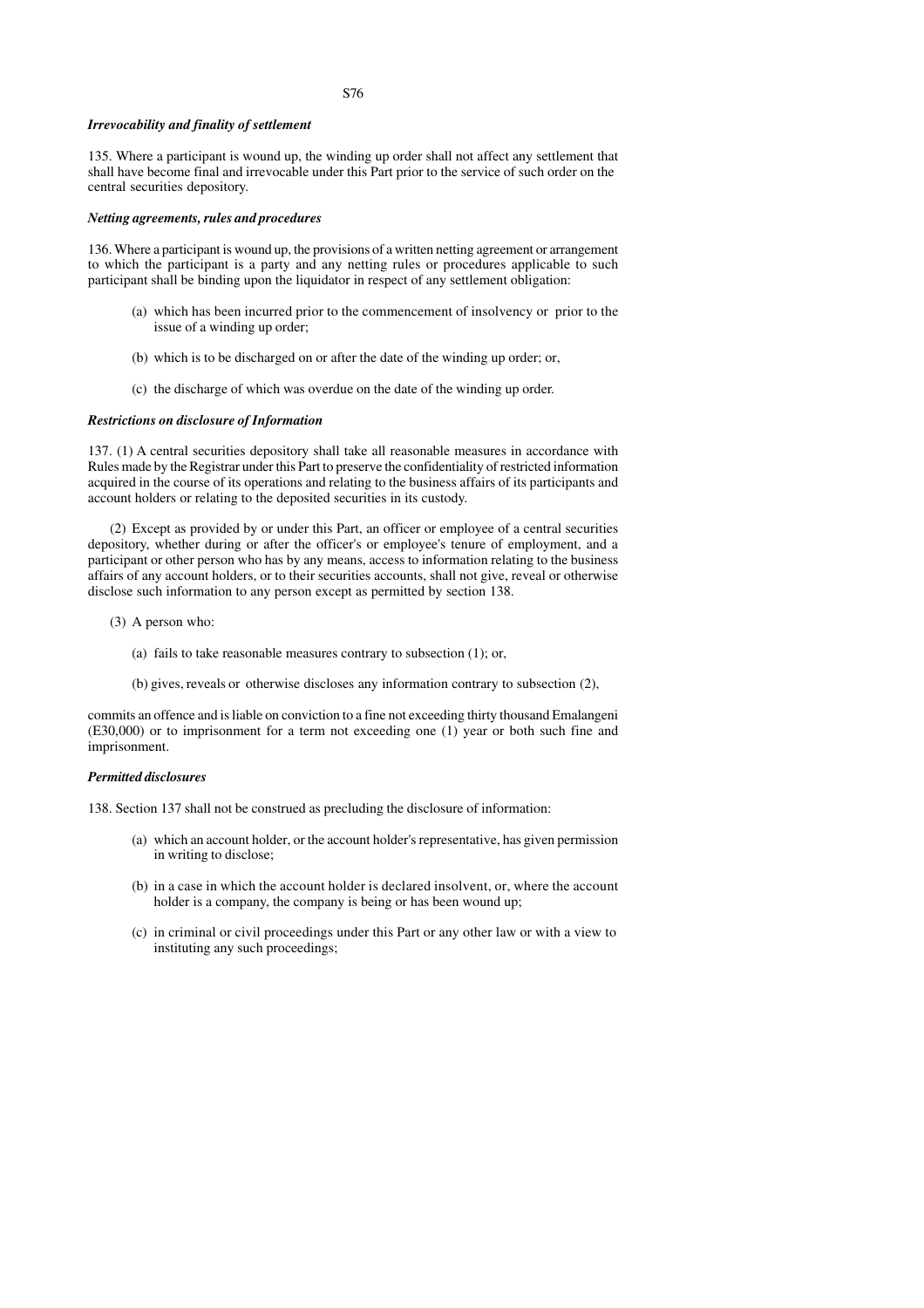#### *Irrevocability and finality of settlement*

135. Where a participant is wound up, the winding up order shall not affect any settlement that shall have become final and irrevocable under this Part prior to the service of such order on the central securities depository.

### *Netting agreements, rules and procedures*

136. Where a participant is wound up, the provisions of a written netting agreement or arrangement to which the participant is a party and any netting rules or procedures applicable to such participant shall be binding upon the liquidator in respect of any settlement obligation:

- (a) which has been incurred prior to the commencement of insolvency or prior to the issue of a winding up order;
- (b) which is to be discharged on or after the date of the winding up order; or,
- (c) the discharge of which was overdue on the date of the winding up order.

#### *Restrictions on disclosure of Information*

137. (1) A central securities depository shall take all reasonable measures in accordance with Rules made by the Registrar under this Part to preserve the confidentiality of restricted information acquired in the course of its operations and relating to the business affairs of its participants and account holders or relating to the deposited securities in its custody.

(2) Except as provided by or under this Part, an officer or employee of a central securities depository, whether during or after the officer's or employee's tenure of employment, and a participant or other person who has by any means, access to information relating to the business affairs of any account holders, or to their securities accounts, shall not give, reveal or otherwise disclose such information to any person except as permitted by section 138.

- (3) A person who:
	- (a) fails to take reasonable measures contrary to subsection (1); or,
	- (b) gives, reveals or otherwise discloses any information contrary to subsection (2),

commits an offence and is liable on conviction to a fine not exceeding thirty thousand Emalangeni (E30,000) or to imprisonment for a term not exceeding one (1) year or both such fine and imprisonment.

#### *Permitted disclosures*

138. Section 137 shall not be construed as precluding the disclosure of information:

- (a) which an account holder, or the account holder's representative, has given permission in writing to disclose;
- (b) in a case in which the account holder is declared insolvent, or, where the account holder is a company, the company is being or has been wound up;
- (c) in criminal or civil proceedings under this Part or any other law or with a view to instituting any such proceedings;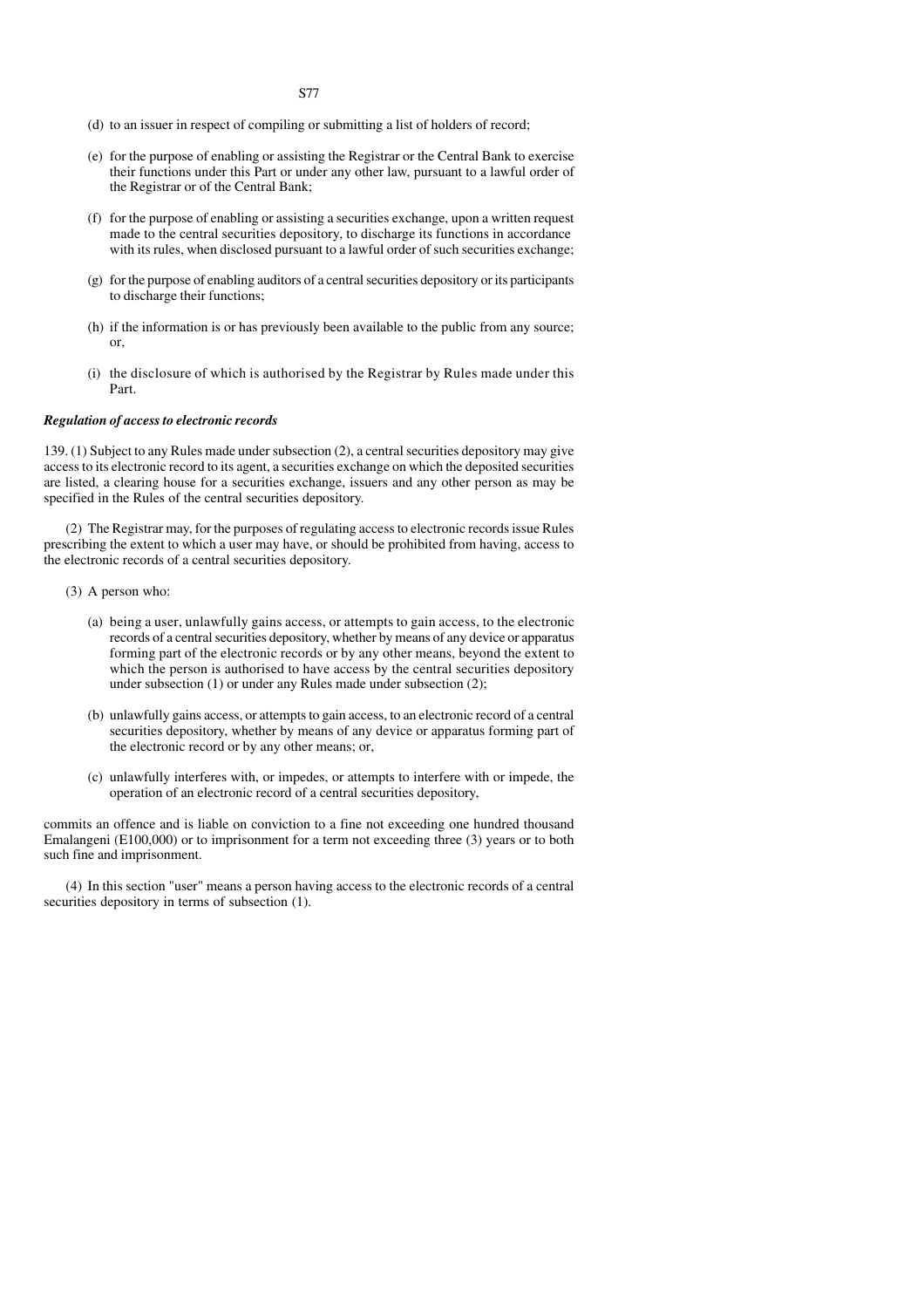- (d) to an issuer in respect of compiling or submitting a list of holders of record;
- (e) for the purpose of enabling or assisting the Registrar or the Central Bank to exercise their functions under this Part or under any other law, pursuant to a lawful order of the Registrar or of the Central Bank;
- (f) for the purpose of enabling or assisting a securities exchange, upon a written request made to the central securities depository, to discharge its functions in accordance with its rules, when disclosed pursuant to a lawful order of such securities exchange;
- (g) for the purpose of enabling auditors of a central securities depository or its participants to discharge their functions;
- (h) if the information is or has previously been available to the public from any source; or,
- (i) the disclosure of which is authorised by the Registrar by Rules made under this Part.

#### *Regulation of access to electronic records*

139. (1) Subject to any Rules made under subsection (2), a central securities depository may give access to its electronic record to its agent, a securities exchange on which the deposited securities are listed, a clearing house for a securities exchange, issuers and any other person as may be specified in the Rules of the central securities depository.

(2) The Registrar may, for the purposes of regulating access to electronic records issue Rules prescribing the extent to which a user may have, or should be prohibited from having, access to the electronic records of a central securities depository.

- (3) A person who:
	- (a) being a user, unlawfully gains access, or attempts to gain access, to the electronic records of a central securities depository, whether by means of any device or apparatus forming part of the electronic records or by any other means, beyond the extent to which the person is authorised to have access by the central securities depository under subsection (1) or under any Rules made under subsection (2);
	- (b) unlawfully gains access, or attempts to gain access, to an electronic record of a central securities depository, whether by means of any device or apparatus forming part of the electronic record or by any other means; or,
	- (c) unlawfully interferes with, or impedes, or attempts to interfere with or impede, the operation of an electronic record of a central securities depository,

commits an offence and is liable on conviction to a fine not exceeding one hundred thousand Emalangeni (E100,000) or to imprisonment for a term not exceeding three (3) years or to both such fine and imprisonment.

(4) In this section "user" means a person having access to the electronic records of a central securities depository in terms of subsection  $(1)$ .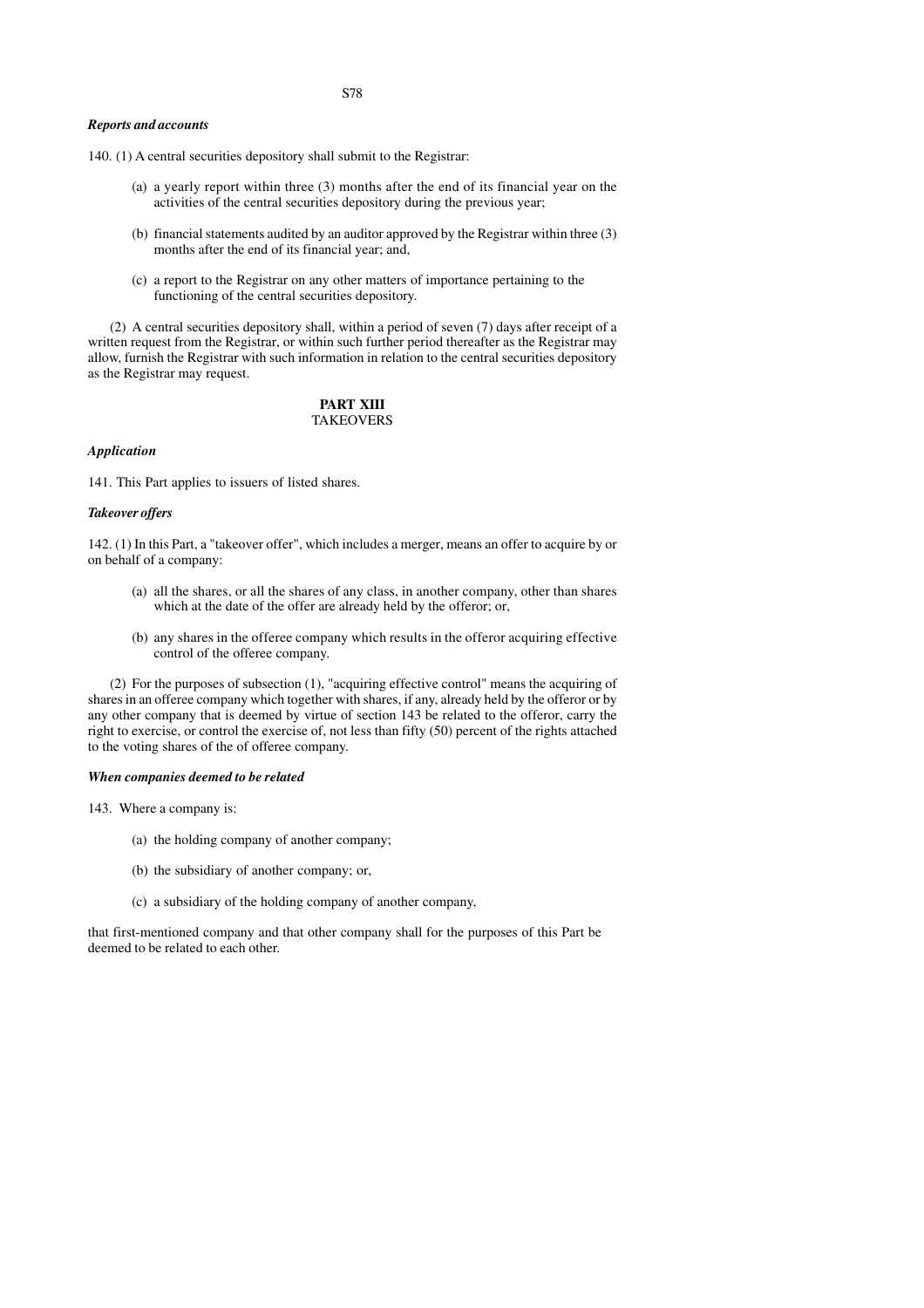#### *Reports and accounts*

140. (1) A central securities depository shall submit to the Registrar:

- (a) a yearly report within three (3) months after the end of its financial year on the activities of the central securities depository during the previous year;
- (b) financial statements audited by an auditor approved by the Registrar within three (3) months after the end of its financial year; and,
- (c) a report to the Registrar on any other matters of importance pertaining to the functioning of the central securities depository.

(2) A central securities depository shall, within a period of seven (7) days after receipt of a written request from the Registrar, or within such further period thereafter as the Registrar may allow, furnish the Registrar with such information in relation to the central securities depository as the Registrar may request.

# **PART XIII TAKEOVERS**

#### *Application*

141. This Part applies to issuers of listed shares.

#### *Takeover offers*

142. (1) In this Part, a "takeover offer", which includes a merger, means an offer to acquire by or on behalf of a company:

- (a) all the shares, or all the shares of any class, in another company, other than shares which at the date of the offer are already held by the offeror; or,
- (b) any shares in the offeree company which results in the offeror acquiring effective control of the offeree company.

(2) For the purposes of subsection (1), "acquiring effective control" means the acquiring of shares in an offeree company which together with shares, if any, already held by the offeror or by any other company that is deemed by virtue of section 143 be related to the offeror, carry the right to exercise, or control the exercise of, not less than fifty (50) percent of the rights attached to the voting shares of the of offeree company.

#### *When companies deemed to be related*

143. Where a company is:

- (a) the holding company of another company;
- (b) the subsidiary of another company; or,
- (c) a subsidiary of the holding company of another company,

that first-mentioned company and that other company shall for the purposes of this Part be deemed to be related to each other.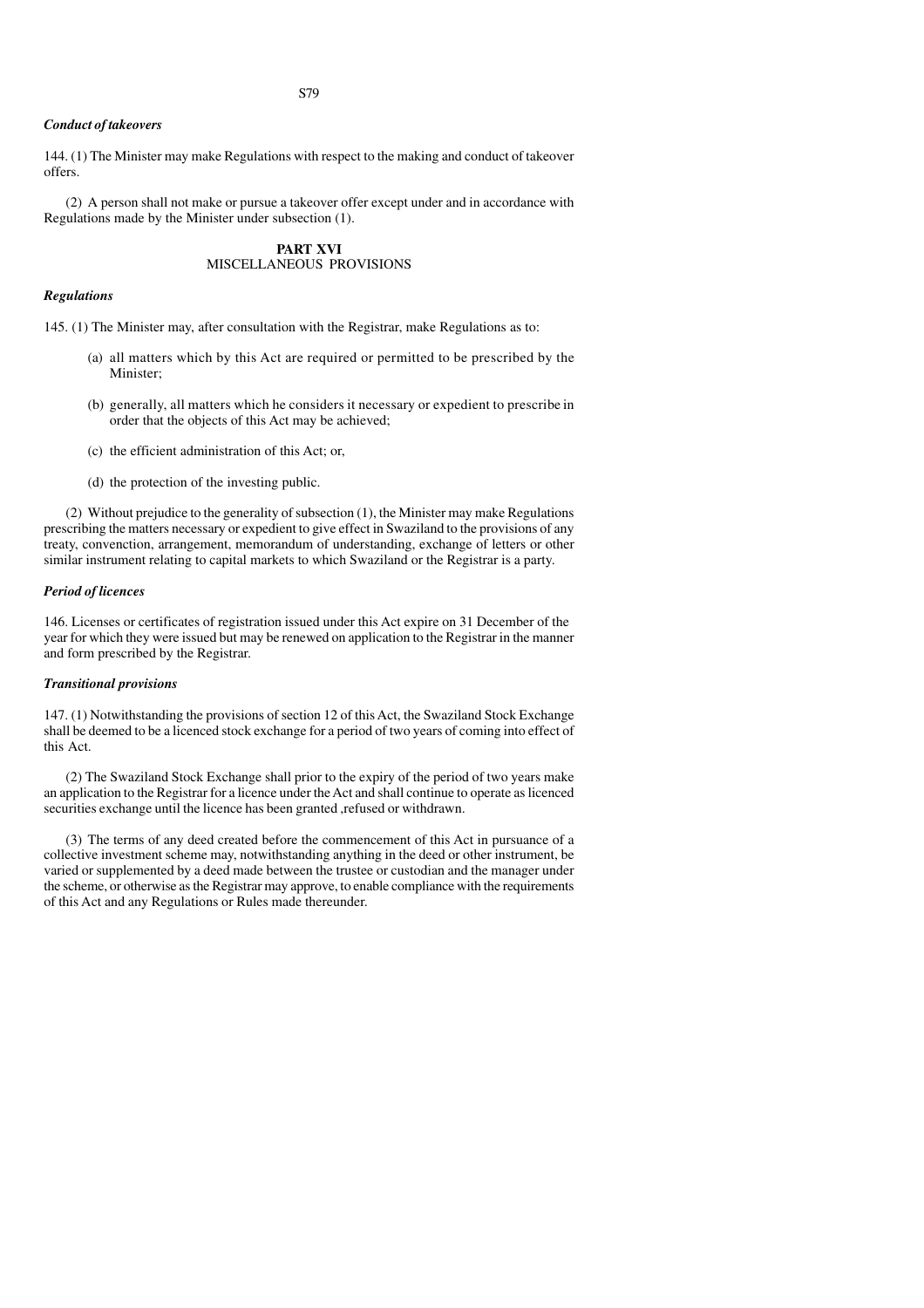#### *Conduct of takeovers*

144. (1) The Minister may make Regulations with respect to the making and conduct of takeover offers.

(2) A person shall not make or pursue a takeover offer except under and in accordance with Regulations made by the Minister under subsection (1).

# **PART XVI** MISCELLANEOUS PROVISIONS

# *Regulations*

145. (1) The Minister may, after consultation with the Registrar, make Regulations as to:

- (a) all matters which by this Act are required or permitted to be prescribed by the Minister;
- (b) generally, all matters which he considers it necessary or expedient to prescribe in order that the objects of this Act may be achieved;
- (c) the efficient administration of this Act; or,
- (d) the protection of the investing public.

(2) Without prejudice to the generality of subsection (1), the Minister may make Regulations prescribing the matters necessary or expedient to give effect in Swaziland to the provisions of any treaty, convenction, arrangement, memorandum of understanding, exchange of letters or other similar instrument relating to capital markets to which Swaziland or the Registrar is a party.

#### *Period of licences*

146. Licenses or certificates of registration issued under this Act expire on 31 December of the year for which they were issued but may be renewed on application to the Registrar in the manner and form prescribed by the Registrar.

#### *Transitional provisions*

147. (1) Notwithstanding the provisions of section 12 of this Act, the Swaziland Stock Exchange shall be deemed to be a licenced stock exchange for a period of two years of coming into effect of this Act.

(2) The Swaziland Stock Exchange shall prior to the expiry of the period of two years make an application to the Registrar for a licence under the Act and shall continue to operate as licenced securities exchange until the licence has been granted ,refused or withdrawn.

(3) The terms of any deed created before the commencement of this Act in pursuance of a collective investment scheme may, notwithstanding anything in the deed or other instrument, be varied or supplemented by a deed made between the trustee or custodian and the manager under the scheme, or otherwise as the Registrar may approve, to enable compliance with the requirements of this Act and any Regulations or Rules made thereunder.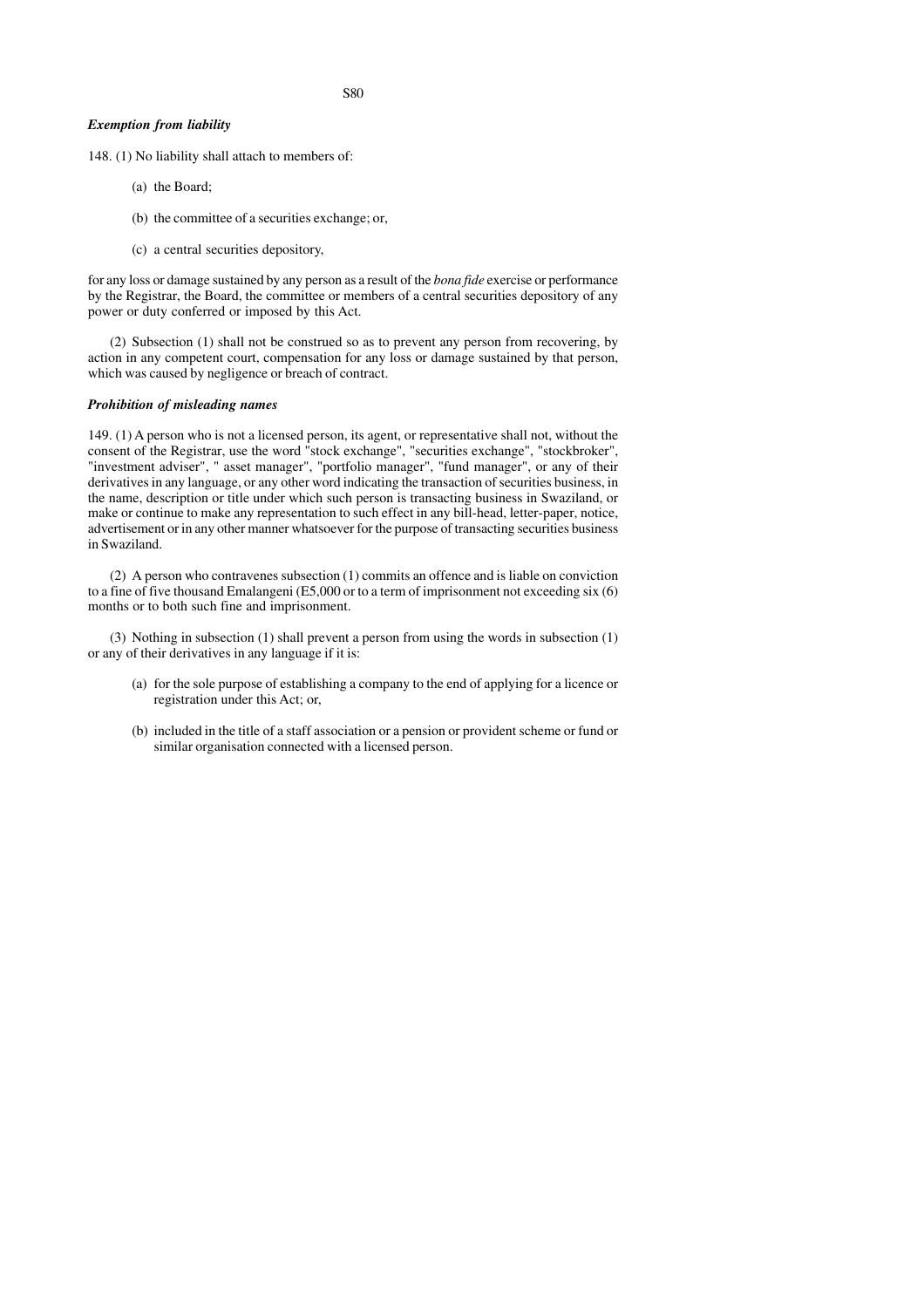S80

#### *Exemption from liability*

148. (1) No liability shall attach to members of:

- (a) the Board;
- (b) the committee of a securities exchange; or,
- (c) a central securities depository,

for any loss or damage sustained by any person as a result of the *bona fide* exercise or performance by the Registrar, the Board, the committee or members of a central securities depository of any power or duty conferred or imposed by this Act.

(2) Subsection (1) shall not be construed so as to prevent any person from recovering, by action in any competent court, compensation for any loss or damage sustained by that person, which was caused by negligence or breach of contract.

#### *Prohibition of misleading names*

149. (1) A person who is not a licensed person, its agent, or representative shall not, without the consent of the Registrar, use the word "stock exchange", "securities exchange", "stockbroker", "investment adviser", " asset manager", "portfolio manager", "fund manager", or any of their derivatives in any language, or any other word indicating the transaction of securities business, in the name, description or title under which such person is transacting business in Swaziland, or make or continue to make any representation to such effect in any bill-head, letter-paper, notice, advertisement or in any other manner whatsoever for the purpose of transacting securities business in Swaziland.

(2) A person who contravenes subsection (1) commits an offence and is liable on conviction to a fine of five thousand Emalangeni (E5,000 or to a term of imprisonment not exceeding six (6) months or to both such fine and imprisonment.

(3) Nothing in subsection (1) shall prevent a person from using the words in subsection (1) or any of their derivatives in any language if it is:

- (a) for the sole purpose of establishing a company to the end of applying for a licence or registration under this Act; or,
- (b) included in the title of a staff association or a pension or provident scheme or fund or similar organisation connected with a licensed person.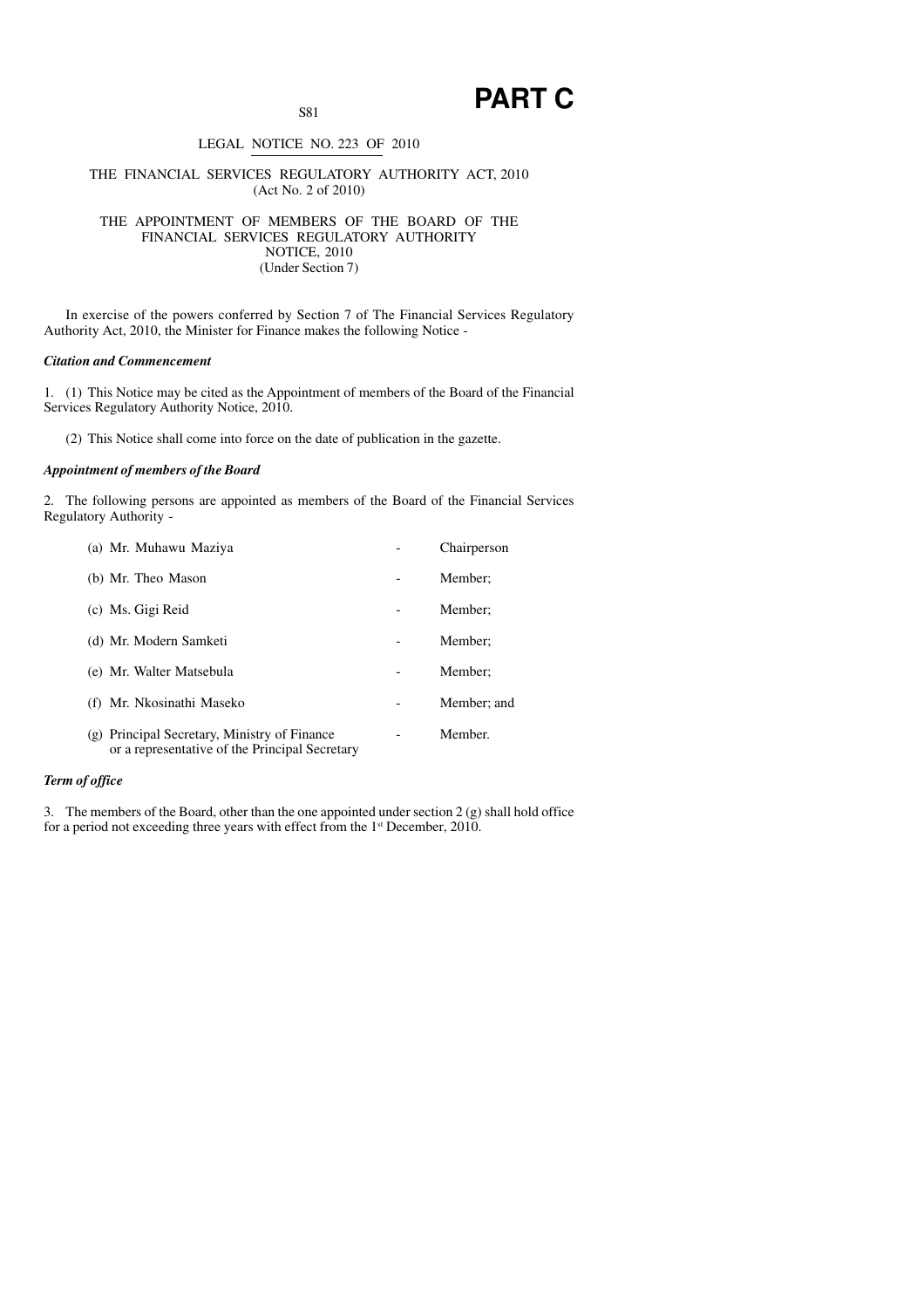# **PART C**

# LEGAL NOTICE NO. 223 OF 2010

### THE FINANCIAL SERVICES REGULATORY AUTHORITY ACT, 2010 (Act No. 2 of 2010)

THE APPOINTMENT OF MEMBERS OF THE BOARD OF THE FINANCIAL SERVICES REGULATORY AUTHORITY NOTICE, 2010 (Under Section 7)

In exercise of the powers conferred by Section 7 of The Financial Services Regulatory Authority Act, 2010, the Minister for Finance makes the following Notice -

# *Citation and Commencement*

1. (1) This Notice may be cited as the Appointment of members of the Board of the Financial Services Regulatory Authority Notice, 2010.

(2) This Notice shall come into force on the date of publication in the gazette.

# *Appointment of members of the Board*

2. The following persons are appointed as members of the Board of the Financial Services Regulatory Authority -

| (a) Mr. Muhawu Maziya                                                                          | Chairperson |
|------------------------------------------------------------------------------------------------|-------------|
| (b) Mr. Theo Mason                                                                             | Member:     |
| (c) Ms. Gigi Reid                                                                              | Member:     |
| (d) Mr. Modern Samketi                                                                         | Member:     |
| (e) Mr. Walter Matsebula                                                                       | Member:     |
| (f) Mr. Nkosinathi Maseko                                                                      | Member; and |
| (g) Principal Secretary, Ministry of Finance<br>or a representative of the Principal Secretary | Member.     |

# *Term of office*

3. The members of the Board, other than the one appointed under section  $2(g)$  shall hold office for a period not exceeding three years with effect from the 1<sup>st</sup> December, 2010.